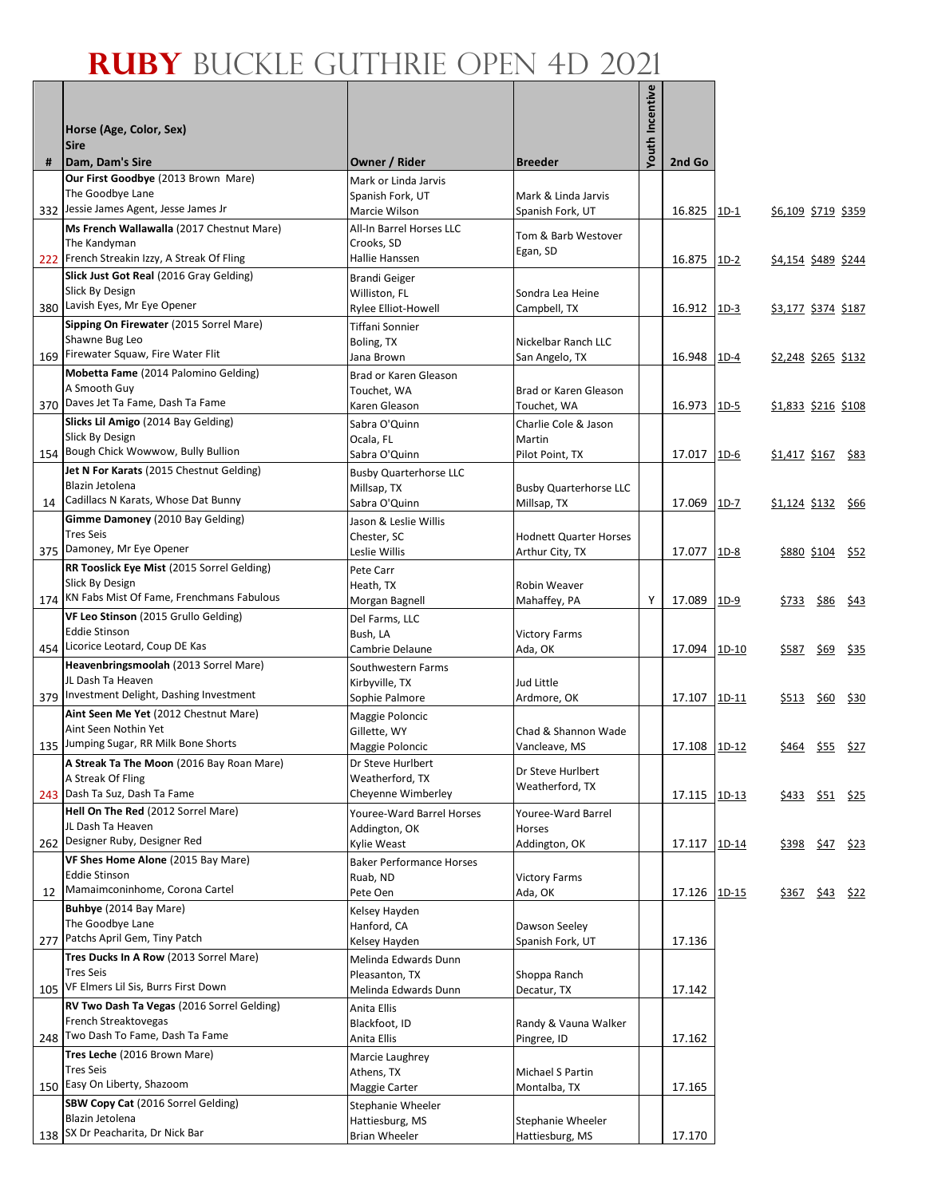|    | Horse (Age, Color, Sex)<br><b>Sire</b>                                                       |                                                              |                                      | Youth Incentive |              |         |                            |                         |                  |
|----|----------------------------------------------------------------------------------------------|--------------------------------------------------------------|--------------------------------------|-----------------|--------------|---------|----------------------------|-------------------------|------------------|
| #  | Dam, Dam's Sire<br>Our First Goodbye (2013 Brown Mare)                                       | Owner / Rider                                                | <b>Breeder</b>                       |                 | 2nd Go       |         |                            |                         |                  |
|    | The Goodbye Lane                                                                             | Mark or Linda Jarvis<br>Spanish Fork, UT                     | Mark & Linda Jarvis                  |                 |              |         |                            |                         |                  |
|    | 332 Jessie James Agent, Jesse James Jr                                                       | Marcie Wilson                                                | Spanish Fork, UT                     |                 | 16.825       | $1D-1$  | <u>\$6,109 \$719 \$359</u> |                         |                  |
|    | Ms French Wallawalla (2017 Chestnut Mare)<br>The Kandyman                                    | All-In Barrel Horses LLC<br>Crooks, SD                       | Tom & Barb Westover                  |                 |              |         |                            |                         |                  |
|    | 222 French Streakin Izzy, A Streak Of Fling                                                  | Hallie Hanssen                                               | Egan, SD                             |                 | 16.875       | $1D-2$  | \$4,154 \$489 \$244        |                         |                  |
|    | Slick Just Got Real (2016 Gray Gelding)<br>Slick By Design<br>380 Lavish Eyes, Mr Eye Opener | <b>Brandi Geiger</b><br>Williston, FL<br>Rylee Elliot-Howell | Sondra Lea Heine<br>Campbell, TX     |                 | 16.912       | $1D-3$  | \$3,177 \$374 \$187        |                         |                  |
|    | Sipping On Firewater (2015 Sorrel Mare)                                                      | Tiffani Sonnier                                              |                                      |                 |              |         |                            |                         |                  |
|    | Shawne Bug Leo                                                                               | Boling, TX                                                   | Nickelbar Ranch LLC                  |                 |              |         |                            |                         |                  |
|    | 169 Firewater Squaw, Fire Water Flit                                                         | Jana Brown                                                   | San Angelo, TX                       |                 | 16.948       | $1D-4$  | <u>\$2,248 \$265 \$132</u> |                         |                  |
|    | Mobetta Fame (2014 Palomino Gelding)                                                         | Brad or Karen Gleason                                        |                                      |                 |              |         |                            |                         |                  |
|    | A Smooth Guy                                                                                 | Touchet, WA                                                  | Brad or Karen Gleason                |                 |              |         |                            |                         |                  |
|    | 370 Daves Jet Ta Fame, Dash Ta Fame                                                          | Karen Gleason                                                | Touchet, WA                          |                 | 16.973       | $1D-5$  | \$1,833 \$216 \$108        |                         |                  |
|    | Slicks Lil Amigo (2014 Bay Gelding)<br>Slick By Design                                       | Sabra O'Quinn                                                | Charlie Cole & Jason                 |                 |              |         |                            |                         |                  |
|    | 154 Bough Chick Wowwow, Bully Bullion                                                        | Ocala, FL<br>Sabra O'Quinn                                   | Martin<br>Pilot Point, TX            |                 | 17.017       | $1D-6$  | \$1,417 \$167 \$83         |                         |                  |
|    | Jet N For Karats (2015 Chestnut Gelding)                                                     | <b>Busby Quarterhorse LLC</b>                                |                                      |                 |              |         |                            |                         |                  |
|    | Blazin Jetolena                                                                              | Millsap, TX                                                  | <b>Busby Quarterhorse LLC</b>        |                 |              |         |                            |                         |                  |
| 14 | Cadillacs N Karats, Whose Dat Bunny                                                          | Sabra O'Quinn                                                | Millsap, TX                          |                 | 17.069       | 1D-7    | <u>\$1,124 \$132</u>       |                         | <u>\$66</u>      |
|    | Gimme Damoney (2010 Bay Gelding)                                                             | Jason & Leslie Willis                                        |                                      |                 |              |         |                            |                         |                  |
|    | <b>Tres Seis</b>                                                                             | Chester, SC                                                  | <b>Hodnett Quarter Horses</b>        |                 |              |         |                            |                         |                  |
|    | 375 Damoney, Mr Eye Opener                                                                   | Leslie Willis                                                | Arthur City, TX                      |                 | 17.077       | $1D-8$  |                            | <u>\$880 \$104 \$52</u> |                  |
|    | RR Tooslick Eye Mist (2015 Sorrel Gelding)<br>Slick By Design                                | Pete Carr                                                    |                                      |                 |              |         |                            |                         |                  |
|    | 174 KN Fabs Mist Of Fame, Frenchmans Fabulous                                                | Heath, TX<br>Morgan Bagnell                                  | Robin Weaver<br>Mahaffey, PA         | Y               | 17.089       |         |                            |                         |                  |
|    | VF Leo Stinson (2015 Grullo Gelding)                                                         | Del Farms, LLC                                               |                                      |                 |              | $1D-9$  | <u>\$733 \$86</u>          |                         | <u>\$43</u>      |
|    | <b>Eddie Stinson</b>                                                                         | Bush, LA                                                     | <b>Victory Farms</b>                 |                 |              |         |                            |                         |                  |
|    | 454 Licorice Leotard, Coup DE Kas                                                            | Cambrie Delaune                                              | Ada, OK                              |                 | 17.094       | 1D-10   | \$587                      | \$69                    | \$35             |
|    | Heavenbringsmoolah (2013 Sorrel Mare)                                                        | Southwestern Farms                                           |                                      |                 |              |         |                            |                         |                  |
|    | JL Dash Ta Heaven                                                                            | Kirbyville, TX                                               | Jud Little                           |                 |              |         |                            |                         |                  |
|    | 379 Investment Delight, Dashing Investment                                                   | Sophie Palmore                                               | Ardmore, OK                          |                 | 17.107       | 1D-11   | \$513                      | \$60                    | \$30             |
|    | Aint Seen Me Yet (2012 Chestnut Mare)<br>Aint Seen Nothin Yet                                | Maggie Poloncic                                              |                                      |                 |              |         |                            |                         |                  |
|    | 135 Jumping Sugar, RR Milk Bone Shorts                                                       | Gillette, WY<br>Maggie Poloncic                              | Chad & Shannon Wade<br>Vancleave, MS |                 | 17.108       | 1D-12   | \$ <u>464</u>              |                         | <u>\$55 \$27</u> |
|    | A Streak Ta The Moon (2016 Bay Roan Mare)                                                    | Dr Steve Hurlbert                                            |                                      |                 |              |         |                            |                         |                  |
|    | A Streak Of Fling                                                                            | Weatherford, TX                                              | Dr Steve Hurlbert                    |                 |              |         |                            |                         |                  |
|    | 243 Dash Ta Suz, Dash Ta Fame                                                                | Cheyenne Wimberley                                           | Weatherford, TX                      |                 | 17.115       | $1D-13$ |                            | \$433 \$51 \$25         |                  |
|    | Hell On The Red (2012 Sorrel Mare)                                                           | Youree-Ward Barrel Horses                                    | Youree-Ward Barrel                   |                 |              |         |                            |                         |                  |
|    | JL Dash Ta Heaven                                                                            | Addington, OK                                                | Horses                               |                 |              |         |                            |                         |                  |
|    | 262 Designer Ruby, Designer Red                                                              | Kylie Weast                                                  | Addington, OK                        |                 | 17.117       | 1D-14   | <u>\$398</u>               | <u>\$47</u> \$23        |                  |
|    | VF Shes Home Alone (2015 Bay Mare)<br>Eddie Stinson                                          | <b>Baker Performance Horses</b><br>Ruab, ND                  | <b>Victory Farms</b>                 |                 |              |         |                            |                         |                  |
| 12 | Mamaimconinhome, Corona Cartel                                                               | Pete Oen                                                     | Ada, OK                              |                 | 17.126 1D-15 |         |                            | \$367 \$43 \$22         |                  |
|    | Buhbye (2014 Bay Mare)                                                                       | Kelsey Hayden                                                |                                      |                 |              |         |                            |                         |                  |
|    | The Goodbye Lane                                                                             | Hanford, CA                                                  | Dawson Seeley                        |                 |              |         |                            |                         |                  |
|    | 277 Patchs April Gem, Tiny Patch                                                             | Kelsey Hayden                                                | Spanish Fork, UT                     |                 | 17.136       |         |                            |                         |                  |
|    | Tres Ducks In A Row (2013 Sorrel Mare)                                                       | Melinda Edwards Dunn                                         |                                      |                 |              |         |                            |                         |                  |
|    | <b>Tres Seis</b>                                                                             | Pleasanton, TX                                               | Shoppa Ranch                         |                 |              |         |                            |                         |                  |
|    | 105 VF Elmers Lil Sis, Burrs First Down<br>RV Two Dash Ta Vegas (2016 Sorrel Gelding)        | Melinda Edwards Dunn                                         | Decatur, TX                          |                 | 17.142       |         |                            |                         |                  |
|    | French Streaktovegas                                                                         | Anita Ellis<br>Blackfoot, ID                                 | Randy & Vauna Walker                 |                 |              |         |                            |                         |                  |
|    | 248 Two Dash To Fame, Dash Ta Fame                                                           | Anita Ellis                                                  | Pingree, ID                          |                 | 17.162       |         |                            |                         |                  |
|    | Tres Leche (2016 Brown Mare)                                                                 | Marcie Laughrey                                              |                                      |                 |              |         |                            |                         |                  |
|    | <b>Tres Seis</b>                                                                             | Athens, TX                                                   | Michael S Partin                     |                 |              |         |                            |                         |                  |
|    | 150 Easy On Liberty, Shazoom                                                                 | Maggie Carter                                                | Montalba, TX                         |                 | 17.165       |         |                            |                         |                  |
|    | SBW Copy Cat (2016 Sorrel Gelding)                                                           | Stephanie Wheeler                                            |                                      |                 |              |         |                            |                         |                  |
|    | Blazin Jetolena<br>138 SX Dr Peacharita, Dr Nick Bar                                         | Hattiesburg, MS                                              | Stephanie Wheeler                    |                 |              |         |                            |                         |                  |
|    |                                                                                              | <b>Brian Wheeler</b>                                         | Hattiesburg, MS                      |                 | 17.170       |         |                            |                         |                  |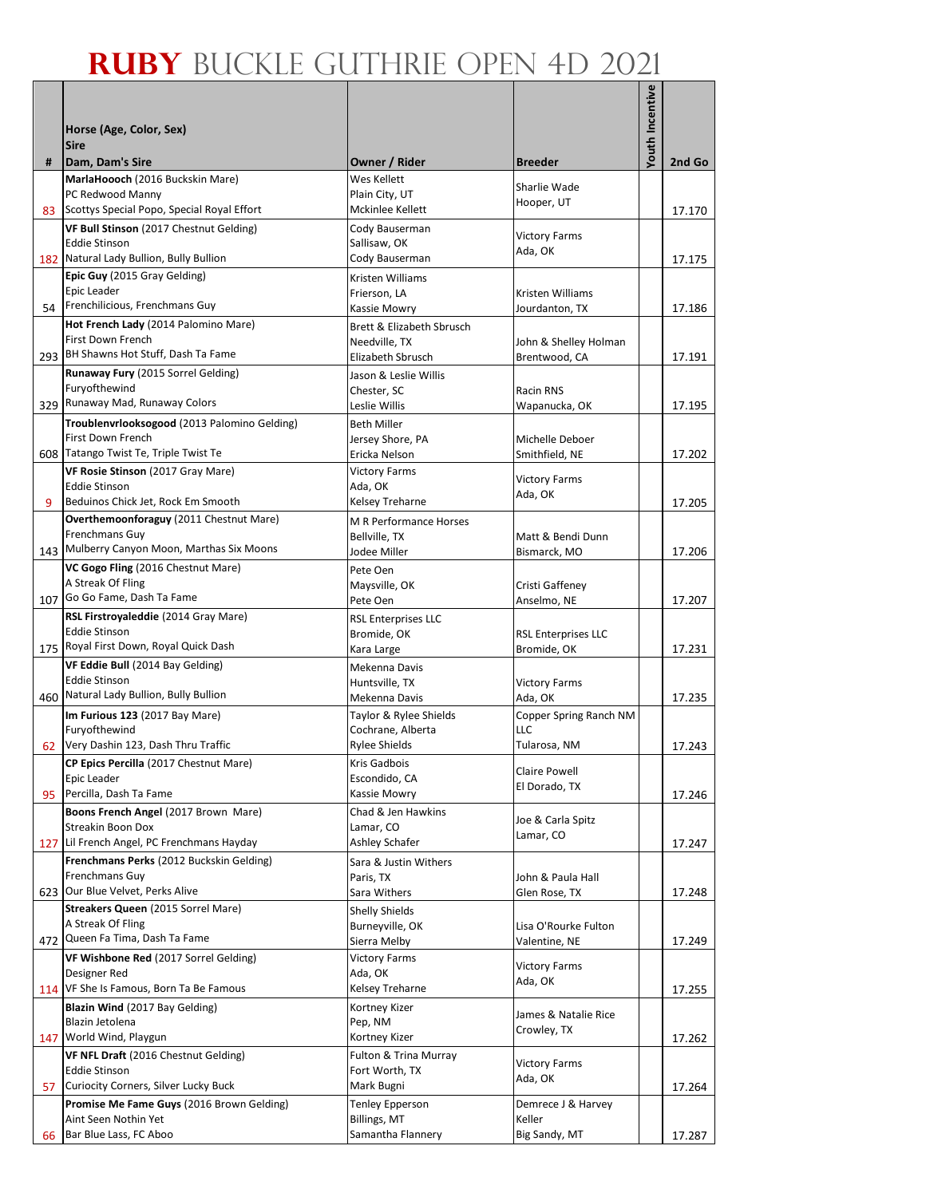|     |                                                                   |                                             |                                        | <b>Youth Incentive</b> |        |
|-----|-------------------------------------------------------------------|---------------------------------------------|----------------------------------------|------------------------|--------|
|     | Horse (Age, Color, Sex)                                           |                                             |                                        |                        |        |
|     | <b>Sire</b>                                                       |                                             |                                        |                        |        |
| #   | Dam, Dam's Sire                                                   | Owner / Rider                               | <b>Breeder</b>                         |                        | 2nd Go |
|     | MarlaHoooch (2016 Buckskin Mare)<br>PC Redwood Manny              | Wes Kellett<br>Plain City, UT               | Sharlie Wade                           |                        |        |
|     | 83 Scottys Special Popo, Special Royal Effort                     | Mckinlee Kellett                            | Hooper, UT                             |                        | 17.170 |
|     | VF Bull Stinson (2017 Chestnut Gelding)                           | Cody Bauserman                              | <b>Victory Farms</b>                   |                        |        |
|     | <b>Eddie Stinson</b><br>182 Natural Lady Bullion, Bully Bullion   | Sallisaw, OK<br>Cody Bauserman              | Ada, OK                                |                        |        |
|     | Epic Guy (2015 Gray Gelding)                                      | Kristen Williams                            |                                        |                        | 17.175 |
|     | Epic Leader                                                       | Frierson, LA                                | Kristen Williams                       |                        |        |
|     | 54 Frenchilicious, Frenchmans Guy                                 | Kassie Mowry                                | Jourdanton, TX                         |                        | 17.186 |
|     | Hot French Lady (2014 Palomino Mare)                              | Brett & Elizabeth Sbrusch                   |                                        |                        |        |
|     | First Down French<br>293 BH Shawns Hot Stuff, Dash Ta Fame        | Needville, TX<br>Elizabeth Sbrusch          | John & Shelley Holman<br>Brentwood, CA |                        | 17.191 |
|     | Runaway Fury (2015 Sorrel Gelding)                                | Jason & Leslie Willis                       |                                        |                        |        |
|     | Furyofthewind                                                     | Chester, SC                                 | Racin RNS                              |                        |        |
|     | 329 Runaway Mad, Runaway Colors                                   | Leslie Willis                               | Wapanucka, OK                          |                        | 17.195 |
|     | Troublenvrlooksogood (2013 Palomino Gelding)<br>First Down French | <b>Beth Miller</b>                          |                                        |                        |        |
|     | 608 Tatango Twist Te, Triple Twist Te                             | Jersey Shore, PA<br>Ericka Nelson           | Michelle Deboer<br>Smithfield, NE      |                        | 17.202 |
|     | VF Rosie Stinson (2017 Gray Mare)                                 | <b>Victory Farms</b>                        |                                        |                        |        |
|     | <b>Eddie Stinson</b>                                              | Ada, OK                                     | <b>Victory Farms</b><br>Ada, OK        |                        |        |
| 9   | Beduinos Chick Jet, Rock Em Smooth                                | Kelsey Treharne                             |                                        |                        | 17.205 |
|     | Overthemoonforaguy (2011 Chestnut Mare)<br>Frenchmans Guy         | M R Performance Horses                      |                                        |                        |        |
|     | 143 Mulberry Canyon Moon, Marthas Six Moons                       | Bellville, TX<br>Jodee Miller               | Matt & Bendi Dunn<br>Bismarck, MO      |                        | 17.206 |
|     | VC Gogo Fling (2016 Chestnut Mare)                                | Pete Oen                                    |                                        |                        |        |
|     | A Streak Of Fling                                                 | Maysville, OK                               | Cristi Gaffeney                        |                        |        |
|     | 107 Go Go Fame, Dash Ta Fame                                      | Pete Oen                                    | Anselmo, NE                            |                        | 17.207 |
|     | RSL Firstroyaleddie (2014 Gray Mare)<br><b>Eddie Stinson</b>      | <b>RSL Enterprises LLC</b><br>Bromide, OK   | <b>RSL Enterprises LLC</b>             |                        |        |
|     | 175 Royal First Down, Royal Quick Dash                            | Kara Large                                  | Bromide, OK                            |                        | 17.231 |
|     | VF Eddie Bull (2014 Bay Gelding)                                  | Mekenna Davis                               |                                        |                        |        |
|     | <b>Eddie Stinson</b>                                              | Huntsville, TX                              | <b>Victory Farms</b>                   |                        |        |
| 460 | Natural Lady Bullion, Bully Bullion                               | Mekenna Davis                               | Ada, OK                                |                        | 17.235 |
|     | Im Furious 123 (2017 Bay Mare)<br>Furyofthewind                   | Taylor & Rylee Shields<br>Cochrane, Alberta | Copper Spring Ranch NM<br>LLC          |                        |        |
|     | 62 Very Dashin 123, Dash Thru Traffic                             | Rylee Shields                               | Tularosa, NM                           |                        | 17.243 |
|     | CP Epics Percilla (2017 Chestnut Mare)                            | Kris Gadbois                                | <b>Claire Powell</b>                   |                        |        |
|     | Epic Leader                                                       | Escondido, CA                               | El Dorado, TX                          |                        |        |
| 95  | Percilla, Dash Ta Fame<br>Boons French Angel (2017 Brown Mare)    | Kassie Mowry<br>Chad & Jen Hawkins          |                                        |                        | 17.246 |
|     | <b>Streakin Boon Dox</b>                                          | Lamar, CO                                   | Joe & Carla Spitz                      |                        |        |
|     | 127 Lil French Angel, PC Frenchmans Hayday                        | Ashley Schafer                              | Lamar, CO                              |                        | 17.247 |
|     | Frenchmans Perks (2012 Buckskin Gelding)                          | Sara & Justin Withers                       |                                        |                        |        |
|     | Frenchmans Guy<br>623 Our Blue Velvet, Perks Alive                | Paris, TX<br>Sara Withers                   | John & Paula Hall<br>Glen Rose, TX     |                        | 17.248 |
|     | Streakers Queen (2015 Sorrel Mare)                                | <b>Shelly Shields</b>                       |                                        |                        |        |
|     | A Streak Of Fling                                                 | Burneyville, OK                             | Lisa O'Rourke Fulton                   |                        |        |
|     | 472 Queen Fa Tima, Dash Ta Fame                                   | Sierra Melby                                | Valentine, NE                          |                        | 17.249 |
|     | VF Wishbone Red (2017 Sorrel Gelding)                             | <b>Victory Farms</b>                        | <b>Victory Farms</b>                   |                        |        |
|     | Designer Red<br>114 VF She Is Famous, Born Ta Be Famous           | Ada, OK<br>Kelsey Treharne                  | Ada, OK                                |                        | 17.255 |
|     | Blazin Wind (2017 Bay Gelding)                                    | Kortney Kizer                               |                                        |                        |        |
|     | Blazin Jetolena                                                   | Pep, NM                                     | James & Natalie Rice<br>Crowley, TX    |                        |        |
|     | 147 World Wind, Playgun                                           | Kortney Kizer                               |                                        |                        | 17.262 |
|     | VF NFL Draft (2016 Chestnut Gelding)<br><b>Eddie Stinson</b>      | Fulton & Trina Murray<br>Fort Worth, TX     | <b>Victory Farms</b>                   |                        |        |
| 57  | Curiocity Corners, Silver Lucky Buck                              | Mark Bugni                                  | Ada, OK                                |                        | 17.264 |
|     | Promise Me Fame Guys (2016 Brown Gelding)                         | <b>Tenley Epperson</b>                      | Demrece J & Harvey                     |                        |        |
|     | Aint Seen Nothin Yet                                              | Billings, MT                                | Keller                                 |                        |        |
| 66  | Bar Blue Lass, FC Aboo                                            | Samantha Flannery                           | Big Sandy, MT                          |                        | 17.287 |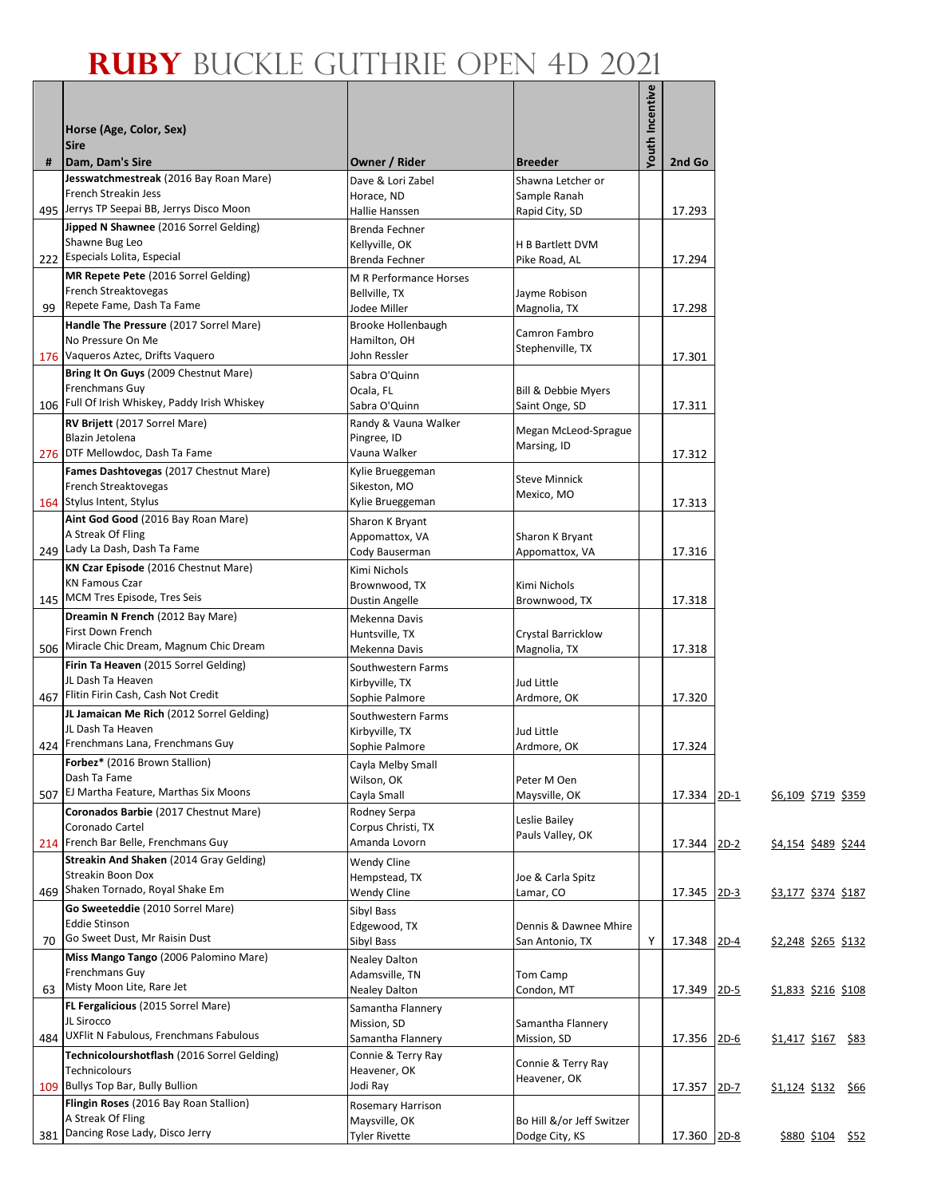|     |                                                                                 |                                         |                                                  | Youth Incentive |             |                            |                  |  |
|-----|---------------------------------------------------------------------------------|-----------------------------------------|--------------------------------------------------|-----------------|-------------|----------------------------|------------------|--|
|     | Horse (Age, Color, Sex)<br><b>Sire</b>                                          |                                         |                                                  |                 |             |                            |                  |  |
| #   | Dam, Dam's Sire                                                                 | Owner / Rider                           | <b>Breeder</b>                                   |                 | 2nd Go      |                            |                  |  |
|     | Jesswatchmestreak (2016 Bay Roan Mare)                                          | Dave & Lori Zabel                       | Shawna Letcher or                                |                 |             |                            |                  |  |
|     | French Streakin Jess<br>495 Jerrys TP Seepai BB, Jerrys Disco Moon              | Horace, ND<br>Hallie Hanssen            | Sample Ranah<br>Rapid City, SD                   |                 | 17.293      |                            |                  |  |
|     | Jipped N Shawnee (2016 Sorrel Gelding)                                          | Brenda Fechner                          |                                                  |                 |             |                            |                  |  |
|     | Shawne Bug Leo                                                                  | Kellyville, OK                          | H B Bartlett DVM                                 |                 |             |                            |                  |  |
|     | 222 Especials Lolita, Especial                                                  | Brenda Fechner                          | Pike Road, AL                                    |                 | 17.294      |                            |                  |  |
|     | MR Repete Pete (2016 Sorrel Gelding)<br>French Streaktovegas                    | M R Performance Horses                  |                                                  |                 |             |                            |                  |  |
| 99  | Repete Fame, Dash Ta Fame                                                       | Bellville, TX<br>Jodee Miller           | Jayme Robison<br>Magnolia, TX                    |                 | 17.298      |                            |                  |  |
|     | Handle The Pressure (2017 Sorrel Mare)                                          | Brooke Hollenbaugh                      |                                                  |                 |             |                            |                  |  |
|     | No Pressure On Me                                                               | Hamilton, OH                            | Camron Fambro<br>Stephenville, TX                |                 |             |                            |                  |  |
|     | 176 Vaqueros Aztec, Drifts Vaquero                                              | John Ressler                            |                                                  |                 | 17.301      |                            |                  |  |
|     | Bring It On Guys (2009 Chestnut Mare)<br>Frenchmans Guy                         | Sabra O'Quinn                           |                                                  |                 |             |                            |                  |  |
|     | 106 Full Of Irish Whiskey, Paddy Irish Whiskey                                  | Ocala, FL<br>Sabra O'Quinn              | <b>Bill &amp; Debbie Myers</b><br>Saint Onge, SD |                 | 17.311      |                            |                  |  |
|     | RV Brijett (2017 Sorrel Mare)                                                   | Randy & Vauna Walker                    |                                                  |                 |             |                            |                  |  |
|     | Blazin Jetolena                                                                 | Pingree, ID                             | Megan McLeod-Sprague<br>Marsing, ID              |                 |             |                            |                  |  |
|     | 276 DTF Mellowdoc, Dash Ta Fame                                                 | Vauna Walker                            |                                                  |                 | 17.312      |                            |                  |  |
|     | Fames Dashtovegas (2017 Chestnut Mare)                                          | Kylie Brueggeman                        | <b>Steve Minnick</b>                             |                 |             |                            |                  |  |
|     | French Streaktovegas<br>164 Stylus Intent, Stylus                               | Sikeston, MO<br>Kylie Brueggeman        | Mexico, MO                                       |                 | 17.313      |                            |                  |  |
|     | Aint God Good (2016 Bay Roan Mare)                                              | Sharon K Bryant                         |                                                  |                 |             |                            |                  |  |
|     | A Streak Of Fling                                                               | Appomattox, VA                          | Sharon K Bryant                                  |                 |             |                            |                  |  |
|     | 249 Lady La Dash, Dash Ta Fame                                                  | Cody Bauserman                          | Appomattox, VA                                   |                 | 17.316      |                            |                  |  |
|     | KN Czar Episode (2016 Chestnut Mare)<br><b>KN Famous Czar</b>                   | Kimi Nichols                            |                                                  |                 |             |                            |                  |  |
|     | 145 MCM Tres Episode, Tres Seis                                                 | Brownwood, TX<br>Dustin Angelle         | Kimi Nichols<br>Brownwood, TX                    |                 | 17.318      |                            |                  |  |
|     | Dreamin N French (2012 Bay Mare)                                                | Mekenna Davis                           |                                                  |                 |             |                            |                  |  |
|     | First Down French                                                               | Huntsville, TX                          | Crystal Barricklow                               |                 |             |                            |                  |  |
|     | 506 Miracle Chic Dream, Magnum Chic Dream                                       | Mekenna Davis                           | Magnolia, TX                                     |                 | 17.318      |                            |                  |  |
|     | Firin Ta Heaven (2015 Sorrel Gelding)<br>JL Dash Ta Heaven                      | Southwestern Farms                      | Jud Little                                       |                 |             |                            |                  |  |
| 467 | Flitin Firin Cash, Cash Not Credit                                              | Kirbyville, TX<br>Sophie Palmore        | Ardmore, OK                                      |                 | 17.320      |                            |                  |  |
|     | JL Jamaican Me Rich (2012 Sorrel Gelding)                                       | Southwestern Farms                      |                                                  |                 |             |                            |                  |  |
|     | JL Dash Ta Heaven                                                               | Kirbyville, TX                          | Jud Little                                       |                 |             |                            |                  |  |
|     | 424 Frenchmans Lana, Frenchmans Guy                                             | Sophie Palmore                          | Ardmore, OK                                      |                 | 17.324      |                            |                  |  |
|     | Forbez* (2016 Brown Stallion)<br>Dash Ta Fame                                   | Cayla Melby Small<br>Wilson, OK         | Peter M Oen                                      |                 |             |                            |                  |  |
| 507 | EJ Martha Feature, Marthas Six Moons                                            | Cayla Small                             | Maysville, OK                                    |                 | 17.334 2D-1 | \$6,109 \$719 \$359        |                  |  |
|     | Coronados Barbie (2017 Chestnut Mare)                                           | Rodney Serpa                            | Leslie Bailey                                    |                 |             |                            |                  |  |
|     | Coronado Cartel                                                                 | Corpus Christi, TX                      | Pauls Valley, OK                                 |                 |             |                            |                  |  |
|     | 214 French Bar Belle, Frenchmans Guy<br>Streakin And Shaken (2014 Gray Gelding) | Amanda Lovorn                           |                                                  |                 | 17.344 2D-2 | \$4,154 \$489 \$244        |                  |  |
|     | Streakin Boon Dox                                                               | Wendy Cline<br>Hempstead, TX            | Joe & Carla Spitz                                |                 |             |                            |                  |  |
|     | 469 Shaken Tornado, Royal Shake Em                                              | Wendy Cline                             | Lamar, CO                                        |                 | 17.345 2D-3 | <u>\$3,177 \$374 \$187</u> |                  |  |
|     | Go Sweeteddie (2010 Sorrel Mare)                                                | Sibyl Bass                              |                                                  |                 |             |                            |                  |  |
|     | <b>Eddie Stinson</b><br>Go Sweet Dust, Mr Raisin Dust                           | Edgewood, TX                            | Dennis & Dawnee Mhire                            |                 |             |                            |                  |  |
| 70  | Miss Mango Tango (2006 Palomino Mare)                                           | Sibyl Bass<br><b>Nealey Dalton</b>      | San Antonio, TX                                  | Y               | 17.348 2D-4 | <u>\$2,248 \$265 \$132</u> |                  |  |
|     | Frenchmans Guy                                                                  | Adamsville, TN                          | Tom Camp                                         |                 |             |                            |                  |  |
| 63  | Misty Moon Lite, Rare Jet                                                       | Nealey Dalton                           | Condon, MT                                       |                 | 17.349 2D-5 | \$1,833 \$216 \$108        |                  |  |
|     | FL Fergalicious (2015 Sorrel Mare)                                              | Samantha Flannery                       |                                                  |                 |             |                            |                  |  |
|     | JL Sirocco<br>484 UXFlit N Fabulous, Frenchmans Fabulous                        | Mission, SD                             | Samantha Flannery                                |                 |             |                            |                  |  |
|     | Technicolourshotflash (2016 Sorrel Gelding)                                     | Samantha Flannery<br>Connie & Terry Ray | Mission, SD                                      |                 | 17.356 2D-6 | \$1,417 \$167 \$83         |                  |  |
|     | Technicolours                                                                   | Heavener, OK                            | Connie & Terry Ray                               |                 |             |                            |                  |  |
| 109 | <b>Bullys Top Bar, Bully Bullion</b>                                            | Jodi Ray                                | Heavener, OK                                     |                 | 17.357 2D-7 | \$1,124 \$132 \$66         |                  |  |
|     | Flingin Roses (2016 Bay Roan Stallion)                                          | Rosemary Harrison                       |                                                  |                 |             |                            |                  |  |
|     | A Streak Of Fling<br>381 Dancing Rose Lady, Disco Jerry                         | Maysville, OK                           | Bo Hill &/or Jeff Switzer                        |                 |             |                            |                  |  |
|     |                                                                                 | Tyler Rivette                           | Dodge City, KS                                   |                 | 17.360 2D-8 |                            | \$880 \$104 \$52 |  |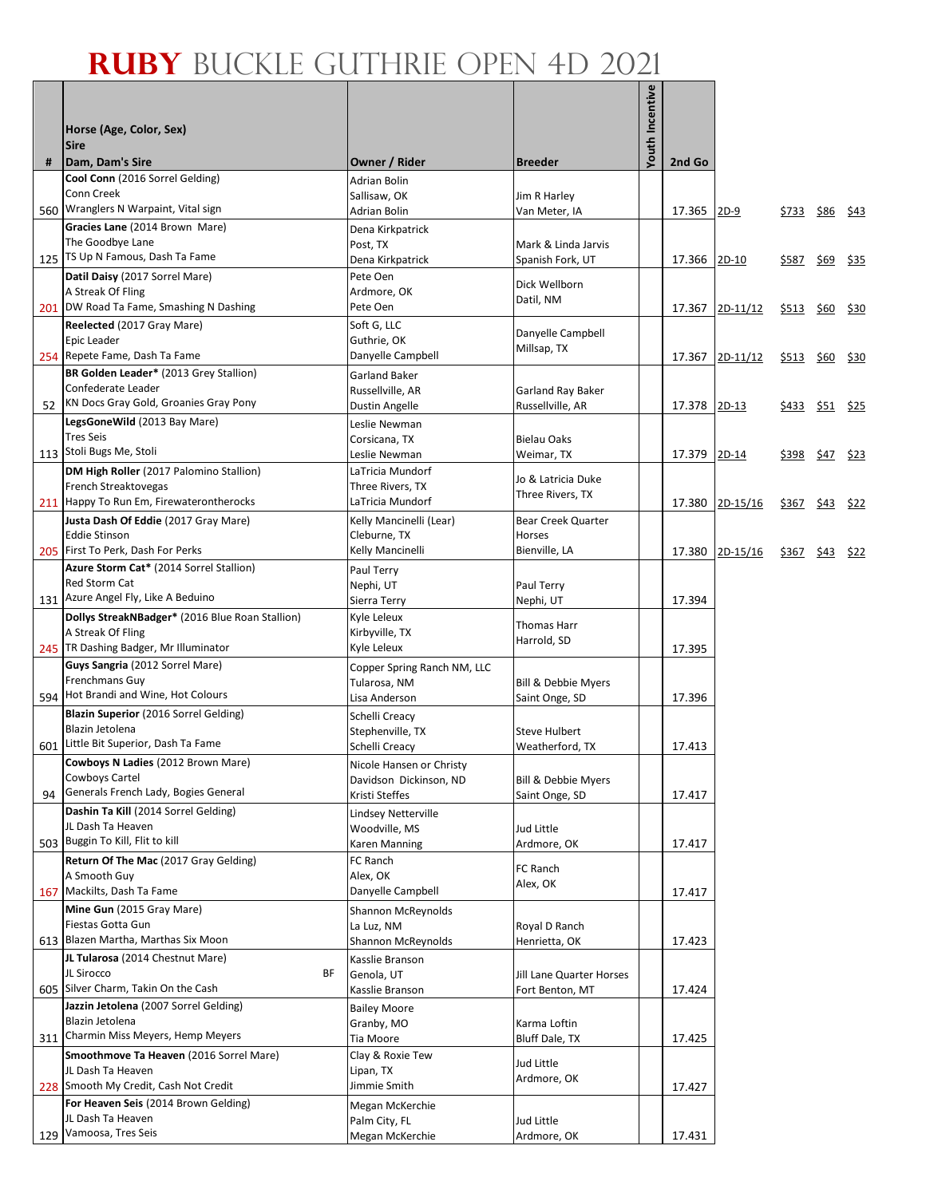|     |                                                                              |                                             |                                         | <b>Youth Incentive</b> |              |                 |              |      |                  |
|-----|------------------------------------------------------------------------------|---------------------------------------------|-----------------------------------------|------------------------|--------------|-----------------|--------------|------|------------------|
|     | Horse (Age, Color, Sex)                                                      |                                             |                                         |                        |              |                 |              |      |                  |
|     | <b>Sire</b>                                                                  |                                             |                                         |                        |              |                 |              |      |                  |
| #   | Dam, Dam's Sire<br>Cool Conn (2016 Sorrel Gelding)                           | Owner / Rider                               | <b>Breeder</b>                          |                        | 2nd Go       |                 |              |      |                  |
|     | Conn Creek                                                                   | <b>Adrian Bolin</b><br>Sallisaw, OK         | Jim R Harley                            |                        |              |                 |              |      |                  |
|     | 560 Wranglers N Warpaint, Vital sign                                         | Adrian Bolin                                | Van Meter, IA                           |                        | 17.365       | $2D-9$          | \$733        | \$86 | <u>\$43</u>      |
|     | Gracies Lane (2014 Brown Mare)<br>The Goodbye Lane                           | Dena Kirkpatrick                            |                                         |                        |              |                 |              |      |                  |
|     | 125 TS Up N Famous, Dash Ta Fame                                             | Post, TX<br>Dena Kirkpatrick                | Mark & Linda Jarvis<br>Spanish Fork, UT |                        | 17.366       | $2D-10$         | \$587        |      | <u>\$69</u> \$35 |
|     | Datil Daisy (2017 Sorrel Mare)                                               | Pete Oen                                    | Dick Wellborn                           |                        |              |                 |              |      |                  |
|     | A Streak Of Fling                                                            | Ardmore, OK                                 | Datil, NM                               |                        |              |                 |              |      |                  |
|     | 201 DW Road Ta Fame, Smashing N Dashing<br>Reelected (2017 Gray Mare)        | Pete Oen<br>Soft G, LLC                     |                                         |                        |              | 17.367 2D-11/12 | <u>\$513</u> | \$60 | <u>\$30</u>      |
|     | Epic Leader                                                                  | Guthrie, OK                                 | Danyelle Campbell<br>Millsap, TX        |                        |              |                 |              |      |                  |
|     | 254 Repete Fame, Dash Ta Fame                                                | Danyelle Campbell                           |                                         |                        | 17.367       | $2D-11/12$      | \$513        | \$60 | \$30             |
|     | BR Golden Leader* (2013 Grey Stallion)<br>Confederate Leader                 | Garland Baker<br>Russellville, AR           |                                         |                        |              |                 |              |      |                  |
|     | 52 KN Docs Gray Gold, Groanies Gray Pony                                     | Dustin Angelle                              | Garland Ray Baker<br>Russellville, AR   |                        | 17.378       | $2D-13$         | <u>\$433</u> |      | <u>\$51</u> \$25 |
|     | LegsGoneWild (2013 Bay Mare)                                                 | Leslie Newman                               |                                         |                        |              |                 |              |      |                  |
|     | <b>Tres Seis</b><br>113 Stoli Bugs Me, Stoli                                 | Corsicana, TX                               | <b>Bielau Oaks</b>                      |                        |              |                 |              |      |                  |
|     | DM High Roller (2017 Palomino Stallion)                                      | Leslie Newman<br>LaTricia Mundorf           | Weimar, TX                              |                        | 17.379 2D-14 |                 | \$398        |      | \$47 \$23        |
|     | French Streaktovegas                                                         | Three Rivers, TX                            | Jo & Latricia Duke<br>Three Rivers, TX  |                        |              |                 |              |      |                  |
|     | 211 Happy To Run Em, Firewaterontherocks                                     | LaTricia Mundorf                            |                                         |                        | 17.380       | 2D-15/16        | \$367        |      | $$43$ \$22       |
|     | Justa Dash Of Eddie (2017 Gray Mare)<br><b>Eddie Stinson</b>                 | Kelly Mancinelli (Lear)<br>Cleburne, TX     | Bear Creek Quarter<br>Horses            |                        |              |                 |              |      |                  |
|     | 205 First To Perk, Dash For Perks                                            | Kelly Mancinelli                            | Bienville, LA                           |                        |              | 17.380 2D-15/16 | \$367        | \$43 | <u>\$22</u>      |
|     | Azure Storm Cat* (2014 Sorrel Stallion)                                      | Paul Terry                                  |                                         |                        |              |                 |              |      |                  |
|     | Red Storm Cat<br>131 Azure Angel Fly, Like A Beduino                         | Nephi, UT<br>Sierra Terry                   | Paul Terry<br>Nephi, UT                 |                        | 17.394       |                 |              |      |                  |
|     | Dollys StreakNBadger* (2016 Blue Roan Stallion)                              | Kyle Leleux                                 |                                         |                        |              |                 |              |      |                  |
|     | A Streak Of Fling                                                            | Kirbyville, TX                              | Thomas Harr<br>Harrold, SD              |                        |              |                 |              |      |                  |
|     | 245 TR Dashing Badger, Mr Illuminator                                        | Kyle Leleux                                 |                                         |                        | 17.395       |                 |              |      |                  |
|     | Guys Sangria (2012 Sorrel Mare)<br><b>Frenchmans Guy</b>                     | Copper Spring Ranch NM, LLC<br>Tularosa, NM | <b>Bill &amp; Debbie Myers</b>          |                        |              |                 |              |      |                  |
|     | 594 Hot Brandi and Wine, Hot Colours                                         | Lisa Anderson                               | Saint Onge, SD                          |                        | 17.396       |                 |              |      |                  |
|     | <b>Blazin Superior</b> (2016 Sorrel Gelding)                                 | Schelli Creacy                              |                                         |                        |              |                 |              |      |                  |
|     | Blazin Jetolena<br>601 Little Bit Superior, Dash Ta Fame                     | Stephenville, TX<br>Schelli Creacy          | <b>Steve Hulbert</b><br>Weatherford, TX |                        | 17.413       |                 |              |      |                  |
|     | Cowboys N Ladies (2012 Brown Mare)                                           | Nicole Hansen or Christy                    |                                         |                        |              |                 |              |      |                  |
|     | Cowboys Cartel                                                               | Davidson Dickinson, ND                      | Bill & Debbie Myers                     |                        |              |                 |              |      |                  |
| 94  | Generals French Lady, Bogies General<br>Dashin Ta Kill (2014 Sorrel Gelding) | Kristi Steffes<br>Lindsey Netterville       | Saint Onge, SD                          |                        | 17.417       |                 |              |      |                  |
|     | JL Dash Ta Heaven                                                            | Woodville, MS                               | Jud Little                              |                        |              |                 |              |      |                  |
|     | 503 Buggin To Kill, Flit to kill                                             | Karen Manning                               | Ardmore, OK                             |                        | 17.417       |                 |              |      |                  |
|     | Return Of The Mac (2017 Gray Gelding)<br>A Smooth Guy                        | FC Ranch<br>Alex, OK                        | FC Ranch                                |                        |              |                 |              |      |                  |
|     | 167 Mackilts, Dash Ta Fame                                                   | Danyelle Campbell                           | Alex, OK                                |                        | 17.417       |                 |              |      |                  |
|     | Mine Gun (2015 Gray Mare)                                                    | <b>Shannon McReynolds</b>                   |                                         |                        |              |                 |              |      |                  |
| 613 | Fiestas Gotta Gun<br>Blazen Martha, Marthas Six Moon                         | La Luz, NM                                  | Royal D Ranch<br>Henrietta, OK          |                        |              |                 |              |      |                  |
|     | JL Tularosa (2014 Chestnut Mare)                                             | Shannon McReynolds<br>Kasslie Branson       |                                         |                        | 17.423       |                 |              |      |                  |
|     | JL Sirocco<br>ΒF                                                             | Genola, UT                                  | Jill Lane Quarter Horses                |                        |              |                 |              |      |                  |
|     | 605 Silver Charm, Takin On the Cash                                          | Kasslie Branson                             | Fort Benton, MT                         |                        | 17.424       |                 |              |      |                  |
|     | Jazzin Jetolena (2007 Sorrel Gelding)<br>Blazin Jetolena                     | <b>Bailey Moore</b><br>Granby, MO           | Karma Loftin                            |                        |              |                 |              |      |                  |
| 311 | Charmin Miss Meyers, Hemp Meyers                                             | Tia Moore                                   | Bluff Dale, TX                          |                        | 17.425       |                 |              |      |                  |
|     | Smoothmove Ta Heaven (2016 Sorrel Mare)                                      | Clay & Roxie Tew                            | Jud Little                              |                        |              |                 |              |      |                  |
|     | JL Dash Ta Heaven<br>228 Smooth My Credit, Cash Not Credit                   | Lipan, TX<br>Jimmie Smith                   | Ardmore, OK                             |                        | 17.427       |                 |              |      |                  |
|     | For Heaven Seis (2014 Brown Gelding)                                         | Megan McKerchie                             |                                         |                        |              |                 |              |      |                  |
|     | JL Dash Ta Heaven                                                            | Palm City, FL                               | Jud Little                              |                        |              |                 |              |      |                  |
|     | 129 Vamoosa, Tres Seis                                                       | Megan McKerchie                             | Ardmore, OK                             |                        | 17.431       |                 |              |      |                  |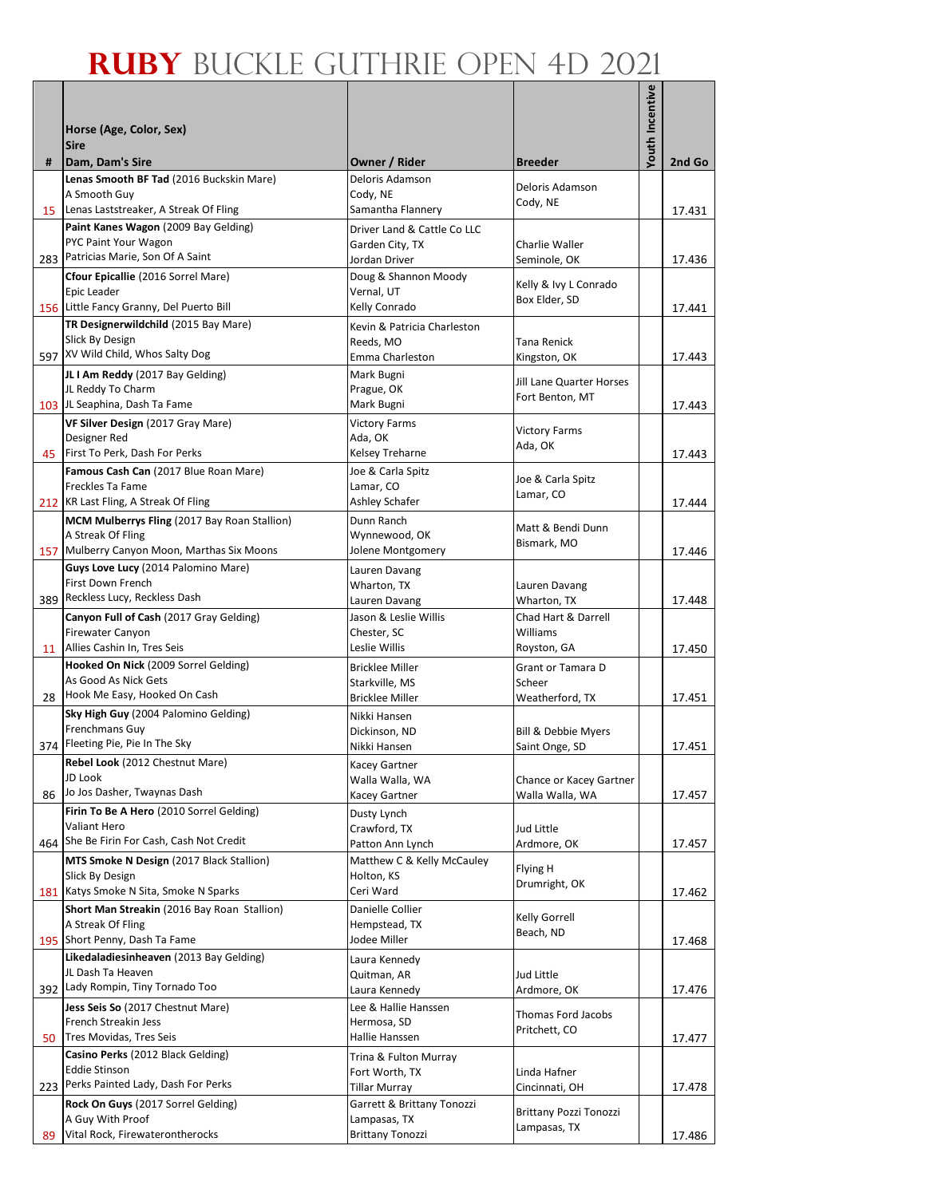|     |                                                                                  |                                              |                                            | <b>Youth Incentive</b> |        |
|-----|----------------------------------------------------------------------------------|----------------------------------------------|--------------------------------------------|------------------------|--------|
|     | Horse (Age, Color, Sex)                                                          |                                              |                                            |                        |        |
|     | <b>Sire</b>                                                                      |                                              |                                            |                        |        |
| #   | Dam, Dam's Sire<br>Lenas Smooth BF Tad (2016 Buckskin Mare)                      | Owner / Rider<br>Deloris Adamson             | <b>Breeder</b>                             |                        | 2nd Go |
|     | A Smooth Guy                                                                     | Cody, NE                                     | Deloris Adamson<br>Cody, NE                |                        |        |
|     | 15 Lenas Laststreaker, A Streak Of Fling                                         | Samantha Flannery                            |                                            |                        | 17.431 |
|     | Paint Kanes Wagon (2009 Bay Gelding)<br>PYC Paint Your Wagon                     | Driver Land & Cattle Co LLC                  |                                            |                        |        |
|     | 283 Patricias Marie, Son Of A Saint                                              | Garden City, TX<br>Jordan Driver             | Charlie Waller<br>Seminole, OK             |                        | 17.436 |
|     | Cfour Epicallie (2016 Sorrel Mare)                                               | Doug & Shannon Moody                         | Kelly & Ivy L Conrado                      |                        |        |
|     | Epic Leader                                                                      | Vernal, UT                                   | Box Elder, SD                              |                        |        |
|     | 156 Little Fancy Granny, Del Puerto Bill<br>TR Designerwildchild (2015 Bay Mare) | Kelly Conrado<br>Kevin & Patricia Charleston |                                            |                        | 17.441 |
|     | Slick By Design                                                                  | Reeds, MO                                    | Tana Renick                                |                        |        |
|     | 597 XV Wild Child, Whos Salty Dog                                                | Emma Charleston                              | Kingston, OK                               |                        | 17.443 |
|     | JL I Am Reddy (2017 Bay Gelding)                                                 | Mark Bugni                                   | Jill Lane Quarter Horses                   |                        |        |
|     | JL Reddy To Charm<br>103 JL Seaphina, Dash Ta Fame                               | Prague, OK<br>Mark Bugni                     | Fort Benton, MT                            |                        |        |
|     | VF Silver Design (2017 Gray Mare)                                                | <b>Victory Farms</b>                         |                                            |                        | 17.443 |
|     | Designer Red                                                                     | Ada, OK                                      | <b>Victory Farms</b><br>Ada, OK            |                        |        |
|     | 45 First To Perk, Dash For Perks                                                 | Kelsey Treharne                              |                                            |                        | 17.443 |
|     | Famous Cash Can (2017 Blue Roan Mare)                                            | Joe & Carla Spitz                            | Joe & Carla Spitz                          |                        |        |
|     | Freckles Ta Fame<br>212 KR Last Fling, A Streak Of Fling                         | Lamar, CO<br>Ashley Schafer                  | Lamar, CO                                  |                        | 17.444 |
|     | <b>MCM Mulberrys Fling (2017 Bay Roan Stallion)</b>                              | Dunn Ranch                                   |                                            |                        |        |
|     | A Streak Of Fling                                                                | Wynnewood, OK                                | Matt & Bendi Dunn<br>Bismark, MO           |                        |        |
|     | 157 Mulberry Canyon Moon, Marthas Six Moons                                      | Jolene Montgomery                            |                                            |                        | 17.446 |
|     | Guys Love Lucy (2014 Palomino Mare)<br>First Down French                         | Lauren Davang                                |                                            |                        |        |
|     | 389 Reckless Lucy, Reckless Dash                                                 | Wharton, TX<br>Lauren Davang                 | Lauren Davang<br>Wharton, TX               |                        | 17.448 |
|     | Canyon Full of Cash (2017 Gray Gelding)                                          | Jason & Leslie Willis                        | Chad Hart & Darrell                        |                        |        |
|     | Firewater Canyon                                                                 | Chester, SC                                  | Williams                                   |                        |        |
|     | 11 Allies Cashin In, Tres Seis                                                   | Leslie Willis                                | Royston, GA                                |                        | 17.450 |
|     | Hooked On Nick (2009 Sorrel Gelding)<br>As Good As Nick Gets                     | <b>Bricklee Miller</b>                       | Grant or Tamara D                          |                        |        |
| 28  | Hook Me Easy, Hooked On Cash                                                     | Starkville, MS<br><b>Bricklee Miller</b>     | Scheer<br>Weatherford, TX                  |                        | 17.451 |
|     | Sky High Guy (2004 Palomino Gelding)                                             | Nikki Hansen                                 |                                            |                        |        |
|     | Frenchmans Guy                                                                   | Dickinson, ND                                | <b>Bill &amp; Debbie Myers</b>             |                        |        |
|     | 374 Fleeting Pie, Pie In The Sky                                                 | Nikki Hansen                                 | Saint Onge, SD                             |                        | 17.451 |
|     | Rebel Look (2012 Chestnut Mare)<br>JD Look                                       | Kacey Gartner                                |                                            |                        |        |
|     | 86 Jo Jos Dasher, Twaynas Dash                                                   | Walla Walla, WA<br>Kacey Gartner             | Chance or Kacey Gartner<br>Walla Walla, WA |                        | 17.457 |
|     | Firin To Be A Hero (2010 Sorrel Gelding)                                         | Dusty Lynch                                  |                                            |                        |        |
|     | Valiant Hero                                                                     | Crawford, TX                                 | Jud Little                                 |                        |        |
|     | 464 She Be Firin For Cash, Cash Not Credit                                       | Patton Ann Lynch                             | Ardmore, OK                                |                        | 17.457 |
|     | <b>MTS Smoke N Design (2017 Black Stallion)</b><br>Slick By Design               | Matthew C & Kelly McCauley<br>Holton, KS     | Flying H                                   |                        |        |
|     | 181 Katys Smoke N Sita, Smoke N Sparks                                           | Ceri Ward                                    | Drumright, OK                              |                        | 17.462 |
|     | Short Man Streakin (2016 Bay Roan Stallion)                                      | Danielle Collier                             | Kelly Gorrell                              |                        |        |
|     | A Streak Of Fling                                                                | Hempstead, TX                                | Beach, ND                                  |                        |        |
|     | 195 Short Penny, Dash Ta Fame<br>Likedaladiesinheaven (2013 Bay Gelding)         | Jodee Miller                                 |                                            |                        | 17.468 |
|     | JL Dash Ta Heaven                                                                | Laura Kennedy<br>Quitman, AR                 | Jud Little                                 |                        |        |
|     | 392 Lady Rompin, Tiny Tornado Too                                                | Laura Kennedy                                | Ardmore, OK                                |                        | 17.476 |
|     | Jess Seis So (2017 Chestnut Mare)                                                | Lee & Hallie Hanssen                         | Thomas Ford Jacobs                         |                        |        |
|     | French Streakin Jess                                                             | Hermosa, SD                                  | Pritchett, CO                              |                        |        |
|     | 50 Tres Movidas, Tres Seis<br>Casino Perks (2012 Black Gelding)                  | Hallie Hanssen                               |                                            |                        | 17.477 |
|     | <b>Eddie Stinson</b>                                                             | Trina & Fulton Murray<br>Fort Worth, TX      | Linda Hafner                               |                        |        |
| 223 | Perks Painted Lady, Dash For Perks                                               | Tillar Murray                                | Cincinnati, OH                             |                        | 17.478 |
|     | Rock On Guys (2017 Sorrel Gelding)                                               | Garrett & Brittany Tonozzi                   | <b>Brittany Pozzi Tonozzi</b>              |                        |        |
|     | A Guy With Proof<br>Vital Rock, Firewaterontherocks                              | Lampasas, TX<br><b>Brittany Tonozzi</b>      | Lampasas, TX                               |                        |        |
| 89  |                                                                                  |                                              |                                            |                        | 17.486 |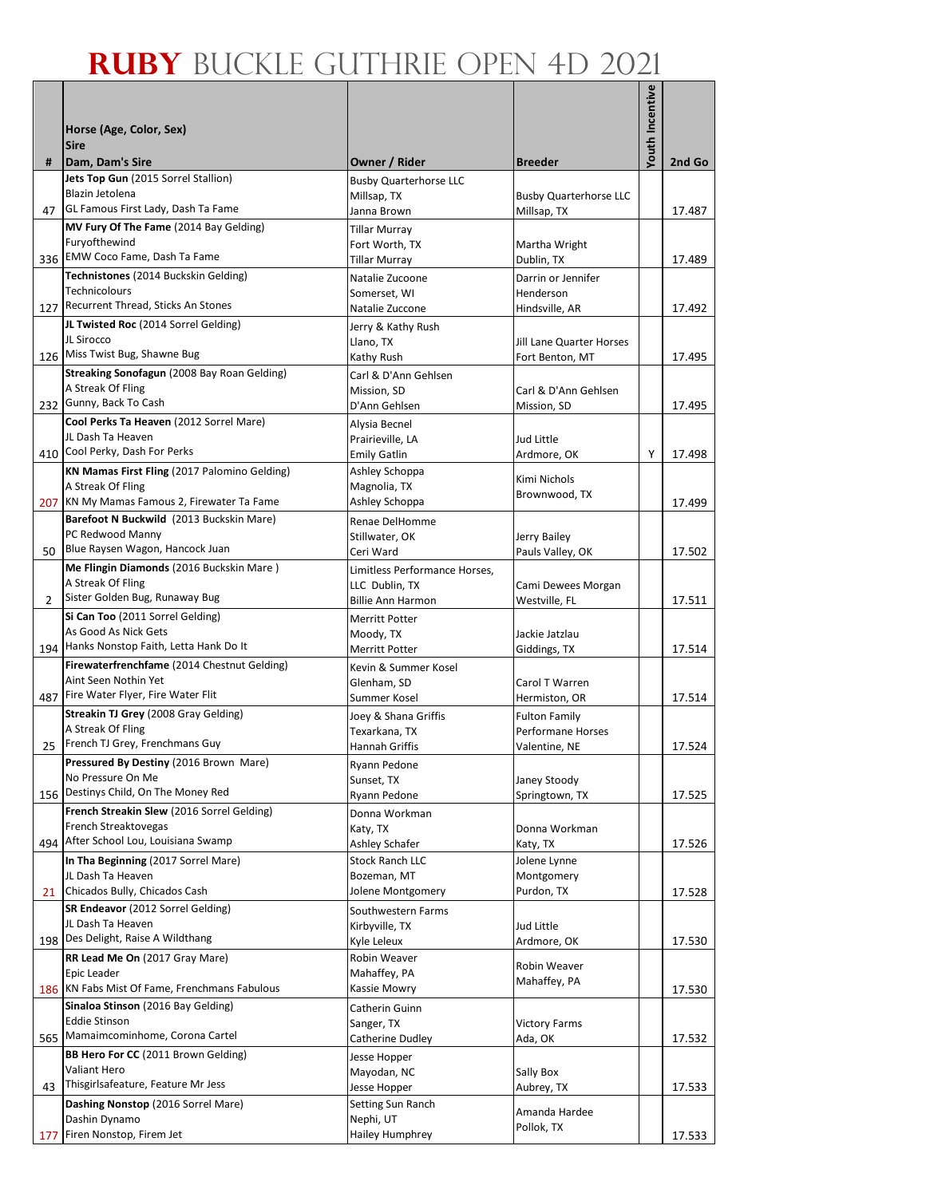|                |                                                              |                                         |                                              | <b>Youth Incentive</b> |        |
|----------------|--------------------------------------------------------------|-----------------------------------------|----------------------------------------------|------------------------|--------|
|                | Horse (Age, Color, Sex)                                      |                                         |                                              |                        |        |
|                | <b>Sire</b>                                                  |                                         |                                              |                        |        |
| #              | Dam, Dam's Sire                                              | Owner / Rider                           | <b>Breeder</b>                               |                        | 2nd Go |
|                | Jets Top Gun (2015 Sorrel Stallion)<br>Blazin Jetolena       | <b>Busby Quarterhorse LLC</b>           |                                              |                        |        |
| 47             | GL Famous First Lady, Dash Ta Fame                           | Millsap, TX<br>Janna Brown              | <b>Busby Quarterhorse LLC</b><br>Millsap, TX |                        | 17.487 |
|                | MV Fury Of The Fame (2014 Bay Gelding)                       | <b>Tillar Murray</b>                    |                                              |                        |        |
|                | Furyofthewind                                                | Fort Worth, TX                          | Martha Wright                                |                        |        |
|                | 336 EMW Coco Fame, Dash Ta Fame                              | <b>Tillar Murray</b>                    | Dublin, TX                                   |                        | 17.489 |
|                | Technistones (2014 Buckskin Gelding)<br>Technicolours        | Natalie Zucoone<br>Somerset, WI         | Darrin or Jennifer<br>Henderson              |                        |        |
|                | 127 Recurrent Thread, Sticks An Stones                       | Natalie Zuccone                         | Hindsville, AR                               |                        | 17.492 |
|                | JL Twisted Roc (2014 Sorrel Gelding)                         | Jerry & Kathy Rush                      |                                              |                        |        |
|                | JL Sirocco<br>126 Miss Twist Bug, Shawne Bug                 | Llano, TX                               | Jill Lane Quarter Horses                     |                        |        |
|                | Streaking Sonofagun (2008 Bay Roan Gelding)                  | Kathy Rush                              | Fort Benton, MT                              |                        | 17.495 |
|                | A Streak Of Fling                                            | Carl & D'Ann Gehlsen<br>Mission, SD     | Carl & D'Ann Gehlsen                         |                        |        |
|                | 232 Gunny, Back To Cash                                      | D'Ann Gehlsen                           | Mission, SD                                  |                        | 17.495 |
|                | Cool Perks Ta Heaven (2012 Sorrel Mare)                      | Alysia Becnel                           |                                              |                        |        |
|                | JL Dash Ta Heaven<br>410 Cool Perky, Dash For Perks          | Prairieville, LA<br><b>Emily Gatlin</b> | Jud Little<br>Ardmore, OK                    | Υ                      | 17.498 |
|                | KN Mamas First Fling (2017 Palomino Gelding)                 | Ashley Schoppa                          |                                              |                        |        |
|                | A Streak Of Fling                                            | Magnolia, TX                            | Kimi Nichols<br>Brownwood, TX                |                        |        |
|                | 207 KN My Mamas Famous 2, Firewater Ta Fame                  | Ashley Schoppa                          |                                              |                        | 17.499 |
|                | Barefoot N Buckwild (2013 Buckskin Mare)<br>PC Redwood Manny | Renae DelHomme                          |                                              |                        |        |
| 50             | Blue Raysen Wagon, Hancock Juan                              | Stillwater, OK<br>Ceri Ward             | Jerry Bailey<br>Pauls Valley, OK             |                        | 17.502 |
|                | Me Flingin Diamonds (2016 Buckskin Mare)                     | Limitless Performance Horses,           |                                              |                        |        |
|                | A Streak Of Fling                                            | LLC Dublin, TX                          | Cami Dewees Morgan                           |                        |        |
| $\overline{2}$ | Sister Golden Bug, Runaway Bug                               | <b>Billie Ann Harmon</b>                | Westville, FL                                |                        | 17.511 |
|                | Si Can Too (2011 Sorrel Gelding)<br>As Good As Nick Gets     | <b>Merritt Potter</b><br>Moody, TX      | Jackie Jatzlau                               |                        |        |
|                | 194 Hanks Nonstop Faith, Letta Hank Do It                    | Merritt Potter                          | Giddings, TX                                 |                        | 17.514 |
|                | Firewaterfrenchfame (2014 Chestnut Gelding)                  | Kevin & Summer Kosel                    |                                              |                        |        |
|                | Aint Seen Nothin Yet<br>Fire Water Flyer, Fire Water Flit    | Glenham, SD                             | Carol T Warren                               |                        |        |
| 487            | Streakin TJ Grey (2008 Gray Gelding)                         | Summer Kosel                            | Hermiston, OR<br><b>Fulton Family</b>        |                        | 17.514 |
|                | A Streak Of Fling                                            | Joey & Shana Griffis<br>Texarkana, TX   | <b>Performane Horses</b>                     |                        |        |
| 25             | French TJ Grey, Frenchmans Guy                               | Hannah Griffis                          | Valentine, NE                                |                        | 17.524 |
|                | Pressured By Destiny (2016 Brown Mare)                       | Ryann Pedone                            |                                              |                        |        |
|                | No Pressure On Me<br>156 Destinys Child, On The Money Red    | Sunset, TX<br>Ryann Pedone              | Janey Stoody<br>Springtown, TX               |                        | 17.525 |
|                | French Streakin Slew (2016 Sorrel Gelding)                   | Donna Workman                           |                                              |                        |        |
|                | French Streaktovegas                                         | Katy, TX                                | Donna Workman                                |                        |        |
|                | 494 After School Lou, Louisiana Swamp                        | Ashley Schafer                          | Katy, TX                                     |                        | 17.526 |
|                | In Tha Beginning (2017 Sorrel Mare)<br>JL Dash Ta Heaven     | <b>Stock Ranch LLC</b><br>Bozeman, MT   | Jolene Lynne<br>Montgomery                   |                        |        |
|                | 21 Chicados Bully, Chicados Cash                             | Jolene Montgomery                       | Purdon, TX                                   |                        | 17.528 |
|                | SR Endeavor (2012 Sorrel Gelding)                            | Southwestern Farms                      |                                              |                        |        |
|                | JL Dash Ta Heaven                                            | Kirbyville, TX                          | Jud Little                                   |                        |        |
| 198            | Des Delight, Raise A Wildthang                               | Kyle Leleux                             | Ardmore, OK                                  |                        | 17.530 |
|                | RR Lead Me On (2017 Gray Mare)<br>Epic Leader                | Robin Weaver<br>Mahaffey, PA            | Robin Weaver                                 |                        |        |
|                | 186 KN Fabs Mist Of Fame, Frenchmans Fabulous                | Kassie Mowry                            | Mahaffey, PA                                 |                        | 17.530 |
|                | Sinaloa Stinson (2016 Bay Gelding)                           | Catherin Guinn                          |                                              |                        |        |
|                | <b>Eddie Stinson</b><br>565 Mamaimcominhome, Corona Cartel   | Sanger, TX                              | <b>Victory Farms</b>                         |                        |        |
|                | BB Hero For CC (2011 Brown Gelding)                          | Catherine Dudley<br>Jesse Hopper        | Ada, OK                                      |                        | 17.532 |
|                | Valiant Hero                                                 | Mayodan, NC                             | Sally Box                                    |                        |        |
| 43             | Thisgirlsafeature, Feature Mr Jess                           | Jesse Hopper                            | Aubrey, TX                                   |                        | 17.533 |
|                | Dashing Nonstop (2016 Sorrel Mare)                           | Setting Sun Ranch                       | Amanda Hardee                                |                        |        |
| 177            | Dashin Dynamo<br>Firen Nonstop, Firem Jet                    | Nephi, UT<br>Hailey Humphrey            | Pollok, TX                                   |                        | 17.533 |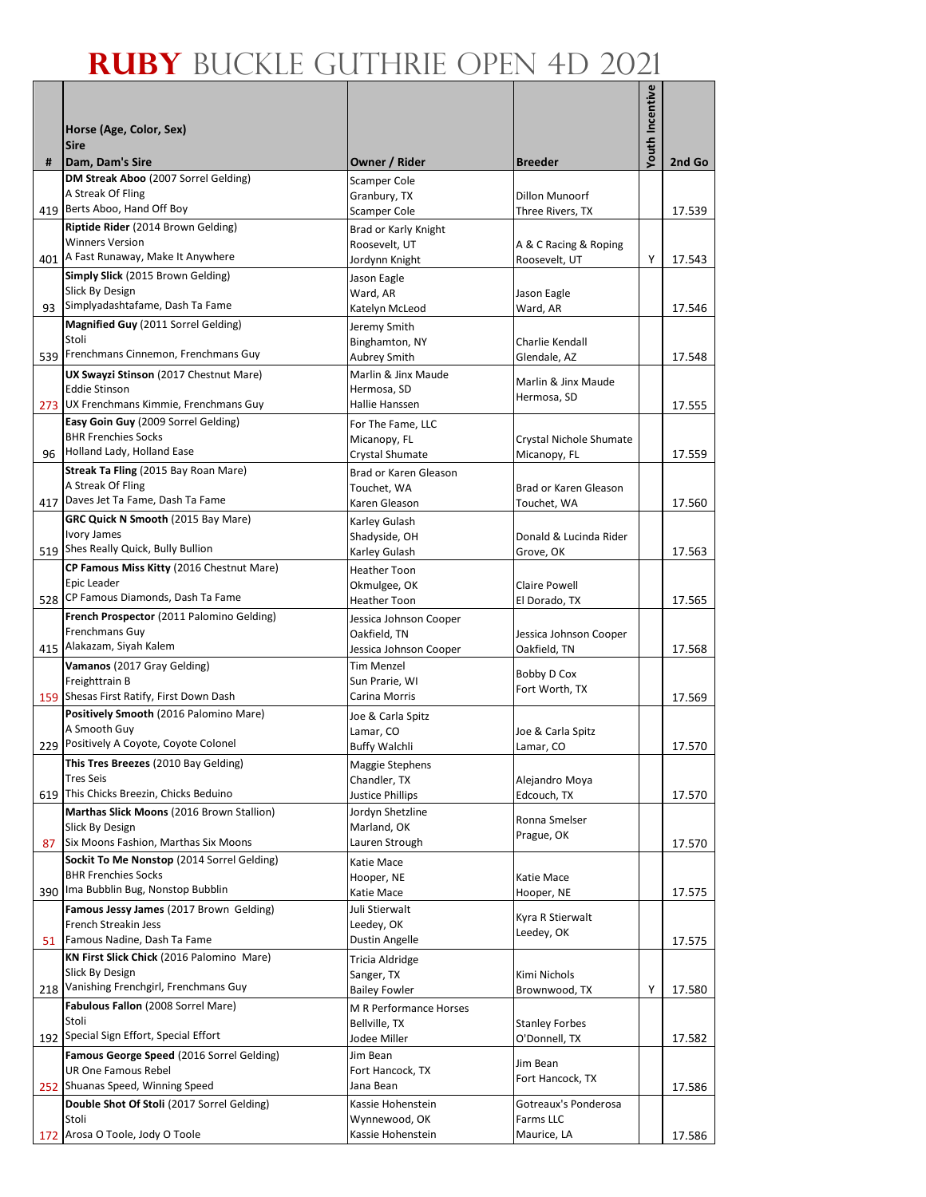|     |                                                                         |                                          |                                       | Youth Incentive |        |
|-----|-------------------------------------------------------------------------|------------------------------------------|---------------------------------------|-----------------|--------|
|     |                                                                         |                                          |                                       |                 |        |
|     | Horse (Age, Color, Sex)<br><b>Sire</b>                                  |                                          |                                       |                 |        |
| #   | Dam, Dam's Sire                                                         | Owner / Rider                            | <b>Breeder</b>                        |                 | 2nd Go |
|     | DM Streak Aboo (2007 Sorrel Gelding)                                    | <b>Scamper Cole</b>                      |                                       |                 |        |
|     | A Streak Of Fling<br>419 Berts Aboo, Hand Off Boy                       | Granbury, TX                             | Dillon Munoorf                        |                 |        |
|     | Riptide Rider (2014 Brown Gelding)                                      | Scamper Cole                             | Three Rivers, TX                      |                 | 17.539 |
|     | <b>Winners Version</b>                                                  | Brad or Karly Knight<br>Roosevelt, UT    | A & C Racing & Roping                 |                 |        |
|     | 401 A Fast Runaway, Make It Anywhere                                    | Jordynn Knight                           | Roosevelt, UT                         | Y               | 17.543 |
|     | Simply Slick (2015 Brown Gelding)                                       | Jason Eagle                              |                                       |                 |        |
|     | Slick By Design                                                         | Ward, AR                                 | Jason Eagle                           |                 |        |
|     | 93 Simplyadashtafame, Dash Ta Fame                                      | Katelyn McLeod                           | Ward, AR                              |                 | 17.546 |
|     | Magnified Guy (2011 Sorrel Gelding)<br>Stoli                            | Jeremy Smith                             |                                       |                 |        |
|     | 539 Frenchmans Cinnemon, Frenchmans Guy                                 | Binghamton, NY<br>Aubrey Smith           | Charlie Kendall<br>Glendale, AZ       |                 | 17.548 |
|     | UX Swayzi Stinson (2017 Chestnut Mare)                                  | Marlin & Jinx Maude                      |                                       |                 |        |
|     | <b>Eddie Stinson</b>                                                    | Hermosa, SD                              | Marlin & Jinx Maude<br>Hermosa, SD    |                 |        |
|     | 273 UX Frenchmans Kimmie, Frenchmans Guy                                | Hallie Hanssen                           |                                       |                 | 17.555 |
|     | Easy Goin Guy (2009 Sorrel Gelding)                                     | For The Fame, LLC                        |                                       |                 |        |
|     | <b>BHR Frenchies Socks</b><br>96 Holland Lady, Holland Ease             | Micanopy, FL                             | Crystal Nichole Shumate               |                 |        |
|     | Streak Ta Fling (2015 Bay Roan Mare)                                    | Crystal Shumate<br>Brad or Karen Gleason | Micanopy, FL                          |                 | 17.559 |
|     | A Streak Of Fling                                                       | Touchet, WA                              | Brad or Karen Gleason                 |                 |        |
|     | 417 Daves Jet Ta Fame, Dash Ta Fame                                     | Karen Gleason                            | Touchet, WA                           |                 | 17.560 |
|     | GRC Quick N Smooth (2015 Bay Mare)                                      | Karley Gulash                            |                                       |                 |        |
|     | Ivory James                                                             | Shadyside, OH                            | Donald & Lucinda Rider                |                 |        |
|     | 519 Shes Really Quick, Bully Bullion                                    | Karley Gulash                            | Grove, OK                             |                 | 17.563 |
|     | CP Famous Miss Kitty (2016 Chestnut Mare)<br>Epic Leader                | <b>Heather Toon</b>                      |                                       |                 |        |
|     | 528 CP Famous Diamonds, Dash Ta Fame                                    | Okmulgee, OK<br>Heather Toon             | <b>Claire Powell</b><br>El Dorado, TX |                 | 17.565 |
|     | French Prospector (2011 Palomino Gelding)                               | Jessica Johnson Cooper                   |                                       |                 |        |
|     | Frenchmans Guy                                                          | Oakfield, TN                             | Jessica Johnson Cooper                |                 |        |
|     | 415 Alakazam, Siyah Kalem                                               | Jessica Johnson Cooper                   | Oakfield, TN                          |                 | 17.568 |
|     | Vamanos (2017 Gray Gelding)                                             | Tim Menzel                               | Bobby D Cox                           |                 |        |
|     | Freighttrain B<br>159 Shesas First Ratify, First Down Dash              | Sun Prarie, WI<br>Carina Morris          | Fort Worth, TX                        |                 |        |
|     | Positively Smooth (2016 Palomino Mare)                                  |                                          |                                       |                 | 17.569 |
|     | A Smooth Guy                                                            | Joe & Carla Spitz<br>Lamar, CO           | Joe & Carla Spitz                     |                 |        |
|     | 229 Positively A Coyote, Coyote Colonel                                 | Buffy Walchli                            | Lamar, CO                             |                 | 17.570 |
|     | This Tres Breezes (2010 Bay Gelding)                                    | Maggie Stephens                          |                                       |                 |        |
|     | <b>Tres Seis</b>                                                        | Chandler, TX                             | Alejandro Moya                        |                 |        |
|     | 619 This Chicks Breezin, Chicks Beduino                                 | <b>Justice Phillips</b>                  | Edcouch, TX                           |                 | 17.570 |
|     | Marthas Slick Moons (2016 Brown Stallion)<br>Slick By Design            | Jordyn Shetzline<br>Marland, OK          | Ronna Smelser                         |                 |        |
| 87  | Six Moons Fashion, Marthas Six Moons                                    | Lauren Strough                           | Prague, OK                            |                 | 17.570 |
|     | Sockit To Me Nonstop (2014 Sorrel Gelding)                              | Katie Mace                               |                                       |                 |        |
|     | <b>BHR Frenchies Socks</b>                                              | Hooper, NE                               | Katie Mace                            |                 |        |
|     | 390 Ima Bubblin Bug, Nonstop Bubblin                                    | Katie Mace                               | Hooper, NE                            |                 | 17.575 |
|     | Famous Jessy James (2017 Brown Gelding)                                 | Juli Stierwalt                           | Kyra R Stierwalt                      |                 |        |
| 51  | French Streakin Jess<br>Famous Nadine, Dash Ta Fame                     | Leedey, OK<br>Dustin Angelle             | Leedey, OK                            |                 | 17.575 |
|     | KN First Slick Chick (2016 Palomino Mare)                               | Tricia Aldridge                          |                                       |                 |        |
|     | Slick By Design                                                         | Sanger, TX                               | Kimi Nichols                          |                 |        |
|     | 218 Vanishing Frenchgirl, Frenchmans Guy                                | <b>Bailey Fowler</b>                     | Brownwood, TX                         | Υ               | 17.580 |
|     | Fabulous Fallon (2008 Sorrel Mare)                                      | M R Performance Horses                   |                                       |                 |        |
|     | Stoli<br>192 Special Sign Effort, Special Effort                        | Bellville, TX                            | <b>Stanley Forbes</b>                 |                 |        |
|     |                                                                         | Jodee Miller                             | O'Donnell, TX                         |                 | 17.582 |
|     | Famous George Speed (2016 Sorrel Gelding)<br><b>UR One Famous Rebel</b> | Jim Bean<br>Fort Hancock, TX             | Jim Bean                              |                 |        |
|     | 252 Shuanas Speed, Winning Speed                                        | Jana Bean                                | Fort Hancock, TX                      |                 | 17.586 |
|     | Double Shot Of Stoli (2017 Sorrel Gelding)                              | Kassie Hohenstein                        | Gotreaux's Ponderosa                  |                 |        |
|     | Stoli                                                                   | Wynnewood, OK                            | Farms LLC                             |                 |        |
| 172 | Arosa O Toole, Jody O Toole                                             | Kassie Hohenstein                        | Maurice, LA                           |                 | 17.586 |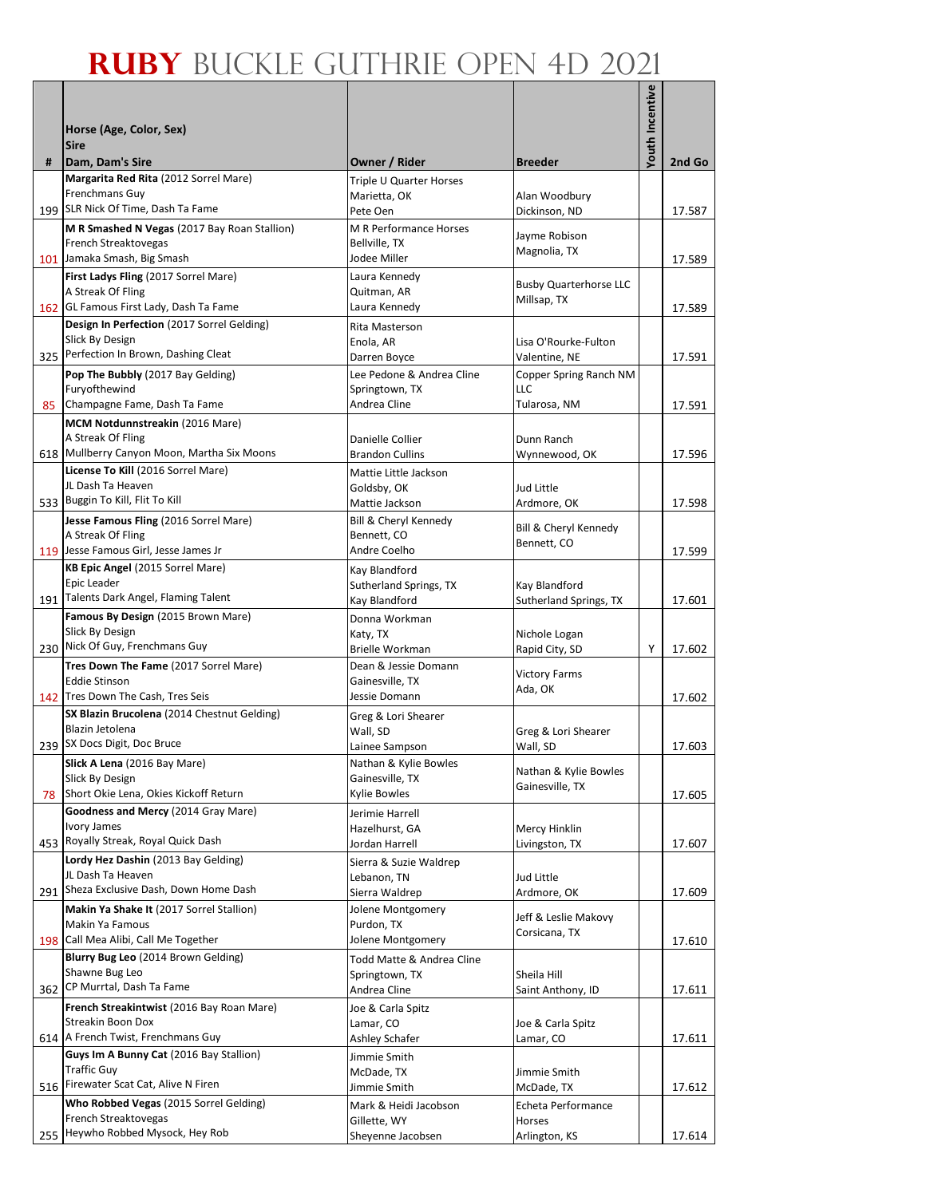|    |                                                                                  |                                      |                                 | <b>Youth Incentive</b> |        |
|----|----------------------------------------------------------------------------------|--------------------------------------|---------------------------------|------------------------|--------|
|    | Horse (Age, Color, Sex)                                                          |                                      |                                 |                        |        |
|    | <b>Sire</b>                                                                      |                                      |                                 |                        |        |
| #  | Dam, Dam's Sire                                                                  | Owner / Rider                        | <b>Breeder</b>                  |                        | 2nd Go |
|    | Margarita Red Rita (2012 Sorrel Mare)<br>Frenchmans Guy                          | Triple U Quarter Horses              |                                 |                        |        |
|    | 199 SLR Nick Of Time, Dash Ta Fame                                               | Marietta, OK<br>Pete Oen             | Alan Woodbury<br>Dickinson, ND  |                        | 17.587 |
|    | M R Smashed N Vegas (2017 Bay Roan Stallion)                                     | M R Performance Horses               |                                 |                        |        |
|    | French Streaktovegas                                                             | Bellville, TX                        | Jayme Robison<br>Magnolia, TX   |                        |        |
|    | 101 Jamaka Smash, Big Smash                                                      | Jodee Miller                         |                                 |                        | 17.589 |
|    | First Ladys Fling (2017 Sorrel Mare)<br>A Streak Of Fling                        | Laura Kennedy<br>Quitman, AR         | <b>Busby Quarterhorse LLC</b>   |                        |        |
|    | 162 GL Famous First Lady, Dash Ta Fame                                           | Laura Kennedy                        | Millsap, TX                     |                        | 17.589 |
|    | Design In Perfection (2017 Sorrel Gelding)                                       | Rita Masterson                       |                                 |                        |        |
|    | Slick By Design                                                                  | Enola, AR                            | Lisa O'Rourke-Fulton            |                        |        |
|    | 325 Perfection In Brown, Dashing Cleat                                           | Darren Boyce                         | Valentine, NE                   |                        | 17.591 |
|    | Pop The Bubbly (2017 Bay Gelding)                                                | Lee Pedone & Andrea Cline            | Copper Spring Ranch NM          |                        |        |
| 85 | Furyofthewind<br>Champagne Fame, Dash Ta Fame                                    | Springtown, TX<br>Andrea Cline       | LLC<br>Tularosa, NM             |                        | 17.591 |
|    | MCM Notdunnstreakin (2016 Mare)                                                  |                                      |                                 |                        |        |
|    | A Streak Of Fling                                                                | Danielle Collier                     | Dunn Ranch                      |                        |        |
|    | 618 Mullberry Canyon Moon, Martha Six Moons                                      | <b>Brandon Cullins</b>               | Wynnewood, OK                   |                        | 17.596 |
|    | License To Kill (2016 Sorrel Mare)                                               | Mattie Little Jackson                |                                 |                        |        |
|    | JL Dash Ta Heaven<br>533 Buggin To Kill, Flit To Kill                            | Goldsby, OK                          | Jud Little                      |                        |        |
|    |                                                                                  | Mattie Jackson                       | Ardmore, OK                     |                        | 17.598 |
|    | Jesse Famous Fling (2016 Sorrel Mare)<br>A Streak Of Fling                       | Bill & Cheryl Kennedy<br>Bennett, CO | Bill & Cheryl Kennedy           |                        |        |
|    | 119 Jesse Famous Girl, Jesse James Jr                                            | Andre Coelho                         | Bennett, CO                     |                        | 17.599 |
|    | KB Epic Angel (2015 Sorrel Mare)                                                 | Kay Blandford                        |                                 |                        |        |
|    | Epic Leader                                                                      | Sutherland Springs, TX               | Kay Blandford                   |                        |        |
|    | 191 Talents Dark Angel, Flaming Talent                                           | Kay Blandford                        | Sutherland Springs, TX          |                        | 17.601 |
|    | Famous By Design (2015 Brown Mare)<br>Slick By Design                            | Donna Workman                        |                                 |                        |        |
|    | 230 Nick Of Guy, Frenchmans Guy                                                  | Katy, TX<br><b>Brielle Workman</b>   | Nichole Logan<br>Rapid City, SD | Υ                      | 17.602 |
|    | Tres Down The Fame (2017 Sorrel Mare)                                            | Dean & Jessie Domann                 | <b>Victory Farms</b>            |                        |        |
|    | <b>Eddie Stinson</b>                                                             | Gainesville, TX                      | Ada, OK                         |                        |        |
|    | 142 Tres Down The Cash, Tres Seis<br>SX Blazin Brucolena (2014 Chestnut Gelding) | Jessie Domann                        |                                 |                        | 17.602 |
|    | Blazin Jetolena                                                                  | Greg & Lori Shearer<br>Wall, SD      | Greg & Lori Shearer             |                        |        |
|    | 239 SX Docs Digit, Doc Bruce                                                     | Lainee Sampson                       | Wall, SD                        |                        | 17.603 |
|    | Slick A Lena (2016 Bay Mare)                                                     | Nathan & Kylie Bowles                | Nathan & Kylie Bowles           |                        |        |
|    | Slick By Design                                                                  | Gainesville, TX                      | Gainesville, TX                 |                        |        |
|    | 78 Short Okie Lena, Okies Kickoff Return                                         | <b>Kylie Bowles</b>                  |                                 |                        | 17.605 |
|    | Goodness and Mercy (2014 Gray Mare)<br>Ivory James                               | Jerimie Harrell<br>Hazelhurst, GA    | Mercy Hinklin                   |                        |        |
|    | 453 Royally Streak, Royal Quick Dash                                             | Jordan Harrell                       | Livingston, TX                  |                        | 17.607 |
|    | Lordy Hez Dashin (2013 Bay Gelding)                                              | Sierra & Suzie Waldrep               |                                 |                        |        |
|    | JL Dash Ta Heaven                                                                | Lebanon, TN                          | Jud Little                      |                        |        |
|    | 291 Sheza Exclusive Dash, Down Home Dash                                         | Sierra Waldrep                       | Ardmore, OK                     |                        | 17.609 |
|    | Makin Ya Shake It (2017 Sorrel Stallion)<br>Makin Ya Famous                      | Jolene Montgomery<br>Purdon, TX      | Jeff & Leslie Makovy            |                        |        |
|    | 198 Call Mea Alibi, Call Me Together                                             | Jolene Montgomery                    | Corsicana, TX                   |                        | 17.610 |
|    | Blurry Bug Leo (2014 Brown Gelding)                                              | Todd Matte & Andrea Cline            |                                 |                        |        |
|    | Shawne Bug Leo                                                                   | Springtown, TX                       | Sheila Hill                     |                        |        |
|    | 362 CP Murrtal, Dash Ta Fame                                                     | Andrea Cline                         | Saint Anthony, ID               |                        | 17.611 |
|    | French Streakintwist (2016 Bay Roan Mare)                                        | Joe & Carla Spitz                    |                                 |                        |        |
|    | Streakin Boon Dox<br>614 A French Twist, Frenchmans Guy                          | Lamar, CO<br>Ashley Schafer          | Joe & Carla Spitz<br>Lamar, CO  |                        | 17.611 |
|    | Guys Im A Bunny Cat (2016 Bay Stallion)                                          | Jimmie Smith                         |                                 |                        |        |
|    | <b>Traffic Guy</b>                                                               | McDade, TX                           | Jimmie Smith                    |                        |        |
|    | 516 Firewater Scat Cat, Alive N Firen                                            | Jimmie Smith                         | McDade, TX                      |                        | 17.612 |
|    | Who Robbed Vegas (2015 Sorrel Gelding)                                           | Mark & Heidi Jacobson                | Echeta Performance              |                        |        |
|    | French Streaktovegas<br>255 Heywho Robbed Mysock, Hey Rob                        | Gillette, WY<br>Sheyenne Jacobsen    | Horses<br>Arlington, KS         |                        | 17.614 |
|    |                                                                                  |                                      |                                 |                        |        |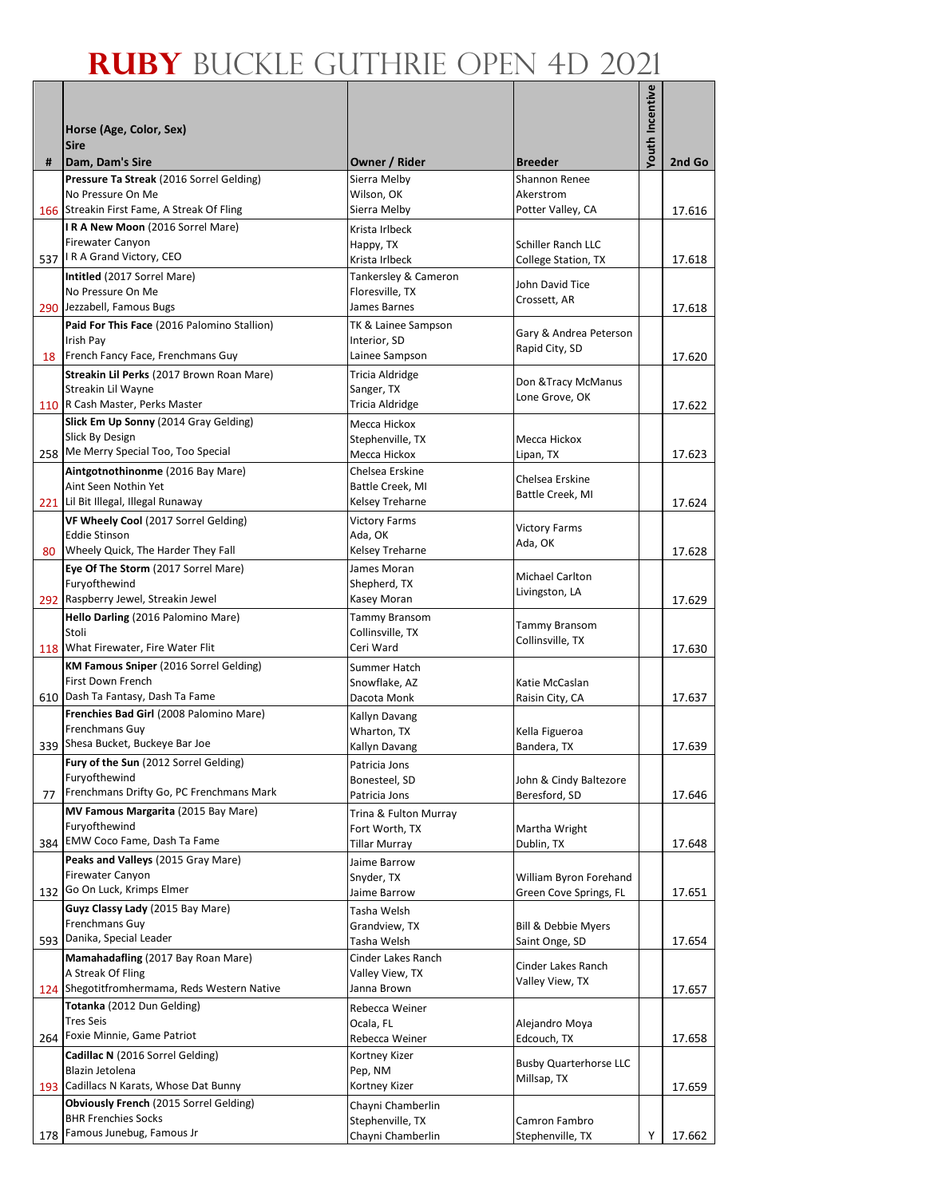|    |                                                                                      |                                       |                                                  | Youth Incentive |        |
|----|--------------------------------------------------------------------------------------|---------------------------------------|--------------------------------------------------|-----------------|--------|
|    | Horse (Age, Color, Sex)                                                              |                                       |                                                  |                 |        |
|    | <b>Sire</b>                                                                          |                                       |                                                  |                 |        |
| #  | Dam, Dam's Sire<br>Pressure Ta Streak (2016 Sorrel Gelding)                          | Owner / Rider<br>Sierra Melby         | <b>Breeder</b><br>Shannon Renee                  |                 | 2nd Go |
|    | No Pressure On Me                                                                    | Wilson, OK                            | Akerstrom                                        |                 |        |
|    | 166 Streakin First Fame, A Streak Of Fling                                           | Sierra Melby                          | Potter Valley, CA                                |                 | 17.616 |
|    | IRA New Moon (2016 Sorrel Mare)<br><b>Firewater Canyon</b>                           | Krista Irlbeck                        |                                                  |                 |        |
|    | 537   R A Grand Victory, CEO                                                         | Happy, TX<br>Krista Irlbeck           | Schiller Ranch LLC<br><b>College Station, TX</b> |                 | 17.618 |
|    | Intitled (2017 Sorrel Mare)                                                          | Tankersley & Cameron                  |                                                  |                 |        |
|    | No Pressure On Me                                                                    | Floresville, TX                       | John David Tice<br>Crossett, AR                  |                 |        |
|    | 290 Jezzabell, Famous Bugs                                                           | James Barnes                          |                                                  |                 | 17.618 |
|    | Paid For This Face (2016 Palomino Stallion)<br>Irish Pay                             | TK & Lainee Sampson<br>Interior, SD   | Gary & Andrea Peterson                           |                 |        |
|    | 18 French Fancy Face, Frenchmans Guy                                                 | Lainee Sampson                        | Rapid City, SD                                   |                 | 17.620 |
|    | Streakin Lil Perks (2017 Brown Roan Mare)                                            | Tricia Aldridge                       |                                                  |                 |        |
|    | Streakin Lil Wayne                                                                   | Sanger, TX                            | Don & Tracy McManus<br>Lone Grove, OK            |                 |        |
|    | 110 R Cash Master, Perks Master                                                      | Tricia Aldridge                       |                                                  |                 | 17.622 |
|    | Slick Em Up Sonny (2014 Gray Gelding)<br>Slick By Design                             | Mecca Hickox                          |                                                  |                 |        |
|    | 258 Me Merry Special Too, Too Special                                                | Stephenville, TX<br>Mecca Hickox      | Mecca Hickox<br>Lipan, TX                        |                 | 17.623 |
|    | Aintgotnothinonme (2016 Bay Mare)                                                    | Chelsea Erskine                       |                                                  |                 |        |
|    | Aint Seen Nothin Yet                                                                 | Battle Creek, MI                      | Chelsea Erskine                                  |                 |        |
|    | 221 Lil Bit Illegal, Illegal Runaway                                                 | Kelsey Treharne                       | Battle Creek, MI                                 |                 | 17.624 |
|    | VF Wheely Cool (2017 Sorrel Gelding)                                                 | <b>Victory Farms</b>                  | <b>Victory Farms</b>                             |                 |        |
|    | <b>Eddie Stinson</b><br>Wheely Quick, The Harder They Fall                           | Ada, OK<br>Kelsey Treharne            | Ada, OK                                          |                 |        |
| 80 | Eye Of The Storm (2017 Sorrel Mare)                                                  | James Moran                           |                                                  |                 | 17.628 |
|    | Furyofthewind                                                                        | Shepherd, TX                          | Michael Carlton                                  |                 |        |
|    | 292 Raspberry Jewel, Streakin Jewel                                                  | Kasey Moran                           | Livingston, LA                                   |                 | 17.629 |
|    | Hello Darling (2016 Palomino Mare)                                                   | <b>Tammy Bransom</b>                  | <b>Tammy Bransom</b>                             |                 |        |
|    | Stoli                                                                                | Collinsville, TX                      | Collinsville, TX                                 |                 |        |
|    | 118 What Firewater, Fire Water Flit<br><b>KM Famous Sniper</b> (2016 Sorrel Gelding) | Ceri Ward                             |                                                  |                 | 17.630 |
|    | First Down French                                                                    | Summer Hatch<br>Snowflake, AZ         | Katie McCaslan                                   |                 |        |
|    | 610 Dash Ta Fantasy, Dash Ta Fame                                                    | Dacota Monk                           | Raisin City, CA                                  |                 | 17.637 |
|    | Frenchies Bad Girl (2008 Palomino Mare)                                              | Kallyn Davang                         |                                                  |                 |        |
|    | Frenchmans Guy                                                                       | Wharton, TX                           | Kella Figueroa                                   |                 |        |
|    | 339 Shesa Bucket, Buckeye Bar Joe<br>Fury of the Sun (2012 Sorrel Gelding)           | Kallyn Davang                         | Bandera, TX                                      |                 | 17.639 |
|    | Furyofthewind                                                                        | Patricia Jons<br>Bonesteel, SD        | John & Cindy Baltezore                           |                 |        |
| 77 | Frenchmans Drifty Go, PC Frenchmans Mark                                             | Patricia Jons                         | Beresford, SD                                    |                 | 17.646 |
|    | MV Famous Margarita (2015 Bay Mare)                                                  | Trina & Fulton Murray                 |                                                  |                 |        |
|    | Furyofthewind<br>384 EMW Coco Fame, Dash Ta Fame                                     | Fort Worth, TX                        | Martha Wright                                    |                 |        |
|    | Peaks and Valleys (2015 Gray Mare)                                                   | Tillar Murray                         | Dublin, TX                                       |                 | 17.648 |
|    | <b>Firewater Canyon</b>                                                              | Jaime Barrow<br>Snyder, TX            | William Byron Forehand                           |                 |        |
|    | 132 Go On Luck, Krimps Elmer                                                         | Jaime Barrow                          | Green Cove Springs, FL                           |                 | 17.651 |
|    | Guyz Classy Lady (2015 Bay Mare)                                                     | Tasha Welsh                           |                                                  |                 |        |
|    | Frenchmans Guy                                                                       | Grandview, TX                         | <b>Bill &amp; Debbie Myers</b>                   |                 |        |
|    | 593 Danika, Special Leader                                                           | Tasha Welsh                           | Saint Onge, SD                                   |                 | 17.654 |
|    | Mamahadafling (2017 Bay Roan Mare)<br>A Streak Of Fling                              | Cinder Lakes Ranch<br>Valley View, TX | Cinder Lakes Ranch                               |                 |        |
|    | 124 Shegotitfromhermama, Reds Western Native                                         | Janna Brown                           | Valley View, TX                                  |                 | 17.657 |
|    | Totanka (2012 Dun Gelding)                                                           | Rebecca Weiner                        |                                                  |                 |        |
|    | <b>Tres Seis</b>                                                                     | Ocala, FL                             | Alejandro Moya                                   |                 |        |
|    | 264 Foxie Minnie, Game Patriot                                                       | Rebecca Weiner                        | Edcouch, TX                                      |                 | 17.658 |
|    | Cadillac N (2016 Sorrel Gelding)<br>Blazin Jetolena                                  | Kortney Kizer<br>Pep, NM              | <b>Busby Quarterhorse LLC</b>                    |                 |        |
|    | 193 Cadillacs N Karats, Whose Dat Bunny                                              | Kortney Kizer                         | Millsap, TX                                      |                 | 17.659 |
|    | Obviously French (2015 Sorrel Gelding)                                               | Chayni Chamberlin                     |                                                  |                 |        |
|    | <b>BHR Frenchies Socks</b>                                                           | Stephenville, TX                      | Camron Fambro                                    |                 |        |
|    | 178 Famous Junebug, Famous Jr                                                        | Chayni Chamberlin                     | Stephenville, TX                                 | Y               | 17.662 |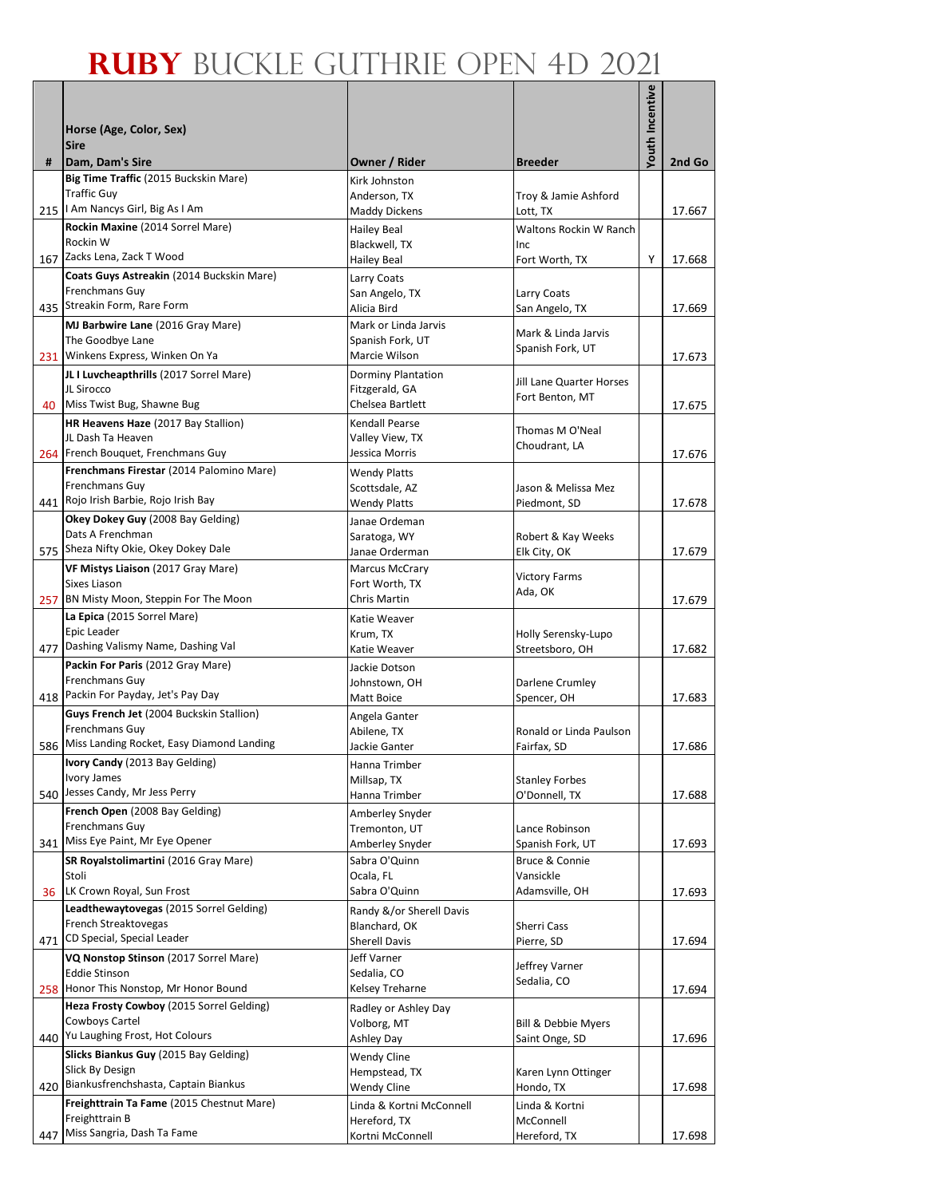|                 |                                                                              |                                            |                                       | Youth Incentive |        |
|-----------------|------------------------------------------------------------------------------|--------------------------------------------|---------------------------------------|-----------------|--------|
|                 | Horse (Age, Color, Sex)                                                      |                                            |                                       |                 |        |
|                 | <b>Sire</b>                                                                  |                                            |                                       |                 |        |
| #               | Dam, Dam's Sire                                                              | Owner / Rider                              | <b>Breeder</b>                        |                 | 2nd Go |
|                 | Big Time Traffic (2015 Buckskin Mare)<br><b>Traffic Guy</b>                  | Kirk Johnston                              |                                       |                 |        |
|                 | 215   I Am Nancys Girl, Big As I Am                                          | Anderson, TX<br><b>Maddy Dickens</b>       | Troy & Jamie Ashford<br>Lott, TX      |                 | 17.667 |
|                 | Rockin Maxine (2014 Sorrel Mare)                                             | <b>Hailey Beal</b>                         | Waltons Rockin W Ranch                |                 |        |
|                 | Rockin W                                                                     | Blackwell, TX                              | Inc                                   |                 |        |
|                 | 167 Zacks Lena, Zack T Wood                                                  | <b>Hailey Beal</b>                         | Fort Worth, TX                        | Y               | 17.668 |
|                 | Coats Guys Astreakin (2014 Buckskin Mare)<br>Frenchmans Guy                  | Larry Coats<br>San Angelo, TX              | Larry Coats                           |                 |        |
|                 | 435 Streakin Form, Rare Form                                                 | Alicia Bird                                | San Angelo, TX                        |                 | 17.669 |
|                 | MJ Barbwire Lane (2016 Gray Mare)                                            | Mark or Linda Jarvis                       | Mark & Linda Jarvis                   |                 |        |
|                 | The Goodbye Lane                                                             | Spanish Fork, UT                           | Spanish Fork, UT                      |                 |        |
|                 | 231 Winkens Express, Winken On Ya<br>JL I Luvcheapthrills (2017 Sorrel Mare) | Marcie Wilson<br><b>Dorminy Plantation</b> |                                       |                 | 17.673 |
|                 | JL Sirocco                                                                   | Fitzgerald, GA                             | <b>Jill Lane Quarter Horses</b>       |                 |        |
| 40              | Miss Twist Bug, Shawne Bug                                                   | Chelsea Bartlett                           | Fort Benton, MT                       |                 | 17.675 |
|                 | HR Heavens Haze (2017 Bay Stallion)                                          | <b>Kendall Pearse</b>                      | Thomas M O'Neal                       |                 |        |
|                 | JL Dash Ta Heaven<br>264 French Bouquet, Frenchmans Guy                      | Valley View, TX<br>Jessica Morris          | Choudrant, LA                         |                 | 17.676 |
|                 | Frenchmans Firestar (2014 Palomino Mare)                                     | <b>Wendy Platts</b>                        |                                       |                 |        |
|                 | Frenchmans Guy                                                               | Scottsdale, AZ                             | Jason & Melissa Mez                   |                 |        |
|                 | 441 Rojo Irish Barbie, Rojo Irish Bay                                        | <b>Wendy Platts</b>                        | Piedmont, SD                          |                 | 17.678 |
|                 | Okey Dokey Guy (2008 Bay Gelding)<br>Dats A Frenchman                        | Janae Ordeman                              |                                       |                 |        |
|                 | 575 Sheza Nifty Okie, Okey Dokey Dale                                        | Saratoga, WY<br>Janae Orderman             | Robert & Kay Weeks<br>Elk City, OK    |                 | 17.679 |
|                 | VF Mistys Liaison (2017 Gray Mare)                                           | Marcus McCrary                             | <b>Victory Farms</b>                  |                 |        |
|                 | Sixes Liason                                                                 | Fort Worth, TX                             | Ada, OK                               |                 |        |
|                 | 257 BN Misty Moon, Steppin For The Moon<br>La Epica (2015 Sorrel Mare)       | <b>Chris Martin</b>                        |                                       |                 | 17.679 |
|                 | Epic Leader                                                                  | Katie Weaver<br>Krum, TX                   | Holly Serensky-Lupo                   |                 |        |
|                 | 477 Dashing Valismy Name, Dashing Val                                        | Katie Weaver                               | Streetsboro, OH                       |                 | 17.682 |
|                 | Packin For Paris (2012 Gray Mare)                                            | Jackie Dotson                              |                                       |                 |        |
|                 | Frenchmans Guy<br>418 Packin For Payday, Jet's Pay Day                       | Johnstown, OH<br>Matt Boice                | Darlene Crumley<br>Spencer, OH        |                 | 17.683 |
|                 | Guys French Jet (2004 Buckskin Stallion)                                     | Angela Ganter                              |                                       |                 |        |
|                 | Frenchmans Guy                                                               | Abilene, TX                                | Ronald or Linda Paulson               |                 |        |
|                 | 586 Miss Landing Rocket, Easy Diamond Landing                                | Jackie Ganter                              | Fairfax, SD                           |                 | 17.686 |
|                 | Ivory Candy (2013 Bay Gelding)<br>Ivory James                                | Hanna Trimber                              | <b>Stanley Forbes</b>                 |                 |        |
|                 | 540 Jesses Candy, Mr Jess Perry                                              | Millsap, TX<br>Hanna Trimber               | O'Donnell, TX                         |                 | 17.688 |
|                 | French Open (2008 Bay Gelding)                                               | Amberley Snyder                            |                                       |                 |        |
|                 | Frenchmans Guy                                                               | Tremonton, UT                              | Lance Robinson                        |                 |        |
|                 | 341 Miss Eye Paint, Mr Eye Opener                                            | Amberley Snyder                            | Spanish Fork, UT                      |                 | 17.693 |
|                 | SR Royalstolimartini (2016 Gray Mare)<br>Stoli                               | Sabra O'Quinn<br>Ocala, FL                 | Bruce & Connie<br>Vansickle           |                 |        |
| 36 <sup>1</sup> | LK Crown Royal, Sun Frost                                                    | Sabra O'Quinn                              | Adamsville, OH                        |                 | 17.693 |
|                 | Leadthewaytovegas (2015 Sorrel Gelding)                                      | Randy &/or Sherell Davis                   |                                       |                 |        |
| 471             | French Streaktovegas<br>CD Special, Special Leader                           | Blanchard, OK                              | Sherri Cass                           |                 |        |
|                 | VQ Nonstop Stinson (2017 Sorrel Mare)                                        | <b>Sherell Davis</b><br>Jeff Varner        | Pierre, SD                            |                 | 17.694 |
|                 | <b>Eddie Stinson</b>                                                         | Sedalia, CO                                | Jeffrey Varner                        |                 |        |
|                 | 258 Honor This Nonstop, Mr Honor Bound                                       | Kelsey Treharne                            | Sedalia, CO                           |                 | 17.694 |
|                 | Heza Frosty Cowboy (2015 Sorrel Gelding)<br>Cowboys Cartel                   | Radley or Ashley Day                       |                                       |                 |        |
|                 | 440 Yu Laughing Frost, Hot Colours                                           | Volborg, MT<br>Ashley Day                  | Bill & Debbie Myers<br>Saint Onge, SD |                 | 17.696 |
|                 | Slicks Biankus Guy (2015 Bay Gelding)                                        | Wendy Cline                                |                                       |                 |        |
|                 | Slick By Design                                                              | Hempstead, TX                              | Karen Lynn Ottinger                   |                 |        |
| 420             | Biankusfrenchshasta, Captain Biankus                                         | Wendy Cline                                | Hondo, TX                             |                 | 17.698 |
|                 | Freighttrain Ta Fame (2015 Chestnut Mare)<br>Freighttrain B                  | Linda & Kortni McConnell<br>Hereford, TX   | Linda & Kortni<br>McConnell           |                 |        |
| 447             | Miss Sangria, Dash Ta Fame                                                   | Kortni McConnell                           | Hereford, TX                          |                 | 17.698 |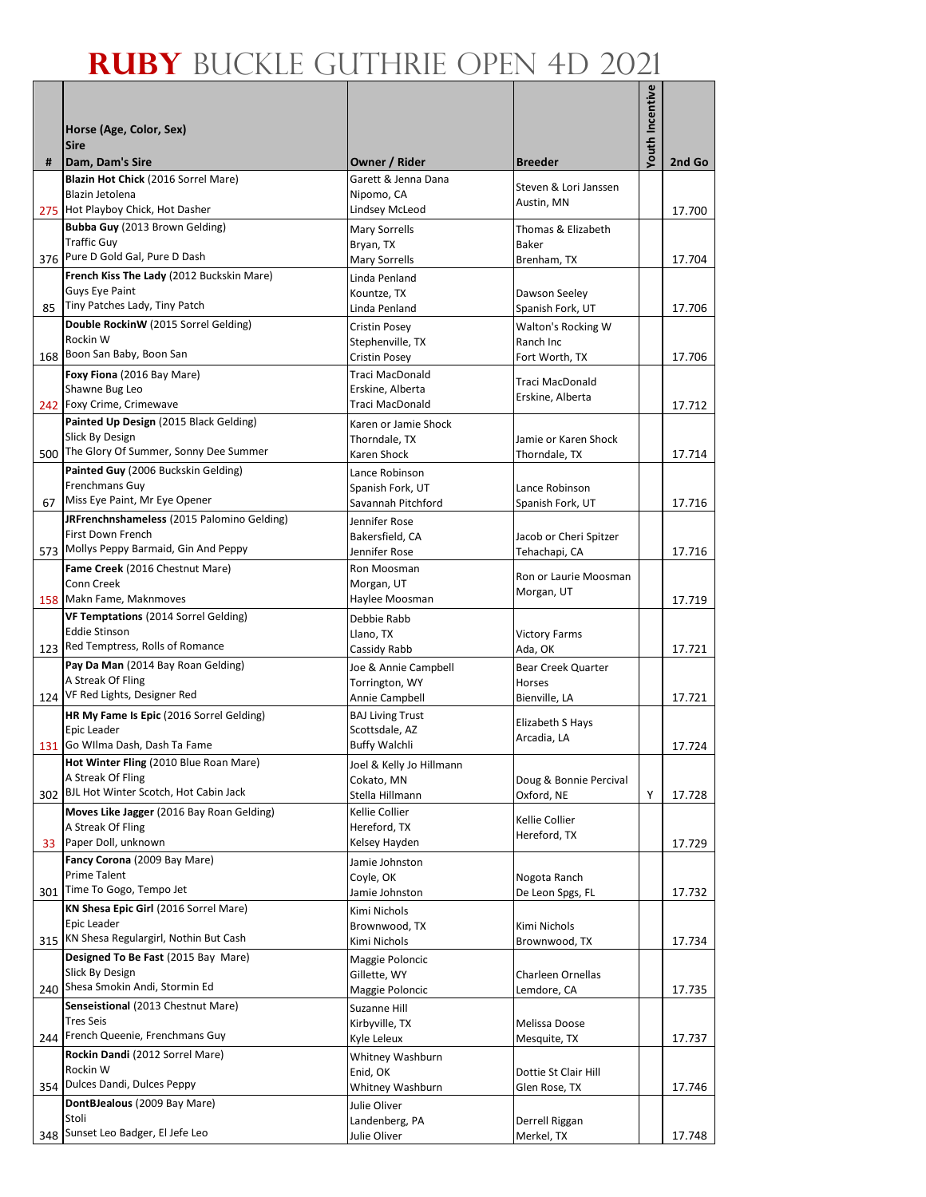| <b>/outh Incentive</b><br>Horse (Age, Color, Sex)<br><b>Sire</b><br>Dam, Dam's Sire<br>Owner / Rider<br>2nd Go<br><b>Breeder</b><br>#<br>Blazin Hot Chick (2016 Sorrel Mare)<br>Garett & Jenna Dana<br>Steven & Lori Janssen<br>Nipomo, CA<br>Blazin Jetolena<br>Austin, MN<br>Lindsey McLeod<br>275 Hot Playboy Chick, Hot Dasher<br>17.700<br>Bubba Guy (2013 Brown Gelding)<br>Mary Sorrells<br>Thomas & Elizabeth<br><b>Traffic Guy</b><br>Baker<br>Bryan, TX<br>376 Pure D Gold Gal, Pure D Dash<br>Mary Sorrells<br>Brenham, TX<br>17.704<br>French Kiss The Lady (2012 Buckskin Mare)<br>Linda Penland<br><b>Guys Eye Paint</b><br>Kountze, TX<br>Dawson Seeley<br>85 Tiny Patches Lady, Tiny Patch<br>Linda Penland<br>Spanish Fork, UT<br>17.706<br>Double RockinW (2015 Sorrel Gelding)<br>Cristin Posey<br>Walton's Rocking W<br>Rockin W<br>Stephenville, TX<br>Ranch Inc<br>168 Boon San Baby, Boon San<br>Cristin Posey<br>Fort Worth, TX<br>17.706<br>Traci MacDonald<br>Foxy Fiona (2016 Bay Mare)<br><b>Traci MacDonald</b><br>Shawne Bug Leo<br>Erskine, Alberta<br>Erskine, Alberta<br>242 Foxy Crime, Crimewave<br>Traci MacDonald<br>17.712<br>Painted Up Design (2015 Black Gelding)<br>Karen or Jamie Shock<br>Slick By Design<br>Jamie or Karen Shock<br>Thorndale, TX<br>500 The Glory Of Summer, Sonny Dee Summer<br>Karen Shock<br>Thorndale, TX<br>17.714<br>Painted Guy (2006 Buckskin Gelding)<br>Lance Robinson<br>Frenchmans Guy<br>Lance Robinson<br>Spanish Fork, UT<br>67 Miss Eye Paint, Mr Eye Opener<br>Savannah Pitchford<br>17.716<br>Spanish Fork, UT<br>JRFrenchnshameless (2015 Palomino Gelding)<br>Jennifer Rose<br>First Down French<br>Bakersfield, CA<br>Jacob or Cheri Spitzer<br>573 Mollys Peppy Barmaid, Gin And Peppy<br>Jennifer Rose<br>Tehachapi, CA<br>17.716<br>Fame Creek (2016 Chestnut Mare)<br>Ron Moosman<br>Ron or Laurie Moosman<br>Conn Creek<br>Morgan, UT<br>Morgan, UT<br>158 Makn Fame, Maknmoves<br>Haylee Moosman<br>17.719<br>VF Temptations (2014 Sorrel Gelding)<br>Debbie Rabb<br><b>Eddie Stinson</b><br>Llano, TX<br><b>Victory Farms</b><br>123 Red Temptress, Rolls of Romance<br>Cassidy Rabb<br>Ada, OK<br>17.721<br>Pay Da Man (2014 Bay Roan Gelding)<br>Joe & Annie Campbell<br>Bear Creek Quarter<br>A Streak Of Fling<br>Torrington, WY<br>Horses<br>124 VF Red Lights, Designer Red<br>Annie Campbell<br>Bienville, LA<br>17.721<br>HR My Fame Is Epic (2016 Sorrel Gelding)<br><b>BAJ Living Trust</b><br>Elizabeth S Hays<br>Epic Leader<br>Scottsdale, AZ<br>Arcadia, LA<br>131 Go Wilma Dash, Dash Ta Fame<br><b>Buffy Walchli</b><br>17.724<br>Hot Winter Fling (2010 Blue Roan Mare)<br>Joel & Kelly Jo Hillmann<br>A Streak Of Fling<br>Cokato. MN<br>Doug & Bonnie Percival<br>302 BJL Hot Winter Scotch, Hot Cabin Jack<br>Oxford, NE<br>Stella Hillmann<br>Υ<br>17.728<br>Moves Like Jagger (2016 Bay Roan Gelding)<br>Kellie Collier<br>Kellie Collier<br>A Streak Of Fling<br>Hereford, TX<br>Hereford, TX<br>33 Paper Doll, unknown<br>Kelsey Hayden<br>17.729<br>Fancy Corona (2009 Bay Mare)<br>Jamie Johnston<br><b>Prime Talent</b><br>Coyle, OK<br>Nogota Ranch<br>301 Time To Gogo, Tempo Jet<br>17.732<br>Jamie Johnston<br>De Leon Spgs, FL<br>KN Shesa Epic Girl (2016 Sorrel Mare)<br>Kimi Nichols<br>Epic Leader<br>Kimi Nichols<br>Brownwood, TX<br>315 KN Shesa Regulargirl, Nothin But Cash<br>Kimi Nichols<br>17.734<br>Brownwood, TX<br>Designed To Be Fast (2015 Bay Mare)<br>Maggie Poloncic<br>Slick By Design<br>Charleen Ornellas<br>Gillette, WY<br>240 Shesa Smokin Andi, Stormin Ed<br>Maggie Poloncic<br>Lemdore, CA<br>17.735<br>Senseistional (2013 Chestnut Mare)<br>Suzanne Hill<br><b>Tres Seis</b><br>Kirbyville, TX<br>Melissa Doose<br>244 French Queenie, Frenchmans Guy<br>Kyle Leleux<br>Mesquite, TX<br>17.737<br>Rockin Dandi (2012 Sorrel Mare)<br>Whitney Washburn<br>Rockin W<br>Enid, OK<br>Dottie St Clair Hill<br>Dulces Dandi, Dulces Peppy<br>354<br>Whitney Washburn<br>Glen Rose, TX<br>17.746<br>DontBJealous (2009 Bay Mare)<br>Julie Oliver<br>Stoli<br>Landenberg, PA<br>Derrell Riggan |  |  |  |
|--------------------------------------------------------------------------------------------------------------------------------------------------------------------------------------------------------------------------------------------------------------------------------------------------------------------------------------------------------------------------------------------------------------------------------------------------------------------------------------------------------------------------------------------------------------------------------------------------------------------------------------------------------------------------------------------------------------------------------------------------------------------------------------------------------------------------------------------------------------------------------------------------------------------------------------------------------------------------------------------------------------------------------------------------------------------------------------------------------------------------------------------------------------------------------------------------------------------------------------------------------------------------------------------------------------------------------------------------------------------------------------------------------------------------------------------------------------------------------------------------------------------------------------------------------------------------------------------------------------------------------------------------------------------------------------------------------------------------------------------------------------------------------------------------------------------------------------------------------------------------------------------------------------------------------------------------------------------------------------------------------------------------------------------------------------------------------------------------------------------------------------------------------------------------------------------------------------------------------------------------------------------------------------------------------------------------------------------------------------------------------------------------------------------------------------------------------------------------------------------------------------------------------------------------------------------------------------------------------------------------------------------------------------------------------------------------------------------------------------------------------------------------------------------------------------------------------------------------------------------------------------------------------------------------------------------------------------------------------------------------------------------------------------------------------------------------------------------------------------------------------------------------------------------------------------------------------------------------------------------------------------------------------------------------------------------------------------------------------------------------------------------------------------------------------------------------------------------------------------------------------------------------------------------------------------------------------------------------------------------------------------------------------------------------------------------------------------------------------------------------------------------------------------------------------------------------------------------------------------------------------------------------------------------------------------------------------------------------------------------------------------------------------------------------------------------------------------------------------------------------------------------------|--|--|--|
|                                                                                                                                                                                                                                                                                                                                                                                                                                                                                                                                                                                                                                                                                                                                                                                                                                                                                                                                                                                                                                                                                                                                                                                                                                                                                                                                                                                                                                                                                                                                                                                                                                                                                                                                                                                                                                                                                                                                                                                                                                                                                                                                                                                                                                                                                                                                                                                                                                                                                                                                                                                                                                                                                                                                                                                                                                                                                                                                                                                                                                                                                                                                                                                                                                                                                                                                                                                                                                                                                                                                                                                                                                                                                                                                                                                                                                                                                                                                                                                                                                                                                                                                                  |  |  |  |
|                                                                                                                                                                                                                                                                                                                                                                                                                                                                                                                                                                                                                                                                                                                                                                                                                                                                                                                                                                                                                                                                                                                                                                                                                                                                                                                                                                                                                                                                                                                                                                                                                                                                                                                                                                                                                                                                                                                                                                                                                                                                                                                                                                                                                                                                                                                                                                                                                                                                                                                                                                                                                                                                                                                                                                                                                                                                                                                                                                                                                                                                                                                                                                                                                                                                                                                                                                                                                                                                                                                                                                                                                                                                                                                                                                                                                                                                                                                                                                                                                                                                                                                                                  |  |  |  |
|                                                                                                                                                                                                                                                                                                                                                                                                                                                                                                                                                                                                                                                                                                                                                                                                                                                                                                                                                                                                                                                                                                                                                                                                                                                                                                                                                                                                                                                                                                                                                                                                                                                                                                                                                                                                                                                                                                                                                                                                                                                                                                                                                                                                                                                                                                                                                                                                                                                                                                                                                                                                                                                                                                                                                                                                                                                                                                                                                                                                                                                                                                                                                                                                                                                                                                                                                                                                                                                                                                                                                                                                                                                                                                                                                                                                                                                                                                                                                                                                                                                                                                                                                  |  |  |  |
|                                                                                                                                                                                                                                                                                                                                                                                                                                                                                                                                                                                                                                                                                                                                                                                                                                                                                                                                                                                                                                                                                                                                                                                                                                                                                                                                                                                                                                                                                                                                                                                                                                                                                                                                                                                                                                                                                                                                                                                                                                                                                                                                                                                                                                                                                                                                                                                                                                                                                                                                                                                                                                                                                                                                                                                                                                                                                                                                                                                                                                                                                                                                                                                                                                                                                                                                                                                                                                                                                                                                                                                                                                                                                                                                                                                                                                                                                                                                                                                                                                                                                                                                                  |  |  |  |
|                                                                                                                                                                                                                                                                                                                                                                                                                                                                                                                                                                                                                                                                                                                                                                                                                                                                                                                                                                                                                                                                                                                                                                                                                                                                                                                                                                                                                                                                                                                                                                                                                                                                                                                                                                                                                                                                                                                                                                                                                                                                                                                                                                                                                                                                                                                                                                                                                                                                                                                                                                                                                                                                                                                                                                                                                                                                                                                                                                                                                                                                                                                                                                                                                                                                                                                                                                                                                                                                                                                                                                                                                                                                                                                                                                                                                                                                                                                                                                                                                                                                                                                                                  |  |  |  |
|                                                                                                                                                                                                                                                                                                                                                                                                                                                                                                                                                                                                                                                                                                                                                                                                                                                                                                                                                                                                                                                                                                                                                                                                                                                                                                                                                                                                                                                                                                                                                                                                                                                                                                                                                                                                                                                                                                                                                                                                                                                                                                                                                                                                                                                                                                                                                                                                                                                                                                                                                                                                                                                                                                                                                                                                                                                                                                                                                                                                                                                                                                                                                                                                                                                                                                                                                                                                                                                                                                                                                                                                                                                                                                                                                                                                                                                                                                                                                                                                                                                                                                                                                  |  |  |  |
|                                                                                                                                                                                                                                                                                                                                                                                                                                                                                                                                                                                                                                                                                                                                                                                                                                                                                                                                                                                                                                                                                                                                                                                                                                                                                                                                                                                                                                                                                                                                                                                                                                                                                                                                                                                                                                                                                                                                                                                                                                                                                                                                                                                                                                                                                                                                                                                                                                                                                                                                                                                                                                                                                                                                                                                                                                                                                                                                                                                                                                                                                                                                                                                                                                                                                                                                                                                                                                                                                                                                                                                                                                                                                                                                                                                                                                                                                                                                                                                                                                                                                                                                                  |  |  |  |
|                                                                                                                                                                                                                                                                                                                                                                                                                                                                                                                                                                                                                                                                                                                                                                                                                                                                                                                                                                                                                                                                                                                                                                                                                                                                                                                                                                                                                                                                                                                                                                                                                                                                                                                                                                                                                                                                                                                                                                                                                                                                                                                                                                                                                                                                                                                                                                                                                                                                                                                                                                                                                                                                                                                                                                                                                                                                                                                                                                                                                                                                                                                                                                                                                                                                                                                                                                                                                                                                                                                                                                                                                                                                                                                                                                                                                                                                                                                                                                                                                                                                                                                                                  |  |  |  |
|                                                                                                                                                                                                                                                                                                                                                                                                                                                                                                                                                                                                                                                                                                                                                                                                                                                                                                                                                                                                                                                                                                                                                                                                                                                                                                                                                                                                                                                                                                                                                                                                                                                                                                                                                                                                                                                                                                                                                                                                                                                                                                                                                                                                                                                                                                                                                                                                                                                                                                                                                                                                                                                                                                                                                                                                                                                                                                                                                                                                                                                                                                                                                                                                                                                                                                                                                                                                                                                                                                                                                                                                                                                                                                                                                                                                                                                                                                                                                                                                                                                                                                                                                  |  |  |  |
|                                                                                                                                                                                                                                                                                                                                                                                                                                                                                                                                                                                                                                                                                                                                                                                                                                                                                                                                                                                                                                                                                                                                                                                                                                                                                                                                                                                                                                                                                                                                                                                                                                                                                                                                                                                                                                                                                                                                                                                                                                                                                                                                                                                                                                                                                                                                                                                                                                                                                                                                                                                                                                                                                                                                                                                                                                                                                                                                                                                                                                                                                                                                                                                                                                                                                                                                                                                                                                                                                                                                                                                                                                                                                                                                                                                                                                                                                                                                                                                                                                                                                                                                                  |  |  |  |
|                                                                                                                                                                                                                                                                                                                                                                                                                                                                                                                                                                                                                                                                                                                                                                                                                                                                                                                                                                                                                                                                                                                                                                                                                                                                                                                                                                                                                                                                                                                                                                                                                                                                                                                                                                                                                                                                                                                                                                                                                                                                                                                                                                                                                                                                                                                                                                                                                                                                                                                                                                                                                                                                                                                                                                                                                                                                                                                                                                                                                                                                                                                                                                                                                                                                                                                                                                                                                                                                                                                                                                                                                                                                                                                                                                                                                                                                                                                                                                                                                                                                                                                                                  |  |  |  |
|                                                                                                                                                                                                                                                                                                                                                                                                                                                                                                                                                                                                                                                                                                                                                                                                                                                                                                                                                                                                                                                                                                                                                                                                                                                                                                                                                                                                                                                                                                                                                                                                                                                                                                                                                                                                                                                                                                                                                                                                                                                                                                                                                                                                                                                                                                                                                                                                                                                                                                                                                                                                                                                                                                                                                                                                                                                                                                                                                                                                                                                                                                                                                                                                                                                                                                                                                                                                                                                                                                                                                                                                                                                                                                                                                                                                                                                                                                                                                                                                                                                                                                                                                  |  |  |  |
|                                                                                                                                                                                                                                                                                                                                                                                                                                                                                                                                                                                                                                                                                                                                                                                                                                                                                                                                                                                                                                                                                                                                                                                                                                                                                                                                                                                                                                                                                                                                                                                                                                                                                                                                                                                                                                                                                                                                                                                                                                                                                                                                                                                                                                                                                                                                                                                                                                                                                                                                                                                                                                                                                                                                                                                                                                                                                                                                                                                                                                                                                                                                                                                                                                                                                                                                                                                                                                                                                                                                                                                                                                                                                                                                                                                                                                                                                                                                                                                                                                                                                                                                                  |  |  |  |
|                                                                                                                                                                                                                                                                                                                                                                                                                                                                                                                                                                                                                                                                                                                                                                                                                                                                                                                                                                                                                                                                                                                                                                                                                                                                                                                                                                                                                                                                                                                                                                                                                                                                                                                                                                                                                                                                                                                                                                                                                                                                                                                                                                                                                                                                                                                                                                                                                                                                                                                                                                                                                                                                                                                                                                                                                                                                                                                                                                                                                                                                                                                                                                                                                                                                                                                                                                                                                                                                                                                                                                                                                                                                                                                                                                                                                                                                                                                                                                                                                                                                                                                                                  |  |  |  |
|                                                                                                                                                                                                                                                                                                                                                                                                                                                                                                                                                                                                                                                                                                                                                                                                                                                                                                                                                                                                                                                                                                                                                                                                                                                                                                                                                                                                                                                                                                                                                                                                                                                                                                                                                                                                                                                                                                                                                                                                                                                                                                                                                                                                                                                                                                                                                                                                                                                                                                                                                                                                                                                                                                                                                                                                                                                                                                                                                                                                                                                                                                                                                                                                                                                                                                                                                                                                                                                                                                                                                                                                                                                                                                                                                                                                                                                                                                                                                                                                                                                                                                                                                  |  |  |  |
|                                                                                                                                                                                                                                                                                                                                                                                                                                                                                                                                                                                                                                                                                                                                                                                                                                                                                                                                                                                                                                                                                                                                                                                                                                                                                                                                                                                                                                                                                                                                                                                                                                                                                                                                                                                                                                                                                                                                                                                                                                                                                                                                                                                                                                                                                                                                                                                                                                                                                                                                                                                                                                                                                                                                                                                                                                                                                                                                                                                                                                                                                                                                                                                                                                                                                                                                                                                                                                                                                                                                                                                                                                                                                                                                                                                                                                                                                                                                                                                                                                                                                                                                                  |  |  |  |
|                                                                                                                                                                                                                                                                                                                                                                                                                                                                                                                                                                                                                                                                                                                                                                                                                                                                                                                                                                                                                                                                                                                                                                                                                                                                                                                                                                                                                                                                                                                                                                                                                                                                                                                                                                                                                                                                                                                                                                                                                                                                                                                                                                                                                                                                                                                                                                                                                                                                                                                                                                                                                                                                                                                                                                                                                                                                                                                                                                                                                                                                                                                                                                                                                                                                                                                                                                                                                                                                                                                                                                                                                                                                                                                                                                                                                                                                                                                                                                                                                                                                                                                                                  |  |  |  |
|                                                                                                                                                                                                                                                                                                                                                                                                                                                                                                                                                                                                                                                                                                                                                                                                                                                                                                                                                                                                                                                                                                                                                                                                                                                                                                                                                                                                                                                                                                                                                                                                                                                                                                                                                                                                                                                                                                                                                                                                                                                                                                                                                                                                                                                                                                                                                                                                                                                                                                                                                                                                                                                                                                                                                                                                                                                                                                                                                                                                                                                                                                                                                                                                                                                                                                                                                                                                                                                                                                                                                                                                                                                                                                                                                                                                                                                                                                                                                                                                                                                                                                                                                  |  |  |  |
|                                                                                                                                                                                                                                                                                                                                                                                                                                                                                                                                                                                                                                                                                                                                                                                                                                                                                                                                                                                                                                                                                                                                                                                                                                                                                                                                                                                                                                                                                                                                                                                                                                                                                                                                                                                                                                                                                                                                                                                                                                                                                                                                                                                                                                                                                                                                                                                                                                                                                                                                                                                                                                                                                                                                                                                                                                                                                                                                                                                                                                                                                                                                                                                                                                                                                                                                                                                                                                                                                                                                                                                                                                                                                                                                                                                                                                                                                                                                                                                                                                                                                                                                                  |  |  |  |
|                                                                                                                                                                                                                                                                                                                                                                                                                                                                                                                                                                                                                                                                                                                                                                                                                                                                                                                                                                                                                                                                                                                                                                                                                                                                                                                                                                                                                                                                                                                                                                                                                                                                                                                                                                                                                                                                                                                                                                                                                                                                                                                                                                                                                                                                                                                                                                                                                                                                                                                                                                                                                                                                                                                                                                                                                                                                                                                                                                                                                                                                                                                                                                                                                                                                                                                                                                                                                                                                                                                                                                                                                                                                                                                                                                                                                                                                                                                                                                                                                                                                                                                                                  |  |  |  |
|                                                                                                                                                                                                                                                                                                                                                                                                                                                                                                                                                                                                                                                                                                                                                                                                                                                                                                                                                                                                                                                                                                                                                                                                                                                                                                                                                                                                                                                                                                                                                                                                                                                                                                                                                                                                                                                                                                                                                                                                                                                                                                                                                                                                                                                                                                                                                                                                                                                                                                                                                                                                                                                                                                                                                                                                                                                                                                                                                                                                                                                                                                                                                                                                                                                                                                                                                                                                                                                                                                                                                                                                                                                                                                                                                                                                                                                                                                                                                                                                                                                                                                                                                  |  |  |  |
|                                                                                                                                                                                                                                                                                                                                                                                                                                                                                                                                                                                                                                                                                                                                                                                                                                                                                                                                                                                                                                                                                                                                                                                                                                                                                                                                                                                                                                                                                                                                                                                                                                                                                                                                                                                                                                                                                                                                                                                                                                                                                                                                                                                                                                                                                                                                                                                                                                                                                                                                                                                                                                                                                                                                                                                                                                                                                                                                                                                                                                                                                                                                                                                                                                                                                                                                                                                                                                                                                                                                                                                                                                                                                                                                                                                                                                                                                                                                                                                                                                                                                                                                                  |  |  |  |
|                                                                                                                                                                                                                                                                                                                                                                                                                                                                                                                                                                                                                                                                                                                                                                                                                                                                                                                                                                                                                                                                                                                                                                                                                                                                                                                                                                                                                                                                                                                                                                                                                                                                                                                                                                                                                                                                                                                                                                                                                                                                                                                                                                                                                                                                                                                                                                                                                                                                                                                                                                                                                                                                                                                                                                                                                                                                                                                                                                                                                                                                                                                                                                                                                                                                                                                                                                                                                                                                                                                                                                                                                                                                                                                                                                                                                                                                                                                                                                                                                                                                                                                                                  |  |  |  |
|                                                                                                                                                                                                                                                                                                                                                                                                                                                                                                                                                                                                                                                                                                                                                                                                                                                                                                                                                                                                                                                                                                                                                                                                                                                                                                                                                                                                                                                                                                                                                                                                                                                                                                                                                                                                                                                                                                                                                                                                                                                                                                                                                                                                                                                                                                                                                                                                                                                                                                                                                                                                                                                                                                                                                                                                                                                                                                                                                                                                                                                                                                                                                                                                                                                                                                                                                                                                                                                                                                                                                                                                                                                                                                                                                                                                                                                                                                                                                                                                                                                                                                                                                  |  |  |  |
|                                                                                                                                                                                                                                                                                                                                                                                                                                                                                                                                                                                                                                                                                                                                                                                                                                                                                                                                                                                                                                                                                                                                                                                                                                                                                                                                                                                                                                                                                                                                                                                                                                                                                                                                                                                                                                                                                                                                                                                                                                                                                                                                                                                                                                                                                                                                                                                                                                                                                                                                                                                                                                                                                                                                                                                                                                                                                                                                                                                                                                                                                                                                                                                                                                                                                                                                                                                                                                                                                                                                                                                                                                                                                                                                                                                                                                                                                                                                                                                                                                                                                                                                                  |  |  |  |
|                                                                                                                                                                                                                                                                                                                                                                                                                                                                                                                                                                                                                                                                                                                                                                                                                                                                                                                                                                                                                                                                                                                                                                                                                                                                                                                                                                                                                                                                                                                                                                                                                                                                                                                                                                                                                                                                                                                                                                                                                                                                                                                                                                                                                                                                                                                                                                                                                                                                                                                                                                                                                                                                                                                                                                                                                                                                                                                                                                                                                                                                                                                                                                                                                                                                                                                                                                                                                                                                                                                                                                                                                                                                                                                                                                                                                                                                                                                                                                                                                                                                                                                                                  |  |  |  |
|                                                                                                                                                                                                                                                                                                                                                                                                                                                                                                                                                                                                                                                                                                                                                                                                                                                                                                                                                                                                                                                                                                                                                                                                                                                                                                                                                                                                                                                                                                                                                                                                                                                                                                                                                                                                                                                                                                                                                                                                                                                                                                                                                                                                                                                                                                                                                                                                                                                                                                                                                                                                                                                                                                                                                                                                                                                                                                                                                                                                                                                                                                                                                                                                                                                                                                                                                                                                                                                                                                                                                                                                                                                                                                                                                                                                                                                                                                                                                                                                                                                                                                                                                  |  |  |  |
|                                                                                                                                                                                                                                                                                                                                                                                                                                                                                                                                                                                                                                                                                                                                                                                                                                                                                                                                                                                                                                                                                                                                                                                                                                                                                                                                                                                                                                                                                                                                                                                                                                                                                                                                                                                                                                                                                                                                                                                                                                                                                                                                                                                                                                                                                                                                                                                                                                                                                                                                                                                                                                                                                                                                                                                                                                                                                                                                                                                                                                                                                                                                                                                                                                                                                                                                                                                                                                                                                                                                                                                                                                                                                                                                                                                                                                                                                                                                                                                                                                                                                                                                                  |  |  |  |
|                                                                                                                                                                                                                                                                                                                                                                                                                                                                                                                                                                                                                                                                                                                                                                                                                                                                                                                                                                                                                                                                                                                                                                                                                                                                                                                                                                                                                                                                                                                                                                                                                                                                                                                                                                                                                                                                                                                                                                                                                                                                                                                                                                                                                                                                                                                                                                                                                                                                                                                                                                                                                                                                                                                                                                                                                                                                                                                                                                                                                                                                                                                                                                                                                                                                                                                                                                                                                                                                                                                                                                                                                                                                                                                                                                                                                                                                                                                                                                                                                                                                                                                                                  |  |  |  |
|                                                                                                                                                                                                                                                                                                                                                                                                                                                                                                                                                                                                                                                                                                                                                                                                                                                                                                                                                                                                                                                                                                                                                                                                                                                                                                                                                                                                                                                                                                                                                                                                                                                                                                                                                                                                                                                                                                                                                                                                                                                                                                                                                                                                                                                                                                                                                                                                                                                                                                                                                                                                                                                                                                                                                                                                                                                                                                                                                                                                                                                                                                                                                                                                                                                                                                                                                                                                                                                                                                                                                                                                                                                                                                                                                                                                                                                                                                                                                                                                                                                                                                                                                  |  |  |  |
|                                                                                                                                                                                                                                                                                                                                                                                                                                                                                                                                                                                                                                                                                                                                                                                                                                                                                                                                                                                                                                                                                                                                                                                                                                                                                                                                                                                                                                                                                                                                                                                                                                                                                                                                                                                                                                                                                                                                                                                                                                                                                                                                                                                                                                                                                                                                                                                                                                                                                                                                                                                                                                                                                                                                                                                                                                                                                                                                                                                                                                                                                                                                                                                                                                                                                                                                                                                                                                                                                                                                                                                                                                                                                                                                                                                                                                                                                                                                                                                                                                                                                                                                                  |  |  |  |
|                                                                                                                                                                                                                                                                                                                                                                                                                                                                                                                                                                                                                                                                                                                                                                                                                                                                                                                                                                                                                                                                                                                                                                                                                                                                                                                                                                                                                                                                                                                                                                                                                                                                                                                                                                                                                                                                                                                                                                                                                                                                                                                                                                                                                                                                                                                                                                                                                                                                                                                                                                                                                                                                                                                                                                                                                                                                                                                                                                                                                                                                                                                                                                                                                                                                                                                                                                                                                                                                                                                                                                                                                                                                                                                                                                                                                                                                                                                                                                                                                                                                                                                                                  |  |  |  |
|                                                                                                                                                                                                                                                                                                                                                                                                                                                                                                                                                                                                                                                                                                                                                                                                                                                                                                                                                                                                                                                                                                                                                                                                                                                                                                                                                                                                                                                                                                                                                                                                                                                                                                                                                                                                                                                                                                                                                                                                                                                                                                                                                                                                                                                                                                                                                                                                                                                                                                                                                                                                                                                                                                                                                                                                                                                                                                                                                                                                                                                                                                                                                                                                                                                                                                                                                                                                                                                                                                                                                                                                                                                                                                                                                                                                                                                                                                                                                                                                                                                                                                                                                  |  |  |  |
|                                                                                                                                                                                                                                                                                                                                                                                                                                                                                                                                                                                                                                                                                                                                                                                                                                                                                                                                                                                                                                                                                                                                                                                                                                                                                                                                                                                                                                                                                                                                                                                                                                                                                                                                                                                                                                                                                                                                                                                                                                                                                                                                                                                                                                                                                                                                                                                                                                                                                                                                                                                                                                                                                                                                                                                                                                                                                                                                                                                                                                                                                                                                                                                                                                                                                                                                                                                                                                                                                                                                                                                                                                                                                                                                                                                                                                                                                                                                                                                                                                                                                                                                                  |  |  |  |
|                                                                                                                                                                                                                                                                                                                                                                                                                                                                                                                                                                                                                                                                                                                                                                                                                                                                                                                                                                                                                                                                                                                                                                                                                                                                                                                                                                                                                                                                                                                                                                                                                                                                                                                                                                                                                                                                                                                                                                                                                                                                                                                                                                                                                                                                                                                                                                                                                                                                                                                                                                                                                                                                                                                                                                                                                                                                                                                                                                                                                                                                                                                                                                                                                                                                                                                                                                                                                                                                                                                                                                                                                                                                                                                                                                                                                                                                                                                                                                                                                                                                                                                                                  |  |  |  |
|                                                                                                                                                                                                                                                                                                                                                                                                                                                                                                                                                                                                                                                                                                                                                                                                                                                                                                                                                                                                                                                                                                                                                                                                                                                                                                                                                                                                                                                                                                                                                                                                                                                                                                                                                                                                                                                                                                                                                                                                                                                                                                                                                                                                                                                                                                                                                                                                                                                                                                                                                                                                                                                                                                                                                                                                                                                                                                                                                                                                                                                                                                                                                                                                                                                                                                                                                                                                                                                                                                                                                                                                                                                                                                                                                                                                                                                                                                                                                                                                                                                                                                                                                  |  |  |  |
|                                                                                                                                                                                                                                                                                                                                                                                                                                                                                                                                                                                                                                                                                                                                                                                                                                                                                                                                                                                                                                                                                                                                                                                                                                                                                                                                                                                                                                                                                                                                                                                                                                                                                                                                                                                                                                                                                                                                                                                                                                                                                                                                                                                                                                                                                                                                                                                                                                                                                                                                                                                                                                                                                                                                                                                                                                                                                                                                                                                                                                                                                                                                                                                                                                                                                                                                                                                                                                                                                                                                                                                                                                                                                                                                                                                                                                                                                                                                                                                                                                                                                                                                                  |  |  |  |
|                                                                                                                                                                                                                                                                                                                                                                                                                                                                                                                                                                                                                                                                                                                                                                                                                                                                                                                                                                                                                                                                                                                                                                                                                                                                                                                                                                                                                                                                                                                                                                                                                                                                                                                                                                                                                                                                                                                                                                                                                                                                                                                                                                                                                                                                                                                                                                                                                                                                                                                                                                                                                                                                                                                                                                                                                                                                                                                                                                                                                                                                                                                                                                                                                                                                                                                                                                                                                                                                                                                                                                                                                                                                                                                                                                                                                                                                                                                                                                                                                                                                                                                                                  |  |  |  |
|                                                                                                                                                                                                                                                                                                                                                                                                                                                                                                                                                                                                                                                                                                                                                                                                                                                                                                                                                                                                                                                                                                                                                                                                                                                                                                                                                                                                                                                                                                                                                                                                                                                                                                                                                                                                                                                                                                                                                                                                                                                                                                                                                                                                                                                                                                                                                                                                                                                                                                                                                                                                                                                                                                                                                                                                                                                                                                                                                                                                                                                                                                                                                                                                                                                                                                                                                                                                                                                                                                                                                                                                                                                                                                                                                                                                                                                                                                                                                                                                                                                                                                                                                  |  |  |  |
|                                                                                                                                                                                                                                                                                                                                                                                                                                                                                                                                                                                                                                                                                                                                                                                                                                                                                                                                                                                                                                                                                                                                                                                                                                                                                                                                                                                                                                                                                                                                                                                                                                                                                                                                                                                                                                                                                                                                                                                                                                                                                                                                                                                                                                                                                                                                                                                                                                                                                                                                                                                                                                                                                                                                                                                                                                                                                                                                                                                                                                                                                                                                                                                                                                                                                                                                                                                                                                                                                                                                                                                                                                                                                                                                                                                                                                                                                                                                                                                                                                                                                                                                                  |  |  |  |
|                                                                                                                                                                                                                                                                                                                                                                                                                                                                                                                                                                                                                                                                                                                                                                                                                                                                                                                                                                                                                                                                                                                                                                                                                                                                                                                                                                                                                                                                                                                                                                                                                                                                                                                                                                                                                                                                                                                                                                                                                                                                                                                                                                                                                                                                                                                                                                                                                                                                                                                                                                                                                                                                                                                                                                                                                                                                                                                                                                                                                                                                                                                                                                                                                                                                                                                                                                                                                                                                                                                                                                                                                                                                                                                                                                                                                                                                                                                                                                                                                                                                                                                                                  |  |  |  |
|                                                                                                                                                                                                                                                                                                                                                                                                                                                                                                                                                                                                                                                                                                                                                                                                                                                                                                                                                                                                                                                                                                                                                                                                                                                                                                                                                                                                                                                                                                                                                                                                                                                                                                                                                                                                                                                                                                                                                                                                                                                                                                                                                                                                                                                                                                                                                                                                                                                                                                                                                                                                                                                                                                                                                                                                                                                                                                                                                                                                                                                                                                                                                                                                                                                                                                                                                                                                                                                                                                                                                                                                                                                                                                                                                                                                                                                                                                                                                                                                                                                                                                                                                  |  |  |  |
|                                                                                                                                                                                                                                                                                                                                                                                                                                                                                                                                                                                                                                                                                                                                                                                                                                                                                                                                                                                                                                                                                                                                                                                                                                                                                                                                                                                                                                                                                                                                                                                                                                                                                                                                                                                                                                                                                                                                                                                                                                                                                                                                                                                                                                                                                                                                                                                                                                                                                                                                                                                                                                                                                                                                                                                                                                                                                                                                                                                                                                                                                                                                                                                                                                                                                                                                                                                                                                                                                                                                                                                                                                                                                                                                                                                                                                                                                                                                                                                                                                                                                                                                                  |  |  |  |
|                                                                                                                                                                                                                                                                                                                                                                                                                                                                                                                                                                                                                                                                                                                                                                                                                                                                                                                                                                                                                                                                                                                                                                                                                                                                                                                                                                                                                                                                                                                                                                                                                                                                                                                                                                                                                                                                                                                                                                                                                                                                                                                                                                                                                                                                                                                                                                                                                                                                                                                                                                                                                                                                                                                                                                                                                                                                                                                                                                                                                                                                                                                                                                                                                                                                                                                                                                                                                                                                                                                                                                                                                                                                                                                                                                                                                                                                                                                                                                                                                                                                                                                                                  |  |  |  |
|                                                                                                                                                                                                                                                                                                                                                                                                                                                                                                                                                                                                                                                                                                                                                                                                                                                                                                                                                                                                                                                                                                                                                                                                                                                                                                                                                                                                                                                                                                                                                                                                                                                                                                                                                                                                                                                                                                                                                                                                                                                                                                                                                                                                                                                                                                                                                                                                                                                                                                                                                                                                                                                                                                                                                                                                                                                                                                                                                                                                                                                                                                                                                                                                                                                                                                                                                                                                                                                                                                                                                                                                                                                                                                                                                                                                                                                                                                                                                                                                                                                                                                                                                  |  |  |  |
|                                                                                                                                                                                                                                                                                                                                                                                                                                                                                                                                                                                                                                                                                                                                                                                                                                                                                                                                                                                                                                                                                                                                                                                                                                                                                                                                                                                                                                                                                                                                                                                                                                                                                                                                                                                                                                                                                                                                                                                                                                                                                                                                                                                                                                                                                                                                                                                                                                                                                                                                                                                                                                                                                                                                                                                                                                                                                                                                                                                                                                                                                                                                                                                                                                                                                                                                                                                                                                                                                                                                                                                                                                                                                                                                                                                                                                                                                                                                                                                                                                                                                                                                                  |  |  |  |
|                                                                                                                                                                                                                                                                                                                                                                                                                                                                                                                                                                                                                                                                                                                                                                                                                                                                                                                                                                                                                                                                                                                                                                                                                                                                                                                                                                                                                                                                                                                                                                                                                                                                                                                                                                                                                                                                                                                                                                                                                                                                                                                                                                                                                                                                                                                                                                                                                                                                                                                                                                                                                                                                                                                                                                                                                                                                                                                                                                                                                                                                                                                                                                                                                                                                                                                                                                                                                                                                                                                                                                                                                                                                                                                                                                                                                                                                                                                                                                                                                                                                                                                                                  |  |  |  |
|                                                                                                                                                                                                                                                                                                                                                                                                                                                                                                                                                                                                                                                                                                                                                                                                                                                                                                                                                                                                                                                                                                                                                                                                                                                                                                                                                                                                                                                                                                                                                                                                                                                                                                                                                                                                                                                                                                                                                                                                                                                                                                                                                                                                                                                                                                                                                                                                                                                                                                                                                                                                                                                                                                                                                                                                                                                                                                                                                                                                                                                                                                                                                                                                                                                                                                                                                                                                                                                                                                                                                                                                                                                                                                                                                                                                                                                                                                                                                                                                                                                                                                                                                  |  |  |  |
|                                                                                                                                                                                                                                                                                                                                                                                                                                                                                                                                                                                                                                                                                                                                                                                                                                                                                                                                                                                                                                                                                                                                                                                                                                                                                                                                                                                                                                                                                                                                                                                                                                                                                                                                                                                                                                                                                                                                                                                                                                                                                                                                                                                                                                                                                                                                                                                                                                                                                                                                                                                                                                                                                                                                                                                                                                                                                                                                                                                                                                                                                                                                                                                                                                                                                                                                                                                                                                                                                                                                                                                                                                                                                                                                                                                                                                                                                                                                                                                                                                                                                                                                                  |  |  |  |
|                                                                                                                                                                                                                                                                                                                                                                                                                                                                                                                                                                                                                                                                                                                                                                                                                                                                                                                                                                                                                                                                                                                                                                                                                                                                                                                                                                                                                                                                                                                                                                                                                                                                                                                                                                                                                                                                                                                                                                                                                                                                                                                                                                                                                                                                                                                                                                                                                                                                                                                                                                                                                                                                                                                                                                                                                                                                                                                                                                                                                                                                                                                                                                                                                                                                                                                                                                                                                                                                                                                                                                                                                                                                                                                                                                                                                                                                                                                                                                                                                                                                                                                                                  |  |  |  |
| 348 Sunset Leo Badger, El Jefe Leo<br>Julie Oliver<br>Merkel, TX<br>17.748                                                                                                                                                                                                                                                                                                                                                                                                                                                                                                                                                                                                                                                                                                                                                                                                                                                                                                                                                                                                                                                                                                                                                                                                                                                                                                                                                                                                                                                                                                                                                                                                                                                                                                                                                                                                                                                                                                                                                                                                                                                                                                                                                                                                                                                                                                                                                                                                                                                                                                                                                                                                                                                                                                                                                                                                                                                                                                                                                                                                                                                                                                                                                                                                                                                                                                                                                                                                                                                                                                                                                                                                                                                                                                                                                                                                                                                                                                                                                                                                                                                                       |  |  |  |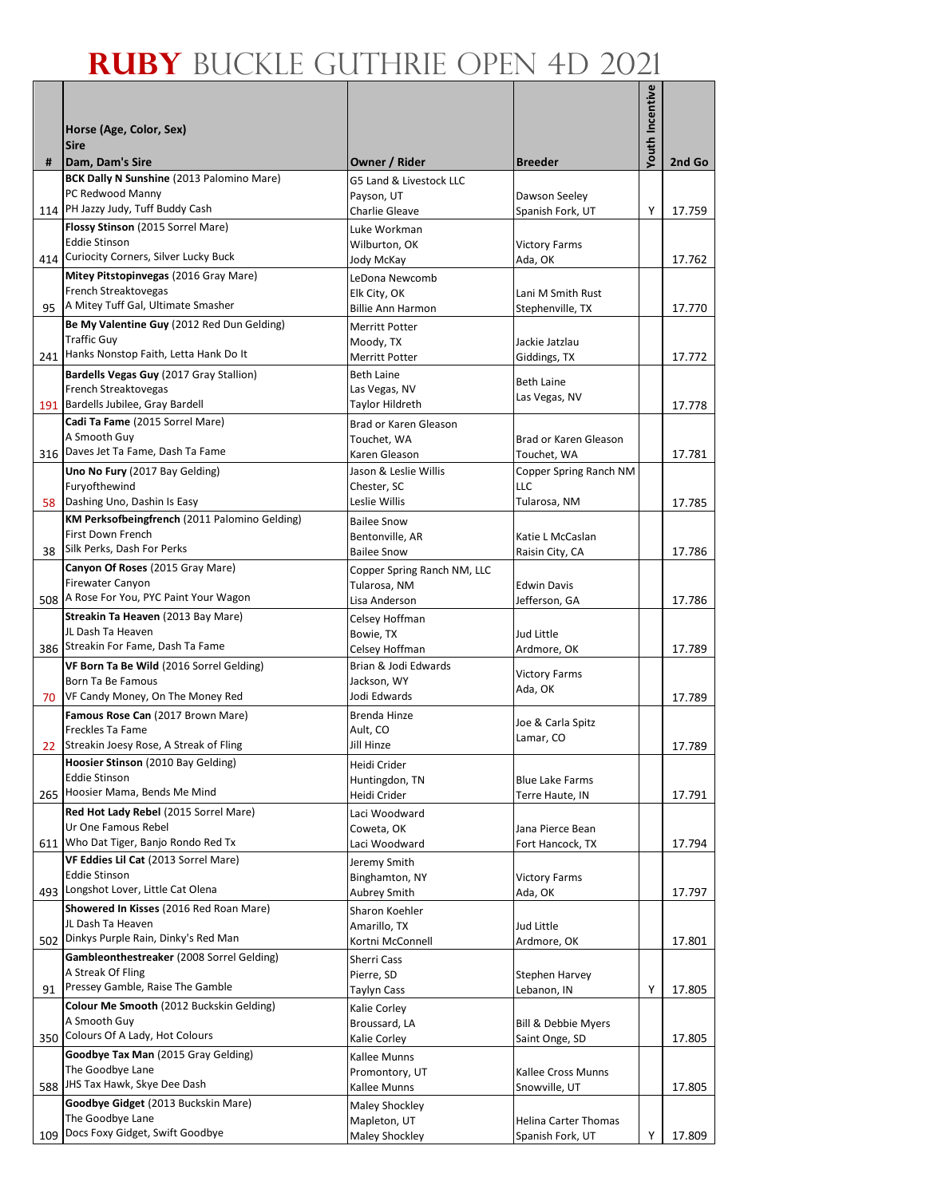|     |                                                                                 |                                            |                                       | <b>Youth Incentive</b> |        |
|-----|---------------------------------------------------------------------------------|--------------------------------------------|---------------------------------------|------------------------|--------|
|     | Horse (Age, Color, Sex)                                                         |                                            |                                       |                        |        |
|     | <b>Sire</b>                                                                     |                                            |                                       |                        |        |
| #   | Dam, Dam's Sire                                                                 | Owner / Rider                              | <b>Breeder</b>                        |                        | 2nd Go |
|     | <b>BCK Dally N Sunshine (2013 Palomino Mare)</b>                                | G5 Land & Livestock LLC                    |                                       |                        |        |
|     | PC Redwood Manny<br>PH Jazzy Judy, Tuff Buddy Cash                              | Payson, UT<br>Charlie Gleave               | Dawson Seeley                         |                        |        |
| 114 | Flossy Stinson (2015 Sorrel Mare)                                               | Luke Workman                               | Spanish Fork, UT                      | Υ                      | 17.759 |
|     | <b>Eddie Stinson</b>                                                            | Wilburton, OK                              | <b>Victory Farms</b>                  |                        |        |
| 414 | Curiocity Corners, Silver Lucky Buck                                            | Jody McKay                                 | Ada, OK                               |                        | 17.762 |
|     | Mitey Pitstopinvegas (2016 Gray Mare)                                           | LeDona Newcomb                             |                                       |                        |        |
|     | French Streaktovegas<br>A Mitey Tuff Gal, Ultimate Smasher                      | Elk City, OK                               | Lani M Smith Rust                     |                        |        |
| 95  | Be My Valentine Guy (2012 Red Dun Gelding)                                      | <b>Billie Ann Harmon</b><br>Merritt Potter | Stephenville, TX                      |                        | 17.770 |
|     | <b>Traffic Guy</b>                                                              | Moody, TX                                  | Jackie Jatzlau                        |                        |        |
| 241 | Hanks Nonstop Faith, Letta Hank Do It                                           | <b>Merritt Potter</b>                      | Giddings, TX                          |                        | 17.772 |
|     | Bardells Vegas Guy (2017 Gray Stallion)                                         | <b>Beth Laine</b>                          | <b>Beth Laine</b>                     |                        |        |
|     | French Streaktovegas                                                            | Las Vegas, NV                              | Las Vegas, NV                         |                        |        |
| 191 | Bardells Jubilee, Gray Bardell<br>Cadi Ta Fame (2015 Sorrel Mare)               | Taylor Hildreth                            |                                       |                        | 17.778 |
|     | A Smooth Guy                                                                    | Brad or Karen Gleason<br>Touchet, WA       | Brad or Karen Gleason                 |                        |        |
|     | 316 Daves Jet Ta Fame, Dash Ta Fame                                             | Karen Gleason                              | Touchet, WA                           |                        | 17.781 |
|     | Uno No Fury (2017 Bay Gelding)                                                  | Jason & Leslie Willis                      | Copper Spring Ranch NM                |                        |        |
|     | Furyofthewind                                                                   | Chester, SC                                | LLC                                   |                        |        |
|     | 58 Dashing Uno, Dashin Is Easy<br>KM Perksofbeingfrench (2011 Palomino Gelding) | Leslie Willis                              | Tularosa, NM                          |                        | 17.785 |
|     | First Down French                                                               | <b>Bailee Snow</b><br>Bentonville, AR      | Katie L McCaslan                      |                        |        |
| 38  | Silk Perks, Dash For Perks                                                      | <b>Bailee Snow</b>                         | Raisin City, CA                       |                        | 17.786 |
|     | Canyon Of Roses (2015 Gray Mare)                                                | Copper Spring Ranch NM, LLC                |                                       |                        |        |
|     | <b>Firewater Canyon</b>                                                         | Tularosa, NM                               | <b>Edwin Davis</b>                    |                        |        |
|     | 508 A Rose For You, PYC Paint Your Wagon                                        | Lisa Anderson                              | Jefferson, GA                         |                        | 17.786 |
|     | Streakin Ta Heaven (2013 Bay Mare)<br>JL Dash Ta Heaven                         | Celsey Hoffman<br>Bowie, TX                | Jud Little                            |                        |        |
|     | 386 Streakin For Fame, Dash Ta Fame                                             | Celsey Hoffman                             | Ardmore, OK                           |                        | 17.789 |
|     | VF Born Ta Be Wild (2016 Sorrel Gelding)                                        | Brian & Jodi Edwards                       |                                       |                        |        |
|     | Born Ta Be Famous                                                               | Jackson, WY                                | <b>Victory Farms</b><br>Ada, OK       |                        |        |
| 70  | VF Candy Money, On The Money Red                                                | Jodi Edwards                               |                                       |                        | 17.789 |
|     | Famous Rose Can (2017 Brown Mare)<br>Freckles Ta Fame                           | Brenda Hinze<br>Ault, CO                   | Joe & Carla Spitz                     |                        |        |
| 22  | Streakin Joesy Rose, A Streak of Fling                                          | Jill Hinze                                 | Lamar, CO                             |                        | 17.789 |
|     | Hoosier Stinson (2010 Bay Gelding)                                              | Heidi Crider                               |                                       |                        |        |
|     | <b>Eddie Stinson</b>                                                            | Huntingdon, TN                             | <b>Blue Lake Farms</b>                |                        |        |
| 265 | Hoosier Mama, Bends Me Mind                                                     | Heidi Crider                               | Terre Haute, IN                       |                        | 17.791 |
|     | Red Hot Lady Rebel (2015 Sorrel Mare)<br>Ur One Famous Rebel                    | Laci Woodward<br>Coweta, OK                | Jana Pierce Bean                      |                        |        |
| 611 | Who Dat Tiger, Banjo Rondo Red Tx                                               | Laci Woodward                              | Fort Hancock, TX                      |                        | 17.794 |
|     | VF Eddies Lil Cat (2013 Sorrel Mare)                                            | Jeremy Smith                               |                                       |                        |        |
|     | <b>Eddie Stinson</b>                                                            | Binghamton, NY                             | <b>Victory Farms</b>                  |                        |        |
|     | 493 Longshot Lover, Little Cat Olena                                            | Aubrey Smith                               | Ada, OK                               |                        | 17.797 |
|     | Showered In Kisses (2016 Red Roan Mare)<br>JL Dash Ta Heaven                    | Sharon Koehler<br>Amarillo, TX             | Jud Little                            |                        |        |
| 502 | Dinkys Purple Rain, Dinky's Red Man                                             | Kortni McConnell                           | Ardmore, OK                           |                        | 17.801 |
|     | Gambleonthestreaker (2008 Sorrel Gelding)                                       | Sherri Cass                                |                                       |                        |        |
|     | A Streak Of Fling                                                               | Pierre, SD                                 | Stephen Harvey                        |                        |        |
| 91  | Pressey Gamble, Raise The Gamble                                                | Taylyn Cass                                | Lebanon, IN                           | Υ                      | 17.805 |
|     | Colour Me Smooth (2012 Buckskin Gelding)<br>A Smooth Guy                        | Kalie Corley<br>Broussard, LA              |                                       |                        |        |
| 350 | Colours Of A Lady, Hot Colours                                                  | Kalie Corley                               | Bill & Debbie Myers<br>Saint Onge, SD |                        | 17.805 |
|     | Goodbye Tax Man (2015 Gray Gelding)                                             | Kallee Munns                               |                                       |                        |        |
|     | The Goodbye Lane                                                                | Promontory, UT                             | Kallee Cross Munns                    |                        |        |
| 588 | JHS Tax Hawk, Skye Dee Dash                                                     | Kallee Munns                               | Snowville, UT                         |                        | 17.805 |
|     | Goodbye Gidget (2013 Buckskin Mare)<br>The Goodbye Lane                         | <b>Maley Shockley</b><br>Mapleton, UT      | Helina Carter Thomas                  |                        |        |
| 109 | Docs Foxy Gidget, Swift Goodbye                                                 | <b>Maley Shockley</b>                      | Spanish Fork, UT                      | Y                      | 17.809 |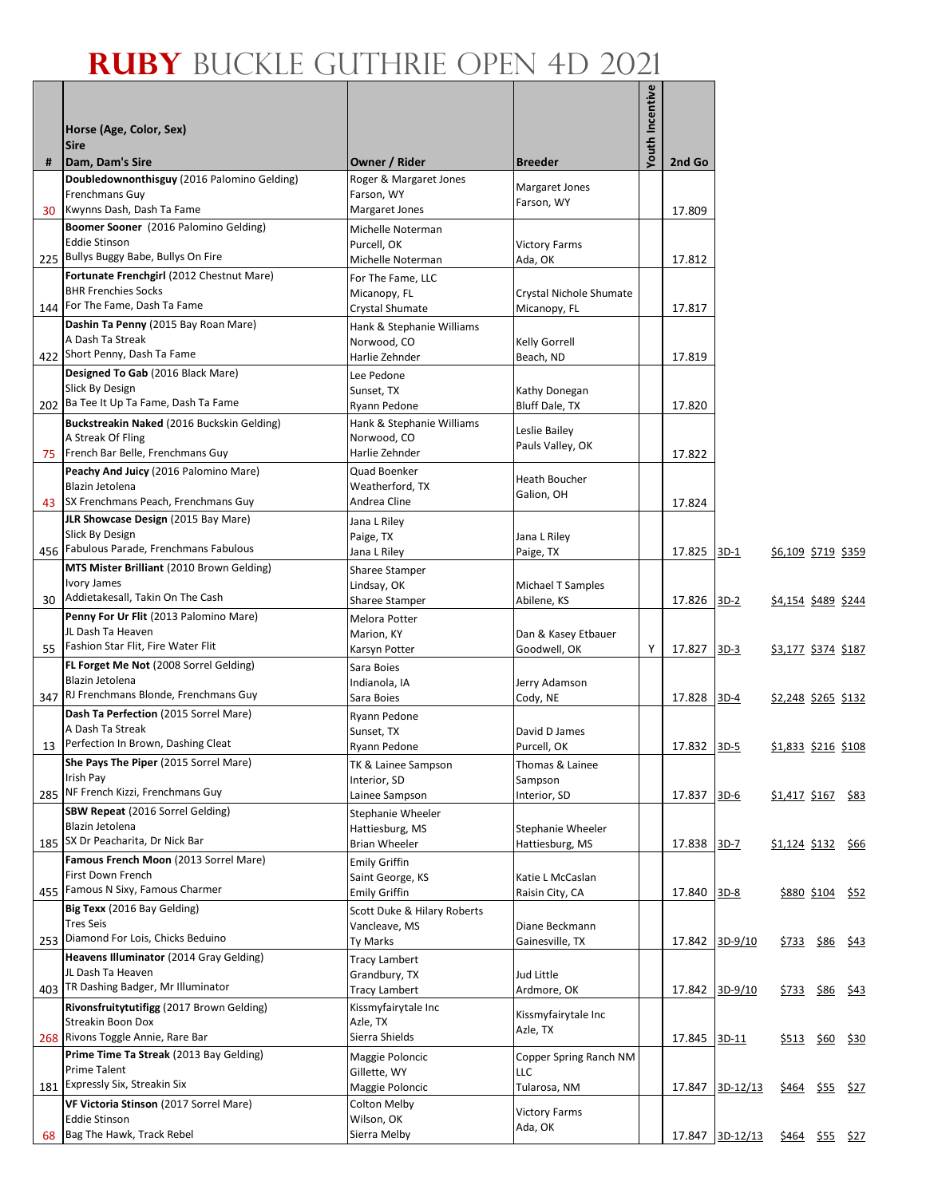| #  | Horse (Age, Color, Sex)<br><b>Sire</b><br>Dam, Dam's Sire                                                 | Owner / Rider                                                        | <b>Breeder</b>                                   | <b>Youth Incentive</b> | 2nd Go      |                                 |                            |                        |                  |
|----|-----------------------------------------------------------------------------------------------------------|----------------------------------------------------------------------|--------------------------------------------------|------------------------|-------------|---------------------------------|----------------------------|------------------------|------------------|
|    | Doubledownonthisguy (2016 Palomino Gelding)                                                               | Roger & Margaret Jones                                               |                                                  |                        |             |                                 |                            |                        |                  |
|    | Frenchmans Guy<br>30 Kwynns Dash, Dash Ta Fame                                                            | Farson, WY<br>Margaret Jones                                         | Margaret Jones<br>Farson, WY                     |                        | 17.809      |                                 |                            |                        |                  |
|    | Boomer Sooner (2016 Palomino Gelding)<br><b>Eddie Stinson</b><br>225 Bullys Buggy Babe, Bullys On Fire    | Michelle Noterman<br>Purcell, OK<br>Michelle Noterman                | <b>Victory Farms</b><br>Ada, OK                  |                        | 17.812      |                                 |                            |                        |                  |
|    | Fortunate Frenchgirl (2012 Chestnut Mare)<br><b>BHR Frenchies Socks</b><br>144 For The Fame, Dash Ta Fame | For The Fame, LLC<br>Micanopy, FL<br>Crystal Shumate                 | Crystal Nichole Shumate<br>Micanopy, FL          |                        | 17.817      |                                 |                            |                        |                  |
|    | Dashin Ta Penny (2015 Bay Roan Mare)<br>A Dash Ta Streak<br>422 Short Penny, Dash Ta Fame                 | Hank & Stephanie Williams<br>Norwood, CO<br>Harlie Zehnder           | Kelly Gorrell<br>Beach, ND                       |                        | 17.819      |                                 |                            |                        |                  |
|    | Designed To Gab (2016 Black Mare)<br>Slick By Design<br>202 Ba Tee It Up Ta Fame, Dash Ta Fame            | Lee Pedone<br>Sunset, TX<br>Ryann Pedone                             | Kathy Donegan<br>Bluff Dale, TX                  |                        | 17.820      |                                 |                            |                        |                  |
|    | Buckstreakin Naked (2016 Buckskin Gelding)<br>A Streak Of Fling                                           | Hank & Stephanie Williams<br>Norwood, CO                             | Leslie Bailey<br>Pauls Valley, OK                |                        |             |                                 |                            |                        |                  |
|    | 75 French Bar Belle, Frenchmans Guy<br>Peachy And Juicy (2016 Palomino Mare)<br>Blazin Jetolena           | Harlie Zehnder<br>Quad Boenker<br>Weatherford, TX                    | <b>Heath Boucher</b><br>Galion, OH               |                        | 17.822      |                                 |                            |                        |                  |
|    | 43 SX Frenchmans Peach, Frenchmans Guy<br>JLR Showcase Design (2015 Bay Mare)<br>Slick By Design          | Andrea Cline<br>Jana L Riley<br>Paige, TX                            | Jana L Riley                                     |                        | 17.824      |                                 |                            |                        |                  |
|    | 456 Fabulous Parade, Frenchmans Fabulous<br>MTS Mister Brilliant (2010 Brown Gelding)                     | Jana L Riley<br><b>Sharee Stamper</b>                                | Paige, TX                                        |                        | 17.825 3D-1 |                                 | <u>\$6,109 \$719 \$359</u> |                        |                  |
|    | Ivory James<br>30 Addietakesall, Takin On The Cash<br>Penny For Ur Flit (2013 Palomino Mare)              | Lindsay, OK<br><b>Sharee Stamper</b>                                 | Michael T Samples<br>Abilene, KS                 |                        | 17.826      | $3D-2$                          | <u>\$4,154 \$489 \$244</u> |                        |                  |
| 55 | JL Dash Ta Heaven<br>Fashion Star Flit, Fire Water Flit                                                   | Melora Potter<br>Marion, KY<br>Karsyn Potter                         | Dan & Kasey Etbauer<br>Goodwell, OK              | Y                      | 17.827      | $3D-3$                          | \$3,177 \$374 \$187        |                        |                  |
|    | FL Forget Me Not (2008 Sorrel Gelding)<br>Blazin Jetolena<br>347 RJ Frenchmans Blonde, Frenchmans Guy     | Sara Boies<br>Indianola, IA<br>Sara Boies                            | Jerry Adamson<br>Cody, NE                        |                        | 17.828 3D-4 |                                 | \$2,248 \$265 \$132        |                        |                  |
| 13 | Dash Ta Perfection (2015 Sorrel Mare)<br>A Dash Ta Streak<br>Perfection In Brown, Dashing Cleat           | Ryann Pedone<br>Sunset, TX<br>Ryann Pedone                           | David D James<br>Purcell, OK                     |                        | 17.832 3D-5 |                                 | \$1,833 \$216 \$108        |                        |                  |
|    | She Pays The Piper (2015 Sorrel Mare)<br>Irish Pay<br>285 NF French Kizzi, Frenchmans Guy                 | TK & Lainee Sampson<br>Interior, SD<br>Lainee Sampson                | Thomas & Lainee<br>Sampson<br>Interior, SD       |                        | 17.837      | $3D-6$                          | \$1,417 \$167 \$83         |                        |                  |
|    | <b>SBW Repeat (2016 Sorrel Gelding)</b><br>Blazin Jetolena                                                | Stephanie Wheeler<br>Hattiesburg, MS                                 | Stephanie Wheeler                                |                        |             |                                 |                            |                        |                  |
|    | 185 SX Dr Peacharita, Dr Nick Bar<br>Famous French Moon (2013 Sorrel Mare)<br>First Down French           | <b>Brian Wheeler</b><br><b>Emily Griffin</b><br>Saint George, KS     | Hattiesburg, MS<br>Katie L McCaslan              |                        | 17.838      | $3D-7$                          | \$1,124 \$132 \$66         |                        |                  |
|    | 455 Famous N Sixy, Famous Charmer<br>Big Texx (2016 Bay Gelding)<br>Tres Seis                             | <b>Emily Griffin</b><br>Scott Duke & Hilary Roberts<br>Vancleave, MS | Raisin City, CA<br>Diane Beckmann                |                        | 17.840      | $3D-8$                          |                            | \$880 \$104 \$52       |                  |
|    | 253 Diamond For Lois, Chicks Beduino<br>Heavens Illuminator (2014 Gray Gelding)<br>JL Dash Ta Heaven      | Ty Marks<br><b>Tracy Lambert</b>                                     | Gainesville, TX                                  |                        |             | 17.842 3D-9/10                  | <u>\$733</u>               |                        | <u>\$86</u> \$43 |
|    | 403 TR Dashing Badger, Mr Illuminator<br>Rivonsfruitytutifigg (2017 Brown Gelding)                        | Grandbury, TX<br><b>Tracy Lambert</b><br>Kissmyfairytale Inc         | Jud Little<br>Ardmore, OK<br>Kissmyfairytale Inc |                        | 17.842      | $3D-9/10$                       | \$733                      |                        | <u>\$86</u> \$43 |
|    | Streakin Boon Dox<br>268 Rivons Toggle Annie, Rare Bar<br>Prime Time Ta Streak (2013 Bay Gelding)         | Azle, TX<br>Sierra Shields<br>Maggie Poloncic                        | Azle, TX<br>Copper Spring Ranch NM               |                        | 17.845      | 3D-11                           | <u>\$513</u>               |                        | \$60 \$30        |
|    | Prime Talent<br>181 Expressly Six, Streakin Six                                                           | Gillette, WY<br>Maggie Poloncic                                      | LLC<br>Tularosa, NM                              |                        |             | 17.847 3D-12/13                 |                            | <u>\$464 \$55 \$27</u> |                  |
|    | VF Victoria Stinson (2017 Sorrel Mare)<br><b>Eddie Stinson</b><br>68 Bag The Hawk, Track Rebel            | Colton Melby<br>Wilson, OK<br>Sierra Melby                           | <b>Victory Farms</b><br>Ada, OK                  |                        |             | 17.847 3D-12/13 \$464 \$55 \$27 |                            |                        |                  |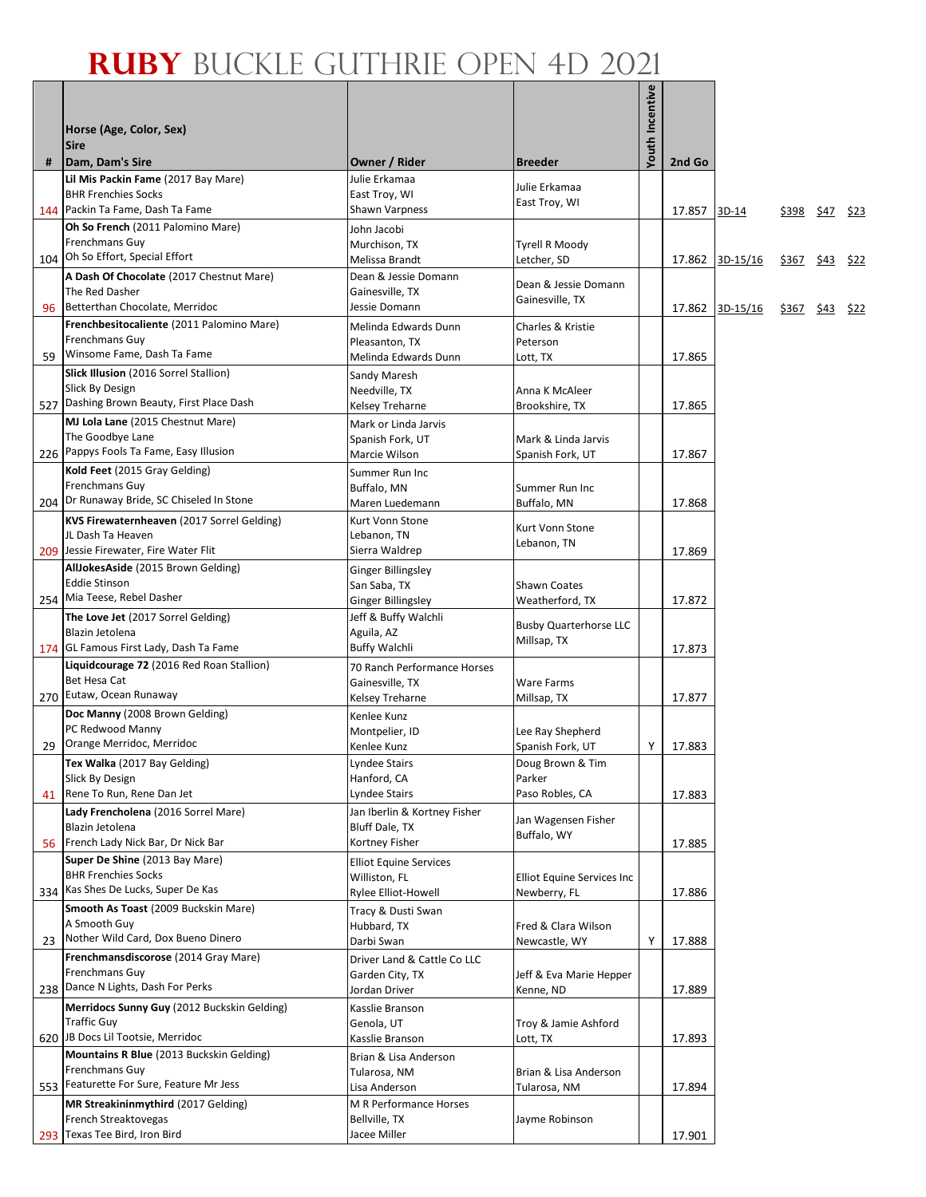|   |                                                                             |                                                |                                              | <b>/outh Incentive</b> |        |                 |                   |           |             |
|---|-----------------------------------------------------------------------------|------------------------------------------------|----------------------------------------------|------------------------|--------|-----------------|-------------------|-----------|-------------|
|   | Horse (Age, Color, Sex)                                                     |                                                |                                              |                        |        |                 |                   |           |             |
|   | <b>Sire</b>                                                                 |                                                |                                              |                        |        |                 |                   |           |             |
| # | Dam, Dam's Sire<br>Lil Mis Packin Fame (2017 Bay Mare)                      | Owner / Rider<br>Julie Erkamaa                 | Breeder                                      |                        | 2nd Go |                 |                   |           |             |
|   | <b>BHR Frenchies Socks</b>                                                  | East Troy, WI                                  | Julie Erkamaa                                |                        |        |                 |                   |           |             |
|   | 144 Packin Ta Fame, Dash Ta Fame                                            | <b>Shawn Varpness</b>                          | East Troy, WI                                |                        | 17.857 | 3D-14           | \$398             | \$47 \$23 |             |
|   | Oh So French (2011 Palomino Mare)                                           | John Jacobi                                    |                                              |                        |        |                 |                   |           |             |
|   | Frenchmans Guy<br>104 Oh So Effort, Special Effort                          | Murchison, TX<br>Melissa Brandt                | <b>Tyrell R Moody</b><br>Letcher, SD         |                        |        | 17.862 3D-15/16 | \$367 \$43 \$22   |           |             |
|   | A Dash Of Chocolate (2017 Chestnut Mare)                                    | Dean & Jessie Domann                           |                                              |                        |        |                 |                   |           |             |
|   | The Red Dasher                                                              | Gainesville, TX                                | Dean & Jessie Domann<br>Gainesville, TX      |                        |        |                 |                   |           |             |
|   | 96 Betterthan Chocolate, Merridoc                                           | Jessie Domann                                  |                                              |                        |        | 17.862 3D-15/16 | <u>\$367</u> \$43 |           | <u>\$22</u> |
|   | Frenchbesitocaliente (2011 Palomino Mare)<br><b>Frenchmans Guy</b>          | Melinda Edwards Dunn<br>Pleasanton, TX         | Charles & Kristie<br>Peterson                |                        |        |                 |                   |           |             |
|   | 59 Winsome Fame, Dash Ta Fame                                               | Melinda Edwards Dunn                           | Lott, TX                                     |                        | 17.865 |                 |                   |           |             |
|   | Slick Illusion (2016 Sorrel Stallion)                                       | Sandy Maresh                                   |                                              |                        |        |                 |                   |           |             |
|   | Slick By Design<br>527 Dashing Brown Beauty, First Place Dash               | Needville, TX                                  | Anna K McAleer                               |                        |        |                 |                   |           |             |
|   | MJ Lola Lane (2015 Chestnut Mare)                                           | Kelsey Treharne<br>Mark or Linda Jarvis        | Brookshire, TX                               |                        | 17.865 |                 |                   |           |             |
|   | The Goodbye Lane                                                            | Spanish Fork, UT                               | Mark & Linda Jarvis                          |                        |        |                 |                   |           |             |
|   | 226 Pappys Fools Ta Fame, Easy Illusion                                     | Marcie Wilson                                  | Spanish Fork, UT                             |                        | 17.867 |                 |                   |           |             |
|   | Kold Feet (2015 Gray Gelding)                                               | Summer Run Inc                                 |                                              |                        |        |                 |                   |           |             |
|   | Frenchmans Guy<br>204 Dr Runaway Bride, SC Chiseled In Stone                | Buffalo, MN<br>Maren Luedemann                 | Summer Run Inc<br>Buffalo, MN                |                        | 17.868 |                 |                   |           |             |
|   | KVS Firewaternheaven (2017 Sorrel Gelding)                                  | Kurt Vonn Stone                                |                                              |                        |        |                 |                   |           |             |
|   | JL Dash Ta Heaven                                                           | Lebanon, TN                                    | Kurt Vonn Stone<br>Lebanon, TN               |                        |        |                 |                   |           |             |
|   | 209 Jessie Firewater, Fire Water Flit                                       | Sierra Waldrep                                 |                                              |                        | 17.869 |                 |                   |           |             |
|   | AllJokesAside (2015 Brown Gelding)<br><b>Eddie Stinson</b>                  | Ginger Billingsley                             |                                              |                        |        |                 |                   |           |             |
|   | 254 Mia Teese, Rebel Dasher                                                 | San Saba, TX<br>Ginger Billingsley             | <b>Shawn Coates</b><br>Weatherford, TX       |                        | 17.872 |                 |                   |           |             |
|   | The Love Jet (2017 Sorrel Gelding)                                          | Jeff & Buffy Walchli                           |                                              |                        |        |                 |                   |           |             |
|   | Blazin Jetolena                                                             | Aguila, AZ                                     | <b>Busby Quarterhorse LLC</b><br>Millsap, TX |                        |        |                 |                   |           |             |
|   | 174 GL Famous First Lady, Dash Ta Fame                                      | <b>Buffy Walchli</b>                           |                                              |                        | 17.873 |                 |                   |           |             |
|   | Liquidcourage 72 (2016 Red Roan Stallion)<br>Bet Hesa Cat                   | 70 Ranch Performance Horses<br>Gainesville, TX | Ware Farms                                   |                        |        |                 |                   |           |             |
|   | 270 Eutaw, Ocean Runaway                                                    | Kelsey Treharne                                | Millsap, TX                                  |                        | 17.877 |                 |                   |           |             |
|   | Doc Manny (2008 Brown Gelding)                                              | Kenlee Kunz                                    |                                              |                        |        |                 |                   |           |             |
|   | PC Redwood Manny<br>29 Orange Merridoc, Merridoc                            | Montpelier, ID                                 | Lee Ray Shepherd                             | Y                      | 17.883 |                 |                   |           |             |
|   | Tex Walka (2017 Bay Gelding)                                                | Kenlee Kunz<br>Lyndee Stairs                   | Spanish Fork, UT<br>Doug Brown & Tim         |                        |        |                 |                   |           |             |
|   | Slick By Design                                                             | Hanford, CA                                    | Parker                                       |                        |        |                 |                   |           |             |
|   | 41 Rene To Run, Rene Dan Jet                                                | Lyndee Stairs                                  | Paso Robles, CA                              |                        | 17.883 |                 |                   |           |             |
|   | Lady Frencholena (2016 Sorrel Mare)<br>Blazin Jetolena                      | Jan Iberlin & Kortney Fisher<br>Bluff Dale, TX | Jan Wagensen Fisher                          |                        |        |                 |                   |           |             |
|   | 56 French Lady Nick Bar, Dr Nick Bar                                        | Kortney Fisher                                 | Buffalo, WY                                  |                        | 17.885 |                 |                   |           |             |
|   | Super De Shine (2013 Bay Mare)                                              | <b>Elliot Equine Services</b>                  |                                              |                        |        |                 |                   |           |             |
|   | <b>BHR Frenchies Socks</b>                                                  | Williston, FL                                  | Elliot Equine Services Inc                   |                        |        |                 |                   |           |             |
|   | 334 Kas Shes De Lucks, Super De Kas<br>Smooth As Toast (2009 Buckskin Mare) | Rylee Elliot-Howell                            | Newberry, FL                                 |                        | 17.886 |                 |                   |           |             |
|   | A Smooth Guy                                                                | Tracy & Dusti Swan<br>Hubbard, TX              | Fred & Clara Wilson                          |                        |        |                 |                   |           |             |
|   | 23 Nother Wild Card, Dox Bueno Dinero                                       | Darbi Swan                                     | Newcastle, WY                                | Υ                      | 17.888 |                 |                   |           |             |
|   | Frenchmansdiscorose (2014 Gray Mare)                                        | Driver Land & Cattle Co LLC                    |                                              |                        |        |                 |                   |           |             |
|   | Frenchmans Guy<br>238 Dance N Lights, Dash For Perks                        | Garden City, TX                                | Jeff & Eva Marie Hepper                      |                        |        |                 |                   |           |             |
|   | Merridocs Sunny Guy (2012 Buckskin Gelding)                                 | Jordan Driver<br>Kasslie Branson               | Kenne, ND                                    |                        | 17.889 |                 |                   |           |             |
|   | <b>Traffic Guy</b>                                                          | Genola, UT                                     | Troy & Jamie Ashford                         |                        |        |                 |                   |           |             |
|   | 620 JB Docs Lil Tootsie, Merridoc                                           | Kasslie Branson                                | Lott, TX                                     |                        | 17.893 |                 |                   |           |             |
|   | Mountains R Blue (2013 Buckskin Gelding)<br>Frenchmans Guy                  | Brian & Lisa Anderson                          |                                              |                        |        |                 |                   |           |             |
|   | 553 Featurette For Sure, Feature Mr Jess                                    | Tularosa, NM<br>Lisa Anderson                  | Brian & Lisa Anderson<br>Tularosa, NM        |                        | 17.894 |                 |                   |           |             |
|   | MR Streakininmythird (2017 Gelding)                                         | M R Performance Horses                         |                                              |                        |        |                 |                   |           |             |
|   | French Streaktovegas                                                        | Bellville, TX                                  | Jayme Robinson                               |                        |        |                 |                   |           |             |
|   | 293 Texas Tee Bird, Iron Bird                                               | Jacee Miller                                   |                                              |                        | 17.901 |                 |                   |           |             |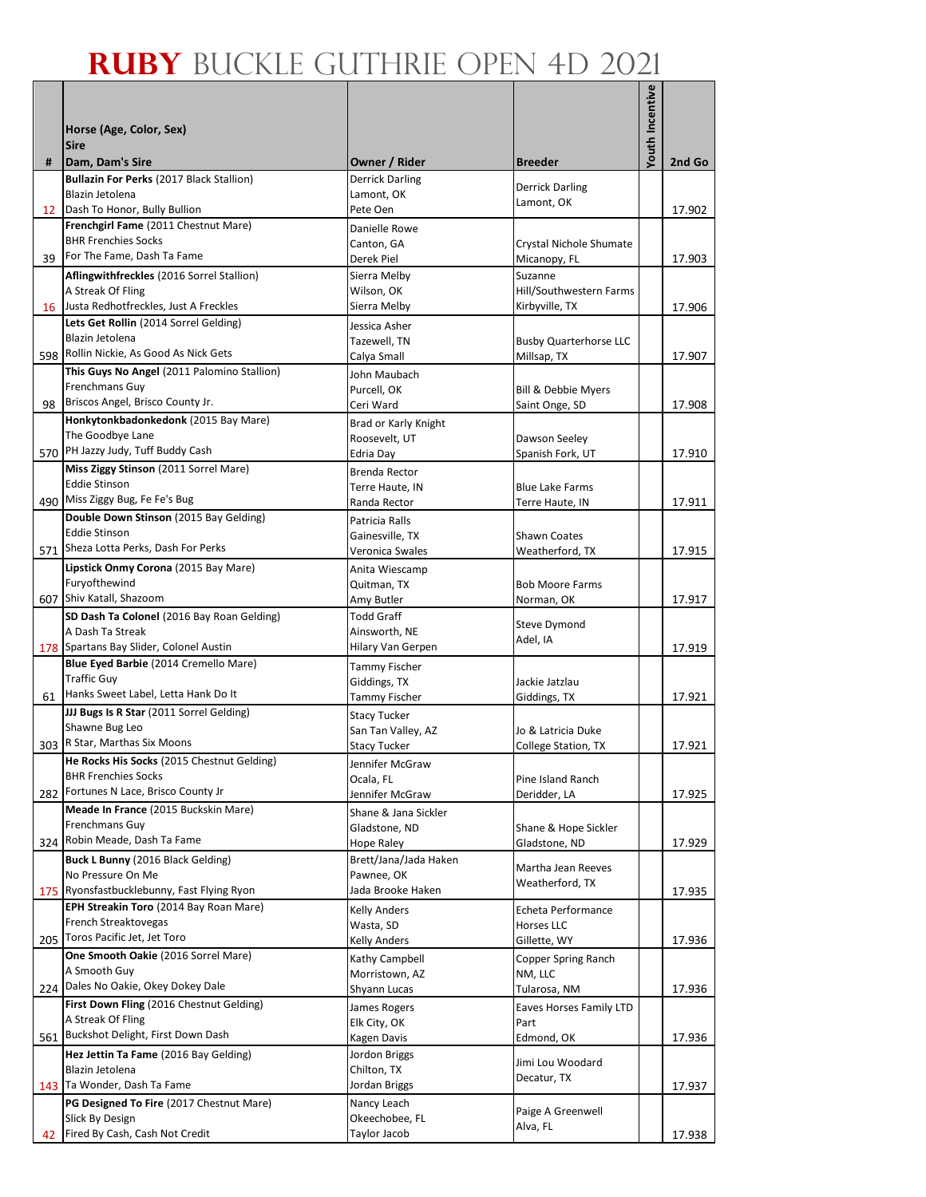|    |                                                                                   |                                       |                                           | Youth Incentive |        |
|----|-----------------------------------------------------------------------------------|---------------------------------------|-------------------------------------------|-----------------|--------|
|    |                                                                                   |                                       |                                           |                 |        |
|    | Horse (Age, Color, Sex)<br><b>Sire</b>                                            |                                       |                                           |                 |        |
| #  | Dam, Dam's Sire                                                                   | Owner / Rider                         | <b>Breeder</b>                            |                 | 2nd Go |
|    | Bullazin For Perks (2017 Black Stallion)                                          | <b>Derrick Darling</b>                | <b>Derrick Darling</b>                    |                 |        |
|    | Blazin Jetolena                                                                   | Lamont, OK                            | Lamont, OK                                |                 |        |
|    | 12 Dash To Honor, Bully Bullion<br>Frenchgirl Fame (2011 Chestnut Mare)           | Pete Oen                              |                                           |                 | 17.902 |
|    | <b>BHR Frenchies Socks</b>                                                        | Danielle Rowe<br>Canton, GA           | Crystal Nichole Shumate                   |                 |        |
| 39 | For The Fame, Dash Ta Fame                                                        | Derek Piel                            | Micanopy, FL                              |                 | 17.903 |
|    | Aflingwithfreckles (2016 Sorrel Stallion)                                         | Sierra Melby                          | Suzanne                                   |                 |        |
|    | A Streak Of Fling                                                                 | Wilson, OK                            | Hill/Southwestern Farms                   |                 |        |
|    | 16 Justa Redhotfreckles, Just A Freckles<br>Lets Get Rollin (2014 Sorrel Gelding) | Sierra Melby                          | Kirbyville, TX                            |                 | 17.906 |
|    | Blazin Jetolena                                                                   | Jessica Asher<br>Tazewell, TN         | <b>Busby Quarterhorse LLC</b>             |                 |        |
|    | 598 Rollin Nickie, As Good As Nick Gets                                           | Calya Small                           | Millsap, TX                               |                 | 17.907 |
|    | This Guys No Angel (2011 Palomino Stallion)                                       | John Maubach                          |                                           |                 |        |
|    | Frenchmans Guy                                                                    | Purcell, OK                           | <b>Bill &amp; Debbie Myers</b>            |                 |        |
| 98 | Briscos Angel, Brisco County Jr.                                                  | Ceri Ward                             | Saint Onge, SD                            |                 | 17.908 |
|    | Honkytonkbadonkedonk (2015 Bay Mare)<br>The Goodbye Lane                          | Brad or Karly Knight<br>Roosevelt, UT | Dawson Seeley                             |                 |        |
|    | 570 PH Jazzy Judy, Tuff Buddy Cash                                                | Edria Day                             | Spanish Fork, UT                          |                 | 17.910 |
|    | Miss Ziggy Stinson (2011 Sorrel Mare)                                             | Brenda Rector                         |                                           |                 |        |
|    | <b>Eddie Stinson</b>                                                              | Terre Haute, IN                       | <b>Blue Lake Farms</b>                    |                 |        |
|    | 490 Miss Ziggy Bug, Fe Fe's Bug                                                   | Randa Rector                          | Terre Haute, IN                           |                 | 17.911 |
|    | Double Down Stinson (2015 Bay Gelding)<br><b>Eddie Stinson</b>                    | Patricia Ralls                        |                                           |                 |        |
|    | 571 Sheza Lotta Perks, Dash For Perks                                             | Gainesville, TX<br>Veronica Swales    | <b>Shawn Coates</b><br>Weatherford, TX    |                 | 17.915 |
|    | Lipstick Onmy Corona (2015 Bay Mare)                                              | Anita Wiescamp                        |                                           |                 |        |
|    | Furyofthewind                                                                     | Quitman, TX                           | <b>Bob Moore Farms</b>                    |                 |        |
|    | 607 Shiv Katall, Shazoom                                                          | Amy Butler                            | Norman, OK                                |                 | 17.917 |
|    | SD Dash Ta Colonel (2016 Bay Roan Gelding)                                        | <b>Todd Graff</b>                     | Steve Dymond                              |                 |        |
|    | A Dash Ta Streak<br>178 Spartans Bay Slider, Colonel Austin                       | Ainsworth, NE<br>Hilary Van Gerpen    | Adel, IA                                  |                 | 17.919 |
|    | Blue Eyed Barbie (2014 Cremello Mare)                                             | Tammy Fischer                         |                                           |                 |        |
|    | <b>Traffic Guy</b>                                                                | Giddings, TX                          | Jackie Jatzlau                            |                 |        |
| 61 | Hanks Sweet Label, Letta Hank Do It                                               | Tammy Fischer                         | Giddings, TX                              |                 | 17.921 |
|    | JJJ Bugs Is R Star (2011 Sorrel Gelding)<br>Shawne Bug Leo                        | <b>Stacy Tucker</b>                   |                                           |                 |        |
|    | 303 R Star, Marthas Six Moons                                                     | San Tan Valley, AZ<br>Stacy Tucker    | Jo & Latricia Duke<br>College Station, TX |                 | 17.921 |
|    | He Rocks His Socks (2015 Chestnut Gelding)                                        | Jennifer McGraw                       |                                           |                 |        |
|    | <b>BHR Frenchies Socks</b>                                                        | Ocala, FL                             | Pine Island Ranch                         |                 |        |
|    | 282 Fortunes N Lace, Brisco County Jr                                             | Jennifer McGraw                       | Deridder, LA                              |                 | 17.925 |
|    | Meade In France (2015 Buckskin Mare)                                              | Shane & Jana Sickler                  |                                           |                 |        |
|    | Frenchmans Guy<br>324 Robin Meade, Dash Ta Fame                                   | Gladstone, ND<br>Hope Raley           | Shane & Hope Sickler<br>Gladstone, ND     |                 | 17.929 |
|    | Buck L Bunny (2016 Black Gelding)                                                 | Brett/Jana/Jada Haken                 |                                           |                 |        |
|    | No Pressure On Me                                                                 | Pawnee, OK                            | Martha Jean Reeves<br>Weatherford, TX     |                 |        |
|    | 175 Ryonsfastbucklebunny, Fast Flying Ryon                                        | Jada Brooke Haken                     |                                           |                 | 17.935 |
|    | EPH Streakin Toro (2014 Bay Roan Mare)                                            | <b>Kelly Anders</b>                   | Echeta Performance                        |                 |        |
|    | French Streaktovegas<br>205 Toros Pacific Jet, Jet Toro                           | Wasta, SD<br>Kelly Anders             | Horses LLC<br>Gillette, WY                |                 | 17.936 |
|    | One Smooth Oakie (2016 Sorrel Mare)                                               | Kathy Campbell                        | Copper Spring Ranch                       |                 |        |
|    | A Smooth Guy                                                                      | Morristown, AZ                        | NM, LLC                                   |                 |        |
|    | 224 Dales No Oakie, Okey Dokey Dale                                               | Shyann Lucas                          | Tularosa, NM                              |                 | 17.936 |
|    | First Down Fling (2016 Chestnut Gelding)                                          | James Rogers                          | Eaves Horses Family LTD                   |                 |        |
|    | A Streak Of Fling<br>561 Buckshot Delight, First Down Dash                        | Elk City, OK                          | Part                                      |                 |        |
|    | Hez Jettin Ta Fame (2016 Bay Gelding)                                             | Kagen Davis<br>Jordon Briggs          | Edmond, OK                                |                 | 17.936 |
|    | Blazin Jetolena                                                                   | Chilton, TX                           | Jimi Lou Woodard                          |                 |        |
|    | 143 Ta Wonder, Dash Ta Fame                                                       | Jordan Briggs                         | Decatur, TX                               |                 | 17.937 |
|    | PG Designed To Fire (2017 Chestnut Mare)                                          | Nancy Leach                           | Paige A Greenwell                         |                 |        |
|    | Slick By Design                                                                   | Okeechobee, FL                        | Alva, FL                                  |                 |        |
| 42 | Fired By Cash, Cash Not Credit                                                    | Taylor Jacob                          |                                           |                 | 17.938 |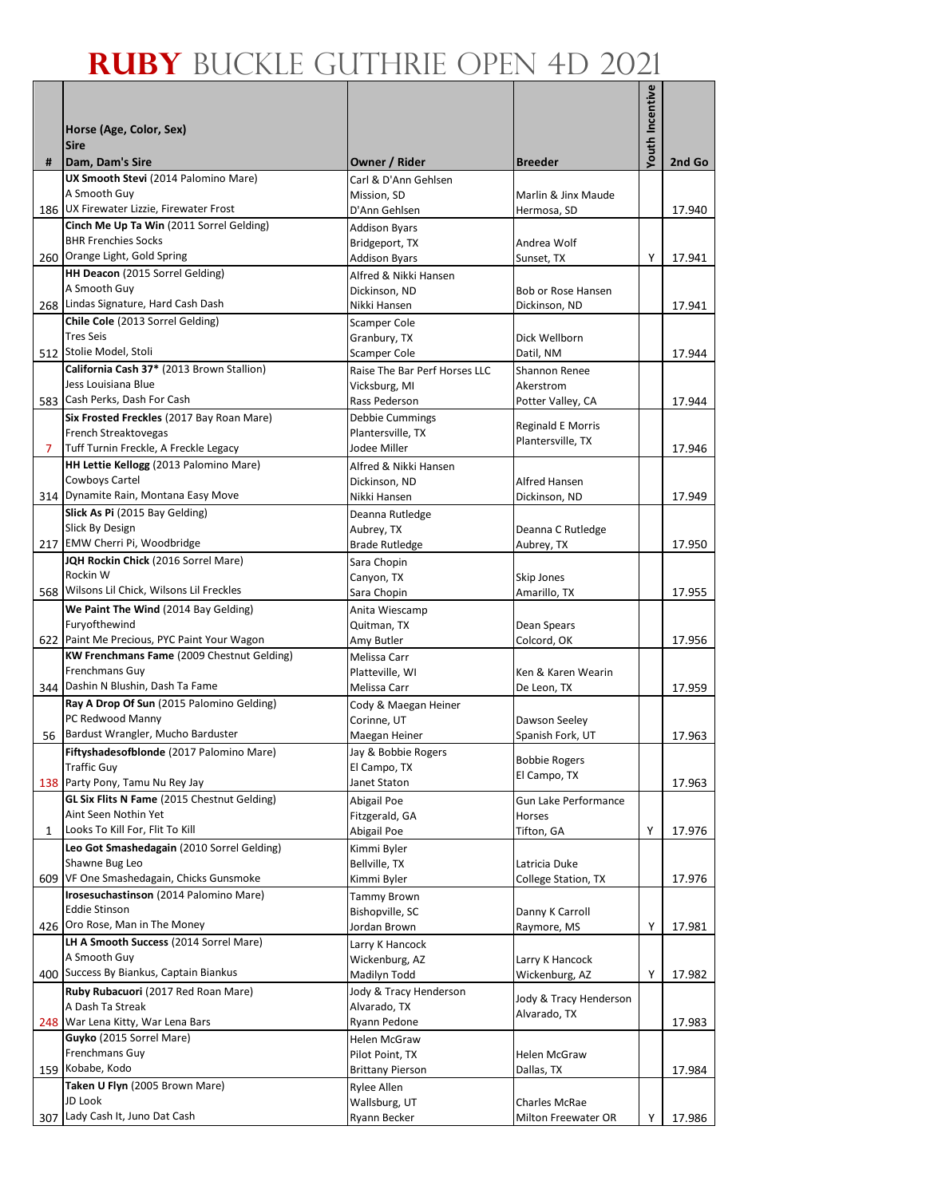|     |                                                                      |                                                |                                               | Youth Incentive |        |
|-----|----------------------------------------------------------------------|------------------------------------------------|-----------------------------------------------|-----------------|--------|
|     | Horse (Age, Color, Sex)                                              |                                                |                                               |                 |        |
|     | <b>Sire</b>                                                          |                                                |                                               |                 |        |
| #   | Dam, Dam's Sire<br>UX Smooth Stevi (2014 Palomino Mare)              | Owner / Rider<br>Carl & D'Ann Gehlsen          | <b>Breeder</b>                                |                 | 2nd Go |
|     | A Smooth Guy                                                         | Mission, SD                                    | Marlin & Jinx Maude                           |                 |        |
|     | 186 UX Firewater Lizzie, Firewater Frost                             | D'Ann Gehlsen                                  | Hermosa, SD                                   |                 | 17.940 |
|     | Cinch Me Up Ta Win (2011 Sorrel Gelding)                             | <b>Addison Byars</b>                           |                                               |                 |        |
|     | <b>BHR Frenchies Socks</b><br>260 Orange Light, Gold Spring          | Bridgeport, TX                                 | Andrea Wolf                                   |                 |        |
|     | HH Deacon (2015 Sorrel Gelding)                                      | <b>Addison Byars</b><br>Alfred & Nikki Hansen  | Sunset, TX                                    | Υ               | 17.941 |
|     | A Smooth Guy                                                         | Dickinson, ND                                  | Bob or Rose Hansen                            |                 |        |
|     | 268 Lindas Signature, Hard Cash Dash                                 | Nikki Hansen                                   | Dickinson, ND                                 |                 | 17.941 |
|     | Chile Cole (2013 Sorrel Gelding)                                     | Scamper Cole                                   |                                               |                 |        |
|     | <b>Tres Seis</b>                                                     | Granbury, TX                                   | Dick Wellborn                                 |                 |        |
|     | 512 Stolie Model, Stoli<br>California Cash 37* (2013 Brown Stallion) | Scamper Cole                                   | Datil, NM                                     |                 | 17.944 |
|     | Jess Louisiana Blue                                                  | Raise The Bar Perf Horses LLC<br>Vicksburg, MI | Shannon Renee<br>Akerstrom                    |                 |        |
| 583 | Cash Perks, Dash For Cash                                            | Rass Pederson                                  | Potter Valley, CA                             |                 | 17.944 |
|     | Six Frosted Freckles (2017 Bay Roan Mare)                            | <b>Debbie Cummings</b>                         |                                               |                 |        |
|     | French Streaktovegas                                                 | Plantersville, TX                              | <b>Reginald E Morris</b><br>Plantersville, TX |                 |        |
| 7   | Tuff Turnin Freckle, A Freckle Legacy                                | Jodee Miller                                   |                                               |                 | 17.946 |
|     | HH Lettie Kellogg (2013 Palomino Mare)                               | Alfred & Nikki Hansen                          |                                               |                 |        |
|     | Cowboys Cartel<br>314 Dynamite Rain, Montana Easy Move               | Dickinson, ND<br>Nikki Hansen                  | Alfred Hansen<br>Dickinson, ND                |                 | 17.949 |
|     | Slick As Pi (2015 Bay Gelding)                                       | Deanna Rutledge                                |                                               |                 |        |
|     | Slick By Design                                                      | Aubrey, TX                                     | Deanna C Rutledge                             |                 |        |
|     | 217 EMW Cherri Pi, Woodbridge                                        | <b>Brade Rutledge</b>                          | Aubrey, TX                                    |                 | 17.950 |
|     | JQH Rockin Chick (2016 Sorrel Mare)                                  | Sara Chopin                                    |                                               |                 |        |
|     | Rockin W                                                             | Canyon, TX                                     | Skip Jones                                    |                 |        |
|     | 568 Wilsons Lil Chick, Wilsons Lil Freckles                          | Sara Chopin                                    | Amarillo, TX                                  |                 | 17.955 |
|     | We Paint The Wind (2014 Bay Gelding)<br>Furyofthewind                | Anita Wiescamp<br>Quitman, TX                  | Dean Spears                                   |                 |        |
|     | 622 Paint Me Precious, PYC Paint Your Wagon                          | Amy Butler                                     | Colcord, OK                                   |                 | 17.956 |
|     | KW Frenchmans Fame (2009 Chestnut Gelding)                           | Melissa Carr                                   |                                               |                 |        |
|     | Frenchmans Guy                                                       | Platteville. WI                                | Ken & Karen Wearin                            |                 |        |
|     | 344 Dashin N Blushin, Dash Ta Fame                                   | Melissa Carr                                   | De Leon, TX                                   |                 | 17.959 |
|     | Ray A Drop Of Sun (2015 Palomino Gelding)<br>PC Redwood Manny        | Cody & Maegan Heiner                           | Dawson Seeley                                 |                 |        |
|     | 56 Bardust Wrangler, Mucho Barduster                                 | Corinne, UT<br>Maegan Heiner                   | Spanish Fork, UT                              |                 | 17.963 |
|     | Fiftyshadesofblonde (2017 Palomino Mare)                             | Jay & Bobbie Rogers                            |                                               |                 |        |
|     | <b>Traffic Guy</b>                                                   | El Campo, TX                                   | <b>Bobbie Rogers</b>                          |                 |        |
|     | 138 Party Pony, Tamu Nu Rey Jay                                      | Janet Staton                                   | El Campo, TX                                  |                 | 17.963 |
|     | <b>GL Six Flits N Fame</b> (2015 Chestnut Gelding)                   | Abigail Poe                                    | Gun Lake Performance                          |                 |        |
|     | Aint Seen Nothin Yet<br>Looks To Kill For, Flit To Kill              | Fitzgerald, GA                                 | Horses                                        |                 |        |
| 1   | Leo Got Smashedagain (2010 Sorrel Gelding)                           | Abigail Poe<br>Kimmi Byler                     | Tifton, GA                                    | Υ               | 17.976 |
|     | Shawne Bug Leo                                                       | Bellville, TX                                  | Latricia Duke                                 |                 |        |
| 609 | VF One Smashedagain, Chicks Gunsmoke                                 | Kimmi Byler                                    | College Station, TX                           |                 | 17.976 |
|     | Irosesuchastinson (2014 Palomino Mare)                               | <b>Tammy Brown</b>                             |                                               |                 |        |
|     | <b>Eddie Stinson</b>                                                 | Bishopville, SC                                | Danny K Carroll                               |                 |        |
| 426 | Oro Rose, Man in The Money<br>LH A Smooth Success (2014 Sorrel Mare) | Jordan Brown                                   | Raymore, MS                                   | Υ               | 17.981 |
|     | A Smooth Guy                                                         | Larry K Hancock<br>Wickenburg, AZ              | Larry K Hancock                               |                 |        |
|     | 400 Success By Biankus, Captain Biankus                              | Madilyn Todd                                   | Wickenburg, AZ                                | Υ               | 17.982 |
|     | Ruby Rubacuori (2017 Red Roan Mare)                                  | Jody & Tracy Henderson                         |                                               |                 |        |
|     | A Dash Ta Streak                                                     | Alvarado, TX                                   | Jody & Tracy Henderson<br>Alvarado, TX        |                 |        |
|     | 248 War Lena Kitty, War Lena Bars                                    | Ryann Pedone                                   |                                               |                 | 17.983 |
|     | Guyko (2015 Sorrel Mare)<br>Frenchmans Guy                           | Helen McGraw                                   |                                               |                 |        |
|     | 159 Kobabe, Kodo                                                     | Pilot Point, TX<br><b>Brittany Pierson</b>     | Helen McGraw<br>Dallas, TX                    |                 | 17.984 |
|     | Taken U Flyn (2005 Brown Mare)                                       | Rylee Allen                                    |                                               |                 |        |
|     | JD Look                                                              | Wallsburg, UT                                  | Charles McRae                                 |                 |        |
| 307 | Lady Cash It, Juno Dat Cash                                          | Ryann Becker                                   | Milton Freewater OR                           | Υ               | 17.986 |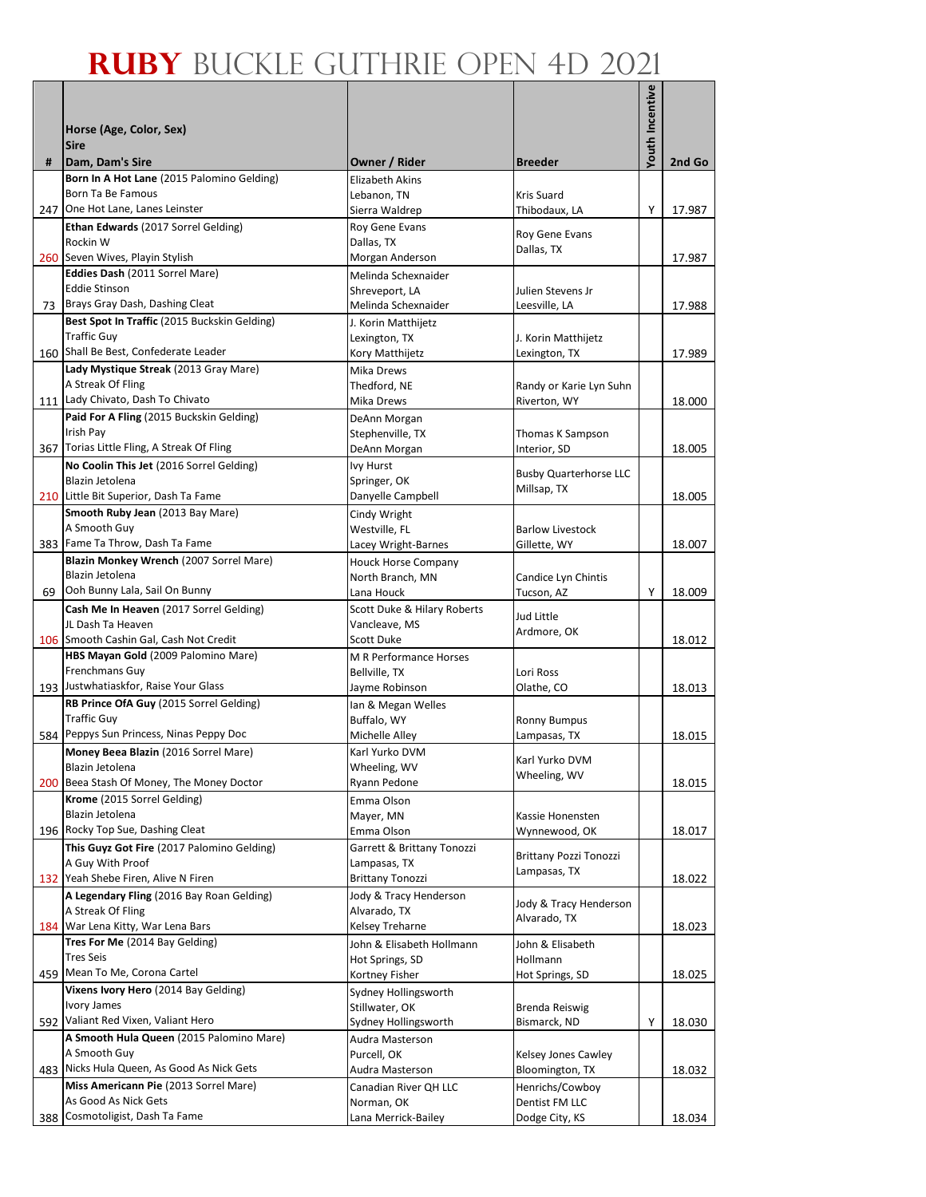|     |                                                                |                                              |                                         | <b>Youth Incentive</b> |        |
|-----|----------------------------------------------------------------|----------------------------------------------|-----------------------------------------|------------------------|--------|
|     | Horse (Age, Color, Sex)                                        |                                              |                                         |                        |        |
| #   | <b>Sire</b><br>Dam, Dam's Sire                                 | Owner / Rider                                | <b>Breeder</b>                          |                        | 2nd Go |
|     | Born In A Hot Lane (2015 Palomino Gelding)                     | <b>Elizabeth Akins</b>                       |                                         |                        |        |
|     | Born Ta Be Famous                                              | Lebanon, TN                                  | Kris Suard                              |                        |        |
|     | 247 One Hot Lane, Lanes Leinster                               | Sierra Waldrep                               | Thibodaux, LA                           | Υ                      | 17.987 |
|     | Ethan Edwards (2017 Sorrel Gelding)<br>Rockin W                | Roy Gene Evans<br>Dallas, TX                 | Roy Gene Evans                          |                        |        |
|     | 260 Seven Wives, Playin Stylish                                | Morgan Anderson                              | Dallas, TX                              |                        | 17.987 |
|     | Eddies Dash (2011 Sorrel Mare)                                 | Melinda Schexnaider                          |                                         |                        |        |
|     | <b>Eddie Stinson</b><br>Brays Gray Dash, Dashing Cleat         | Shreveport, LA<br>Melinda Schexnaider        | Julien Stevens Jr                       |                        |        |
| 73  | Best Spot In Traffic (2015 Buckskin Gelding)                   | J. Korin Matthijetz                          | Leesville, LA                           |                        | 17.988 |
|     | <b>Traffic Guy</b>                                             | Lexington, TX                                | J. Korin Matthijetz                     |                        |        |
|     | 160 Shall Be Best, Confederate Leader                          | Kory Matthijetz                              | Lexington, TX                           |                        | 17.989 |
|     | Lady Mystique Streak (2013 Gray Mare)                          | Mika Drews                                   |                                         |                        |        |
|     | A Streak Of Fling<br>111 Lady Chivato, Dash To Chivato         | Thedford, NE<br>Mika Drews                   | Randy or Karie Lyn Suhn<br>Riverton, WY |                        | 18.000 |
|     | Paid For A Fling (2015 Buckskin Gelding)                       | DeAnn Morgan                                 |                                         |                        |        |
|     | Irish Pay                                                      | Stephenville, TX                             | Thomas K Sampson                        |                        |        |
|     | 367 Torias Little Fling, A Streak Of Fling                     | DeAnn Morgan                                 | Interior, SD                            |                        | 18.005 |
|     | No Coolin This Jet (2016 Sorrel Gelding)                       | <b>Ivy Hurst</b>                             | <b>Busby Quarterhorse LLC</b>           |                        |        |
|     | Blazin Jetolena<br>210 Little Bit Superior, Dash Ta Fame       | Springer, OK<br>Danyelle Campbell            | Millsap, TX                             |                        | 18.005 |
|     | Smooth Ruby Jean (2013 Bay Mare)                               | Cindy Wright                                 |                                         |                        |        |
|     | A Smooth Guy                                                   | Westville, FL                                | <b>Barlow Livestock</b>                 |                        |        |
|     | 383 Fame Ta Throw, Dash Ta Fame                                | Lacey Wright-Barnes                          | Gillette, WY                            |                        | 18.007 |
|     | Blazin Monkey Wrench (2007 Sorrel Mare)                        | <b>Houck Horse Company</b>                   |                                         |                        |        |
| 69  | Blazin Jetolena<br>Ooh Bunny Lala, Sail On Bunny               | North Branch, MN<br>Lana Houck               | Candice Lyn Chintis<br>Tucson, AZ       | Υ                      | 18.009 |
|     | Cash Me In Heaven (2017 Sorrel Gelding)                        | Scott Duke & Hilary Roberts                  |                                         |                        |        |
|     | JL Dash Ta Heaven                                              | Vancleave, MS                                | Jud Little                              |                        |        |
|     | 106 Smooth Cashin Gal, Cash Not Credit                         | <b>Scott Duke</b>                            | Ardmore, OK                             |                        | 18.012 |
|     | HBS Mayan Gold (2009 Palomino Mare)<br>Frenchmans Guy          | M R Performance Horses                       |                                         |                        |        |
|     | 193 Justwhatiaskfor, Raise Your Glass                          | Bellville, TX<br>Jayme Robinson              | Lori Ross<br>Olathe, CO                 |                        | 18.013 |
|     | RB Prince OfA Guy (2015 Sorrel Gelding)                        | Ian & Megan Welles                           |                                         |                        |        |
|     | <b>Traffic Guy</b>                                             | Buffalo, WY                                  | <b>Ronny Bumpus</b>                     |                        |        |
|     | 584 Peppys Sun Princess, Ninas Peppy Doc                       | Michelle Alley                               | Lampasas, TX                            |                        | 18.015 |
|     | Money Beea Blazin (2016 Sorrel Mare)                           | Karl Yurko DVM<br>Wheeling, WV               | Karl Yurko DVM                          |                        |        |
|     | Blazin Jetolena<br>200 Beea Stash Of Money, The Money Doctor   | Ryann Pedone                                 | Wheeling, WV                            |                        | 18.015 |
|     | Krome (2015 Sorrel Gelding)                                    | Emma Olson                                   |                                         |                        |        |
|     | Blazin Jetolena                                                | Mayer, MN                                    | Kassie Honensten                        |                        |        |
|     | 196 Rocky Top Sue, Dashing Cleat                               | Emma Olson                                   | Wynnewood, OK                           |                        | 18.017 |
|     | This Guyz Got Fire (2017 Palomino Gelding)<br>A Guy With Proof | Garrett & Brittany Tonozzi<br>Lampasas, TX   | Brittany Pozzi Tonozzi                  |                        |        |
|     | 132 Yeah Shebe Firen, Alive N Firen                            | <b>Brittany Tonozzi</b>                      | Lampasas, TX                            |                        | 18.022 |
|     | A Legendary Fling (2016 Bay Roan Gelding)                      | Jody & Tracy Henderson                       |                                         |                        |        |
|     | A Streak Of Fling                                              | Alvarado, TX                                 | Jody & Tracy Henderson<br>Alvarado, TX  |                        |        |
| 184 | War Lena Kitty, War Lena Bars                                  | Kelsey Treharne                              |                                         |                        | 18.023 |
|     | Tres For Me (2014 Bay Gelding)<br><b>Tres Seis</b>             | John & Elisabeth Hollmann<br>Hot Springs, SD | John & Elisabeth<br>Hollmann            |                        |        |
|     | 459 Mean To Me, Corona Cartel                                  | Kortney Fisher                               | Hot Springs, SD                         |                        | 18.025 |
|     | Vixens Ivory Hero (2014 Bay Gelding)                           | Sydney Hollingsworth                         |                                         |                        |        |
|     | <b>Ivory James</b>                                             | Stillwater, OK                               | Brenda Reiswig                          |                        |        |
|     | 592 Valiant Red Vixen, Valiant Hero                            | Sydney Hollingsworth                         | Bismarck, ND                            | Υ                      | 18.030 |
|     | A Smooth Hula Queen (2015 Palomino Mare)<br>A Smooth Guy       | Audra Masterson<br>Purcell, OK               | Kelsey Jones Cawley                     |                        |        |
|     | 483 Nicks Hula Queen, As Good As Nick Gets                     | Audra Masterson                              | Bloomington, TX                         |                        | 18.032 |
|     | Miss Americann Pie (2013 Sorrel Mare)                          | Canadian River QH LLC                        | Henrichs/Cowboy                         |                        |        |
|     | As Good As Nick Gets                                           | Norman, OK                                   | Dentist FM LLC                          |                        |        |
| 388 | Cosmotoligist, Dash Ta Fame                                    | Lana Merrick-Bailey                          | Dodge City, KS                          |                        | 18.034 |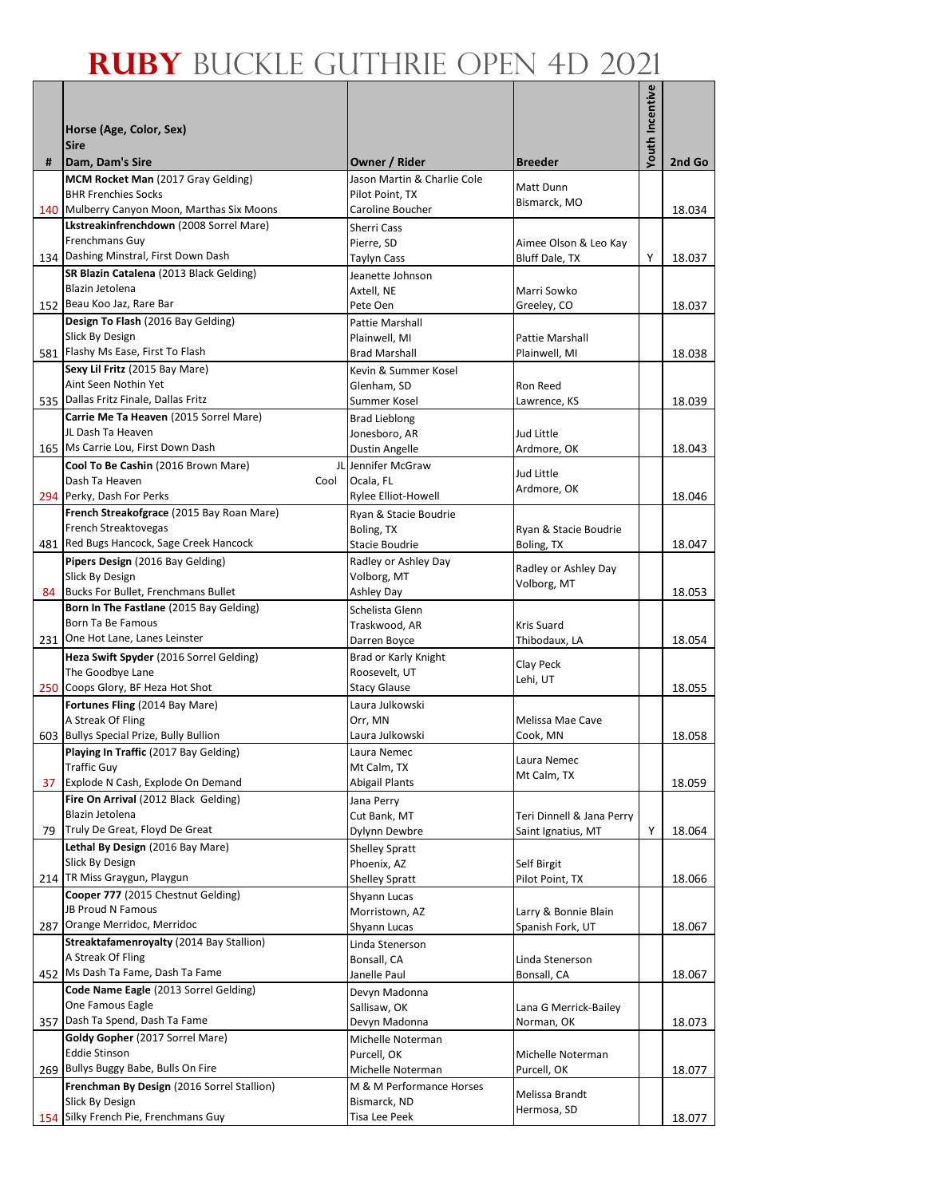|     |                                                                             |                                              |                                  | <b>/outh Incentive</b> |        |
|-----|-----------------------------------------------------------------------------|----------------------------------------------|----------------------------------|------------------------|--------|
|     | Horse (Age, Color, Sex)                                                     |                                              |                                  |                        |        |
|     | <b>Sire</b>                                                                 |                                              | <b>Breeder</b>                   |                        |        |
| #   | Dam, Dam's Sire<br>MCM Rocket Man (2017 Gray Gelding)                       | Owner / Rider<br>Jason Martin & Charlie Cole |                                  |                        | 2nd Go |
|     | <b>BHR Frenchies Socks</b>                                                  | Pilot Point, TX                              | Matt Dunn<br>Bismarck, MO        |                        |        |
|     | 140 Mulberry Canyon Moon, Marthas Six Moons                                 | Caroline Boucher                             |                                  |                        | 18.034 |
|     | Lkstreakinfrenchdown (2008 Sorrel Mare)<br>Frenchmans Guy                   | Sherri Cass<br>Pierre, SD                    | Aimee Olson & Leo Kay            |                        |        |
|     | 134 Dashing Minstral, First Down Dash                                       | <b>Taylyn Cass</b>                           | Bluff Dale, TX                   | Υ                      | 18.037 |
|     | SR Blazin Catalena (2013 Black Gelding)                                     | Jeanette Johnson                             |                                  |                        |        |
|     | Blazin Jetolena                                                             | Axtell, NE                                   | Marri Sowko                      |                        |        |
|     | 152 Beau Koo Jaz, Rare Bar<br>Design To Flash (2016 Bay Gelding)            | Pete Oen<br>Pattie Marshall                  | Greeley, CO                      |                        | 18.037 |
|     | Slick By Design                                                             | Plainwell, MI                                | Pattie Marshall                  |                        |        |
|     | 581 Flashy Ms Ease, First To Flash                                          | <b>Brad Marshall</b>                         | Plainwell, MI                    |                        | 18.038 |
|     | Sexy Lil Fritz (2015 Bay Mare)                                              | Kevin & Summer Kosel                         |                                  |                        |        |
|     | Aint Seen Nothin Yet<br>535 Dallas Fritz Finale, Dallas Fritz               | Glenham, SD<br>Summer Kosel                  | Ron Reed<br>Lawrence, KS         |                        | 18.039 |
|     | Carrie Me Ta Heaven (2015 Sorrel Mare)                                      | <b>Brad Lieblong</b>                         |                                  |                        |        |
|     | JL Dash Ta Heaven                                                           | Jonesboro, AR                                | Jud Little                       |                        |        |
|     | 165 Ms Carrie Lou, First Down Dash                                          | Dustin Angelle                               | Ardmore, OK                      |                        | 18.043 |
|     | Cool To Be Cashin (2016 Brown Mare)                                         | JL Jennifer McGraw                           | Jud Little                       |                        |        |
|     | Dash Ta Heaven<br>Cool<br>294 Perky, Dash For Perks                         | Ocala, FL<br>Rylee Elliot-Howell             | Ardmore, OK                      |                        | 18.046 |
|     | French Streakofgrace (2015 Bay Roan Mare)                                   | Ryan & Stacie Boudrie                        |                                  |                        |        |
|     | French Streaktovegas                                                        | Boling, TX                                   | Ryan & Stacie Boudrie            |                        |        |
|     | 481 Red Bugs Hancock, Sage Creek Hancock                                    | Stacie Boudrie                               | Boling, TX                       |                        | 18.047 |
|     | Pipers Design (2016 Bay Gelding)<br>Slick By Design                         | Radley or Ashley Day<br>Volborg, MT          | Radley or Ashley Day             |                        |        |
|     | 84 Bucks For Bullet, Frenchmans Bullet                                      | Ashley Day                                   | Volborg, MT                      |                        | 18.053 |
|     | Born In The Fastlane (2015 Bay Gelding)                                     | Schelista Glenn                              |                                  |                        |        |
|     | Born Ta Be Famous                                                           | Traskwood, AR                                | Kris Suard                       |                        |        |
|     | 231 One Hot Lane, Lanes Leinster<br>Heza Swift Spyder (2016 Sorrel Gelding) | Darren Boyce<br>Brad or Karly Knight         | Thibodaux, LA                    |                        | 18.054 |
|     | The Goodbye Lane                                                            | Roosevelt, UT                                | Clay Peck                        |                        |        |
|     | 250 Coops Glory, BF Heza Hot Shot                                           | <b>Stacy Glause</b>                          | Lehi, UT                         |                        | 18.055 |
|     | Fortunes Fling (2014 Bay Mare)                                              | Laura Julkowski                              |                                  |                        |        |
|     | A Streak Of Fling<br>603 Bullys Special Prize, Bully Bullion                | Orr, MN<br>Laura Julkowski                   | Melissa Mae Cave<br>Cook, MN     |                        | 18.058 |
|     | Playing In Traffic (2017 Bay Gelding)                                       | Laura Nemec                                  |                                  |                        |        |
|     | <b>Traffic Guy</b>                                                          | Mt Calm, TX                                  | Laura Nemec<br>Mt Calm, TX       |                        |        |
|     | 37 Explode N Cash, Explode On Demand                                        | <b>Abigail Plants</b>                        |                                  |                        | 18.059 |
|     | Fire On Arrival (2012 Black Gelding)<br>Blazin Jetolena                     | Jana Perry<br>Cut Bank, MT                   | Teri Dinnell & Jana Perry        |                        |        |
| 79  | Truly De Great, Floyd De Great                                              | Dylynn Dewbre                                | Saint Ignatius, MT               | Y                      | 18.064 |
|     | Lethal By Design (2016 Bay Mare)                                            | <b>Shelley Spratt</b>                        |                                  |                        |        |
|     | Slick By Design                                                             | Phoenix, AZ                                  | Self Birgit                      |                        |        |
|     | 214 TR Miss Graygun, Playgun<br>Cooper 777 (2015 Chestnut Gelding)          | <b>Shelley Spratt</b>                        | Pilot Point, TX                  |                        | 18.066 |
|     | JB Proud N Famous                                                           | Shyann Lucas<br>Morristown, AZ               | Larry & Bonnie Blain             |                        |        |
|     | 287 Orange Merridoc, Merridoc                                               | Shyann Lucas                                 | Spanish Fork, UT                 |                        | 18.067 |
|     | Streaktafamenroyalty (2014 Bay Stallion)                                    | Linda Stenerson                              |                                  |                        |        |
|     | A Streak Of Fling<br>452 Ms Dash Ta Fame, Dash Ta Fame                      | Bonsall, CA<br>Janelle Paul                  | Linda Stenerson<br>Bonsall, CA   |                        | 18.067 |
|     | Code Name Eagle (2013 Sorrel Gelding)                                       | Devyn Madonna                                |                                  |                        |        |
|     | One Famous Eagle                                                            | Sallisaw, OK                                 | Lana G Merrick-Bailey            |                        |        |
| 357 | Dash Ta Spend, Dash Ta Fame                                                 | Devyn Madonna                                | Norman, OK                       |                        | 18.073 |
|     | Goldy Gopher (2017 Sorrel Mare)<br><b>Eddie Stinson</b>                     | Michelle Noterman                            |                                  |                        |        |
|     | 269 Bullys Buggy Babe, Bulls On Fire                                        | Purcell, OK<br>Michelle Noterman             | Michelle Noterman<br>Purcell, OK |                        | 18.077 |
|     | Frenchman By Design (2016 Sorrel Stallion)                                  | M & M Performance Horses                     | Melissa Brandt                   |                        |        |
|     | Slick By Design                                                             | Bismarck, ND                                 | Hermosa, SD                      |                        |        |
|     | 154 Silky French Pie, Frenchmans Guy                                        | Tisa Lee Peek                                |                                  |                        | 18.077 |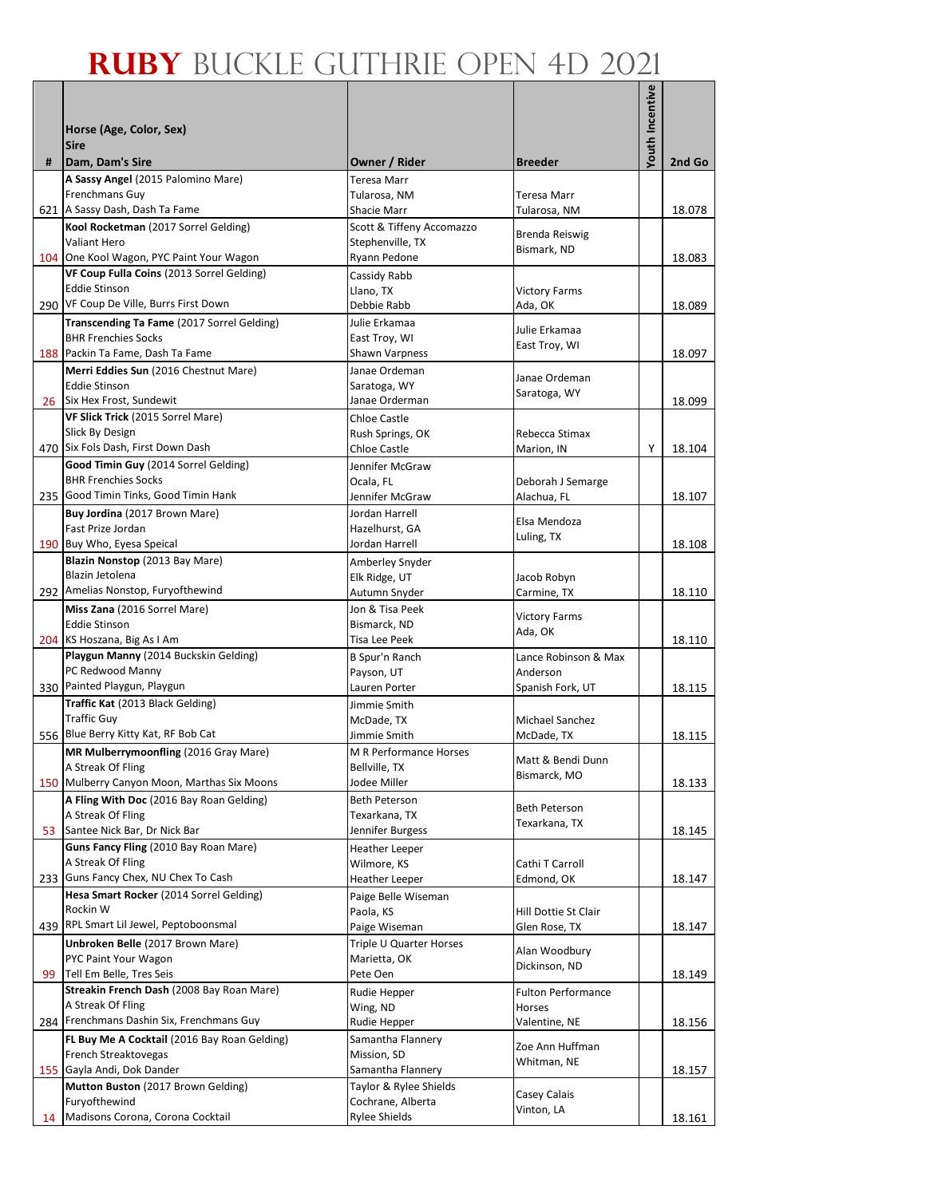|    |                                                                        |                                                 |                           | Youth Incentive |        |
|----|------------------------------------------------------------------------|-------------------------------------------------|---------------------------|-----------------|--------|
|    | Horse (Age, Color, Sex)                                                |                                                 |                           |                 |        |
|    | <b>Sire</b>                                                            |                                                 |                           |                 |        |
| #  | Dam, Dam's Sire                                                        | Owner / Rider                                   | <b>Breeder</b>            |                 | 2nd Go |
|    | A Sassy Angel (2015 Palomino Mare)                                     | Teresa Marr                                     |                           |                 |        |
|    | Frenchmans Guy                                                         | Tularosa, NM                                    | Teresa Marr               |                 | 18.078 |
|    | 621 A Sassy Dash, Dash Ta Fame<br>Kool Rocketman (2017 Sorrel Gelding) | <b>Shacie Marr</b><br>Scott & Tiffeny Accomazzo | Tularosa, NM              |                 |        |
|    | <b>Valiant Hero</b>                                                    | Stephenville, TX                                | Brenda Reiswig            |                 |        |
|    | 104 One Kool Wagon, PYC Paint Your Wagon                               | Ryann Pedone                                    | Bismark, ND               |                 | 18.083 |
|    | VF Coup Fulla Coins (2013 Sorrel Gelding)                              | Cassidy Rabb                                    |                           |                 |        |
|    | <b>Eddie Stinson</b><br>290 VF Coup De Ville, Burrs First Down         | Llano, TX                                       | <b>Victory Farms</b>      |                 |        |
|    | Transcending Ta Fame (2017 Sorrel Gelding)                             | Debbie Rabb<br>Julie Erkamaa                    | Ada, OK                   |                 | 18.089 |
|    | <b>BHR Frenchies Socks</b>                                             | East Troy, WI                                   | Julie Erkamaa             |                 |        |
|    | 188 Packin Ta Fame, Dash Ta Fame                                       | Shawn Varpness                                  | East Troy, WI             |                 | 18.097 |
|    | Merri Eddies Sun (2016 Chestnut Mare)                                  | Janae Ordeman                                   | Janae Ordeman             |                 |        |
|    | <b>Eddie Stinson</b>                                                   | Saratoga, WY                                    | Saratoga, WY              |                 |        |
|    | 26 Six Hex Frost, Sundewit                                             | Janae Orderman                                  |                           |                 | 18.099 |
|    | VF Slick Trick (2015 Sorrel Mare)<br>Slick By Design                   | <b>Chloe Castle</b><br>Rush Springs, OK         | Rebecca Stimax            |                 |        |
|    | 470 Six Fols Dash, First Down Dash                                     | <b>Chloe Castle</b>                             | Marion, IN                | Υ               | 18.104 |
|    | Good Timin Guy (2014 Sorrel Gelding)                                   | Jennifer McGraw                                 |                           |                 |        |
|    | <b>BHR Frenchies Socks</b>                                             | Ocala, FL                                       | Deborah J Semarge         |                 |        |
|    | 235 Good Timin Tinks, Good Timin Hank                                  | Jennifer McGraw                                 | Alachua, FL               |                 | 18.107 |
|    | Buy Jordina (2017 Brown Mare)                                          | Jordan Harrell                                  | Elsa Mendoza              |                 |        |
|    | Fast Prize Jordan<br>190 Buy Who, Eyesa Speical                        | Hazelhurst, GA<br>Jordan Harrell                | Luling, TX                |                 | 18.108 |
|    | Blazin Nonstop (2013 Bay Mare)                                         | Amberley Snyder                                 |                           |                 |        |
|    | Blazin Jetolena                                                        | Elk Ridge, UT                                   | Jacob Robyn               |                 |        |
|    | 292 Amelias Nonstop, Furyofthewind                                     | Autumn Snyder                                   | Carmine, TX               |                 | 18.110 |
|    | Miss Zana (2016 Sorrel Mare)                                           | Jon & Tisa Peek                                 | <b>Victory Farms</b>      |                 |        |
|    | <b>Eddie Stinson</b>                                                   | Bismarck, ND<br>Tisa Lee Peek                   | Ada, OK                   |                 |        |
|    | 204 KS Hoszana, Big As I Am<br>Playgun Manny (2014 Buckskin Gelding)   | B Spur'n Ranch                                  | Lance Robinson & Max      |                 | 18.110 |
|    | PC Redwood Manny                                                       | Payson, UT                                      | Anderson                  |                 |        |
|    | 330 Painted Playgun, Playgun                                           | Lauren Porter                                   | Spanish Fork, UT          |                 | 18.115 |
|    | Traffic Kat (2013 Black Gelding)                                       | Jimmie Smith                                    |                           |                 |        |
|    | <b>Traffic Guy</b>                                                     | McDade, TX                                      | Michael Sanchez           |                 |        |
|    | 556 Blue Berry Kitty Kat, RF Bob Cat                                   | Jimmie Smith                                    | McDade, TX                |                 | 18.115 |
|    | MR Mulberrymoonfling (2016 Gray Mare)<br>A Streak Of Fling             | M R Performance Horses<br>Bellville, TX         | Matt & Bendi Dunn         |                 |        |
|    | 150 Mulberry Canyon Moon, Marthas Six Moons                            | Jodee Miller                                    | Bismarck, MO              |                 | 18.133 |
|    | A Fling With Doc (2016 Bay Roan Gelding)                               | <b>Beth Peterson</b>                            | <b>Beth Peterson</b>      |                 |        |
|    | A Streak Of Fling                                                      | Texarkana, TX                                   | Texarkana, TX             |                 |        |
| 53 | Santee Nick Bar, Dr Nick Bar                                           | Jennifer Burgess                                |                           |                 | 18.145 |
|    | Guns Fancy Fling (2010 Bay Roan Mare)<br>A Streak Of Fling             | <b>Heather Leeper</b><br>Wilmore, KS            | Cathi T Carroll           |                 |        |
|    | 233 Guns Fancy Chex, NU Chex To Cash                                   | Heather Leeper                                  | Edmond, OK                |                 | 18.147 |
|    | Hesa Smart Rocker (2014 Sorrel Gelding)                                | Paige Belle Wiseman                             |                           |                 |        |
|    | Rockin W                                                               | Paola, KS                                       | Hill Dottie St Clair      |                 |        |
|    | 439 RPL Smart Lil Jewel, Peptoboonsmal                                 | Paige Wiseman                                   | Glen Rose, TX             |                 | 18.147 |
|    | Unbroken Belle (2017 Brown Mare)<br>PYC Paint Your Wagon               | Triple U Quarter Horses<br>Marietta, OK         | Alan Woodbury             |                 |        |
| 99 | Tell Em Belle, Tres Seis                                               | Pete Oen                                        | Dickinson, ND             |                 | 18.149 |
|    | Streakin French Dash (2008 Bay Roan Mare)                              | Rudie Hepper                                    | <b>Fulton Performance</b> |                 |        |
|    | A Streak Of Fling                                                      | Wing, ND                                        | Horses                    |                 |        |
|    | 284 Frenchmans Dashin Six, Frenchmans Guy                              | Rudie Hepper                                    | Valentine, NE             |                 | 18.156 |
|    | FL Buy Me A Cocktail (2016 Bay Roan Gelding)                           | Samantha Flannery                               | Zoe Ann Huffman           |                 |        |
|    | French Streaktovegas<br>155 Gayla Andi, Dok Dander                     | Mission, SD<br>Samantha Flannery                | Whitman, NE               |                 | 18.157 |
|    | Mutton Buston (2017 Brown Gelding)                                     | Taylor & Rylee Shields                          |                           |                 |        |
|    | Furyofthewind                                                          | Cochrane, Alberta                               | Casey Calais              |                 |        |
| 14 | Madisons Corona, Corona Cocktail                                       | <b>Rylee Shields</b>                            | Vinton, LA                |                 | 18.161 |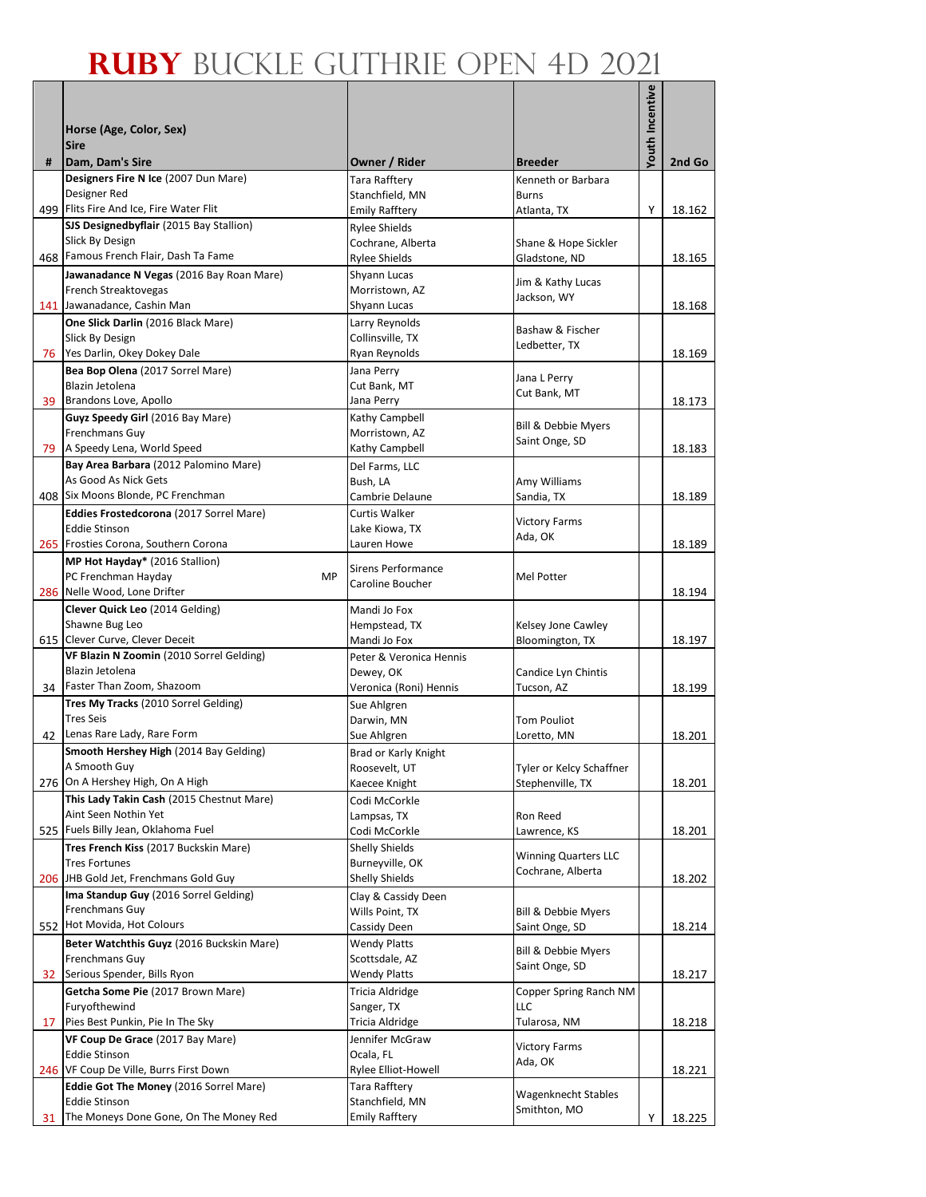|    |                                                                 |                                          |                                            | Youth Incentive |        |
|----|-----------------------------------------------------------------|------------------------------------------|--------------------------------------------|-----------------|--------|
|    | Horse (Age, Color, Sex)                                         |                                          |                                            |                 |        |
|    | <b>Sire</b>                                                     |                                          |                                            |                 |        |
| #  | Dam, Dam's Sire<br>Designers Fire N Ice (2007 Dun Mare)         | Owner / Rider                            | <b>Breeder</b>                             |                 | 2nd Go |
|    | Designer Red                                                    | Tara Rafftery<br>Stanchfield, MN         | Kenneth or Barbara<br><b>Burns</b>         |                 |        |
|    | 499 Flits Fire And Ice, Fire Water Flit                         | <b>Emily Rafftery</b>                    | Atlanta, TX                                | Υ               | 18.162 |
|    | SJS Designedbyflair (2015 Bay Stallion)                         | <b>Rylee Shields</b>                     |                                            |                 |        |
|    | Slick By Design<br>468 Famous French Flair, Dash Ta Fame        | Cochrane, Alberta                        | Shane & Hope Sickler                       |                 |        |
|    | Jawanadance N Vegas (2016 Bay Roan Mare)                        | <b>Rylee Shields</b><br>Shyann Lucas     | Gladstone, ND                              |                 | 18.165 |
|    | French Streaktovegas                                            | Morristown. AZ                           | Jim & Kathy Lucas                          |                 |        |
|    | 141 Jawanadance, Cashin Man                                     | Shyann Lucas                             | Jackson, WY                                |                 | 18.168 |
|    | One Slick Darlin (2016 Black Mare)                              | Larry Reynolds                           | Bashaw & Fischer                           |                 |        |
|    | Slick By Design<br>76 Yes Darlin, Okey Dokey Dale               | Collinsville, TX<br>Ryan Reynolds        | Ledbetter, TX                              |                 | 18.169 |
|    | Bea Bop Olena (2017 Sorrel Mare)                                | Jana Perry                               |                                            |                 |        |
|    | Blazin Jetolena                                                 | Cut Bank, MT                             | Jana L Perry<br>Cut Bank, MT               |                 |        |
| 39 | Brandons Love, Apollo                                           | Jana Perry                               |                                            |                 | 18.173 |
|    | Guyz Speedy Girl (2016 Bay Mare)<br>Frenchmans Guy              | Kathy Campbell<br>Morristown, AZ         | <b>Bill &amp; Debbie Myers</b>             |                 |        |
|    | 79   A Speedy Lena, World Speed                                 | Kathy Campbell                           | Saint Onge, SD                             |                 | 18.183 |
|    | Bay Area Barbara (2012 Palomino Mare)                           | Del Farms, LLC                           |                                            |                 |        |
|    | As Good As Nick Gets                                            | Bush, LA                                 | Amy Williams                               |                 |        |
|    | 408 Six Moons Blonde, PC Frenchman                              | Cambrie Delaune                          | Sandia, TX                                 |                 | 18.189 |
|    | Eddies Frostedcorona (2017 Sorrel Mare)<br><b>Eddie Stinson</b> | <b>Curtis Walker</b><br>Lake Kiowa, TX   | <b>Victory Farms</b>                       |                 |        |
|    | 265 Frosties Corona, Southern Corona                            | Lauren Howe                              | Ada, OK                                    |                 | 18.189 |
|    | MP Hot Hayday* (2016 Stallion)                                  | <b>Sirens Performance</b>                |                                            |                 |        |
|    | PC Frenchman Hayday<br>MP                                       | Caroline Boucher                         | Mel Potter                                 |                 |        |
|    | 286 Nelle Wood, Lone Drifter                                    |                                          |                                            |                 | 18.194 |
|    | Clever Quick Leo (2014 Gelding)<br>Shawne Bug Leo               | Mandi Jo Fox<br>Hempstead, TX            | Kelsey Jone Cawley                         |                 |        |
|    | 615 Clever Curve, Clever Deceit                                 | Mandi Jo Fox                             | Bloomington, TX                            |                 | 18.197 |
|    | VF Blazin N Zoomin (2010 Sorrel Gelding)                        | Peter & Veronica Hennis                  |                                            |                 |        |
|    | Blazin Jetolena<br>34 Faster Than Zoom, Shazoom                 | Dewey, OK                                | Candice Lyn Chintis                        |                 |        |
|    | Tres My Tracks (2010 Sorrel Gelding)                            | Veronica (Roni) Hennis                   | Tucson, AZ                                 |                 | 18.199 |
|    | <b>Tres Seis</b>                                                | Sue Ahlgren<br>Darwin, MN                | <b>Tom Pouliot</b>                         |                 |        |
| 42 | Lenas Rare Lady, Rare Form                                      | Sue Ahlgren                              | Loretto, MN                                |                 | 18.201 |
|    | Smooth Hershey High (2014 Bay Gelding)                          | Brad or Karly Knight                     |                                            |                 |        |
|    | A Smooth Guy<br>276 On A Hershey High, On A High                | Roosevelt, UT                            | Tyler or Kelcy Schaffner                   |                 |        |
|    | This Lady Takin Cash (2015 Chestnut Mare)                       | Kaecee Knight<br>Codi McCorkle           | Stephenville, TX                           |                 | 18.201 |
|    | Aint Seen Nothin Yet                                            | Lampsas, TX                              | Ron Reed                                   |                 |        |
|    | 525 Fuels Billy Jean, Oklahoma Fuel                             | Codi McCorkle                            | Lawrence, KS                               |                 | 18.201 |
|    | Tres French Kiss (2017 Buckskin Mare)                           | <b>Shelly Shields</b>                    | <b>Winning Quarters LLC</b>                |                 |        |
|    | <b>Tres Fortunes</b><br>206 JHB Gold Jet, Frenchmans Gold Guy   | Burneyville, OK<br><b>Shelly Shields</b> | Cochrane, Alberta                          |                 | 18.202 |
|    | Ima Standup Guy (2016 Sorrel Gelding)                           | Clay & Cassidy Deen                      |                                            |                 |        |
|    | Frenchmans Guy                                                  | Wills Point, TX                          | Bill & Debbie Myers                        |                 |        |
|    | 552 Hot Movida, Hot Colours                                     | Cassidy Deen                             | Saint Onge, SD                             |                 | 18.214 |
|    | Beter Watchthis Guyz (2016 Buckskin Mare)                       | <b>Wendy Platts</b>                      | <b>Bill &amp; Debbie Myers</b>             |                 |        |
| 32 | Frenchmans Guy<br>Serious Spender, Bills Ryon                   | Scottsdale, AZ<br><b>Wendy Platts</b>    | Saint Onge, SD                             |                 | 18.217 |
|    | Getcha Some Pie (2017 Brown Mare)                               | Tricia Aldridge                          | Copper Spring Ranch NM                     |                 |        |
|    | Furyofthewind                                                   | Sanger, TX                               | LLC                                        |                 |        |
| 17 | Pies Best Punkin, Pie In The Sky                                | Tricia Aldridge                          | Tularosa, NM                               |                 | 18.218 |
|    | VF Coup De Grace (2017 Bay Mare)<br><b>Eddie Stinson</b>        | Jennifer McGraw<br>Ocala, FL             | <b>Victory Farms</b>                       |                 |        |
|    | 246 VF Coup De Ville, Burrs First Down                          | Rylee Elliot-Howell                      | Ada, OK                                    |                 | 18.221 |
|    | Eddie Got The Money (2016 Sorrel Mare)                          | Tara Rafftery                            |                                            |                 |        |
|    | <b>Eddie Stinson</b>                                            | Stanchfield, MN                          | <b>Wagenknecht Stables</b><br>Smithton, MO |                 |        |
| 31 | The Moneys Done Gone, On The Money Red                          | <b>Emily Rafftery</b>                    |                                            | Υ               | 18.225 |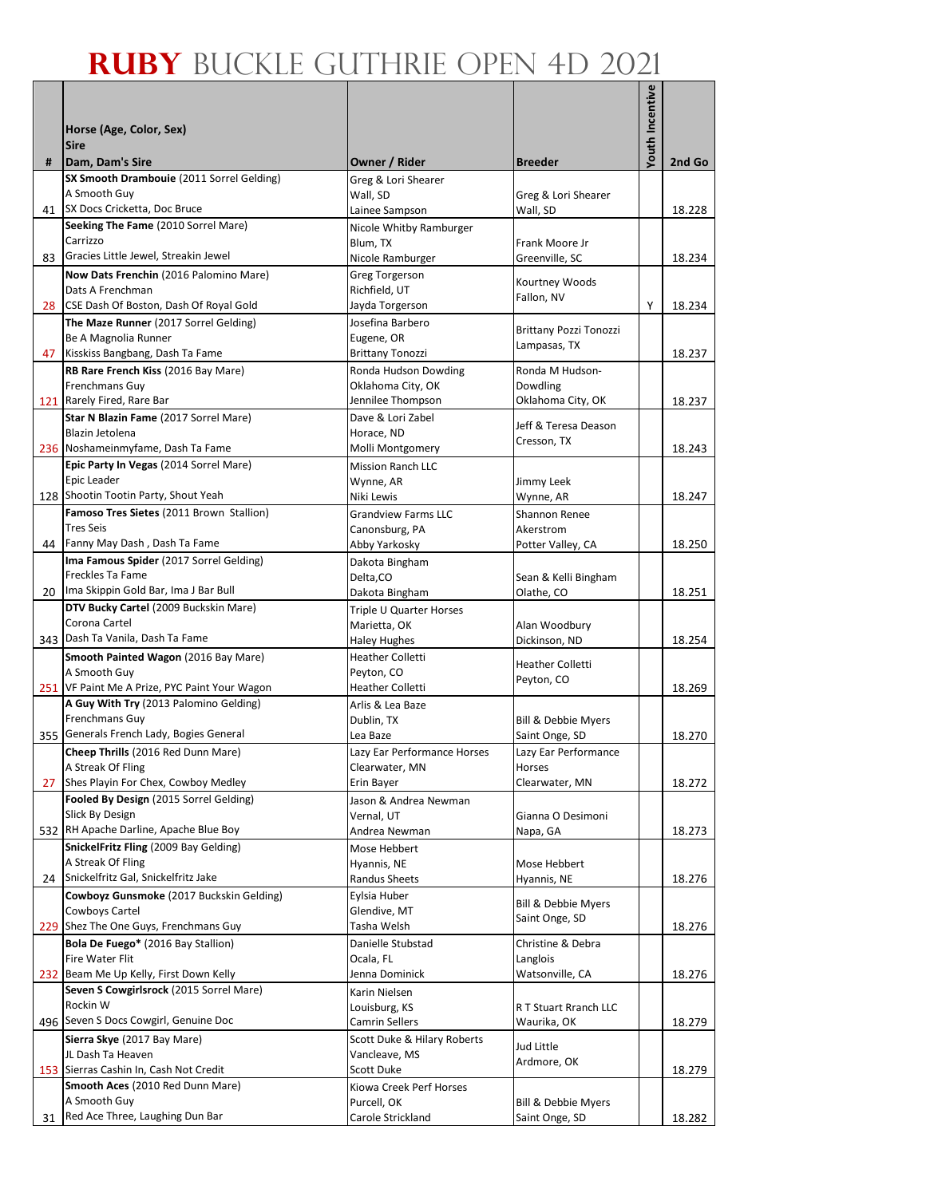|                 | Horse (Age, Color, Sex)                                                           |                                           |                                        | Youth Incentive |        |
|-----------------|-----------------------------------------------------------------------------------|-------------------------------------------|----------------------------------------|-----------------|--------|
|                 | <b>Sire</b>                                                                       |                                           |                                        |                 |        |
| #               | Dam, Dam's Sire                                                                   | Owner / Rider                             | <b>Breeder</b>                         |                 | 2nd Go |
|                 | SX Smooth Drambouie (2011 Sorrel Gelding)<br>A Smooth Guy                         | Greg & Lori Shearer                       |                                        |                 |        |
| 41              | SX Docs Cricketta, Doc Bruce                                                      | Wall, SD<br>Lainee Sampson                | Greg & Lori Shearer<br>Wall, SD        |                 | 18.228 |
|                 | Seeking The Fame (2010 Sorrel Mare)                                               | Nicole Whitby Ramburger                   |                                        |                 |        |
|                 | Carrizzo                                                                          | Blum, TX                                  | Frank Moore Jr                         |                 |        |
| 83              | Gracies Little Jewel, Streakin Jewel                                              | Nicole Ramburger                          | Greenville, SC                         |                 | 18.234 |
|                 | Now Dats Frenchin (2016 Palomino Mare)                                            | Greg Torgerson                            | Kourtney Woods                         |                 |        |
| 28              | Dats A Frenchman<br>CSE Dash Of Boston, Dash Of Royal Gold                        | Richfield, UT<br>Jayda Torgerson          | Fallon, NV                             | Υ               | 18.234 |
|                 | The Maze Runner (2017 Sorrel Gelding)                                             | Josefina Barbero                          |                                        |                 |        |
|                 | Be A Magnolia Runner                                                              | Eugene, OR                                | Brittany Pozzi Tonozzi<br>Lampasas, TX |                 |        |
| 47              | Kisskiss Bangbang, Dash Ta Fame                                                   | <b>Brittany Tonozzi</b>                   |                                        |                 | 18.237 |
|                 | RB Rare French Kiss (2016 Bay Mare)                                               | Ronda Hudson Dowding                      | Ronda M Hudson-                        |                 |        |
|                 | Frenchmans Guy<br>121 Rarely Fired, Rare Bar                                      | Oklahoma City, OK<br>Jennilee Thompson    | Dowdling<br>Oklahoma City, OK          |                 | 18.237 |
|                 | Star N Blazin Fame (2017 Sorrel Mare)                                             | Dave & Lori Zabel                         |                                        |                 |        |
|                 | Blazin Jetolena                                                                   | Horace, ND                                | Jeff & Teresa Deason                   |                 |        |
|                 | 236 Noshameinmyfame, Dash Ta Fame                                                 | Molli Montgomery                          | Cresson, TX                            |                 | 18.243 |
|                 | Epic Party In Vegas (2014 Sorrel Mare)                                            | <b>Mission Ranch LLC</b>                  |                                        |                 |        |
|                 | Epic Leader<br>128 Shootin Tootin Party, Shout Yeah                               | Wynne, AR<br>Niki Lewis                   | Jimmy Leek<br>Wynne, AR                |                 | 18.247 |
|                 | Famoso Tres Sietes (2011 Brown Stallion)                                          | <b>Grandview Farms LLC</b>                | Shannon Renee                          |                 |        |
|                 | <b>Tres Seis</b>                                                                  | Canonsburg, PA                            | Akerstrom                              |                 |        |
|                 | 44 Fanny May Dash, Dash Ta Fame                                                   | Abby Yarkosky                             | Potter Valley, CA                      |                 | 18.250 |
|                 | Ima Famous Spider (2017 Sorrel Gelding)                                           | Dakota Bingham                            |                                        |                 |        |
|                 | Freckles Ta Fame<br>20 Ima Skippin Gold Bar, Ima J Bar Bull                       | Delta, CO                                 | Sean & Kelli Bingham                   |                 |        |
|                 | DTV Bucky Cartel (2009 Buckskin Mare)                                             | Dakota Bingham<br>Triple U Quarter Horses | Olathe, CO                             |                 | 18.251 |
|                 | Corona Cartel                                                                     | Marietta, OK                              | Alan Woodbury                          |                 |        |
|                 | 343 Dash Ta Vanila, Dash Ta Fame                                                  | <b>Haley Hughes</b>                       | Dickinson, ND                          |                 | 18.254 |
|                 | Smooth Painted Wagon (2016 Bay Mare)                                              | <b>Heather Colletti</b>                   | <b>Heather Colletti</b>                |                 |        |
|                 | A Smooth Guy<br>251 VF Paint Me A Prize, PYC Paint Your Wagon                     | Peyton, CO<br><b>Heather Colletti</b>     | Peyton, CO                             |                 |        |
|                 | A Guy With Try (2013 Palomino Gelding)                                            | Arlis & Lea Baze                          |                                        |                 | 18.269 |
|                 | Frenchmans Guy                                                                    | Dublin, TX                                | Bill & Debbie Myers                    |                 |        |
|                 | 355 Generals French Lady, Bogies General                                          | Lea Baze                                  | Saint Onge, SD                         |                 | 18.270 |
|                 | Cheep Thrills (2016 Red Dunn Mare)                                                | Lazy Ear Performance Horses               | Lazy Ear Performance                   |                 |        |
|                 | A Streak Of Fling                                                                 | Clearwater, MN                            | Horses                                 |                 |        |
| 27              | Shes Playin For Chex, Cowboy Medley<br>Fooled By Design (2015 Sorrel Gelding)     | Erin Bayer<br>Jason & Andrea Newman       | Clearwater, MN                         |                 | 18.272 |
|                 | Slick By Design                                                                   | Vernal. UT                                | Gianna O Desimoni                      |                 |        |
|                 | 532 RH Apache Darline, Apache Blue Boy                                            | Andrea Newman                             | Napa, GA                               |                 | 18.273 |
|                 | SnickelFritz Fling (2009 Bay Gelding)                                             | Mose Hebbert                              |                                        |                 |        |
|                 | A Streak Of Fling                                                                 | Hyannis, NE                               | Mose Hebbert                           |                 |        |
| 24 <sub>1</sub> | Snickelfritz Gal, Snickelfritz Jake<br>Cowboyz Gunsmoke (2017 Buckskin Gelding)   | Randus Sheets<br>Evlsia Huber             | Hyannis, NE                            |                 | 18.276 |
|                 | Cowboys Cartel                                                                    | Glendive, MT                              | Bill & Debbie Myers                    |                 |        |
|                 | 229 Shez The One Guys, Frenchmans Guy                                             | Tasha Welsh                               | Saint Onge, SD                         |                 | 18.276 |
|                 | Bola De Fuego* (2016 Bay Stallion)                                                | Danielle Stubstad                         | Christine & Debra                      |                 |        |
|                 | Fire Water Flit                                                                   | Ocala, FL                                 | Langlois                               |                 |        |
|                 | 232 Beam Me Up Kelly, First Down Kelly<br>Seven S Cowgirlsrock (2015 Sorrel Mare) | Jenna Dominick<br>Karin Nielsen           | Watsonville, CA                        |                 | 18.276 |
|                 | Rockin W                                                                          | Louisburg, KS                             | R T Stuart Rranch LLC                  |                 |        |
|                 | 496 Seven S Docs Cowgirl, Genuine Doc                                             | Camrin Sellers                            | Waurika, OK                            |                 | 18.279 |
|                 | Sierra Skye (2017 Bay Mare)                                                       | Scott Duke & Hilary Roberts               | Jud Little                             |                 |        |
|                 | JL Dash Ta Heaven                                                                 | Vancleave, MS                             | Ardmore, OK                            |                 |        |
|                 | 153 Sierras Cashin In, Cash Not Credit<br>Smooth Aces (2010 Red Dunn Mare)        | Scott Duke<br>Kiowa Creek Perf Horses     |                                        |                 | 18.279 |
|                 | A Smooth Guy                                                                      | Purcell, OK                               | Bill & Debbie Myers                    |                 |        |
| 31              | Red Ace Three, Laughing Dun Bar                                                   | Carole Strickland                         | Saint Onge, SD                         |                 | 18.282 |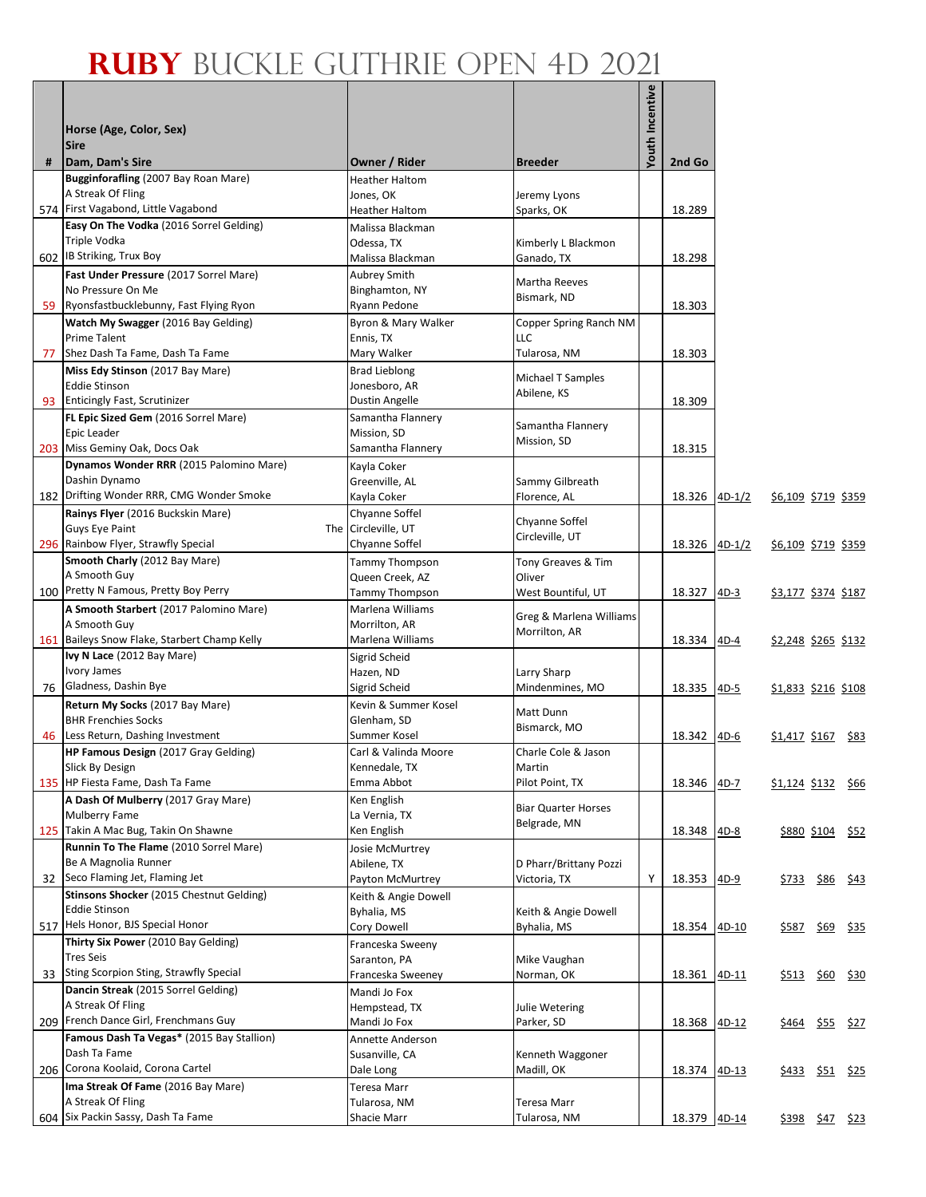|    | Horse (Age, Color, Sex)<br><b>Sire</b>                                                           |                                                             |                                     | Youth Incentive |        |          |                            |                  |                  |
|----|--------------------------------------------------------------------------------------------------|-------------------------------------------------------------|-------------------------------------|-----------------|--------|----------|----------------------------|------------------|------------------|
| #  | Dam, Dam's Sire                                                                                  | Owner / Rider                                               | <b>Breeder</b>                      |                 | 2nd Go |          |                            |                  |                  |
|    | Bugginforafling (2007 Bay Roan Mare)<br>A Streak Of Fling<br>574 First Vagabond, Little Vagabond | <b>Heather Haltom</b><br>Jones, OK<br><b>Heather Haltom</b> | Jeremy Lyons                        |                 | 18.289 |          |                            |                  |                  |
|    | Easy On The Vodka (2016 Sorrel Gelding)                                                          | Malissa Blackman                                            | Sparks, OK                          |                 |        |          |                            |                  |                  |
|    | Triple Vodka<br>602 IB Striking, Trux Boy                                                        | Odessa, TX<br>Malissa Blackman                              | Kimberly L Blackmon<br>Ganado, TX   |                 | 18.298 |          |                            |                  |                  |
|    | Fast Under Pressure (2017 Sorrel Mare)<br>No Pressure On Me                                      | Aubrey Smith<br>Binghamton, NY                              | <b>Martha Reeves</b><br>Bismark, ND |                 |        |          |                            |                  |                  |
| 59 | Ryonsfastbucklebunny, Fast Flying Ryon<br>Watch My Swagger (2016 Bay Gelding)                    | Ryann Pedone<br>Byron & Mary Walker                         | Copper Spring Ranch NM              |                 | 18.303 |          |                            |                  |                  |
|    | Prime Talent                                                                                     | Ennis, TX                                                   | LLC                                 |                 |        |          |                            |                  |                  |
| 77 | Shez Dash Ta Fame, Dash Ta Fame<br>Miss Edy Stinson (2017 Bay Mare)                              | Mary Walker<br><b>Brad Lieblong</b>                         | Tularosa, NM                        |                 | 18.303 |          |                            |                  |                  |
|    | <b>Eddie Stinson</b>                                                                             | Jonesboro, AR                                               | <b>Michael T Samples</b>            |                 |        |          |                            |                  |                  |
|    | 93 Enticingly Fast, Scrutinizer                                                                  | Dustin Angelle                                              | Abilene, KS                         |                 | 18.309 |          |                            |                  |                  |
|    | FL Epic Sized Gem (2016 Sorrel Mare)<br>Epic Leader                                              | Samantha Flannery<br>Mission, SD                            | Samantha Flannery<br>Mission, SD    |                 |        |          |                            |                  |                  |
|    | 203 Miss Geminy Oak, Docs Oak<br>Dynamos Wonder RRR (2015 Palomino Mare)                         | Samantha Flannery                                           |                                     |                 | 18.315 |          |                            |                  |                  |
|    | Dashin Dynamo<br>182 Drifting Wonder RRR, CMG Wonder Smoke                                       | Kayla Coker<br>Greenville, AL<br>Kayla Coker                | Sammy Gilbreath<br>Florence, AL     |                 | 18.326 | $4D-1/2$ | \$6,109 \$719 \$359        |                  |                  |
|    | Rainys Flyer (2016 Buckskin Mare)                                                                | Chyanne Soffel                                              | Chyanne Soffel                      |                 |        |          |                            |                  |                  |
|    | Guys Eye Paint                                                                                   | The Circleville, UT<br>Chyanne Soffel                       | Circleville, UT                     |                 |        |          |                            |                  |                  |
|    | 296 Rainbow Flyer, Strawfly Special<br>Smooth Charly (2012 Bay Mare)                             | Tammy Thompson                                              | Tony Greaves & Tim                  |                 | 18.326 | $4D-1/2$ | \$6,109 \$719 \$359        |                  |                  |
|    | A Smooth Guy                                                                                     | Queen Creek, AZ                                             | Oliver                              |                 |        |          |                            |                  |                  |
|    | 100 Pretty N Famous, Pretty Boy Perry                                                            | <b>Tammy Thompson</b>                                       | West Bountiful, UT                  |                 | 18.327 | $4D-3$   | <u>\$3,177 \$374 \$187</u> |                  |                  |
|    | A Smooth Starbert (2017 Palomino Mare)                                                           | Marlena Williams                                            | Greg & Marlena Williams             |                 |        |          |                            |                  |                  |
|    | A Smooth Guy<br>161 Baileys Snow Flake, Starbert Champ Kelly                                     | Morrilton, AR<br>Marlena Williams                           | Morrilton, AR                       |                 | 18.334 | $4D-4$   | <u>\$2,248 \$265 \$132</u> |                  |                  |
|    | Ivy N Lace (2012 Bay Mare)                                                                       | Sigrid Scheid                                               |                                     |                 |        |          |                            |                  |                  |
|    | Ivory James                                                                                      | Hazen, ND                                                   | Larry Sharp                         |                 |        |          |                            |                  |                  |
| 76 | Gladness, Dashin Bye                                                                             | Sigrid Scheid                                               | Mindenmines, MO                     |                 | 18.335 | $4D-5$   | \$1,833 \$216 \$108        |                  |                  |
|    | Return My Socks (2017 Bay Mare)<br><b>BHR Frenchies Socks</b>                                    | Kevin & Summer Kosel<br>Glenham, SD                         | Matt Dunn                           |                 |        |          |                            |                  |                  |
|    | 46 Less Return, Dashing Investment                                                               | Summer Kosel                                                | Bismarck, MO                        |                 | 18.342 | $4D-6$   | \$1,417 \$167 \$83         |                  |                  |
|    | HP Famous Design (2017 Gray Gelding)<br>Slick By Design                                          | Carl & Valinda Moore<br>Kennedale, TX                       | Charle Cole & Jason<br>Martin       |                 |        |          |                            |                  |                  |
|    | 135 HP Fiesta Fame, Dash Ta Fame                                                                 | Emma Abbot                                                  | Pilot Point, TX                     |                 | 18.346 | $4D-7$   | \$1,124 \$132 \$66         |                  |                  |
|    | A Dash Of Mulberry (2017 Gray Mare)                                                              | Ken English                                                 | <b>Biar Quarter Horses</b>          |                 |        |          |                            |                  |                  |
|    | Mulberry Fame                                                                                    | La Vernia, TX                                               | Belgrade, MN                        |                 |        |          |                            |                  |                  |
|    | 125 Takin A Mac Bug, Takin On Shawne<br>Runnin To The Flame (2010 Sorrel Mare)                   | Ken English<br>Josie McMurtrey                              |                                     |                 | 18.348 | $4D-8$   |                            | \$880 \$104 \$52 |                  |
|    | Be A Magnolia Runner                                                                             | Abilene, TX                                                 | D Pharr/Brittany Pozzi              |                 |        |          |                            |                  |                  |
| 32 | Seco Flaming Jet, Flaming Jet                                                                    | Payton McMurtrey                                            | Victoria, TX                        | Υ               | 18.353 | $4D-9$   | \$733                      | <u>\$86</u> \$43 |                  |
|    | Stinsons Shocker (2015 Chestnut Gelding)                                                         | Keith & Angie Dowell                                        |                                     |                 |        |          |                            |                  |                  |
|    | <b>Eddie Stinson</b><br>517 Hels Honor, BJS Special Honor                                        | Byhalia, MS<br>Cory Dowell                                  | Keith & Angie Dowell<br>Byhalia, MS |                 | 18.354 | 4D-10    |                            |                  |                  |
|    | Thirty Six Power (2010 Bay Gelding)                                                              | Franceska Sweeny                                            |                                     |                 |        |          | \$587                      | \$69             | <u>\$35</u>      |
|    | <b>Tres Seis</b>                                                                                 | Saranton, PA                                                | Mike Vaughan                        |                 |        |          |                            |                  |                  |
|    | 33 Sting Scorpion Sting, Strawfly Special                                                        | Franceska Sweeney                                           | Norman, OK                          |                 | 18.361 | 4D-11    | <u>\$513</u>               | \$60 \$30        |                  |
|    | Dancin Streak (2015 Sorrel Gelding)                                                              | Mandi Jo Fox                                                |                                     |                 |        |          |                            |                  |                  |
|    | A Streak Of Fling<br>209 French Dance Girl, Frenchmans Guy                                       | Hempstead, TX<br>Mandi Jo Fox                               | Julie Wetering<br>Parker, SD        |                 | 18.368 | 4D-12    | <u>\$464</u>               |                  | <u>\$55</u> \$27 |
|    | Famous Dash Ta Vegas* (2015 Bay Stallion)                                                        | Annette Anderson                                            |                                     |                 |        |          |                            |                  |                  |
|    | Dash Ta Fame                                                                                     | Susanville, CA                                              | Kenneth Waggoner                    |                 |        |          |                            |                  |                  |
|    | 206 Corona Koolaid, Corona Cartel                                                                | Dale Long                                                   | Madill, OK                          |                 | 18.374 | $4D-13$  |                            |                  |                  |
|    | Ima Streak Of Fame (2016 Bay Mare)<br>A Streak Of Fling                                          | Teresa Marr<br>Tularosa, NM                                 | Teresa Marr                         |                 |        |          |                            |                  |                  |
|    | 604 Six Packin Sassy, Dash Ta Fame                                                               | Shacie Marr                                                 | Tularosa, NM                        |                 | 18.379 | 4D-14    | <u>\$398 \$47 \$23</u>     |                  |                  |
|    |                                                                                                  |                                                             |                                     |                 |        |          |                            |                  |                  |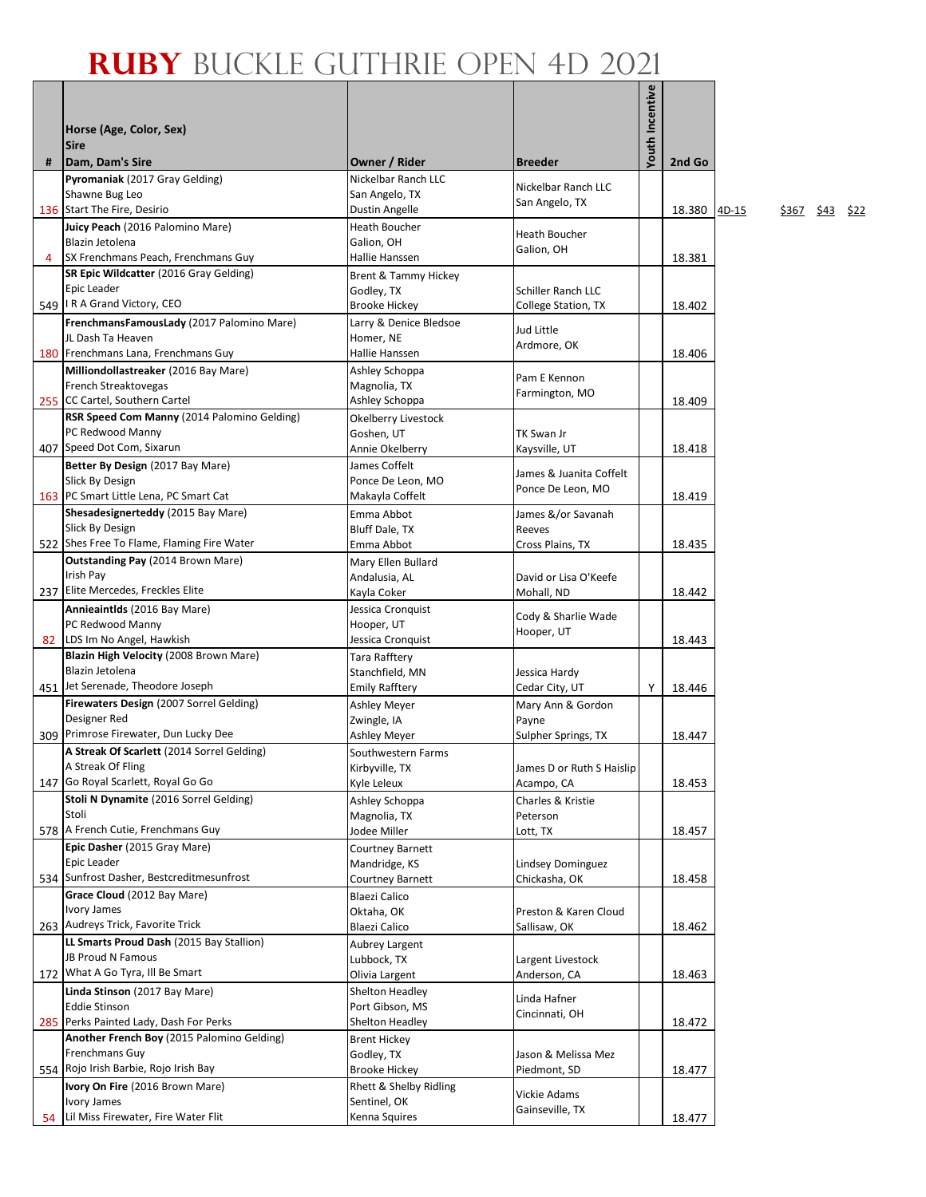|   |                                                                              |                                                |                                | outh Incentive |              |
|---|------------------------------------------------------------------------------|------------------------------------------------|--------------------------------|----------------|--------------|
|   | Horse (Age, Color, Sex)                                                      |                                                |                                |                |              |
|   | <b>Sire</b>                                                                  |                                                |                                |                |              |
| # | Dam, Dam's Sire<br>Pyromaniak (2017 Gray Gelding)                            | <b>Owner / Rider</b><br>Nickelbar Ranch LLC    | <b>Breeder</b>                 |                | 2nd Go       |
|   | Shawne Bug Leo                                                               | San Angelo, TX                                 | Nickelbar Ranch LLC            |                |              |
|   | 136 Start The Fire, Desirio                                                  | <b>Dustin Angelle</b>                          | San Angelo, TX                 |                | 18.380<br>4C |
|   | Juicy Peach (2016 Palomino Mare)                                             | <b>Heath Boucher</b>                           | <b>Heath Boucher</b>           |                |              |
| 4 | Blazin Jetolena<br>SX Frenchmans Peach, Frenchmans Guy                       | Galion, OH<br>Hallie Hanssen                   | Galion, OH                     |                |              |
|   | SR Epic Wildcatter (2016 Gray Gelding)                                       | Brent & Tammy Hickey                           |                                |                | 18.381       |
|   | Epic Leader                                                                  | Godley, TX                                     | Schiller Ranch LLC             |                |              |
|   | 549   I R A Grand Victory, CEO                                               | <b>Brooke Hickey</b>                           | College Station, TX            |                | 18.402       |
|   | FrenchmansFamousLady (2017 Palomino Mare)                                    | Larry & Denice Bledsoe                         | Jud Little                     |                |              |
|   | JL Dash Ta Heaven<br>180 Frenchmans Lana, Frenchmans Guy                     | Homer, NE<br>Hallie Hanssen                    | Ardmore, OK                    |                | 18.406       |
|   | Milliondollastreaker (2016 Bay Mare)                                         | Ashley Schoppa                                 |                                |                |              |
|   | French Streaktovegas                                                         | Magnolia, TX                                   | Pam E Kennon<br>Farmington, MO |                |              |
|   | 255 CC Cartel, Southern Cartel                                               | Ashley Schoppa                                 |                                |                | 18.409       |
|   | RSR Speed Com Manny (2014 Palomino Gelding)                                  | Okelberry Livestock                            |                                |                |              |
|   | PC Redwood Manny<br>407 Speed Dot Com, Sixarun                               | Goshen, UT<br>Annie Okelberry                  | TK Swan Jr<br>Kaysville, UT    |                | 18.418       |
|   | Better By Design (2017 Bay Mare)                                             | James Coffelt                                  |                                |                |              |
|   | Slick By Design                                                              | Ponce De Leon, MO                              | James & Juanita Coffelt        |                |              |
|   | 163 PC Smart Little Lena, PC Smart Cat                                       | Makayla Coffelt                                | Ponce De Leon, MO              |                | 18.419       |
|   | Shesadesignerteddy (2015 Bay Mare)                                           | Emma Abbot                                     | James &/or Savanah             |                |              |
|   | Slick By Design<br>522 Shes Free To Flame, Flaming Fire Water                | Bluff Dale, TX<br>Emma Abbot                   | Reeves                         |                | 18.435       |
|   | <b>Outstanding Pay (2014 Brown Mare)</b>                                     | Mary Ellen Bullard                             | Cross Plains, TX               |                |              |
|   | Irish Pay                                                                    | Andalusia, AL                                  | David or Lisa O'Keefe          |                |              |
|   | 237 Elite Mercedes, Freckles Elite                                           | Kayla Coker                                    | Mohall, ND                     |                | 18.442       |
|   | Annieaintlds (2016 Bay Mare)                                                 | Jessica Cronquist                              | Cody & Sharlie Wade            |                |              |
|   | PC Redwood Manny<br>82 LDS Im No Angel, Hawkish                              | Hooper, UT<br>Jessica Cronquist                | Hooper, UT                     |                | 18.443       |
|   | Blazin High Velocity (2008 Brown Mare)                                       | Tara Rafftery                                  |                                |                |              |
|   | Blazin Jetolena                                                              | Stanchfield, MN                                | Jessica Hardy                  |                |              |
|   | 451 Jet Serenade, Theodore Joseph                                            | <b>Emily Rafftery</b>                          | Cedar City, UT                 | Υ              | 18.446       |
|   | Firewaters Design (2007 Sorrel Gelding)<br>Designer Red                      | <b>Ashley Meyer</b><br>Zwingle, IA             | Mary Ann & Gordon<br>Payne     |                |              |
|   | 309 Primrose Firewater, Dun Lucky Dee                                        | Ashley Meyer                                   | Sulpher Springs, TX            |                | 18.447       |
|   | A Streak Of Scarlett (2014 Sorrel Gelding)                                   | Southwestern Farms                             |                                |                |              |
|   | A Streak Of Fling                                                            | Kirbyville, TX                                 | James D or Ruth S Haislip      |                |              |
|   | 147 Go Royal Scarlett, Royal Go Go<br>Stoli N Dynamite (2016 Sorrel Gelding) | Kyle Leleux                                    | Acampo, CA                     |                | 18.453       |
|   | Stoli                                                                        | Ashley Schoppa<br>Magnolia, TX                 | Charles & Kristie<br>Peterson  |                |              |
|   | 578 A French Cutie, Frenchmans Guy                                           | Jodee Miller                                   | Lott, TX                       |                | 18.457       |
|   | Epic Dasher (2015 Gray Mare)                                                 | Courtney Barnett                               |                                |                |              |
|   | Epic Leader                                                                  | Mandridge, KS                                  | Lindsey Dominguez              |                |              |
|   | 534 Sunfrost Dasher, Bestcreditmesunfrost<br>Grace Cloud (2012 Bay Mare)     | Courtney Barnett                               | Chickasha, OK                  |                | 18.458       |
|   | <b>Ivory James</b>                                                           | Blaezi Calico<br>Oktaha, OK                    | Preston & Karen Cloud          |                |              |
|   | 263 Audreys Trick, Favorite Trick                                            | Blaezi Calico                                  | Sallisaw, OK                   |                | 18.462       |
|   | LL Smarts Proud Dash (2015 Bay Stallion)                                     | Aubrey Largent                                 |                                |                |              |
|   | JB Proud N Famous<br>172 What A Go Tyra, Ill Be Smart                        | Lubbock, TX                                    | Largent Livestock              |                |              |
|   | Linda Stinson (2017 Bay Mare)                                                | Olivia Largent<br>Shelton Headley              | Anderson, CA                   |                | 18.463       |
|   | <b>Eddie Stinson</b>                                                         | Port Gibson, MS                                | Linda Hafner                   |                |              |
|   | 285 Perks Painted Lady, Dash For Perks                                       | Shelton Headley                                | Cincinnati, OH                 |                | 18.472       |
|   | Another French Boy (2015 Palomino Gelding)                                   | <b>Brent Hickey</b>                            |                                |                |              |
|   | Frenchmans Guy<br>554 Rojo Irish Barbie, Rojo Irish Bay                      | Godley, TX                                     | Jason & Melissa Mez            |                |              |
|   | Ivory On Fire (2016 Brown Mare)                                              | <b>Brooke Hickey</b><br>Rhett & Shelby Ridling | Piedmont, SD                   |                | 18.477       |
|   | <b>Ivory James</b>                                                           | Sentinel, OK                                   | Vickie Adams                   |                |              |
|   | 54 Lil Miss Firewater, Fire Water Flit                                       | Kenna Squires                                  | Gainseville, TX                |                | 18.477       |

0-15 \$367 \$43 \$22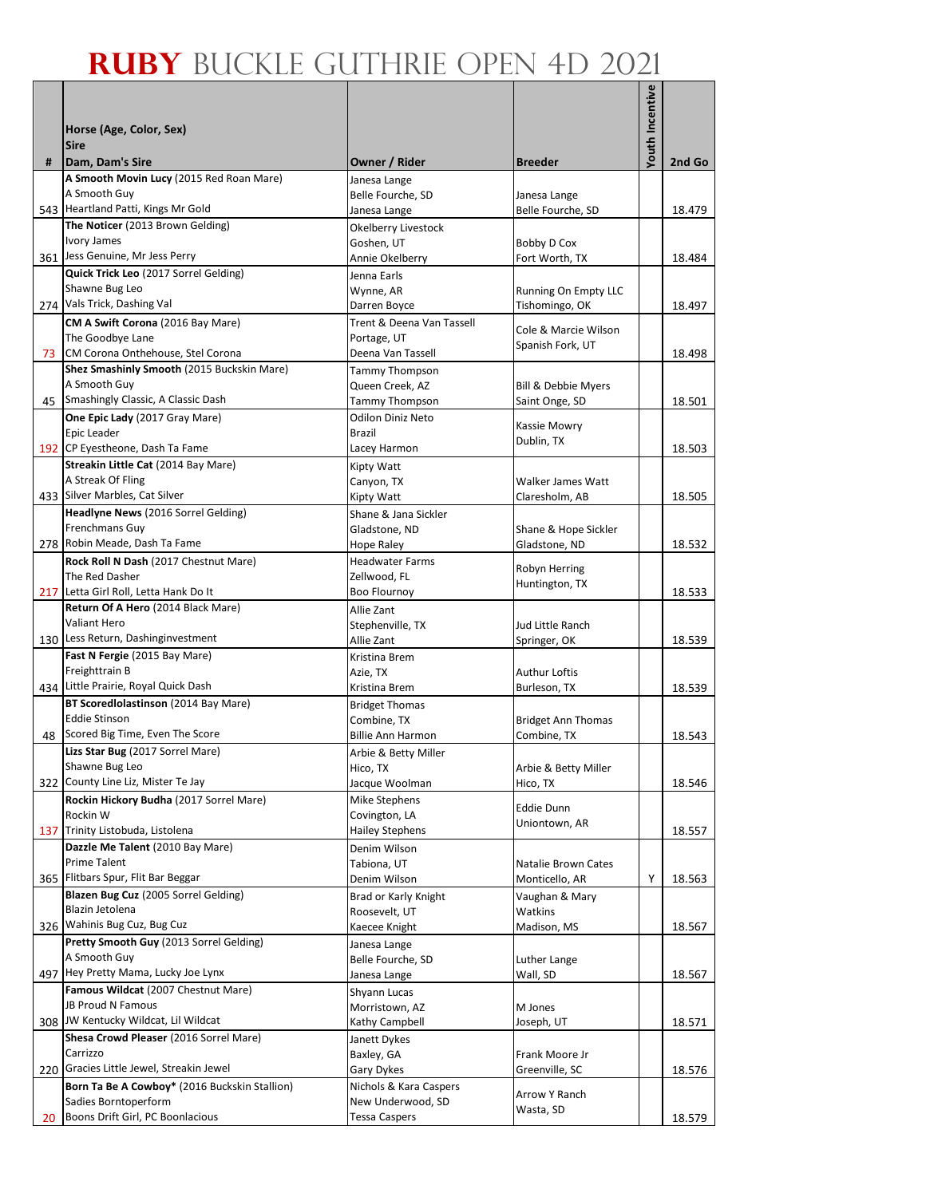|     |                                                                       |                                           |                                          | Youth Incentive |        |
|-----|-----------------------------------------------------------------------|-------------------------------------------|------------------------------------------|-----------------|--------|
|     | Horse (Age, Color, Sex)                                               |                                           |                                          |                 |        |
|     | <b>Sire</b>                                                           |                                           |                                          |                 |        |
| #   | Dam, Dam's Sire                                                       | Owner / Rider                             | <b>Breeder</b>                           |                 | 2nd Go |
|     | A Smooth Movin Lucy (2015 Red Roan Mare)                              | Janesa Lange                              |                                          |                 |        |
|     | A Smooth Guy<br>543 Heartland Patti, Kings Mr Gold                    | Belle Fourche, SD<br>Janesa Lange         | Janesa Lange<br>Belle Fourche, SD        |                 | 18.479 |
|     | The Noticer (2013 Brown Gelding)                                      | Okelberry Livestock                       |                                          |                 |        |
|     | <b>Ivory James</b>                                                    | Goshen, UT                                | <b>Bobby D Cox</b>                       |                 |        |
|     | 361 Jess Genuine, Mr Jess Perry                                       | Annie Okelberry                           | Fort Worth, TX                           |                 | 18.484 |
|     | Quick Trick Leo (2017 Sorrel Gelding)                                 | Jenna Earls                               |                                          |                 |        |
| 274 | Shawne Bug Leo<br>Vals Trick, Dashing Val                             | Wynne, AR                                 | Running On Empty LLC                     |                 | 18.497 |
|     | CM A Swift Corona (2016 Bay Mare)                                     | Darren Boyce<br>Trent & Deena Van Tassell | Tishomingo, OK                           |                 |        |
|     | The Goodbye Lane                                                      | Portage, UT                               | Cole & Marcie Wilson                     |                 |        |
| 73  | CM Corona Onthehouse, Stel Corona                                     | Deena Van Tassell                         | Spanish Fork, UT                         |                 | 18.498 |
|     | Shez Smashinly Smooth (2015 Buckskin Mare)                            | Tammy Thompson                            |                                          |                 |        |
|     | A Smooth Guy<br>45 Smashingly Classic, A Classic Dash                 | Queen Creek, AZ                           | Bill & Debbie Myers                      |                 |        |
|     |                                                                       | Tammy Thompson<br>Odilon Diniz Neto       | Saint Onge, SD                           |                 | 18.501 |
|     | One Epic Lady (2017 Gray Mare)<br>Epic Leader                         | <b>Brazil</b>                             | Kassie Mowry                             |                 |        |
|     | 192 CP Eyestheone, Dash Ta Fame                                       | Lacey Harmon                              | Dublin, TX                               |                 | 18.503 |
|     | Streakin Little Cat (2014 Bay Mare)                                   | Kipty Watt                                |                                          |                 |        |
|     | A Streak Of Fling                                                     | Canyon, TX                                | Walker James Watt                        |                 |        |
|     | 433 Silver Marbles, Cat Silver<br>Headlyne News (2016 Sorrel Gelding) | Kipty Watt                                | Claresholm, AB                           |                 | 18.505 |
|     | Frenchmans Guy                                                        | Shane & Jana Sickler<br>Gladstone, ND     | Shane & Hope Sickler                     |                 |        |
|     | 278 Robin Meade, Dash Ta Fame                                         | <b>Hope Raley</b>                         | Gladstone, ND                            |                 | 18.532 |
|     | Rock Roll N Dash (2017 Chestnut Mare)                                 | <b>Headwater Farms</b>                    |                                          |                 |        |
|     | The Red Dasher                                                        | Zellwood, FL                              | Robyn Herring<br>Huntington, TX          |                 |        |
|     | 217 Letta Girl Roll, Letta Hank Do It                                 | <b>Boo Flournoy</b>                       |                                          |                 | 18.533 |
|     | Return Of A Hero (2014 Black Mare)<br>Valiant Hero                    | Allie Zant                                |                                          |                 |        |
|     | 130 Less Return, Dashinginvestment                                    | Stephenville, TX<br>Allie Zant            | Jud Little Ranch<br>Springer, OK         |                 | 18.539 |
|     | Fast N Fergie (2015 Bay Mare)                                         | Kristina Brem                             |                                          |                 |        |
|     | Freighttrain B                                                        | Azie, TX                                  | Authur Loftis                            |                 |        |
|     | 434 Little Prairie, Royal Quick Dash                                  | Kristina Brem                             | Burleson, TX                             |                 | 18.539 |
|     | BT Scoredlolastinson (2014 Bay Mare)<br><b>Eddie Stinson</b>          | <b>Bridget Thomas</b>                     |                                          |                 |        |
|     | 48 Scored Big Time, Even The Score                                    | Combine, TX<br><b>Billie Ann Harmon</b>   | <b>Bridget Ann Thomas</b><br>Combine, TX |                 | 18.543 |
|     | Lizs Star Bug (2017 Sorrel Mare)                                      | Arbie & Betty Miller                      |                                          |                 |        |
|     | Shawne Bug Leo                                                        | Hico, TX                                  | Arbie & Betty Miller                     |                 |        |
| 322 | County Line Liz, Mister Te Jay                                        | Jacque Woolman                            | Hico, TX                                 |                 | 18.546 |
|     | Rockin Hickory Budha (2017 Sorrel Mare)                               | Mike Stephens                             | <b>Eddie Dunn</b>                        |                 |        |
| 137 | Rockin W<br>Trinity Listobuda, Listolena                              | Covington, LA<br>Hailey Stephens          | Uniontown, AR                            |                 | 18.557 |
|     | Dazzle Me Talent (2010 Bay Mare)                                      | Denim Wilson                              |                                          |                 |        |
|     | <b>Prime Talent</b>                                                   | Tabiona, UT                               | Natalie Brown Cates                      |                 |        |
|     | 365 Flitbars Spur, Flit Bar Beggar                                    | Denim Wilson                              | Monticello, AR                           | Υ               | 18.563 |
|     | Blazen Bug Cuz (2005 Sorrel Gelding)                                  | Brad or Karly Knight                      | Vaughan & Mary                           |                 |        |
| 326 | Blazin Jetolena<br>Wahinis Bug Cuz, Bug Cuz                           | Roosevelt, UT                             | Watkins<br>Madison, MS                   |                 |        |
|     | Pretty Smooth Guy (2013 Sorrel Gelding)                               | Kaecee Knight<br>Janesa Lange             |                                          |                 | 18.567 |
|     | A Smooth Guy                                                          | Belle Fourche, SD                         | Luther Lange                             |                 |        |
|     | 497 Hey Pretty Mama, Lucky Joe Lynx                                   | Janesa Lange                              | Wall, SD                                 |                 | 18.567 |
|     | Famous Wildcat (2007 Chestnut Mare)                                   | Shyann Lucas                              |                                          |                 |        |
|     | JB Proud N Famous<br>308 JW Kentucky Wildcat, Lil Wildcat             | Morristown, AZ                            | M Jones                                  |                 |        |
|     | Shesa Crowd Pleaser (2016 Sorrel Mare)                                | Kathy Campbell<br>Janett Dykes            | Joseph, UT                               |                 | 18.571 |
|     | Carrizzo                                                              | Baxley, GA                                | Frank Moore Jr                           |                 |        |
| 220 | Gracies Little Jewel, Streakin Jewel                                  | Gary Dykes                                | Greenville, SC                           |                 | 18.576 |
|     | Born Ta Be A Cowboy* (2016 Buckskin Stallion)                         | Nichols & Kara Caspers                    | Arrow Y Ranch                            |                 |        |
|     | Sadies Borntoperform                                                  | New Underwood, SD                         | Wasta, SD                                |                 |        |
| 20  | Boons Drift Girl, PC Boonlacious                                      | Tessa Caspers                             |                                          |                 | 18.579 |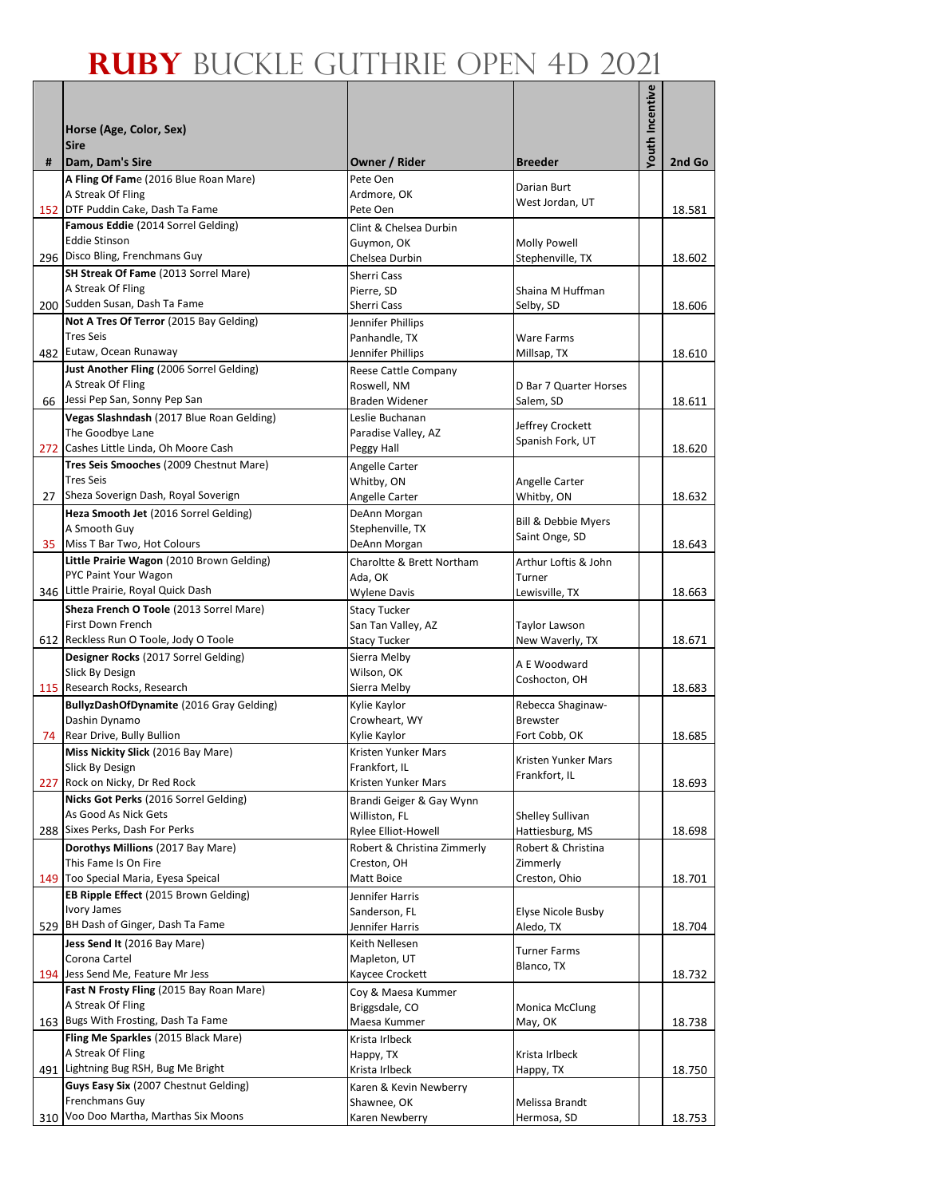|     |                                                               |                                      |                                       | <b>Youth Incentive</b> |        |
|-----|---------------------------------------------------------------|--------------------------------------|---------------------------------------|------------------------|--------|
|     | Horse (Age, Color, Sex)                                       |                                      |                                       |                        |        |
|     | <b>Sire</b>                                                   |                                      |                                       |                        |        |
| #   | Dam, Dam's Sire                                               | Owner / Rider                        | <b>Breeder</b>                        |                        | 2nd Go |
|     | A Fling Of Fame (2016 Blue Roan Mare)<br>A Streak Of Fling    | Pete Oen<br>Ardmore, OK              | Darian Burt                           |                        |        |
|     | 152 DTF Puddin Cake, Dash Ta Fame                             | Pete Oen                             | West Jordan, UT                       |                        | 18.581 |
|     | Famous Eddie (2014 Sorrel Gelding)                            | Clint & Chelsea Durbin               |                                       |                        |        |
|     | <b>Eddie Stinson</b>                                          | Guymon, OK                           | Molly Powell                          |                        |        |
|     | 296 Disco Bling, Frenchmans Guy                               | Chelsea Durbin                       | Stephenville, TX                      |                        | 18.602 |
|     | SH Streak Of Fame (2013 Sorrel Mare)<br>A Streak Of Fling     | Sherri Cass<br>Pierre, SD            | Shaina M Huffman                      |                        |        |
|     | 200 Sudden Susan, Dash Ta Fame                                | Sherri Cass                          | Selby, SD                             |                        | 18.606 |
|     | Not A Tres Of Terror (2015 Bay Gelding)                       | Jennifer Phillips                    |                                       |                        |        |
|     | <b>Tres Seis</b>                                              | Panhandle, TX                        | Ware Farms                            |                        |        |
|     | 482 Eutaw, Ocean Runaway                                      | Jennifer Phillips                    | Millsap, TX                           |                        | 18.610 |
|     | Just Another Fling (2006 Sorrel Gelding)<br>A Streak Of Fling | Reese Cattle Company<br>Roswell, NM  | D Bar 7 Quarter Horses                |                        |        |
|     | 66 Jessi Pep San, Sonny Pep San                               | <b>Braden Widener</b>                | Salem, SD                             |                        | 18.611 |
|     | Vegas Slashndash (2017 Blue Roan Gelding)                     | Leslie Buchanan                      |                                       |                        |        |
|     | The Goodbye Lane                                              | Paradise Valley, AZ                  | Jeffrey Crockett<br>Spanish Fork, UT  |                        |        |
|     | 272 Cashes Little Linda, Oh Moore Cash                        | Peggy Hall                           |                                       |                        | 18.620 |
|     | Tres Seis Smooches (2009 Chestnut Mare)<br><b>Tres Seis</b>   | Angelle Carter                       |                                       |                        |        |
| 27  | Sheza Soverign Dash, Royal Soverign                           | Whitby, ON<br>Angelle Carter         | Angelle Carter<br>Whitby, ON          |                        | 18.632 |
|     | Heza Smooth Jet (2016 Sorrel Gelding)                         | DeAnn Morgan                         |                                       |                        |        |
|     | A Smooth Guy                                                  | Stephenville, TX                     | Bill & Debbie Myers<br>Saint Onge, SD |                        |        |
| 35  | Miss T Bar Two, Hot Colours                                   | DeAnn Morgan                         |                                       |                        | 18.643 |
|     | Little Prairie Wagon (2010 Brown Gelding)                     | Charoltte & Brett Northam            | Arthur Loftis & John                  |                        |        |
|     | PYC Paint Your Wagon<br>346 Little Prairie, Royal Quick Dash  | Ada, OK<br><b>Wylene Davis</b>       | Turner<br>Lewisville, TX              |                        | 18.663 |
|     | Sheza French O Toole (2013 Sorrel Mare)                       | <b>Stacy Tucker</b>                  |                                       |                        |        |
|     | First Down French                                             | San Tan Valley, AZ                   | Taylor Lawson                         |                        |        |
|     | 612 Reckless Run O Toole, Jody O Toole                        | <b>Stacy Tucker</b>                  | New Waverly, TX                       |                        | 18.671 |
|     | Designer Rocks (2017 Sorrel Gelding)                          | Sierra Melby                         | A E Woodward                          |                        |        |
|     | Slick By Design<br>115 Research Rocks, Research               | Wilson, OK<br>Sierra Melby           | Coshocton, OH                         |                        | 18.683 |
|     | BullyzDashOfDynamite (2016 Gray Gelding)                      | Kylie Kaylor                         | Rebecca Shaginaw-                     |                        |        |
|     | Dashin Dynamo                                                 | Crowheart, WY                        | <b>Brewster</b>                       |                        |        |
|     | 74 Rear Drive, Bully Bullion                                  | Kylie Kaylor                         | Fort Cobb, OK                         |                        | 18.685 |
|     | Miss Nickity Slick (2016 Bay Mare)                            | Kristen Yunker Mars                  | Kristen Yunker Mars                   |                        |        |
|     | Slick By Design<br>227 Rock on Nicky, Dr Red Rock             | Frankfort, IL<br>Kristen Yunker Mars | Frankfort, IL                         |                        | 18.693 |
|     | Nicks Got Perks (2016 Sorrel Gelding)                         | Brandi Geiger & Gay Wynn             |                                       |                        |        |
|     | As Good As Nick Gets                                          | Williston, FL                        | Shelley Sullivan                      |                        |        |
|     | 288 Sixes Perks, Dash For Perks                               | Rylee Elliot-Howell                  | Hattiesburg, MS                       |                        | 18.698 |
|     | Dorothys Millions (2017 Bay Mare)                             | Robert & Christina Zimmerly          | Robert & Christina                    |                        |        |
|     | This Fame Is On Fire<br>149 Too Special Maria, Eyesa Speical  | Creston, OH<br>Matt Boice            | Zimmerly<br>Creston, Ohio             |                        | 18.701 |
|     | EB Ripple Effect (2015 Brown Gelding)                         | Jennifer Harris                      |                                       |                        |        |
|     | Ivory James                                                   | Sanderson, FL                        | Elyse Nicole Busby                    |                        |        |
|     | 529 BH Dash of Ginger, Dash Ta Fame                           | Jennifer Harris                      | Aledo, TX                             |                        | 18.704 |
|     | Jess Send It (2016 Bay Mare)                                  | Keith Nellesen                       | <b>Turner Farms</b>                   |                        |        |
|     | Corona Cartel<br>194 Jess Send Me, Feature Mr Jess            | Mapleton, UT<br>Kaycee Crockett      | Blanco, TX                            |                        | 18.732 |
|     | Fast N Frosty Fling (2015 Bay Roan Mare)                      | Coy & Maesa Kummer                   |                                       |                        |        |
|     | A Streak Of Fling                                             | Briggsdale, CO                       | Monica McClung                        |                        |        |
|     | 163 Bugs With Frosting, Dash Ta Fame                          | Maesa Kummer                         | May, OK                               |                        | 18.738 |
|     | Fling Me Sparkles (2015 Black Mare)<br>A Streak Of Fling      | Krista Irlbeck                       |                                       |                        |        |
|     | 491 Lightning Bug RSH, Bug Me Bright                          | Happy, TX<br>Krista Irlbeck          | Krista Irlbeck<br>Happy, TX           |                        | 18.750 |
|     | Guys Easy Six (2007 Chestnut Gelding)                         | Karen & Kevin Newberry               |                                       |                        |        |
|     | Frenchmans Guy                                                | Shawnee, OK                          | Melissa Brandt                        |                        |        |
| 310 | Voo Doo Martha, Marthas Six Moons                             | Karen Newberry                       | Hermosa, SD                           |                        | 18.753 |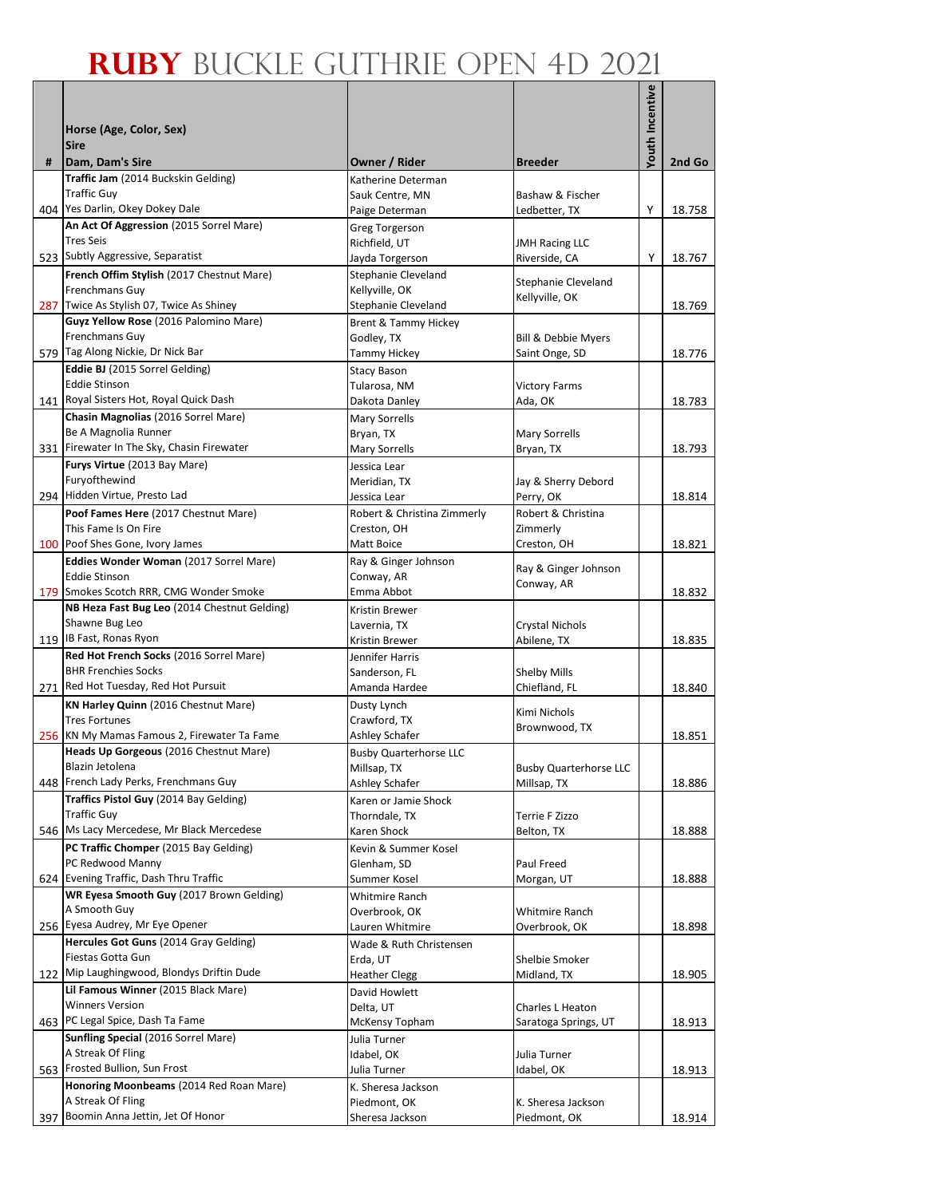|     |                                                                                       |                                              |                                | <b>Youth Incentive</b> |        |
|-----|---------------------------------------------------------------------------------------|----------------------------------------------|--------------------------------|------------------------|--------|
|     | Horse (Age, Color, Sex)                                                               |                                              |                                |                        |        |
|     | <b>Sire</b>                                                                           |                                              |                                |                        |        |
| #   | Dam, Dam's Sire                                                                       | Owner / Rider                                | <b>Breeder</b>                 |                        | 2nd Go |
|     | Traffic Jam (2014 Buckskin Gelding)<br><b>Traffic Guy</b>                             | Katherine Determan<br>Sauk Centre, MN        | Bashaw & Fischer               |                        |        |
|     | 404 Yes Darlin, Okey Dokey Dale                                                       | Paige Determan                               | Ledbetter, TX                  | Υ                      | 18.758 |
|     | An Act Of Aggression (2015 Sorrel Mare)                                               | Greg Torgerson                               |                                |                        |        |
|     | <b>Tres Seis</b>                                                                      | Richfield, UT                                | <b>JMH Racing LLC</b>          |                        |        |
|     | 523 Subtly Aggressive, Separatist                                                     | Jayda Torgerson                              | Riverside, CA                  | Y                      | 18.767 |
|     | French Offim Stylish (2017 Chestnut Mare)                                             | Stephanie Cleveland                          | Stephanie Cleveland            |                        |        |
|     | Frenchmans Guy<br>287 Twice As Stylish 07, Twice As Shiney                            | Kellyville, OK<br>Stephanie Cleveland        | Kellyville, OK                 |                        | 18.769 |
|     | Guyz Yellow Rose (2016 Palomino Mare)                                                 | Brent & Tammy Hickey                         |                                |                        |        |
|     | Frenchmans Guy                                                                        | Godley, TX                                   | Bill & Debbie Myers            |                        |        |
|     | 579 Tag Along Nickie, Dr Nick Bar                                                     | <b>Tammy Hickey</b>                          | Saint Onge, SD                 |                        | 18.776 |
|     | Eddie BJ (2015 Sorrel Gelding)                                                        | <b>Stacy Bason</b>                           |                                |                        |        |
|     | <b>Eddie Stinson</b><br>141 Royal Sisters Hot, Royal Quick Dash                       | Tularosa, NM                                 | <b>Victory Farms</b>           |                        |        |
|     | Chasin Magnolias (2016 Sorrel Mare)                                                   | Dakota Danley<br><b>Mary Sorrells</b>        | Ada, OK                        |                        | 18.783 |
|     | Be A Magnolia Runner                                                                  | Bryan, TX                                    | <b>Mary Sorrells</b>           |                        |        |
|     | 331 Firewater In The Sky, Chasin Firewater                                            | Mary Sorrells                                | Bryan, TX                      |                        | 18.793 |
|     | Furys Virtue (2013 Bay Mare)                                                          | Jessica Lear                                 |                                |                        |        |
|     | Furyofthewind                                                                         | Meridian, TX                                 | Jay & Sherry Debord            |                        |        |
|     | 294 Hidden Virtue, Presto Lad                                                         | Jessica Lear                                 | Perry, OK                      |                        | 18.814 |
|     | Poof Fames Here (2017 Chestnut Mare)<br>This Fame Is On Fire                          | Robert & Christina Zimmerly<br>Creston, OH   | Robert & Christina<br>Zimmerly |                        |        |
|     | 100 Poof Shes Gone, Ivory James                                                       | Matt Boice                                   | Creston, OH                    |                        | 18.821 |
|     | <b>Eddies Wonder Woman (2017 Sorrel Mare)</b>                                         | Ray & Ginger Johnson                         |                                |                        |        |
|     | <b>Eddie Stinson</b>                                                                  | Conway, AR                                   | Ray & Ginger Johnson           |                        |        |
|     | 179 Smokes Scotch RRR, CMG Wonder Smoke                                               | Emma Abbot                                   | Conway, AR                     |                        | 18.832 |
|     | NB Heza Fast Bug Leo (2014 Chestnut Gelding)                                          | Kristin Brewer                               |                                |                        |        |
|     | Shawne Bug Leo<br>119 IB Fast, Ronas Ryon                                             | Lavernia, TX<br>Kristin Brewer               | Crystal Nichols<br>Abilene, TX |                        | 18.835 |
|     | Red Hot French Socks (2016 Sorrel Mare)                                               | Jennifer Harris                              |                                |                        |        |
|     | <b>BHR Frenchies Socks</b>                                                            | Sanderson, FL                                | <b>Shelby Mills</b>            |                        |        |
|     | 271 Red Hot Tuesday, Red Hot Pursuit                                                  | Amanda Hardee                                | Chiefland, FL                  |                        | 18.840 |
|     | KN Harley Quinn (2016 Chestnut Mare)                                                  | Dusty Lynch                                  | Kimi Nichols                   |                        |        |
|     | <b>Tres Fortunes</b>                                                                  | Crawford, TX                                 | Brownwood, TX                  |                        |        |
|     | 256 KN My Mamas Famous 2, Firewater Ta Fame<br>Heads Up Gorgeous (2016 Chestnut Mare) | Ashley Schafer                               |                                |                        | 18.851 |
|     | Blazin Jetolena                                                                       | <b>Busby Quarterhorse LLC</b><br>Millsap, TX | <b>Busby Quarterhorse LLC</b>  |                        |        |
|     | 448 French Lady Perks, Frenchmans Guy                                                 | Ashley Schafer                               | Millsap, TX                    |                        | 18.886 |
|     | Traffics Pistol Guy (2014 Bay Gelding)                                                | Karen or Jamie Shock                         |                                |                        |        |
|     | <b>Traffic Guy</b>                                                                    | Thorndale, TX                                | Terrie F Zizzo                 |                        |        |
|     | 546 Ms Lacy Mercedese, Mr Black Mercedese                                             | Karen Shock                                  | Belton, TX                     |                        | 18.888 |
|     | PC Traffic Chomper (2015 Bay Gelding)<br>PC Redwood Manny                             | Kevin & Summer Kosel<br>Glenham, SD          | Paul Freed                     |                        |        |
|     | 624 Evening Traffic, Dash Thru Traffic                                                | Summer Kosel                                 | Morgan, UT                     |                        | 18.888 |
|     | WR Eyesa Smooth Guy (2017 Brown Gelding)                                              | <b>Whitmire Ranch</b>                        |                                |                        |        |
|     | A Smooth Guy                                                                          | Overbrook, OK                                | Whitmire Ranch                 |                        |        |
|     | 256 Eyesa Audrey, Mr Eye Opener                                                       | Lauren Whitmire                              | Overbrook, OK                  |                        | 18.898 |
|     | Hercules Got Guns (2014 Gray Gelding)<br>Fiestas Gotta Gun                            | Wade & Ruth Christensen                      |                                |                        |        |
|     | 122 Mip Laughingwood, Blondys Driftin Dude                                            | Erda, UT<br><b>Heather Clegg</b>             | Shelbie Smoker<br>Midland, TX  |                        | 18.905 |
|     | Lil Famous Winner (2015 Black Mare)                                                   | David Howlett                                |                                |                        |        |
|     | <b>Winners Version</b>                                                                | Delta, UT                                    | Charles L Heaton               |                        |        |
|     | 463 PC Legal Spice, Dash Ta Fame                                                      | McKensy Topham                               | Saratoga Springs, UT           |                        | 18.913 |
|     | Sunfling Special (2016 Sorrel Mare)                                                   | Julia Turner                                 |                                |                        |        |
|     | A Streak Of Fling<br>563 Frosted Bullion, Sun Frost                                   | Idabel, OK                                   | Julia Turner                   |                        |        |
|     | Honoring Moonbeams (2014 Red Roan Mare)                                               | Julia Turner<br>K. Sheresa Jackson           | Idabel, OK                     |                        | 18.913 |
|     | A Streak Of Fling                                                                     | Piedmont, OK                                 | K. Sheresa Jackson             |                        |        |
| 397 | Boomin Anna Jettin, Jet Of Honor                                                      | Sheresa Jackson                              | Piedmont, OK                   |                        | 18.914 |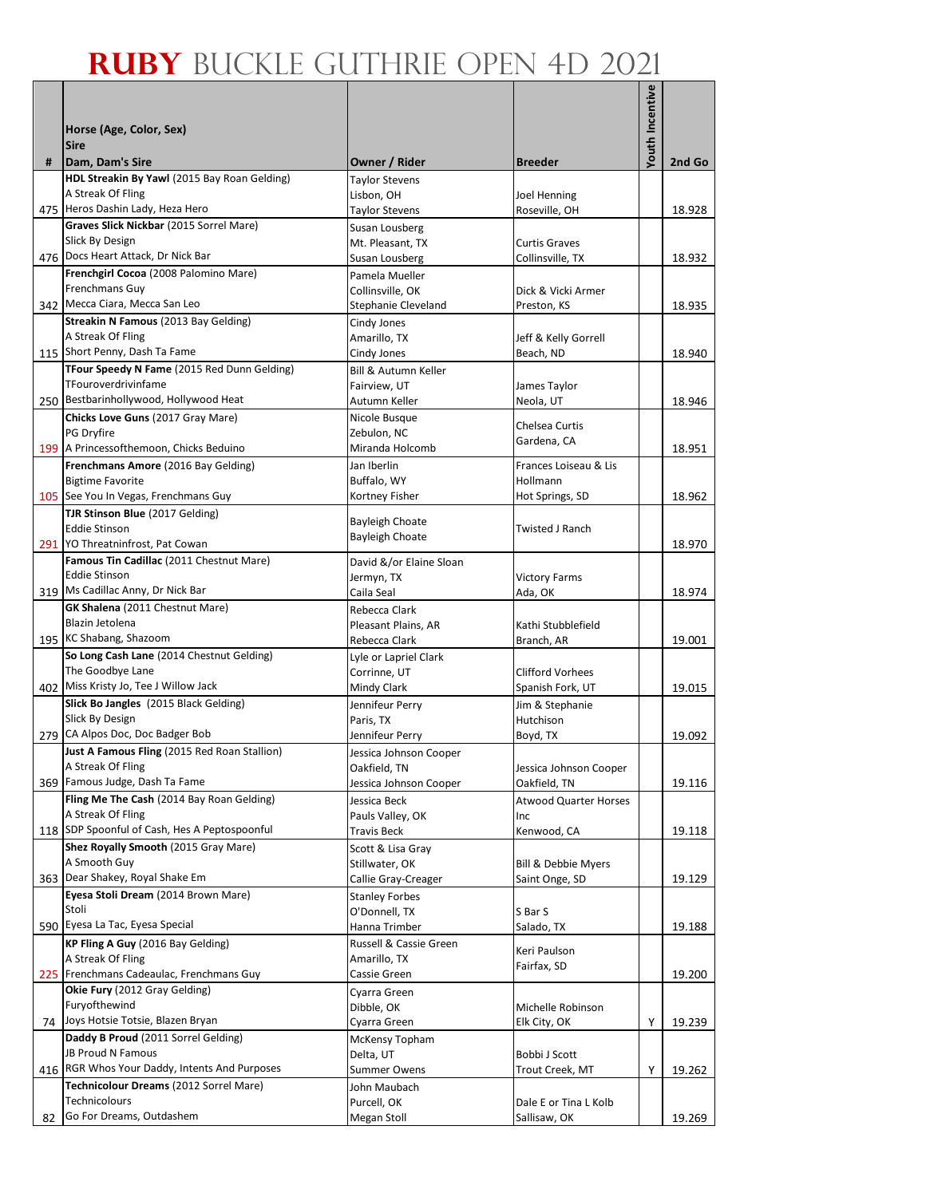|    |                                                                           |                                        |                                | Youth Incentive |        |
|----|---------------------------------------------------------------------------|----------------------------------------|--------------------------------|-----------------|--------|
|    | Horse (Age, Color, Sex)                                                   |                                        |                                |                 |        |
|    | <b>Sire</b>                                                               |                                        |                                |                 |        |
| #  | Dam, Dam's Sire                                                           | Owner / Rider                          | <b>Breeder</b>                 |                 | 2nd Go |
|    | HDL Streakin By Yawl (2015 Bay Roan Gelding)                              | Taylor Stevens                         |                                |                 |        |
|    | A Streak Of Fling<br>475 Heros Dashin Lady, Heza Hero                     | Lisbon, OH<br>Taylor Stevens           | Joel Henning<br>Roseville, OH  |                 | 18.928 |
|    | Graves Slick Nickbar (2015 Sorrel Mare)                                   | Susan Lousberg                         |                                |                 |        |
|    | Slick By Design                                                           | Mt. Pleasant, TX                       | <b>Curtis Graves</b>           |                 |        |
|    | 476 Docs Heart Attack, Dr Nick Bar                                        | Susan Lousberg                         | Collinsville, TX               |                 | 18.932 |
|    | Frenchgirl Cocoa (2008 Palomino Mare)                                     | Pamela Mueller                         |                                |                 |        |
|    | Frenchmans Guy<br>342 Mecca Ciara, Mecca San Leo                          | Collinsville, OK                       | Dick & Vicki Armer             |                 |        |
|    | Streakin N Famous (2013 Bay Gelding)                                      | Stephanie Cleveland<br>Cindy Jones     | Preston, KS                    |                 | 18.935 |
|    | A Streak Of Fling                                                         | Amarillo, TX                           | Jeff & Kelly Gorrell           |                 |        |
|    | 115 Short Penny, Dash Ta Fame                                             | Cindy Jones                            | Beach, ND                      |                 | 18.940 |
|    | TFour Speedy N Fame (2015 Red Dunn Gelding)                               | Bill & Autumn Keller                   |                                |                 |        |
|    | TFouroverdrivinfame                                                       | Fairview, UT                           | James Taylor                   |                 |        |
|    | 250 Bestbarinhollywood, Hollywood Heat                                    | Autumn Keller                          | Neola, UT                      |                 | 18.946 |
|    | Chicks Love Guns (2017 Gray Mare)<br>PG Dryfire                           | Nicole Busque<br>Zebulon, NC           | Chelsea Curtis                 |                 |        |
|    | 199 A Princessofthemoon, Chicks Beduino                                   | Miranda Holcomb                        | Gardena, CA                    |                 | 18.951 |
|    | Frenchmans Amore (2016 Bay Gelding)                                       | Jan Iberlin                            | Frances Loiseau & Lis          |                 |        |
|    | <b>Bigtime Favorite</b>                                                   | Buffalo, WY                            | Hollmann                       |                 |        |
|    | 105 See You In Vegas, Frenchmans Guy                                      | Kortney Fisher                         | Hot Springs, SD                |                 | 18.962 |
|    | TJR Stinson Blue (2017 Gelding)                                           | <b>Bayleigh Choate</b>                 |                                |                 |        |
|    | <b>Eddie Stinson</b><br>291 YO Threatninfrost, Pat Cowan                  | <b>Bayleigh Choate</b>                 | Twisted J Ranch                |                 | 18.970 |
|    | Famous Tin Cadillac (2011 Chestnut Mare)                                  | David &/or Elaine Sloan                |                                |                 |        |
|    | <b>Eddie Stinson</b>                                                      | Jermyn, TX                             | <b>Victory Farms</b>           |                 |        |
|    | 319 Ms Cadillac Anny, Dr Nick Bar                                         | Caila Seal                             | Ada, OK                        |                 | 18.974 |
|    | GK Shalena (2011 Chestnut Mare)                                           | Rebecca Clark                          |                                |                 |        |
|    | Blazin Jetolena<br>195 KC Shabang, Shazoom                                | Pleasant Plains, AR                    | Kathi Stubblefield             |                 |        |
|    | So Long Cash Lane (2014 Chestnut Gelding)                                 | Rebecca Clark<br>Lyle or Lapriel Clark | Branch, AR                     |                 | 19.001 |
|    | The Goodbye Lane                                                          | Corrinne, UT                           | <b>Clifford Vorhees</b>        |                 |        |
|    | 402 Miss Kristy Jo, Tee J Willow Jack                                     | Mindy Clark                            | Spanish Fork, UT               |                 | 19.015 |
|    | Slick Bo Jangles (2015 Black Gelding)                                     | Jennifeur Perry                        | Jim & Stephanie                |                 |        |
|    | Slick By Design                                                           | Paris, TX                              | Hutchison                      |                 |        |
|    | 279 CA Alpos Doc, Doc Badger Bob                                          | Jennifeur Perry                        | Boyd, TX                       |                 | 19.092 |
|    | Just A Famous Fling (2015 Red Roan Stallion)<br>A Streak Of Fling         | Jessica Johnson Cooper<br>Oakfield, TN | Jessica Johnson Cooper         |                 |        |
|    | 369 Famous Judge, Dash Ta Fame                                            | Jessica Johnson Cooper                 | Oakfield, TN                   |                 | 19.116 |
|    | Fling Me The Cash (2014 Bay Roan Gelding)                                 | Jessica Beck                           | <b>Atwood Quarter Horses</b>   |                 |        |
|    | A Streak Of Fling                                                         | Pauls Valley, OK                       | Inc                            |                 |        |
|    | 118 SDP Spoonful of Cash, Hes A Peptospoonful                             | Travis Beck                            | Kenwood, CA                    |                 | 19.118 |
|    | Shez Royally Smooth (2015 Gray Mare)<br>A Smooth Guy                      | Scott & Lisa Gray<br>Stillwater, OK    | <b>Bill &amp; Debbie Myers</b> |                 |        |
|    | 363 Dear Shakey, Royal Shake Em                                           | Callie Gray-Creager                    | Saint Onge, SD                 |                 | 19.129 |
|    | Eyesa Stoli Dream (2014 Brown Mare)                                       | <b>Stanley Forbes</b>                  |                                |                 |        |
|    | Stoli                                                                     | O'Donnell, TX                          | S Bar S                        |                 |        |
|    | 590 Eyesa La Tac, Eyesa Special                                           | Hanna Trimber                          | Salado, TX                     |                 | 19.188 |
|    | KP Fling A Guy (2016 Bay Gelding)                                         | Russell & Cassie Green                 | Keri Paulson                   |                 |        |
|    | A Streak Of Fling<br>225 Frenchmans Cadeaulac, Frenchmans Guy             | Amarillo, TX<br>Cassie Green           | Fairfax, SD                    |                 | 19.200 |
|    | Okie Fury (2012 Gray Gelding)                                             | Cyarra Green                           |                                |                 |        |
|    | Furyofthewind                                                             | Dibble, OK                             | Michelle Robinson              |                 |        |
|    | 74 Joys Hotsie Totsie, Blazen Bryan                                       | Cyarra Green                           | Elk City, OK                   | Υ               | 19.239 |
|    | Daddy B Proud (2011 Sorrel Gelding)                                       | McKensy Topham                         |                                |                 |        |
|    | <b>JB Proud N Famous</b><br>416 RGR Whos Your Daddy, Intents And Purposes | Delta, UT                              | Bobbi J Scott                  |                 |        |
|    | Technicolour Dreams (2012 Sorrel Mare)                                    | <b>Summer Owens</b><br>John Maubach    | Trout Creek, MT                | Y               | 19.262 |
|    | Technicolours                                                             | Purcell, OK                            | Dale E or Tina L Kolb          |                 |        |
| 82 | Go For Dreams, Outdashem                                                  | Megan Stoll                            | Sallisaw, OK                   |                 | 19.269 |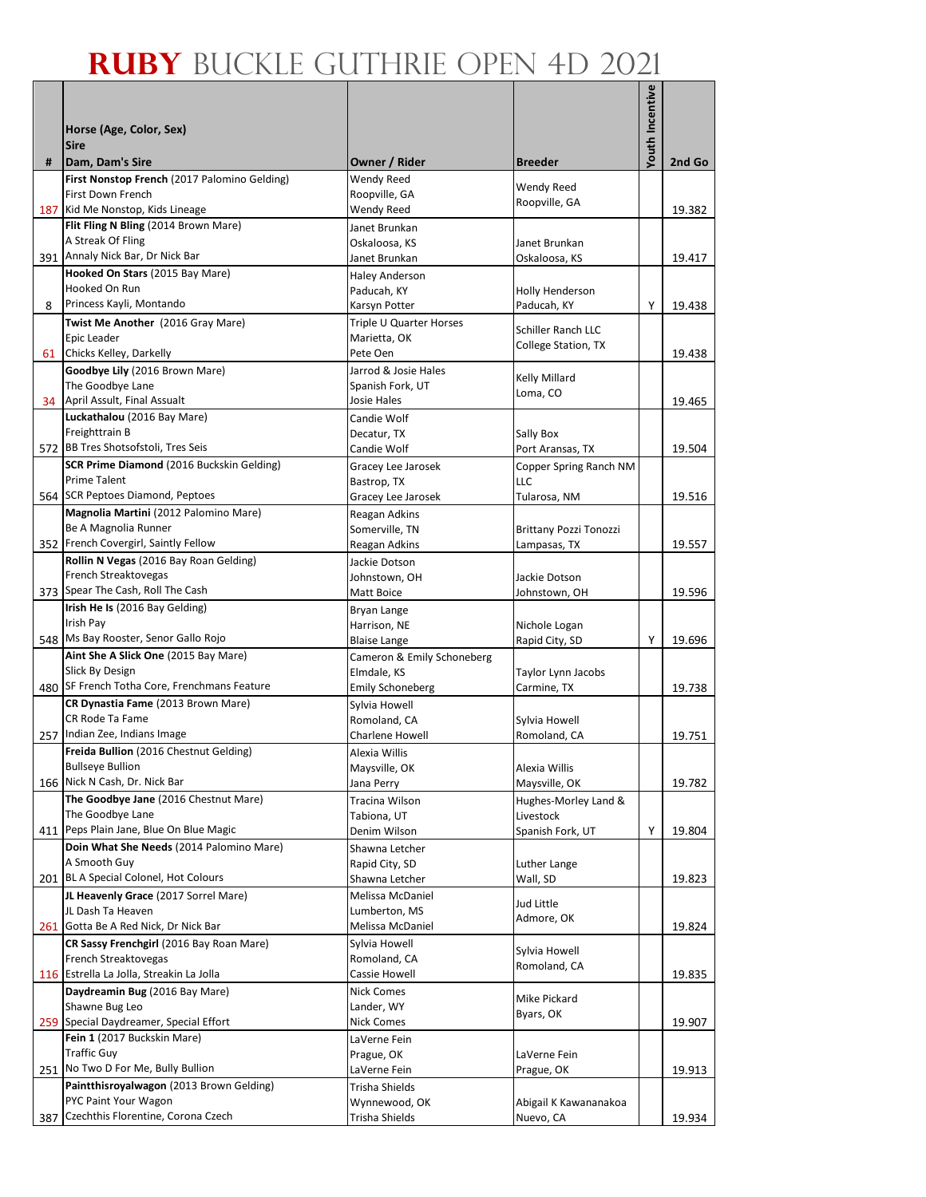|     |                                                                        |                                          |                                   | Youth Incentive |        |
|-----|------------------------------------------------------------------------|------------------------------------------|-----------------------------------|-----------------|--------|
|     |                                                                        |                                          |                                   |                 |        |
|     | Horse (Age, Color, Sex)<br><b>Sire</b>                                 |                                          |                                   |                 |        |
| #   | Dam, Dam's Sire                                                        | Owner / Rider                            | <b>Breeder</b>                    |                 | 2nd Go |
|     | First Nonstop French (2017 Palomino Gelding)                           | Wendy Reed                               | Wendy Reed                        |                 |        |
|     | First Down French                                                      | Roopville, GA                            | Roopville, GA                     |                 |        |
|     | 187 Kid Me Nonstop, Kids Lineage                                       | Wendy Reed                               |                                   |                 | 19.382 |
|     | Flit Fling N Bling (2014 Brown Mare)<br>A Streak Of Fling              | Janet Brunkan<br>Oskaloosa, KS           | Janet Brunkan                     |                 |        |
|     | 391 Annaly Nick Bar, Dr Nick Bar                                       | Janet Brunkan                            | Oskaloosa, KS                     |                 | 19.417 |
|     | Hooked On Stars (2015 Bay Mare)                                        | <b>Haley Anderson</b>                    |                                   |                 |        |
|     | Hooked On Run                                                          | Paducah, KY                              | Holly Henderson                   |                 |        |
| 8   | Princess Kayli, Montando                                               | Karsyn Potter                            | Paducah, KY                       | Y               | 19.438 |
|     | Twist Me Another (2016 Gray Mare)                                      | Triple U Quarter Horses                  | Schiller Ranch LLC                |                 |        |
| 61  | Epic Leader<br>Chicks Kelley, Darkelly                                 | Marietta, OK<br>Pete Oen                 | College Station, TX               |                 | 19.438 |
|     | Goodbye Lily (2016 Brown Mare)                                         | Jarrod & Josie Hales                     |                                   |                 |        |
|     | The Goodbye Lane                                                       | Spanish Fork, UT                         | Kelly Millard<br>Loma, CO         |                 |        |
| 34  | April Assult, Final Assualt                                            | Josie Hales                              |                                   |                 | 19.465 |
|     | Luckathalou (2016 Bay Mare)                                            | Candie Wolf                              |                                   |                 |        |
|     | Freighttrain B<br>572 BB Tres Shotsofstoli, Tres Seis                  | Decatur, TX                              | Sally Box                         |                 |        |
|     | SCR Prime Diamond (2016 Buckskin Gelding)                              | Candie Wolf                              | Port Aransas, TX                  |                 | 19.504 |
|     | Prime Talent                                                           | Gracey Lee Jarosek<br>Bastrop, TX        | Copper Spring Ranch NM<br>LLC     |                 |        |
|     | 564 SCR Peptoes Diamond, Peptoes                                       | Gracey Lee Jarosek                       | Tularosa, NM                      |                 | 19.516 |
|     | Magnolia Martini (2012 Palomino Mare)                                  | Reagan Adkins                            |                                   |                 |        |
|     | Be A Magnolia Runner                                                   | Somerville, TN                           | <b>Brittany Pozzi Tonozzi</b>     |                 |        |
|     | 352 French Covergirl, Saintly Fellow                                   | Reagan Adkins                            | Lampasas, TX                      |                 | 19.557 |
|     | Rollin N Vegas (2016 Bay Roan Gelding)<br>French Streaktovegas         | Jackie Dotson                            | Jackie Dotson                     |                 |        |
|     | 373 Spear The Cash, Roll The Cash                                      | Johnstown, OH<br>Matt Boice              | Johnstown, OH                     |                 | 19.596 |
|     | Irish He Is (2016 Bay Gelding)                                         | Bryan Lange                              |                                   |                 |        |
|     | Irish Pay                                                              | Harrison, NE                             | Nichole Logan                     |                 |        |
|     | 548 Ms Bay Rooster, Senor Gallo Rojo                                   | <b>Blaise Lange</b>                      | Rapid City, SD                    | Υ               | 19.696 |
|     | Aint She A Slick One (2015 Bay Mare)                                   | Cameron & Emily Schoneberg               |                                   |                 |        |
|     | Slick By Design<br>480 SF French Totha Core, Frenchmans Feature        | Elmdale, KS                              | Taylor Lynn Jacobs                |                 | 19.738 |
|     | CR Dynastia Fame (2013 Brown Mare)                                     | <b>Emily Schoneberg</b><br>Sylvia Howell | Carmine, TX                       |                 |        |
|     | CR Rode Ta Fame                                                        | Romoland, CA                             | Sylvia Howell                     |                 |        |
|     | 257 Indian Zee, Indians Image                                          | Charlene Howell                          | Romoland, CA                      |                 | 19.751 |
|     | Freida Bullion (2016 Chestnut Gelding)                                 | Alexia Willis                            |                                   |                 |        |
|     | <b>Bullseye Bullion</b>                                                | Maysville, OK                            | Alexia Willis                     |                 |        |
|     | 166 Nick N Cash, Dr. Nick Bar<br>The Goodbye Jane (2016 Chestnut Mare) | Jana Perry                               | Maysville, OK                     |                 | 19.782 |
|     | The Goodbye Lane                                                       | Tracina Wilson<br>Tabiona, UT            | Hughes-Morley Land &<br>Livestock |                 |        |
|     | 411 Peps Plain Jane, Blue On Blue Magic                                | Denim Wilson                             | Spanish Fork, UT                  | Y               | 19.804 |
|     | Doin What She Needs (2014 Palomino Mare)                               | Shawna Letcher                           |                                   |                 |        |
|     | A Smooth Guy                                                           | Rapid City, SD                           | Luther Lange                      |                 |        |
|     | 201 BL A Special Colonel, Hot Colours                                  | Shawna Letcher                           | Wall, SD                          |                 | 19.823 |
|     | JL Heavenly Grace (2017 Sorrel Mare)                                   | Melissa McDaniel                         | Jud Little                        |                 |        |
|     | JL Dash Ta Heaven<br>261 Gotta Be A Red Nick, Dr Nick Bar              | Lumberton, MS<br>Melissa McDaniel        | Admore, OK                        |                 | 19.824 |
|     | CR Sassy Frenchgirl (2016 Bay Roan Mare)                               | Sylvia Howell                            |                                   |                 |        |
|     | French Streaktovegas                                                   | Romoland, CA                             | Sylvia Howell                     |                 |        |
|     | 116 Estrella La Jolla, Streakin La Jolla                               | Cassie Howell                            | Romoland, CA                      |                 | 19.835 |
|     | Daydreamin Bug (2016 Bay Mare)                                         | <b>Nick Comes</b>                        | Mike Pickard                      |                 |        |
|     | Shawne Bug Leo                                                         | Lander, WY                               | Byars, OK                         |                 |        |
|     | 259 Special Daydreamer, Special Effort<br>Fein 1 (2017 Buckskin Mare)  | Nick Comes                               |                                   |                 | 19.907 |
|     | <b>Traffic Guy</b>                                                     | LaVerne Fein<br>Prague, OK               | LaVerne Fein                      |                 |        |
| 251 | No Two D For Me, Bully Bullion                                         | LaVerne Fein                             | Prague, OK                        |                 | 19.913 |
|     | Paintthisroyalwagon (2013 Brown Gelding)                               | Trisha Shields                           |                                   |                 |        |
|     | PYC Paint Your Wagon                                                   | Wynnewood, OK                            | Abigail K Kawananakoa             |                 |        |
| 387 | Czechthis Florentine, Corona Czech                                     | Trisha Shields                           | Nuevo, CA                         |                 | 19.934 |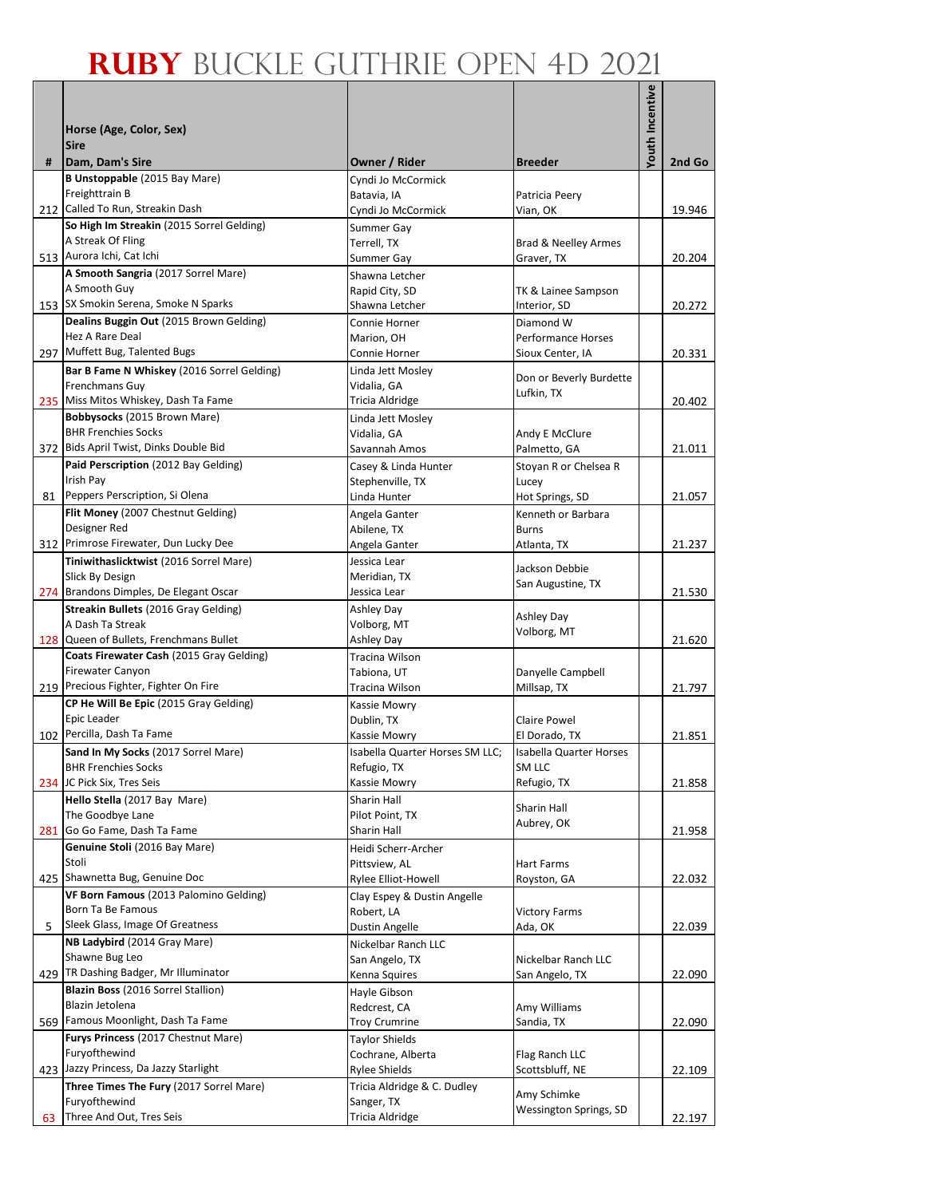| <b>Youth Incentive</b><br>Horse (Age, Color, Sex)<br><b>Sire</b><br>Dam, Dam's Sire<br>Owner / Rider<br>2nd Go<br>#<br><b>Breeder</b><br><b>B Unstoppable (2015 Bay Mare)</b><br>Cyndi Jo McCormick<br>Freighttrain B<br>Batavia, IA<br>Patricia Peery<br>212 Called To Run, Streakin Dash<br>19.946<br>Cyndi Jo McCormick<br>Vian, OK<br>So High Im Streakin (2015 Sorrel Gelding)<br>Summer Gay<br>A Streak Of Fling<br>Terrell, TX<br>Brad & Neelley Armes<br>513 Aurora Ichi, Cat Ichi<br>Summer Gay<br>Graver, TX<br>20.204<br>A Smooth Sangria (2017 Sorrel Mare)<br>Shawna Letcher<br>A Smooth Guy<br>Rapid City, SD<br>TK & Lainee Sampson<br>153 SX Smokin Serena, Smoke N Sparks<br>Shawna Letcher<br>Interior, SD<br>20.272<br>Dealins Buggin Out (2015 Brown Gelding)<br>Diamond W<br>Connie Horner<br>Hez A Rare Deal<br>Marion, OH<br>Performance Horses<br>297 Muffett Bug, Talented Bugs<br>20.331<br>Connie Horner<br>Sioux Center, IA<br>Bar B Fame N Whiskey (2016 Sorrel Gelding)<br>Linda Jett Mosley<br>Don or Beverly Burdette<br>Frenchmans Guy<br>Vidalia, GA<br>Lufkin, TX<br>235 Miss Mitos Whiskey, Dash Ta Fame<br>Tricia Aldridge<br>20.402<br>Bobbysocks (2015 Brown Mare)<br>Linda Jett Mosley<br><b>BHR Frenchies Socks</b><br>Vidalia, GA<br>Andy E McClure<br>372 Bids April Twist, Dinks Double Bid<br>Savannah Amos<br>Palmetto, GA<br>21.011<br>Paid Perscription (2012 Bay Gelding)<br>Casey & Linda Hunter<br>Stoyan R or Chelsea R<br>Irish Pay<br>Stephenville, TX<br>Lucey<br>Peppers Perscription, Si Olena<br>Linda Hunter<br>21.057<br>81<br>Hot Springs, SD<br>Flit Money (2007 Chestnut Gelding)<br>Angela Ganter<br>Kenneth or Barbara<br>Designer Red<br>Abilene, TX<br><b>Burns</b><br>312 Primrose Firewater, Dun Lucky Dee<br>21.237<br>Angela Ganter<br>Atlanta, TX<br>Jessica Lear<br>Tiniwithaslicktwist (2016 Sorrel Mare)<br>Jackson Debbie<br>Slick By Design<br>Meridian, TX<br>San Augustine, TX<br>274 Brandons Dimples, De Elegant Oscar<br>Jessica Lear<br>21.530<br>Streakin Bullets (2016 Gray Gelding)<br>Ashley Day<br>Ashley Day<br>A Dash Ta Streak<br>Volborg, MT<br>Volborg, MT<br>128 Queen of Bullets, Frenchmans Bullet<br>Ashley Day<br>21.620<br>Coats Firewater Cash (2015 Gray Gelding)<br>Tracina Wilson<br>Firewater Canyon<br>Danyelle Campbell<br>Tabiona, UT<br>219 Precious Fighter, Fighter On Fire<br>21.797<br>Tracina Wilson<br>Millsap, TX<br>CP He Will Be Epic (2015 Gray Gelding)<br>Kassie Mowry<br>Epic Leader<br>Dublin, TX<br><b>Claire Powel</b><br>102 Percilla, Dash Ta Fame<br>21.851<br>El Dorado, TX<br>Kassie Mowry<br>Sand In My Socks (2017 Sorrel Mare)<br>Isabella Quarter Horses SM LLC;<br><b>Isabella Quarter Horses</b><br>Refugio, TX<br>SM LLC<br><b>BHR Frenchies Socks</b><br>234 JC Pick Six, Tres Seis<br>Kassie Mowry<br>Refugio, TX<br>21.858<br>Hello Stella (2017 Bay Mare)<br>Sharin Hall<br>Sharin Hall<br>The Goodbye Lane<br>Pilot Point, TX<br>Aubrey, OK<br>Go Go Fame, Dash Ta Fame<br>281<br>Sharin Hall<br>21.958<br>Genuine Stoli (2016 Bay Mare)<br>Heidi Scherr-Archer<br>Stoli<br>Pittsview, AL<br>Hart Farms<br>425 Shawnetta Bug, Genuine Doc<br>22.032<br>Rylee Elliot-Howell<br>Royston, GA<br>VF Born Famous (2013 Palomino Gelding)<br>Clay Espey & Dustin Angelle<br>Born Ta Be Famous<br>Robert, LA<br><b>Victory Farms</b><br>Sleek Glass, Image Of Greatness<br>5<br>Dustin Angelle<br>Ada, OK<br>22.039<br>NB Ladybird (2014 Gray Mare)<br>Nickelbar Ranch LLC<br>Shawne Bug Leo<br>San Angelo, TX<br>Nickelbar Ranch LLC<br>429 TR Dashing Badger, Mr Illuminator<br>Kenna Squires<br>San Angelo, TX<br>22.090<br>Blazin Boss (2016 Sorrel Stallion)<br>Hayle Gibson<br>Blazin Jetolena<br>Redcrest, CA<br>Amy Williams<br>Famous Moonlight, Dash Ta Fame<br>569<br>22.090<br><b>Troy Crumrine</b><br>Sandia, TX<br>Furys Princess (2017 Chestnut Mare)<br><b>Taylor Shields</b><br>Furyofthewind<br>Cochrane, Alberta<br>Flag Ranch LLC<br>423 Jazzy Princess, Da Jazzy Starlight<br><b>Rylee Shields</b><br>22.109<br>Scottsbluff, NE<br>Three Times The Fury (2017 Sorrel Mare)<br>Tricia Aldridge & C. Dudley<br>Amy Schimke<br>Furyofthewind<br>Sanger, TX |  |                        |  |
|--------------------------------------------------------------------------------------------------------------------------------------------------------------------------------------------------------------------------------------------------------------------------------------------------------------------------------------------------------------------------------------------------------------------------------------------------------------------------------------------------------------------------------------------------------------------------------------------------------------------------------------------------------------------------------------------------------------------------------------------------------------------------------------------------------------------------------------------------------------------------------------------------------------------------------------------------------------------------------------------------------------------------------------------------------------------------------------------------------------------------------------------------------------------------------------------------------------------------------------------------------------------------------------------------------------------------------------------------------------------------------------------------------------------------------------------------------------------------------------------------------------------------------------------------------------------------------------------------------------------------------------------------------------------------------------------------------------------------------------------------------------------------------------------------------------------------------------------------------------------------------------------------------------------------------------------------------------------------------------------------------------------------------------------------------------------------------------------------------------------------------------------------------------------------------------------------------------------------------------------------------------------------------------------------------------------------------------------------------------------------------------------------------------------------------------------------------------------------------------------------------------------------------------------------------------------------------------------------------------------------------------------------------------------------------------------------------------------------------------------------------------------------------------------------------------------------------------------------------------------------------------------------------------------------------------------------------------------------------------------------------------------------------------------------------------------------------------------------------------------------------------------------------------------------------------------------------------------------------------------------------------------------------------------------------------------------------------------------------------------------------------------------------------------------------------------------------------------------------------------------------------------------------------------------------------------------------------------------------------------------------------------------------------------------------------------------------------------------------------------------------------------------------------------------------------------------------------------------------------------------------------------------------------------------------------------------------------------------------------------------------------------------------------------------------------------------------------------------------------------------------------------------------------------------------------------------------------------|--|------------------------|--|
|                                                                                                                                                                                                                                                                                                                                                                                                                                                                                                                                                                                                                                                                                                                                                                                                                                                                                                                                                                                                                                                                                                                                                                                                                                                                                                                                                                                                                                                                                                                                                                                                                                                                                                                                                                                                                                                                                                                                                                                                                                                                                                                                                                                                                                                                                                                                                                                                                                                                                                                                                                                                                                                                                                                                                                                                                                                                                                                                                                                                                                                                                                                                                                                                                                                                                                                                                                                                                                                                                                                                                                                                                                                                                                                                                                                                                                                                                                                                                                                                                                                                                                                                                                                                                    |  |                        |  |
|                                                                                                                                                                                                                                                                                                                                                                                                                                                                                                                                                                                                                                                                                                                                                                                                                                                                                                                                                                                                                                                                                                                                                                                                                                                                                                                                                                                                                                                                                                                                                                                                                                                                                                                                                                                                                                                                                                                                                                                                                                                                                                                                                                                                                                                                                                                                                                                                                                                                                                                                                                                                                                                                                                                                                                                                                                                                                                                                                                                                                                                                                                                                                                                                                                                                                                                                                                                                                                                                                                                                                                                                                                                                                                                                                                                                                                                                                                                                                                                                                                                                                                                                                                                                                    |  |                        |  |
|                                                                                                                                                                                                                                                                                                                                                                                                                                                                                                                                                                                                                                                                                                                                                                                                                                                                                                                                                                                                                                                                                                                                                                                                                                                                                                                                                                                                                                                                                                                                                                                                                                                                                                                                                                                                                                                                                                                                                                                                                                                                                                                                                                                                                                                                                                                                                                                                                                                                                                                                                                                                                                                                                                                                                                                                                                                                                                                                                                                                                                                                                                                                                                                                                                                                                                                                                                                                                                                                                                                                                                                                                                                                                                                                                                                                                                                                                                                                                                                                                                                                                                                                                                                                                    |  |                        |  |
|                                                                                                                                                                                                                                                                                                                                                                                                                                                                                                                                                                                                                                                                                                                                                                                                                                                                                                                                                                                                                                                                                                                                                                                                                                                                                                                                                                                                                                                                                                                                                                                                                                                                                                                                                                                                                                                                                                                                                                                                                                                                                                                                                                                                                                                                                                                                                                                                                                                                                                                                                                                                                                                                                                                                                                                                                                                                                                                                                                                                                                                                                                                                                                                                                                                                                                                                                                                                                                                                                                                                                                                                                                                                                                                                                                                                                                                                                                                                                                                                                                                                                                                                                                                                                    |  |                        |  |
|                                                                                                                                                                                                                                                                                                                                                                                                                                                                                                                                                                                                                                                                                                                                                                                                                                                                                                                                                                                                                                                                                                                                                                                                                                                                                                                                                                                                                                                                                                                                                                                                                                                                                                                                                                                                                                                                                                                                                                                                                                                                                                                                                                                                                                                                                                                                                                                                                                                                                                                                                                                                                                                                                                                                                                                                                                                                                                                                                                                                                                                                                                                                                                                                                                                                                                                                                                                                                                                                                                                                                                                                                                                                                                                                                                                                                                                                                                                                                                                                                                                                                                                                                                                                                    |  |                        |  |
|                                                                                                                                                                                                                                                                                                                                                                                                                                                                                                                                                                                                                                                                                                                                                                                                                                                                                                                                                                                                                                                                                                                                                                                                                                                                                                                                                                                                                                                                                                                                                                                                                                                                                                                                                                                                                                                                                                                                                                                                                                                                                                                                                                                                                                                                                                                                                                                                                                                                                                                                                                                                                                                                                                                                                                                                                                                                                                                                                                                                                                                                                                                                                                                                                                                                                                                                                                                                                                                                                                                                                                                                                                                                                                                                                                                                                                                                                                                                                                                                                                                                                                                                                                                                                    |  |                        |  |
|                                                                                                                                                                                                                                                                                                                                                                                                                                                                                                                                                                                                                                                                                                                                                                                                                                                                                                                                                                                                                                                                                                                                                                                                                                                                                                                                                                                                                                                                                                                                                                                                                                                                                                                                                                                                                                                                                                                                                                                                                                                                                                                                                                                                                                                                                                                                                                                                                                                                                                                                                                                                                                                                                                                                                                                                                                                                                                                                                                                                                                                                                                                                                                                                                                                                                                                                                                                                                                                                                                                                                                                                                                                                                                                                                                                                                                                                                                                                                                                                                                                                                                                                                                                                                    |  |                        |  |
|                                                                                                                                                                                                                                                                                                                                                                                                                                                                                                                                                                                                                                                                                                                                                                                                                                                                                                                                                                                                                                                                                                                                                                                                                                                                                                                                                                                                                                                                                                                                                                                                                                                                                                                                                                                                                                                                                                                                                                                                                                                                                                                                                                                                                                                                                                                                                                                                                                                                                                                                                                                                                                                                                                                                                                                                                                                                                                                                                                                                                                                                                                                                                                                                                                                                                                                                                                                                                                                                                                                                                                                                                                                                                                                                                                                                                                                                                                                                                                                                                                                                                                                                                                                                                    |  |                        |  |
|                                                                                                                                                                                                                                                                                                                                                                                                                                                                                                                                                                                                                                                                                                                                                                                                                                                                                                                                                                                                                                                                                                                                                                                                                                                                                                                                                                                                                                                                                                                                                                                                                                                                                                                                                                                                                                                                                                                                                                                                                                                                                                                                                                                                                                                                                                                                                                                                                                                                                                                                                                                                                                                                                                                                                                                                                                                                                                                                                                                                                                                                                                                                                                                                                                                                                                                                                                                                                                                                                                                                                                                                                                                                                                                                                                                                                                                                                                                                                                                                                                                                                                                                                                                                                    |  |                        |  |
|                                                                                                                                                                                                                                                                                                                                                                                                                                                                                                                                                                                                                                                                                                                                                                                                                                                                                                                                                                                                                                                                                                                                                                                                                                                                                                                                                                                                                                                                                                                                                                                                                                                                                                                                                                                                                                                                                                                                                                                                                                                                                                                                                                                                                                                                                                                                                                                                                                                                                                                                                                                                                                                                                                                                                                                                                                                                                                                                                                                                                                                                                                                                                                                                                                                                                                                                                                                                                                                                                                                                                                                                                                                                                                                                                                                                                                                                                                                                                                                                                                                                                                                                                                                                                    |  |                        |  |
|                                                                                                                                                                                                                                                                                                                                                                                                                                                                                                                                                                                                                                                                                                                                                                                                                                                                                                                                                                                                                                                                                                                                                                                                                                                                                                                                                                                                                                                                                                                                                                                                                                                                                                                                                                                                                                                                                                                                                                                                                                                                                                                                                                                                                                                                                                                                                                                                                                                                                                                                                                                                                                                                                                                                                                                                                                                                                                                                                                                                                                                                                                                                                                                                                                                                                                                                                                                                                                                                                                                                                                                                                                                                                                                                                                                                                                                                                                                                                                                                                                                                                                                                                                                                                    |  |                        |  |
|                                                                                                                                                                                                                                                                                                                                                                                                                                                                                                                                                                                                                                                                                                                                                                                                                                                                                                                                                                                                                                                                                                                                                                                                                                                                                                                                                                                                                                                                                                                                                                                                                                                                                                                                                                                                                                                                                                                                                                                                                                                                                                                                                                                                                                                                                                                                                                                                                                                                                                                                                                                                                                                                                                                                                                                                                                                                                                                                                                                                                                                                                                                                                                                                                                                                                                                                                                                                                                                                                                                                                                                                                                                                                                                                                                                                                                                                                                                                                                                                                                                                                                                                                                                                                    |  |                        |  |
|                                                                                                                                                                                                                                                                                                                                                                                                                                                                                                                                                                                                                                                                                                                                                                                                                                                                                                                                                                                                                                                                                                                                                                                                                                                                                                                                                                                                                                                                                                                                                                                                                                                                                                                                                                                                                                                                                                                                                                                                                                                                                                                                                                                                                                                                                                                                                                                                                                                                                                                                                                                                                                                                                                                                                                                                                                                                                                                                                                                                                                                                                                                                                                                                                                                                                                                                                                                                                                                                                                                                                                                                                                                                                                                                                                                                                                                                                                                                                                                                                                                                                                                                                                                                                    |  |                        |  |
|                                                                                                                                                                                                                                                                                                                                                                                                                                                                                                                                                                                                                                                                                                                                                                                                                                                                                                                                                                                                                                                                                                                                                                                                                                                                                                                                                                                                                                                                                                                                                                                                                                                                                                                                                                                                                                                                                                                                                                                                                                                                                                                                                                                                                                                                                                                                                                                                                                                                                                                                                                                                                                                                                                                                                                                                                                                                                                                                                                                                                                                                                                                                                                                                                                                                                                                                                                                                                                                                                                                                                                                                                                                                                                                                                                                                                                                                                                                                                                                                                                                                                                                                                                                                                    |  |                        |  |
|                                                                                                                                                                                                                                                                                                                                                                                                                                                                                                                                                                                                                                                                                                                                                                                                                                                                                                                                                                                                                                                                                                                                                                                                                                                                                                                                                                                                                                                                                                                                                                                                                                                                                                                                                                                                                                                                                                                                                                                                                                                                                                                                                                                                                                                                                                                                                                                                                                                                                                                                                                                                                                                                                                                                                                                                                                                                                                                                                                                                                                                                                                                                                                                                                                                                                                                                                                                                                                                                                                                                                                                                                                                                                                                                                                                                                                                                                                                                                                                                                                                                                                                                                                                                                    |  |                        |  |
|                                                                                                                                                                                                                                                                                                                                                                                                                                                                                                                                                                                                                                                                                                                                                                                                                                                                                                                                                                                                                                                                                                                                                                                                                                                                                                                                                                                                                                                                                                                                                                                                                                                                                                                                                                                                                                                                                                                                                                                                                                                                                                                                                                                                                                                                                                                                                                                                                                                                                                                                                                                                                                                                                                                                                                                                                                                                                                                                                                                                                                                                                                                                                                                                                                                                                                                                                                                                                                                                                                                                                                                                                                                                                                                                                                                                                                                                                                                                                                                                                                                                                                                                                                                                                    |  |                        |  |
|                                                                                                                                                                                                                                                                                                                                                                                                                                                                                                                                                                                                                                                                                                                                                                                                                                                                                                                                                                                                                                                                                                                                                                                                                                                                                                                                                                                                                                                                                                                                                                                                                                                                                                                                                                                                                                                                                                                                                                                                                                                                                                                                                                                                                                                                                                                                                                                                                                                                                                                                                                                                                                                                                                                                                                                                                                                                                                                                                                                                                                                                                                                                                                                                                                                                                                                                                                                                                                                                                                                                                                                                                                                                                                                                                                                                                                                                                                                                                                                                                                                                                                                                                                                                                    |  |                        |  |
|                                                                                                                                                                                                                                                                                                                                                                                                                                                                                                                                                                                                                                                                                                                                                                                                                                                                                                                                                                                                                                                                                                                                                                                                                                                                                                                                                                                                                                                                                                                                                                                                                                                                                                                                                                                                                                                                                                                                                                                                                                                                                                                                                                                                                                                                                                                                                                                                                                                                                                                                                                                                                                                                                                                                                                                                                                                                                                                                                                                                                                                                                                                                                                                                                                                                                                                                                                                                                                                                                                                                                                                                                                                                                                                                                                                                                                                                                                                                                                                                                                                                                                                                                                                                                    |  |                        |  |
|                                                                                                                                                                                                                                                                                                                                                                                                                                                                                                                                                                                                                                                                                                                                                                                                                                                                                                                                                                                                                                                                                                                                                                                                                                                                                                                                                                                                                                                                                                                                                                                                                                                                                                                                                                                                                                                                                                                                                                                                                                                                                                                                                                                                                                                                                                                                                                                                                                                                                                                                                                                                                                                                                                                                                                                                                                                                                                                                                                                                                                                                                                                                                                                                                                                                                                                                                                                                                                                                                                                                                                                                                                                                                                                                                                                                                                                                                                                                                                                                                                                                                                                                                                                                                    |  |                        |  |
|                                                                                                                                                                                                                                                                                                                                                                                                                                                                                                                                                                                                                                                                                                                                                                                                                                                                                                                                                                                                                                                                                                                                                                                                                                                                                                                                                                                                                                                                                                                                                                                                                                                                                                                                                                                                                                                                                                                                                                                                                                                                                                                                                                                                                                                                                                                                                                                                                                                                                                                                                                                                                                                                                                                                                                                                                                                                                                                                                                                                                                                                                                                                                                                                                                                                                                                                                                                                                                                                                                                                                                                                                                                                                                                                                                                                                                                                                                                                                                                                                                                                                                                                                                                                                    |  |                        |  |
|                                                                                                                                                                                                                                                                                                                                                                                                                                                                                                                                                                                                                                                                                                                                                                                                                                                                                                                                                                                                                                                                                                                                                                                                                                                                                                                                                                                                                                                                                                                                                                                                                                                                                                                                                                                                                                                                                                                                                                                                                                                                                                                                                                                                                                                                                                                                                                                                                                                                                                                                                                                                                                                                                                                                                                                                                                                                                                                                                                                                                                                                                                                                                                                                                                                                                                                                                                                                                                                                                                                                                                                                                                                                                                                                                                                                                                                                                                                                                                                                                                                                                                                                                                                                                    |  |                        |  |
|                                                                                                                                                                                                                                                                                                                                                                                                                                                                                                                                                                                                                                                                                                                                                                                                                                                                                                                                                                                                                                                                                                                                                                                                                                                                                                                                                                                                                                                                                                                                                                                                                                                                                                                                                                                                                                                                                                                                                                                                                                                                                                                                                                                                                                                                                                                                                                                                                                                                                                                                                                                                                                                                                                                                                                                                                                                                                                                                                                                                                                                                                                                                                                                                                                                                                                                                                                                                                                                                                                                                                                                                                                                                                                                                                                                                                                                                                                                                                                                                                                                                                                                                                                                                                    |  |                        |  |
|                                                                                                                                                                                                                                                                                                                                                                                                                                                                                                                                                                                                                                                                                                                                                                                                                                                                                                                                                                                                                                                                                                                                                                                                                                                                                                                                                                                                                                                                                                                                                                                                                                                                                                                                                                                                                                                                                                                                                                                                                                                                                                                                                                                                                                                                                                                                                                                                                                                                                                                                                                                                                                                                                                                                                                                                                                                                                                                                                                                                                                                                                                                                                                                                                                                                                                                                                                                                                                                                                                                                                                                                                                                                                                                                                                                                                                                                                                                                                                                                                                                                                                                                                                                                                    |  |                        |  |
|                                                                                                                                                                                                                                                                                                                                                                                                                                                                                                                                                                                                                                                                                                                                                                                                                                                                                                                                                                                                                                                                                                                                                                                                                                                                                                                                                                                                                                                                                                                                                                                                                                                                                                                                                                                                                                                                                                                                                                                                                                                                                                                                                                                                                                                                                                                                                                                                                                                                                                                                                                                                                                                                                                                                                                                                                                                                                                                                                                                                                                                                                                                                                                                                                                                                                                                                                                                                                                                                                                                                                                                                                                                                                                                                                                                                                                                                                                                                                                                                                                                                                                                                                                                                                    |  |                        |  |
|                                                                                                                                                                                                                                                                                                                                                                                                                                                                                                                                                                                                                                                                                                                                                                                                                                                                                                                                                                                                                                                                                                                                                                                                                                                                                                                                                                                                                                                                                                                                                                                                                                                                                                                                                                                                                                                                                                                                                                                                                                                                                                                                                                                                                                                                                                                                                                                                                                                                                                                                                                                                                                                                                                                                                                                                                                                                                                                                                                                                                                                                                                                                                                                                                                                                                                                                                                                                                                                                                                                                                                                                                                                                                                                                                                                                                                                                                                                                                                                                                                                                                                                                                                                                                    |  |                        |  |
|                                                                                                                                                                                                                                                                                                                                                                                                                                                                                                                                                                                                                                                                                                                                                                                                                                                                                                                                                                                                                                                                                                                                                                                                                                                                                                                                                                                                                                                                                                                                                                                                                                                                                                                                                                                                                                                                                                                                                                                                                                                                                                                                                                                                                                                                                                                                                                                                                                                                                                                                                                                                                                                                                                                                                                                                                                                                                                                                                                                                                                                                                                                                                                                                                                                                                                                                                                                                                                                                                                                                                                                                                                                                                                                                                                                                                                                                                                                                                                                                                                                                                                                                                                                                                    |  |                        |  |
|                                                                                                                                                                                                                                                                                                                                                                                                                                                                                                                                                                                                                                                                                                                                                                                                                                                                                                                                                                                                                                                                                                                                                                                                                                                                                                                                                                                                                                                                                                                                                                                                                                                                                                                                                                                                                                                                                                                                                                                                                                                                                                                                                                                                                                                                                                                                                                                                                                                                                                                                                                                                                                                                                                                                                                                                                                                                                                                                                                                                                                                                                                                                                                                                                                                                                                                                                                                                                                                                                                                                                                                                                                                                                                                                                                                                                                                                                                                                                                                                                                                                                                                                                                                                                    |  |                        |  |
|                                                                                                                                                                                                                                                                                                                                                                                                                                                                                                                                                                                                                                                                                                                                                                                                                                                                                                                                                                                                                                                                                                                                                                                                                                                                                                                                                                                                                                                                                                                                                                                                                                                                                                                                                                                                                                                                                                                                                                                                                                                                                                                                                                                                                                                                                                                                                                                                                                                                                                                                                                                                                                                                                                                                                                                                                                                                                                                                                                                                                                                                                                                                                                                                                                                                                                                                                                                                                                                                                                                                                                                                                                                                                                                                                                                                                                                                                                                                                                                                                                                                                                                                                                                                                    |  |                        |  |
|                                                                                                                                                                                                                                                                                                                                                                                                                                                                                                                                                                                                                                                                                                                                                                                                                                                                                                                                                                                                                                                                                                                                                                                                                                                                                                                                                                                                                                                                                                                                                                                                                                                                                                                                                                                                                                                                                                                                                                                                                                                                                                                                                                                                                                                                                                                                                                                                                                                                                                                                                                                                                                                                                                                                                                                                                                                                                                                                                                                                                                                                                                                                                                                                                                                                                                                                                                                                                                                                                                                                                                                                                                                                                                                                                                                                                                                                                                                                                                                                                                                                                                                                                                                                                    |  |                        |  |
|                                                                                                                                                                                                                                                                                                                                                                                                                                                                                                                                                                                                                                                                                                                                                                                                                                                                                                                                                                                                                                                                                                                                                                                                                                                                                                                                                                                                                                                                                                                                                                                                                                                                                                                                                                                                                                                                                                                                                                                                                                                                                                                                                                                                                                                                                                                                                                                                                                                                                                                                                                                                                                                                                                                                                                                                                                                                                                                                                                                                                                                                                                                                                                                                                                                                                                                                                                                                                                                                                                                                                                                                                                                                                                                                                                                                                                                                                                                                                                                                                                                                                                                                                                                                                    |  |                        |  |
|                                                                                                                                                                                                                                                                                                                                                                                                                                                                                                                                                                                                                                                                                                                                                                                                                                                                                                                                                                                                                                                                                                                                                                                                                                                                                                                                                                                                                                                                                                                                                                                                                                                                                                                                                                                                                                                                                                                                                                                                                                                                                                                                                                                                                                                                                                                                                                                                                                                                                                                                                                                                                                                                                                                                                                                                                                                                                                                                                                                                                                                                                                                                                                                                                                                                                                                                                                                                                                                                                                                                                                                                                                                                                                                                                                                                                                                                                                                                                                                                                                                                                                                                                                                                                    |  |                        |  |
|                                                                                                                                                                                                                                                                                                                                                                                                                                                                                                                                                                                                                                                                                                                                                                                                                                                                                                                                                                                                                                                                                                                                                                                                                                                                                                                                                                                                                                                                                                                                                                                                                                                                                                                                                                                                                                                                                                                                                                                                                                                                                                                                                                                                                                                                                                                                                                                                                                                                                                                                                                                                                                                                                                                                                                                                                                                                                                                                                                                                                                                                                                                                                                                                                                                                                                                                                                                                                                                                                                                                                                                                                                                                                                                                                                                                                                                                                                                                                                                                                                                                                                                                                                                                                    |  |                        |  |
|                                                                                                                                                                                                                                                                                                                                                                                                                                                                                                                                                                                                                                                                                                                                                                                                                                                                                                                                                                                                                                                                                                                                                                                                                                                                                                                                                                                                                                                                                                                                                                                                                                                                                                                                                                                                                                                                                                                                                                                                                                                                                                                                                                                                                                                                                                                                                                                                                                                                                                                                                                                                                                                                                                                                                                                                                                                                                                                                                                                                                                                                                                                                                                                                                                                                                                                                                                                                                                                                                                                                                                                                                                                                                                                                                                                                                                                                                                                                                                                                                                                                                                                                                                                                                    |  |                        |  |
|                                                                                                                                                                                                                                                                                                                                                                                                                                                                                                                                                                                                                                                                                                                                                                                                                                                                                                                                                                                                                                                                                                                                                                                                                                                                                                                                                                                                                                                                                                                                                                                                                                                                                                                                                                                                                                                                                                                                                                                                                                                                                                                                                                                                                                                                                                                                                                                                                                                                                                                                                                                                                                                                                                                                                                                                                                                                                                                                                                                                                                                                                                                                                                                                                                                                                                                                                                                                                                                                                                                                                                                                                                                                                                                                                                                                                                                                                                                                                                                                                                                                                                                                                                                                                    |  |                        |  |
|                                                                                                                                                                                                                                                                                                                                                                                                                                                                                                                                                                                                                                                                                                                                                                                                                                                                                                                                                                                                                                                                                                                                                                                                                                                                                                                                                                                                                                                                                                                                                                                                                                                                                                                                                                                                                                                                                                                                                                                                                                                                                                                                                                                                                                                                                                                                                                                                                                                                                                                                                                                                                                                                                                                                                                                                                                                                                                                                                                                                                                                                                                                                                                                                                                                                                                                                                                                                                                                                                                                                                                                                                                                                                                                                                                                                                                                                                                                                                                                                                                                                                                                                                                                                                    |  |                        |  |
|                                                                                                                                                                                                                                                                                                                                                                                                                                                                                                                                                                                                                                                                                                                                                                                                                                                                                                                                                                                                                                                                                                                                                                                                                                                                                                                                                                                                                                                                                                                                                                                                                                                                                                                                                                                                                                                                                                                                                                                                                                                                                                                                                                                                                                                                                                                                                                                                                                                                                                                                                                                                                                                                                                                                                                                                                                                                                                                                                                                                                                                                                                                                                                                                                                                                                                                                                                                                                                                                                                                                                                                                                                                                                                                                                                                                                                                                                                                                                                                                                                                                                                                                                                                                                    |  |                        |  |
|                                                                                                                                                                                                                                                                                                                                                                                                                                                                                                                                                                                                                                                                                                                                                                                                                                                                                                                                                                                                                                                                                                                                                                                                                                                                                                                                                                                                                                                                                                                                                                                                                                                                                                                                                                                                                                                                                                                                                                                                                                                                                                                                                                                                                                                                                                                                                                                                                                                                                                                                                                                                                                                                                                                                                                                                                                                                                                                                                                                                                                                                                                                                                                                                                                                                                                                                                                                                                                                                                                                                                                                                                                                                                                                                                                                                                                                                                                                                                                                                                                                                                                                                                                                                                    |  |                        |  |
|                                                                                                                                                                                                                                                                                                                                                                                                                                                                                                                                                                                                                                                                                                                                                                                                                                                                                                                                                                                                                                                                                                                                                                                                                                                                                                                                                                                                                                                                                                                                                                                                                                                                                                                                                                                                                                                                                                                                                                                                                                                                                                                                                                                                                                                                                                                                                                                                                                                                                                                                                                                                                                                                                                                                                                                                                                                                                                                                                                                                                                                                                                                                                                                                                                                                                                                                                                                                                                                                                                                                                                                                                                                                                                                                                                                                                                                                                                                                                                                                                                                                                                                                                                                                                    |  |                        |  |
|                                                                                                                                                                                                                                                                                                                                                                                                                                                                                                                                                                                                                                                                                                                                                                                                                                                                                                                                                                                                                                                                                                                                                                                                                                                                                                                                                                                                                                                                                                                                                                                                                                                                                                                                                                                                                                                                                                                                                                                                                                                                                                                                                                                                                                                                                                                                                                                                                                                                                                                                                                                                                                                                                                                                                                                                                                                                                                                                                                                                                                                                                                                                                                                                                                                                                                                                                                                                                                                                                                                                                                                                                                                                                                                                                                                                                                                                                                                                                                                                                                                                                                                                                                                                                    |  |                        |  |
|                                                                                                                                                                                                                                                                                                                                                                                                                                                                                                                                                                                                                                                                                                                                                                                                                                                                                                                                                                                                                                                                                                                                                                                                                                                                                                                                                                                                                                                                                                                                                                                                                                                                                                                                                                                                                                                                                                                                                                                                                                                                                                                                                                                                                                                                                                                                                                                                                                                                                                                                                                                                                                                                                                                                                                                                                                                                                                                                                                                                                                                                                                                                                                                                                                                                                                                                                                                                                                                                                                                                                                                                                                                                                                                                                                                                                                                                                                                                                                                                                                                                                                                                                                                                                    |  |                        |  |
|                                                                                                                                                                                                                                                                                                                                                                                                                                                                                                                                                                                                                                                                                                                                                                                                                                                                                                                                                                                                                                                                                                                                                                                                                                                                                                                                                                                                                                                                                                                                                                                                                                                                                                                                                                                                                                                                                                                                                                                                                                                                                                                                                                                                                                                                                                                                                                                                                                                                                                                                                                                                                                                                                                                                                                                                                                                                                                                                                                                                                                                                                                                                                                                                                                                                                                                                                                                                                                                                                                                                                                                                                                                                                                                                                                                                                                                                                                                                                                                                                                                                                                                                                                                                                    |  |                        |  |
|                                                                                                                                                                                                                                                                                                                                                                                                                                                                                                                                                                                                                                                                                                                                                                                                                                                                                                                                                                                                                                                                                                                                                                                                                                                                                                                                                                                                                                                                                                                                                                                                                                                                                                                                                                                                                                                                                                                                                                                                                                                                                                                                                                                                                                                                                                                                                                                                                                                                                                                                                                                                                                                                                                                                                                                                                                                                                                                                                                                                                                                                                                                                                                                                                                                                                                                                                                                                                                                                                                                                                                                                                                                                                                                                                                                                                                                                                                                                                                                                                                                                                                                                                                                                                    |  |                        |  |
|                                                                                                                                                                                                                                                                                                                                                                                                                                                                                                                                                                                                                                                                                                                                                                                                                                                                                                                                                                                                                                                                                                                                                                                                                                                                                                                                                                                                                                                                                                                                                                                                                                                                                                                                                                                                                                                                                                                                                                                                                                                                                                                                                                                                                                                                                                                                                                                                                                                                                                                                                                                                                                                                                                                                                                                                                                                                                                                                                                                                                                                                                                                                                                                                                                                                                                                                                                                                                                                                                                                                                                                                                                                                                                                                                                                                                                                                                                                                                                                                                                                                                                                                                                                                                    |  |                        |  |
|                                                                                                                                                                                                                                                                                                                                                                                                                                                                                                                                                                                                                                                                                                                                                                                                                                                                                                                                                                                                                                                                                                                                                                                                                                                                                                                                                                                                                                                                                                                                                                                                                                                                                                                                                                                                                                                                                                                                                                                                                                                                                                                                                                                                                                                                                                                                                                                                                                                                                                                                                                                                                                                                                                                                                                                                                                                                                                                                                                                                                                                                                                                                                                                                                                                                                                                                                                                                                                                                                                                                                                                                                                                                                                                                                                                                                                                                                                                                                                                                                                                                                                                                                                                                                    |  |                        |  |
|                                                                                                                                                                                                                                                                                                                                                                                                                                                                                                                                                                                                                                                                                                                                                                                                                                                                                                                                                                                                                                                                                                                                                                                                                                                                                                                                                                                                                                                                                                                                                                                                                                                                                                                                                                                                                                                                                                                                                                                                                                                                                                                                                                                                                                                                                                                                                                                                                                                                                                                                                                                                                                                                                                                                                                                                                                                                                                                                                                                                                                                                                                                                                                                                                                                                                                                                                                                                                                                                                                                                                                                                                                                                                                                                                                                                                                                                                                                                                                                                                                                                                                                                                                                                                    |  |                        |  |
|                                                                                                                                                                                                                                                                                                                                                                                                                                                                                                                                                                                                                                                                                                                                                                                                                                                                                                                                                                                                                                                                                                                                                                                                                                                                                                                                                                                                                                                                                                                                                                                                                                                                                                                                                                                                                                                                                                                                                                                                                                                                                                                                                                                                                                                                                                                                                                                                                                                                                                                                                                                                                                                                                                                                                                                                                                                                                                                                                                                                                                                                                                                                                                                                                                                                                                                                                                                                                                                                                                                                                                                                                                                                                                                                                                                                                                                                                                                                                                                                                                                                                                                                                                                                                    |  |                        |  |
|                                                                                                                                                                                                                                                                                                                                                                                                                                                                                                                                                                                                                                                                                                                                                                                                                                                                                                                                                                                                                                                                                                                                                                                                                                                                                                                                                                                                                                                                                                                                                                                                                                                                                                                                                                                                                                                                                                                                                                                                                                                                                                                                                                                                                                                                                                                                                                                                                                                                                                                                                                                                                                                                                                                                                                                                                                                                                                                                                                                                                                                                                                                                                                                                                                                                                                                                                                                                                                                                                                                                                                                                                                                                                                                                                                                                                                                                                                                                                                                                                                                                                                                                                                                                                    |  |                        |  |
|                                                                                                                                                                                                                                                                                                                                                                                                                                                                                                                                                                                                                                                                                                                                                                                                                                                                                                                                                                                                                                                                                                                                                                                                                                                                                                                                                                                                                                                                                                                                                                                                                                                                                                                                                                                                                                                                                                                                                                                                                                                                                                                                                                                                                                                                                                                                                                                                                                                                                                                                                                                                                                                                                                                                                                                                                                                                                                                                                                                                                                                                                                                                                                                                                                                                                                                                                                                                                                                                                                                                                                                                                                                                                                                                                                                                                                                                                                                                                                                                                                                                                                                                                                                                                    |  |                        |  |
|                                                                                                                                                                                                                                                                                                                                                                                                                                                                                                                                                                                                                                                                                                                                                                                                                                                                                                                                                                                                                                                                                                                                                                                                                                                                                                                                                                                                                                                                                                                                                                                                                                                                                                                                                                                                                                                                                                                                                                                                                                                                                                                                                                                                                                                                                                                                                                                                                                                                                                                                                                                                                                                                                                                                                                                                                                                                                                                                                                                                                                                                                                                                                                                                                                                                                                                                                                                                                                                                                                                                                                                                                                                                                                                                                                                                                                                                                                                                                                                                                                                                                                                                                                                                                    |  |                        |  |
|                                                                                                                                                                                                                                                                                                                                                                                                                                                                                                                                                                                                                                                                                                                                                                                                                                                                                                                                                                                                                                                                                                                                                                                                                                                                                                                                                                                                                                                                                                                                                                                                                                                                                                                                                                                                                                                                                                                                                                                                                                                                                                                                                                                                                                                                                                                                                                                                                                                                                                                                                                                                                                                                                                                                                                                                                                                                                                                                                                                                                                                                                                                                                                                                                                                                                                                                                                                                                                                                                                                                                                                                                                                                                                                                                                                                                                                                                                                                                                                                                                                                                                                                                                                                                    |  |                        |  |
|                                                                                                                                                                                                                                                                                                                                                                                                                                                                                                                                                                                                                                                                                                                                                                                                                                                                                                                                                                                                                                                                                                                                                                                                                                                                                                                                                                                                                                                                                                                                                                                                                                                                                                                                                                                                                                                                                                                                                                                                                                                                                                                                                                                                                                                                                                                                                                                                                                                                                                                                                                                                                                                                                                                                                                                                                                                                                                                                                                                                                                                                                                                                                                                                                                                                                                                                                                                                                                                                                                                                                                                                                                                                                                                                                                                                                                                                                                                                                                                                                                                                                                                                                                                                                    |  |                        |  |
| Three And Out, Tres Seis<br><b>Tricia Aldridge</b><br>22.197<br>63                                                                                                                                                                                                                                                                                                                                                                                                                                                                                                                                                                                                                                                                                                                                                                                                                                                                                                                                                                                                                                                                                                                                                                                                                                                                                                                                                                                                                                                                                                                                                                                                                                                                                                                                                                                                                                                                                                                                                                                                                                                                                                                                                                                                                                                                                                                                                                                                                                                                                                                                                                                                                                                                                                                                                                                                                                                                                                                                                                                                                                                                                                                                                                                                                                                                                                                                                                                                                                                                                                                                                                                                                                                                                                                                                                                                                                                                                                                                                                                                                                                                                                                                                 |  | Wessington Springs, SD |  |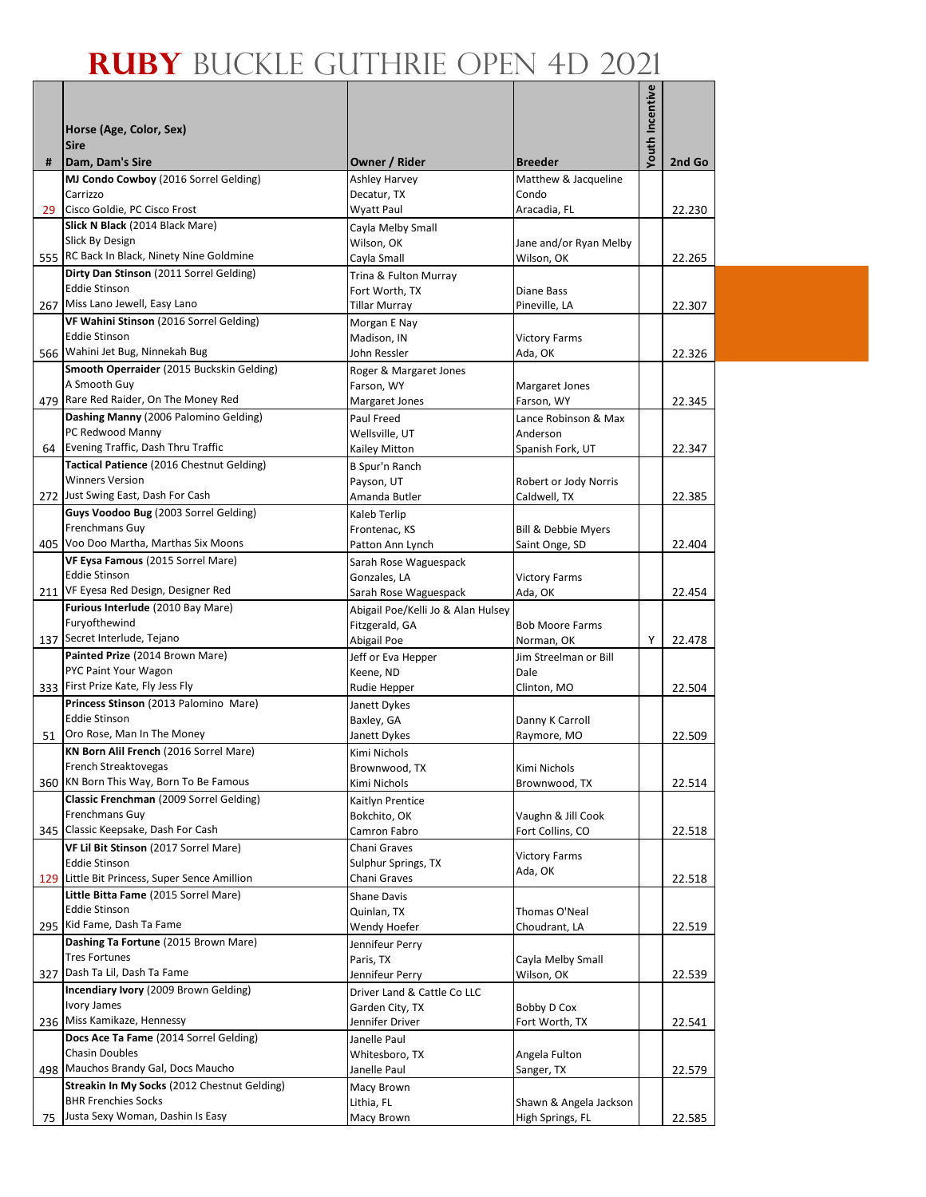|   | Horse (Age, Color, Sex)                                                    |                                      |                                      |                 |        |
|---|----------------------------------------------------------------------------|--------------------------------------|--------------------------------------|-----------------|--------|
|   | <b>Sire</b>                                                                |                                      |                                      |                 |        |
| # | Dam, Dam's Sire                                                            | Owner / Rider                        | <b>Breeder</b>                       | Youth Incentive | 2nd Go |
|   | MJ Condo Cowboy (2016 Sorrel Gelding)                                      | <b>Ashley Harvey</b>                 | Matthew & Jacqueline                 |                 |        |
|   | Carrizzo                                                                   | Decatur, TX                          | Condo                                |                 |        |
|   | 29 Cisco Goldie, PC Cisco Frost                                            | Wyatt Paul                           | Aracadia, FL                         |                 | 22.230 |
|   | Slick N Black (2014 Black Mare)                                            | Cayla Melby Small                    |                                      |                 |        |
|   | Slick By Design                                                            | Wilson, OK                           | Jane and/or Ryan Melby               |                 |        |
|   | 555 RC Back In Black, Ninety Nine Goldmine                                 | Cayla Small                          | Wilson, OK                           |                 | 22.265 |
|   | Dirty Dan Stinson (2011 Sorrel Gelding)                                    | Trina & Fulton Murray                |                                      |                 |        |
|   | <b>Eddie Stinson</b>                                                       | Fort Worth, TX                       | Diane Bass                           |                 |        |
|   | 267 Miss Lano Jewell, Easy Lano                                            | Tillar Murray                        | Pineville, LA                        |                 | 22.307 |
|   | VF Wahini Stinson (2016 Sorrel Gelding)                                    | Morgan E Nay                         |                                      |                 |        |
|   | <b>Eddie Stinson</b><br>566 Wahini Jet Bug, Ninnekah Bug                   | Madison, IN                          | <b>Victory Farms</b>                 |                 |        |
|   | Smooth Operraider (2015 Buckskin Gelding)                                  | John Ressler                         | Ada, OK                              |                 | 22.326 |
|   | A Smooth Guy                                                               | Roger & Margaret Jones<br>Farson, WY | Margaret Jones                       |                 |        |
|   | 479 Rare Red Raider, On The Money Red                                      | Margaret Jones                       | Farson, WY                           |                 | 22.345 |
|   | Dashing Manny (2006 Palomino Gelding)                                      | Paul Freed                           | Lance Robinson & Max                 |                 |        |
|   | PC Redwood Manny                                                           | Wellsville, UT                       | Anderson                             |                 |        |
|   | 64 Evening Traffic, Dash Thru Traffic                                      | Kailey Mitton                        | Spanish Fork, UT                     |                 | 22.347 |
|   | Tactical Patience (2016 Chestnut Gelding)                                  | B Spur'n Ranch                       |                                      |                 |        |
|   | <b>Winners Version</b>                                                     | Payson, UT                           | Robert or Jody Norris                |                 |        |
|   | 272 Just Swing East, Dash For Cash                                         | Amanda Butler                        | Caldwell, TX                         |                 | 22.385 |
|   | Guys Voodoo Bug (2003 Sorrel Gelding)                                      | Kaleb Terlip                         |                                      |                 |        |
|   | <b>Frenchmans Guy</b>                                                      | Frontenac, KS                        | Bill & Debbie Myers                  |                 |        |
|   | 405 Voo Doo Martha, Marthas Six Moons                                      | Patton Ann Lynch                     | Saint Onge, SD                       |                 | 22.404 |
|   | VF Eysa Famous (2015 Sorrel Mare)                                          | Sarah Rose Waguespack                |                                      |                 |        |
|   | <b>Eddie Stinson</b>                                                       | Gonzales, LA                         | <b>Victory Farms</b>                 |                 |        |
|   | 211 VF Eyesa Red Design, Designer Red                                      | Sarah Rose Waguespack                | Ada, OK                              |                 | 22.454 |
|   | Furious Interlude (2010 Bay Mare)<br>Furyofthewind                         | Abigail Poe/Kelli Jo & Alan Hulsey   |                                      |                 |        |
|   | 137 Secret Interlude, Tejano                                               | Fitzgerald, GA<br>Abigail Poe        | <b>Bob Moore Farms</b><br>Norman, OK | Υ               | 22.478 |
|   | Painted Prize (2014 Brown Mare)                                            | Jeff or Eva Hepper                   | Jim Streelman or Bill                |                 |        |
|   | PYC Paint Your Wagon                                                       | Keene, ND                            | Dale                                 |                 |        |
|   | 333 First Prize Kate, Fly Jess Fly                                         | Rudie Hepper                         | Clinton, MO                          |                 | 22.504 |
|   | Princess Stinson (2013 Palomino Mare)                                      | Janett Dykes                         |                                      |                 |        |
|   | <b>Eddie Stinson</b>                                                       | Baxley, GA                           | Danny K Carroll                      |                 |        |
|   | 51 Oro Rose, Man In The Money                                              | Janett Dykes                         | Raymore, MO                          |                 | 22.509 |
|   | KN Born Alil French (2016 Sorrel Mare)                                     | Kimi Nichols                         |                                      |                 |        |
|   | French Streaktovegas                                                       | Brownwood, TX                        | Kimi Nichols                         |                 |        |
|   | 360 KN Born This Way, Born To Be Famous                                    | Kimi Nichols                         | Brownwood, TX                        |                 | 22.514 |
|   | Classic Frenchman (2009 Sorrel Gelding)                                    | Kaitlyn Prentice                     |                                      |                 |        |
|   | Frenchmans Guy<br>345 Classic Keepsake, Dash For Cash                      | Bokchito, OK                         | Vaughn & Jill Cook                   |                 |        |
|   |                                                                            | Camron Fabro                         | Fort Collins, CO                     |                 | 22.518 |
|   | VF Lil Bit Stinson (2017 Sorrel Mare)<br><b>Eddie Stinson</b>              | Chani Graves<br>Sulphur Springs, TX  | <b>Victory Farms</b>                 |                 |        |
|   | 129 Little Bit Princess, Super Sence Amillion                              | Chani Graves                         | Ada, OK                              |                 | 22.518 |
|   | Little Bitta Fame (2015 Sorrel Mare)                                       | <b>Shane Davis</b>                   |                                      |                 |        |
|   | <b>Eddie Stinson</b>                                                       | Quinlan, TX                          | Thomas O'Neal                        |                 |        |
|   | 295 Kid Fame, Dash Ta Fame                                                 | Wendy Hoefer                         | Choudrant, LA                        |                 | 22.519 |
|   | Dashing Ta Fortune (2015 Brown Mare)                                       | Jennifeur Perry                      |                                      |                 |        |
|   | <b>Tres Fortunes</b>                                                       | Paris, TX                            | Cayla Melby Small                    |                 |        |
|   | 327 Dash Ta Lil, Dash Ta Fame                                              | Jennifeur Perry                      | Wilson, OK                           |                 | 22.539 |
|   | Incendiary Ivory (2009 Brown Gelding)                                      | Driver Land & Cattle Co LLC          |                                      |                 |        |
|   | Ivory James                                                                | Garden City, TX                      | Bobby D Cox                          |                 |        |
|   | 236 Miss Kamikaze, Hennessy                                                | Jennifer Driver                      | Fort Worth, TX                       |                 | 22.541 |
|   | Docs Ace Ta Fame (2014 Sorrel Gelding)                                     | Janelle Paul                         |                                      |                 |        |
|   | <b>Chasin Doubles</b>                                                      | Whitesboro, TX                       | Angela Fulton                        |                 |        |
|   | 498 Mauchos Brandy Gal, Docs Maucho                                        | Janelle Paul                         | Sanger, TX                           |                 | 22.579 |
|   | Streakin In My Socks (2012 Chestnut Gelding)<br><b>BHR Frenchies Socks</b> | Macy Brown<br>Lithia, FL             | Shawn & Angela Jackson               |                 |        |
|   | 75 Justa Sexy Woman, Dashin Is Easy                                        | Macy Brown                           | High Springs, FL                     |                 | 22.585 |
|   |                                                                            |                                      |                                      |                 |        |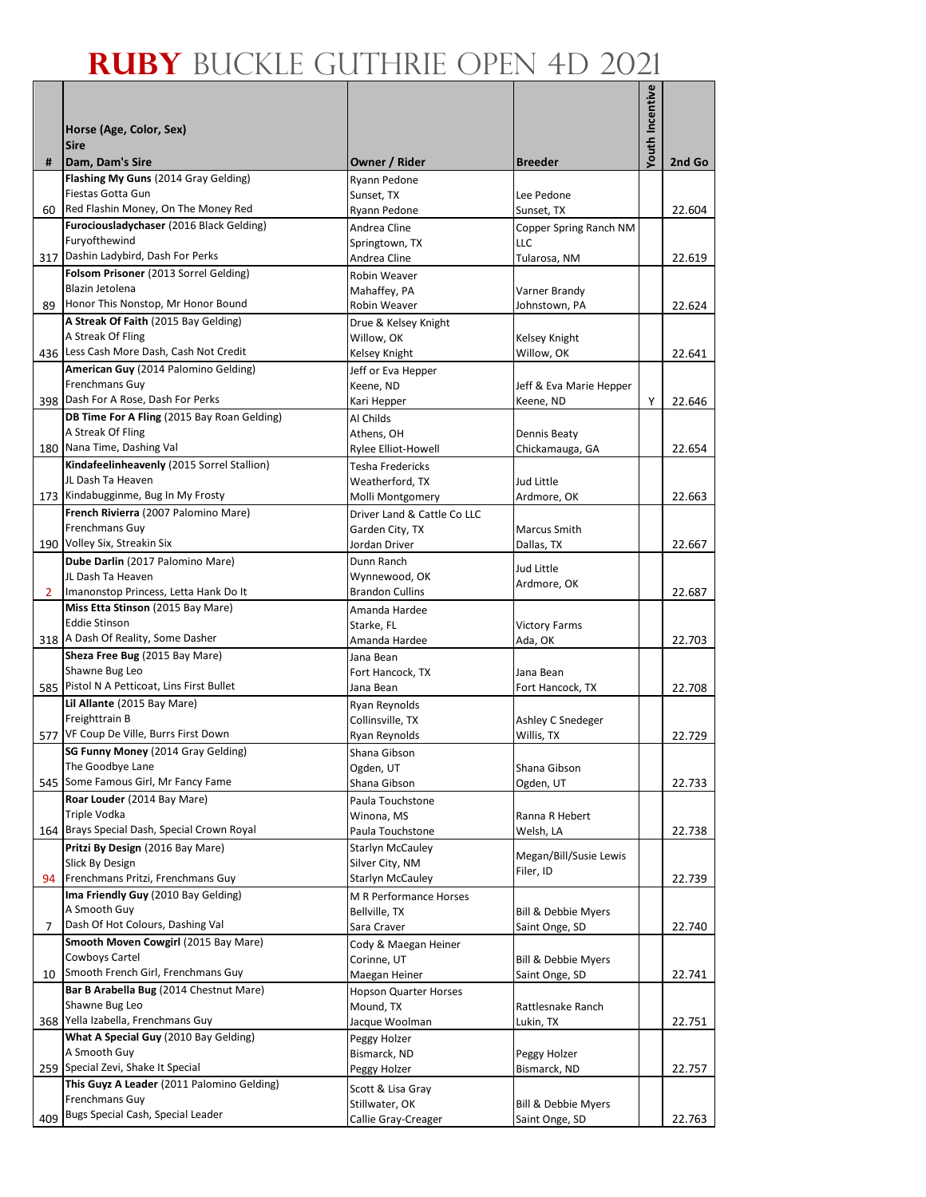|                | Horse (Age, Color, Sex)                                                         |                                            |                                 | Youth Incentive |        |
|----------------|---------------------------------------------------------------------------------|--------------------------------------------|---------------------------------|-----------------|--------|
|                | <b>Sire</b>                                                                     |                                            |                                 |                 |        |
| #              | Dam, Dam's Sire<br>Flashing My Guns (2014 Gray Gelding)                         | Owner / Rider<br>Ryann Pedone              | <b>Breeder</b>                  |                 | 2nd Go |
|                | Fiestas Gotta Gun                                                               | Sunset, TX                                 | Lee Pedone                      |                 |        |
|                | 60 Red Flashin Money, On The Money Red                                          | Ryann Pedone                               | Sunset, TX                      |                 | 22.604 |
|                | Furociousladychaser (2016 Black Gelding)<br>Furyofthewind                       | Andrea Cline                               | Copper Spring Ranch NM<br>LLC   |                 |        |
|                | 317 Dashin Ladybird, Dash For Perks                                             | Springtown, TX<br>Andrea Cline             | Tularosa, NM                    |                 | 22.619 |
|                | Folsom Prisoner (2013 Sorrel Gelding)                                           | <b>Robin Weaver</b>                        |                                 |                 |        |
|                | Blazin Jetolena                                                                 | Mahaffey, PA                               | Varner Brandy                   |                 |        |
| 89             | Honor This Nonstop, Mr Honor Bound                                              | Robin Weaver                               | Johnstown, PA                   |                 | 22.624 |
|                | A Streak Of Faith (2015 Bay Gelding)<br>A Streak Of Fling                       | Drue & Kelsey Knight                       |                                 |                 |        |
|                | 436 Less Cash More Dash, Cash Not Credit                                        | Willow, OK<br>Kelsey Knight                | Kelsey Knight<br>Willow, OK     |                 | 22.641 |
|                | American Guy (2014 Palomino Gelding)                                            | Jeff or Eva Hepper                         |                                 |                 |        |
|                | Frenchmans Guy                                                                  | Keene, ND                                  | Jeff & Eva Marie Hepper         |                 |        |
|                | 398 Dash For A Rose, Dash For Perks                                             | Kari Hepper                                | Keene, ND                       | Y               | 22.646 |
|                | DB Time For A Fling (2015 Bay Roan Gelding)                                     | Al Childs                                  |                                 |                 |        |
|                | A Streak Of Fling<br>180 Nana Time, Dashing Val                                 | Athens, OH<br>Rylee Elliot-Howell          | Dennis Beaty<br>Chickamauga, GA |                 | 22.654 |
|                | Kindafeelinheavenly (2015 Sorrel Stallion)                                      | Tesha Fredericks                           |                                 |                 |        |
|                | JL Dash Ta Heaven                                                               | Weatherford, TX                            | Jud Little                      |                 |        |
|                | 173 Kindabugginme, Bug In My Frosty                                             | Molli Montgomery                           | Ardmore, OK                     |                 | 22.663 |
|                | French Rivierra (2007 Palomino Mare)                                            | Driver Land & Cattle Co LLC                |                                 |                 |        |
|                | Frenchmans Guy                                                                  | Garden City, TX                            | <b>Marcus Smith</b>             |                 |        |
|                | 190 Volley Six, Streakin Six<br>Dube Darlin (2017 Palomino Mare)                | Jordan Driver<br>Dunn Ranch                | Dallas, TX                      |                 | 22.667 |
|                | JL Dash Ta Heaven                                                               | Wynnewood, OK                              | Jud Little                      |                 |        |
| $\overline{2}$ | Imanonstop Princess, Letta Hank Do It                                           | <b>Brandon Cullins</b>                     | Ardmore, OK                     |                 | 22.687 |
|                | Miss Etta Stinson (2015 Bay Mare)                                               | Amanda Hardee                              |                                 |                 |        |
|                | <b>Eddie Stinson</b><br>318 A Dash Of Reality, Some Dasher                      | Starke, FL                                 | <b>Victory Farms</b>            |                 |        |
|                | Sheza Free Bug (2015 Bay Mare)                                                  | Amanda Hardee<br>Jana Bean                 | Ada, OK                         |                 | 22.703 |
|                | Shawne Bug Leo                                                                  | Fort Hancock, TX                           | Jana Bean                       |                 |        |
|                | 585 Pistol N A Petticoat, Lins First Bullet                                     | Jana Bean                                  | Fort Hancock, TX                |                 | 22.708 |
|                | Lil Allante (2015 Bay Mare)                                                     | Ryan Reynolds                              |                                 |                 |        |
|                | Freighttrain B                                                                  | Collinsville, TX                           | Ashley C Snedeger               |                 |        |
|                | 577 VF Coup De Ville, Burrs First Down<br>SG Funny Money (2014 Gray Gelding)    | Ryan Reynolds                              | Willis, TX                      |                 | 22.729 |
|                | The Goodbye Lane                                                                | Shana Gibson<br>Ogden, UT                  | Shana Gibson                    |                 |        |
|                | 545 Some Famous Girl, Mr Fancy Fame                                             | Shana Gibson                               | Ogden, UT                       |                 | 22.733 |
|                | Roar Louder (2014 Bay Mare)                                                     | Paula Touchstone                           |                                 |                 |        |
|                | Triple Vodka                                                                    | Winona, MS                                 | Ranna R Hebert                  |                 |        |
|                | 164 Brays Special Dash, Special Crown Royal<br>Pritzi By Design (2016 Bay Mare) | Paula Touchstone                           | Welsh, LA                       |                 | 22.738 |
|                | Slick By Design                                                                 | <b>Starlyn McCauley</b><br>Silver City, NM | Megan/Bill/Susie Lewis          |                 |        |
| 94             | Frenchmans Pritzi, Frenchmans Guy                                               | <b>Starlyn McCauley</b>                    | Filer, ID                       |                 | 22.739 |
|                | Ima Friendly Guy (2010 Bay Gelding)                                             | M R Performance Horses                     |                                 |                 |        |
|                | A Smooth Guy                                                                    | Bellville, TX                              | Bill & Debbie Myers             |                 |        |
| 7              | Dash Of Hot Colours, Dashing Val<br>Smooth Moven Cowgirl (2015 Bay Mare)        | Sara Craver                                | Saint Onge, SD                  |                 | 22.740 |
|                | Cowboys Cartel                                                                  | Cody & Maegan Heiner<br>Corinne, UT        | Bill & Debbie Myers             |                 |        |
| 10             | Smooth French Girl, Frenchmans Guy                                              | Maegan Heiner                              | Saint Onge, SD                  |                 | 22.741 |
|                | Bar B Arabella Bug (2014 Chestnut Mare)                                         | <b>Hopson Quarter Horses</b>               |                                 |                 |        |
|                | Shawne Bug Leo                                                                  | Mound, TX                                  | Rattlesnake Ranch               |                 |        |
|                | 368 Yella Izabella, Frenchmans Guy<br>What A Special Guy (2010 Bay Gelding)     | Jacque Woolman                             | Lukin, TX                       |                 | 22.751 |
|                | A Smooth Guy                                                                    | Peggy Holzer<br>Bismarck, ND               | Peggy Holzer                    |                 |        |
|                | 259 Special Zevi, Shake It Special                                              | Peggy Holzer                               | Bismarck, ND                    |                 | 22.757 |
|                | This Guyz A Leader (2011 Palomino Gelding)                                      | Scott & Lisa Gray                          |                                 |                 |        |
|                | Frenchmans Guy                                                                  | Stillwater, OK                             | Bill & Debbie Myers             |                 |        |
| 409            | Bugs Special Cash, Special Leader                                               | Callie Gray-Creager                        | Saint Onge, SD                  |                 | 22.763 |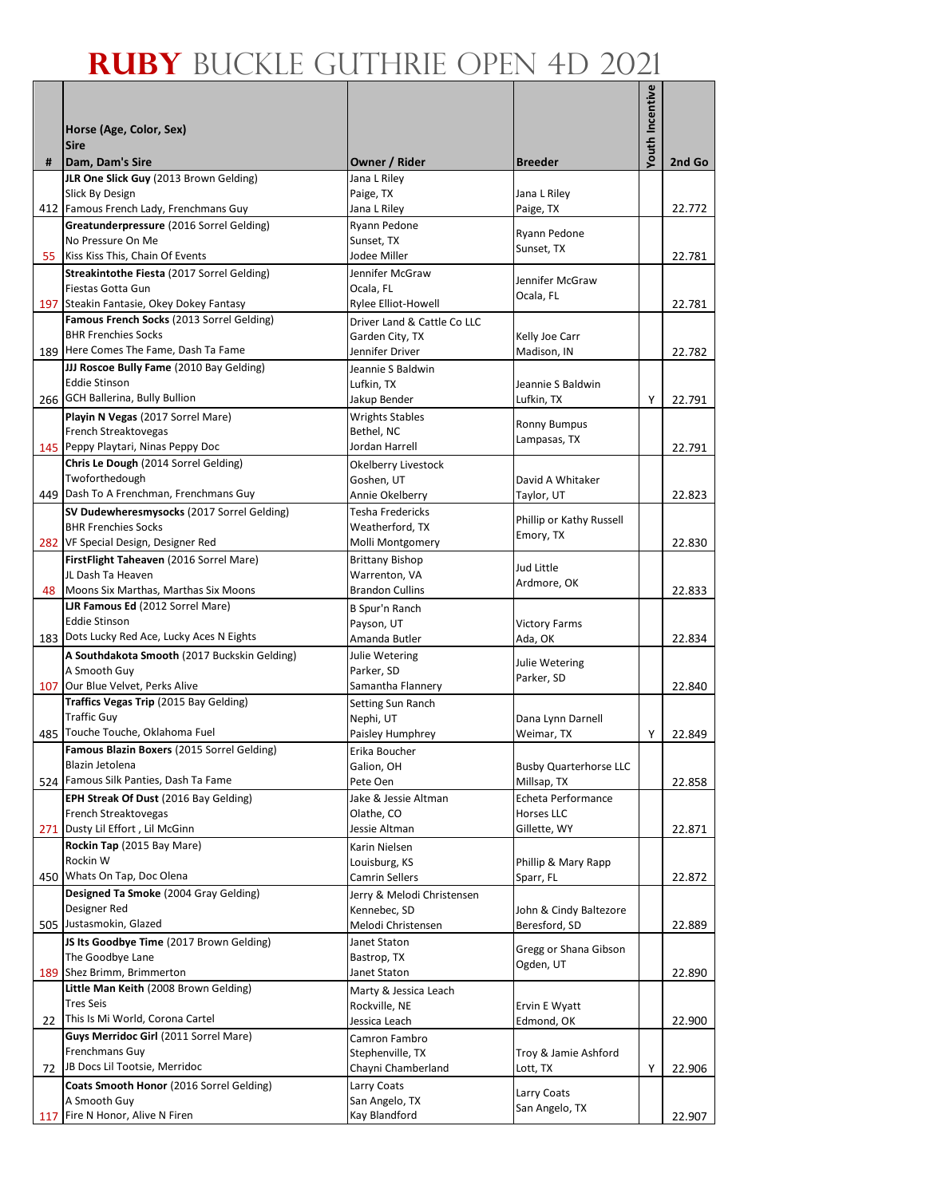|    |                                                                  |                                     |                                         | Youth Incentive |        |
|----|------------------------------------------------------------------|-------------------------------------|-----------------------------------------|-----------------|--------|
|    | Horse (Age, Color, Sex)                                          |                                     |                                         |                 |        |
|    | <b>Sire</b>                                                      |                                     |                                         |                 |        |
| #  | Dam, Dam's Sire                                                  | Owner / Rider                       | <b>Breeder</b>                          |                 | 2nd Go |
|    | JLR One Slick Guy (2013 Brown Gelding)<br>Slick By Design        | Jana L Riley<br>Paige, TX           | Jana L Riley                            |                 |        |
|    | 412 Famous French Lady, Frenchmans Guy                           | Jana L Riley                        | Paige, TX                               |                 | 22.772 |
|    | Greatunderpressure (2016 Sorrel Gelding)                         | Ryann Pedone                        | Ryann Pedone                            |                 |        |
|    | No Pressure On Me                                                | Sunset, TX                          | Sunset, TX                              |                 |        |
|    | 55 Kiss Kiss This, Chain Of Events                               | Jodee Miller                        |                                         |                 | 22.781 |
|    | Streakintothe Fiesta (2017 Sorrel Gelding)<br>Fiestas Gotta Gun  | Jennifer McGraw<br>Ocala, FL        | Jennifer McGraw                         |                 |        |
|    | 197 Steakin Fantasie, Okey Dokey Fantasy                         | Rylee Elliot-Howell                 | Ocala, FL                               |                 | 22.781 |
|    | Famous French Socks (2013 Sorrel Gelding)                        | Driver Land & Cattle Co LLC         |                                         |                 |        |
|    | <b>BHR Frenchies Socks</b>                                       | Garden City, TX                     | Kelly Joe Carr                          |                 |        |
|    | 189 Here Comes The Fame, Dash Ta Fame                            | Jennifer Driver                     | Madison, IN                             |                 | 22.782 |
|    | JJJ Roscoe Bully Fame (2010 Bay Gelding)<br><b>Eddie Stinson</b> | Jeannie S Baldwin                   |                                         |                 |        |
|    | 266 GCH Ballerina, Bully Bullion                                 | Lufkin, TX<br>Jakup Bender          | Jeannie S Baldwin<br>Lufkin, TX         | Y               | 22.791 |
|    | Playin N Vegas (2017 Sorrel Mare)                                | <b>Wrights Stables</b>              |                                         |                 |        |
|    | French Streaktovegas                                             | Bethel, NC                          | <b>Ronny Bumpus</b>                     |                 |        |
|    | 145 Peppy Playtari, Ninas Peppy Doc                              | Jordan Harrell                      | Lampasas, TX                            |                 | 22.791 |
|    | Chris Le Dough (2014 Sorrel Gelding)                             | Okelberry Livestock                 |                                         |                 |        |
|    | Twoforthedough<br>449 Dash To A Frenchman, Frenchmans Guy        | Goshen, UT                          | David A Whitaker                        |                 |        |
|    | SV Dudewheresmysocks (2017 Sorrel Gelding)                       | Annie Okelberry<br>Tesha Fredericks | Taylor, UT                              |                 | 22.823 |
|    | <b>BHR Frenchies Socks</b>                                       | Weatherford, TX                     | Phillip or Kathy Russell                |                 |        |
|    | 282 VF Special Design, Designer Red                              | Molli Montgomery                    | Emory, TX                               |                 | 22.830 |
|    | FirstFlight Taheaven (2016 Sorrel Mare)                          | <b>Brittany Bishop</b>              | Jud Little                              |                 |        |
|    | JL Dash Ta Heaven                                                | Warrenton, VA                       | Ardmore, OK                             |                 |        |
|    | 48 Moons Six Marthas, Marthas Six Moons                          | <b>Brandon Cullins</b>              |                                         |                 | 22.833 |
|    | LJR Famous Ed (2012 Sorrel Mare)<br><b>Eddie Stinson</b>         | B Spur'n Ranch<br>Payson, UT        | <b>Victory Farms</b>                    |                 |        |
|    | 183 Dots Lucky Red Ace, Lucky Aces N Eights                      | Amanda Butler                       | Ada, OK                                 |                 | 22.834 |
|    | A Southdakota Smooth (2017 Buckskin Gelding)                     | Julie Wetering                      |                                         |                 |        |
|    | A Smooth Guy                                                     | Parker, SD                          | Julie Wetering<br>Parker, SD            |                 |        |
|    | 107 Our Blue Velvet, Perks Alive                                 | Samantha Flannery                   |                                         |                 | 22.840 |
|    | Traffics Vegas Trip (2015 Bay Gelding)<br><b>Traffic Guy</b>     | Setting Sun Ranch<br>Nephi, UT      |                                         |                 |        |
|    | 485 Touche Touche, Oklahoma Fuel                                 | Paisley Humphrey                    | Dana Lynn Darnell<br>Weimar, TX         | Y               | 22.849 |
|    | Famous Blazin Boxers (2015 Sorrel Gelding)                       | Erika Boucher                       |                                         |                 |        |
|    | Blazin Jetolena                                                  | Galion, OH                          | <b>Busby Quarterhorse LLC</b>           |                 |        |
|    | 524 Famous Silk Panties, Dash Ta Fame                            | Pete Oen                            | Millsap, TX                             |                 | 22.858 |
|    | EPH Streak Of Dust (2016 Bay Gelding)                            | Jake & Jessie Altman                | Echeta Performance                      |                 |        |
|    | French Streaktovegas<br>271 Dusty Lil Effort, Lil McGinn         | Olathe, CO<br>Jessie Altman         | Horses LLC<br>Gillette, WY              |                 | 22.871 |
|    | Rockin Tap (2015 Bay Mare)                                       | Karin Nielsen                       |                                         |                 |        |
|    | Rockin W                                                         | Louisburg, KS                       | Phillip & Mary Rapp                     |                 |        |
|    | 450 Whats On Tap, Doc Olena                                      | Camrin Sellers                      | Sparr, FL                               |                 | 22.872 |
|    | Designed Ta Smoke (2004 Gray Gelding)                            | Jerry & Melodi Christensen          |                                         |                 |        |
|    | Designer Red<br>505 Justasmokin, Glazed                          | Kennebec, SD<br>Melodi Christensen  | John & Cindy Baltezore<br>Beresford, SD |                 | 22.889 |
|    | JS Its Goodbye Time (2017 Brown Gelding)                         | Janet Staton                        |                                         |                 |        |
|    | The Goodbye Lane                                                 | Bastrop, TX                         | Gregg or Shana Gibson                   |                 |        |
|    | 189 Shez Brimm, Brimmerton                                       | Janet Staton                        | Ogden, UT                               |                 | 22.890 |
|    | Little Man Keith (2008 Brown Gelding)                            | Marty & Jessica Leach               |                                         |                 |        |
|    | <b>Tres Seis</b><br>This Is Mi World, Corona Cartel              | Rockville, NE                       | Ervin E Wyatt                           |                 |        |
| 22 | Guys Merridoc Girl (2011 Sorrel Mare)                            | Jessica Leach<br>Camron Fambro      | Edmond, OK                              |                 | 22.900 |
|    | Frenchmans Guy                                                   | Stephenville, TX                    | Troy & Jamie Ashford                    |                 |        |
| 72 | JB Docs Lil Tootsie, Merridoc                                    | Chayni Chamberland                  | Lott, TX                                | Υ               | 22.906 |
|    | Coats Smooth Honor (2016 Sorrel Gelding)                         | Larry Coats                         | Larry Coats                             |                 |        |
|    | A Smooth Guy                                                     | San Angelo, TX                      | San Angelo, TX                          |                 |        |
|    | 117 Fire N Honor, Alive N Firen                                  | Kay Blandford                       |                                         |                 | 22.907 |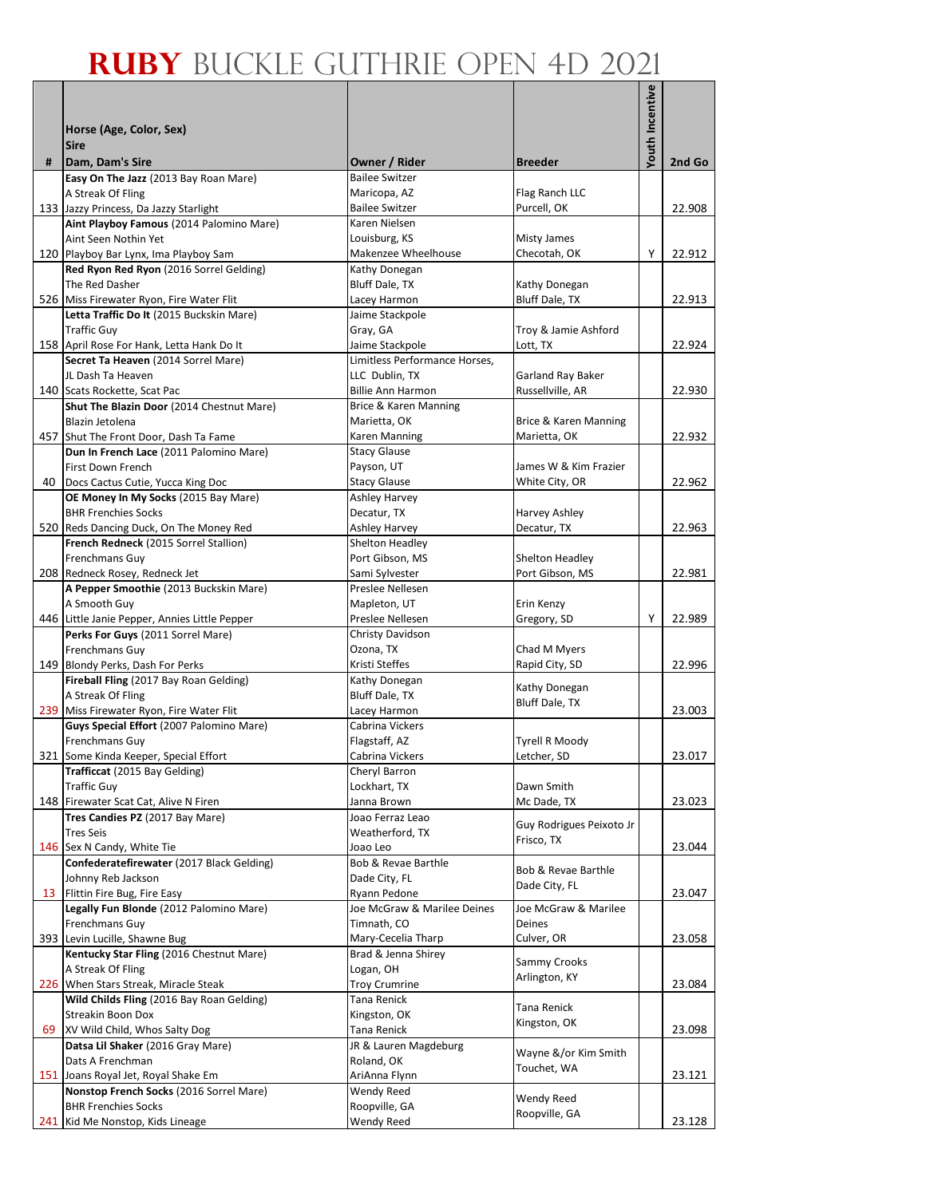|    |                                                                                  |                                                  |                                         | Youth Incentive |        |
|----|----------------------------------------------------------------------------------|--------------------------------------------------|-----------------------------------------|-----------------|--------|
|    |                                                                                  |                                                  |                                         |                 |        |
|    | Horse (Age, Color, Sex)<br><b>Sire</b>                                           |                                                  |                                         |                 |        |
| #  | Dam, Dam's Sire                                                                  | Owner / Rider                                    | <b>Breeder</b>                          |                 | 2nd Go |
|    | Easy On The Jazz (2013 Bay Roan Mare)                                            | <b>Bailee Switzer</b>                            |                                         |                 |        |
|    | A Streak Of Fling                                                                | Maricopa, AZ                                     | Flag Ranch LLC                          |                 |        |
|    | 133 Jazzy Princess, Da Jazzy Starlight                                           | <b>Bailee Switzer</b>                            | Purcell, OK                             |                 | 22.908 |
|    | Aint Playboy Famous (2014 Palomino Mare)<br>Aint Seen Nothin Yet                 | Karen Nielsen                                    |                                         |                 |        |
|    | 120 Playboy Bar Lynx, Ima Playboy Sam                                            | Louisburg, KS<br>Makenzee Wheelhouse             | Misty James<br>Checotah, OK             | Y               | 22.912 |
|    | Red Ryon Red Ryon (2016 Sorrel Gelding)                                          | Kathy Donegan                                    |                                         |                 |        |
|    | The Red Dasher                                                                   | Bluff Dale, TX                                   | Kathy Donegan                           |                 |        |
|    | 526 Miss Firewater Ryon, Fire Water Flit                                         | Lacey Harmon                                     | Bluff Dale, TX                          |                 | 22.913 |
|    | Letta Traffic Do It (2015 Buckskin Mare)                                         | Jaime Stackpole                                  |                                         |                 |        |
|    | <b>Traffic Guy</b>                                                               | Gray, GA                                         | Troy & Jamie Ashford                    |                 | 22.924 |
|    | 158 April Rose For Hank, Letta Hank Do It<br>Secret Ta Heaven (2014 Sorrel Mare) | Jaime Stackpole<br>Limitless Performance Horses, | Lott, TX                                |                 |        |
|    | JL Dash Ta Heaven                                                                | LLC Dublin, TX                                   | Garland Ray Baker                       |                 |        |
|    | 140 Scats Rockette, Scat Pac                                                     | <b>Billie Ann Harmon</b>                         | Russellville, AR                        |                 | 22.930 |
|    | Shut The Blazin Door (2014 Chestnut Mare)                                        | Brice & Karen Manning                            |                                         |                 |        |
|    | Blazin Jetolena                                                                  | Marietta, OK                                     | Brice & Karen Manning                   |                 |        |
|    | 457 Shut The Front Door, Dash Ta Fame                                            | Karen Manning                                    | Marietta, OK                            |                 | 22.932 |
|    | Dun In French Lace (2011 Palomino Mare)                                          | <b>Stacy Glause</b>                              |                                         |                 |        |
|    | First Down French<br>40 Docs Cactus Cutie, Yucca King Doc                        | Payson, UT<br><b>Stacy Glause</b>                | James W & Kim Frazier<br>White City, OR |                 | 22.962 |
|    | OE Money In My Socks (2015 Bay Mare)                                             | <b>Ashley Harvey</b>                             |                                         |                 |        |
|    | <b>BHR Frenchies Socks</b>                                                       | Decatur, TX                                      | Harvey Ashley                           |                 |        |
|    | 520 Reds Dancing Duck, On The Money Red                                          | Ashley Harvey                                    | Decatur, TX                             |                 | 22.963 |
|    | French Redneck (2015 Sorrel Stallion)                                            | Shelton Headley                                  |                                         |                 |        |
|    | Frenchmans Guy                                                                   | Port Gibson, MS                                  | Shelton Headley                         |                 |        |
|    | 208 Redneck Rosey, Redneck Jet                                                   | Sami Sylvester<br>Preslee Nellesen               | Port Gibson, MS                         |                 | 22.981 |
|    | A Pepper Smoothie (2013 Buckskin Mare)<br>A Smooth Guy                           | Mapleton, UT                                     | Erin Kenzy                              |                 |        |
|    | 446 Little Janie Pepper, Annies Little Pepper                                    | Preslee Nellesen                                 | Gregory, SD                             | Y               | 22.989 |
|    | Perks For Guys (2011 Sorrel Mare)                                                | Christy Davidson                                 |                                         |                 |        |
|    | Frenchmans Guy                                                                   | Ozona, TX                                        | Chad M Myers                            |                 |        |
|    | 149 Blondy Perks, Dash For Perks                                                 | Kristi Steffes                                   | Rapid City, SD                          |                 | 22.996 |
|    | Fireball Fling (2017 Bay Roan Gelding)                                           | Kathy Donegan                                    | Kathy Donegan                           |                 |        |
|    | A Streak Of Fling<br>239 Miss Firewater Ryon, Fire Water Flit                    | Bluff Dale, TX<br>Lacey Harmon                   | Bluff Dale, TX                          |                 | 23.003 |
|    | Guys Special Effort (2007 Palomino Mare)                                         | Cabrina Vickers                                  |                                         |                 |        |
|    | Frenchmans Guy                                                                   | Flagstaff, AZ                                    | Tyrell R Moody                          |                 |        |
|    | 321 Some Kinda Keeper, Special Effort                                            | Cabrina Vickers                                  | Letcher, SD                             |                 | 23.017 |
|    | Trafficcat (2015 Bay Gelding)                                                    | Cheryl Barron                                    |                                         |                 |        |
|    | <b>Traffic Guy</b>                                                               | Lockhart, TX                                     | Dawn Smith                              |                 |        |
|    | 148 Firewater Scat Cat, Alive N Firen<br>Tres Candies PZ (2017 Bay Mare)         | Janna Brown                                      | Mc Dade, TX                             |                 | 23.023 |
|    | <b>Tres Seis</b>                                                                 | Joao Ferraz Leao<br>Weatherford, TX              | Guy Rodrigues Peixoto Jr                |                 |        |
|    | 146 Sex N Candy, White Tie                                                       | Joao Leo                                         | Frisco, TX                              |                 | 23.044 |
|    | Confederatefirewater (2017 Black Gelding)                                        | Bob & Revae Barthle                              |                                         |                 |        |
|    | Johnny Reb Jackson                                                               | Dade City, FL                                    | Bob & Revae Barthle<br>Dade City, FL    |                 |        |
|    | 13 Flittin Fire Bug, Fire Easy                                                   | Ryann Pedone                                     |                                         |                 | 23.047 |
|    | Legally Fun Blonde (2012 Palomino Mare)                                          | Joe McGraw & Marilee Deines                      | Joe McGraw & Marilee                    |                 |        |
|    | Frenchmans Guy<br>393 Levin Lucille, Shawne Bug                                  | Timnath, CO                                      | Deines                                  |                 |        |
|    | Kentucky Star Fling (2016 Chestnut Mare)                                         | Mary-Cecelia Tharp<br>Brad & Jenna Shirey        | Culver, OR                              |                 | 23.058 |
|    | A Streak Of Fling                                                                | Logan, OH                                        | Sammy Crooks                            |                 |        |
|    | 226 When Stars Streak, Miracle Steak                                             | <b>Troy Crumrine</b>                             | Arlington, KY                           |                 | 23.084 |
|    | Wild Childs Fling (2016 Bay Roan Gelding)                                        | Tana Renick                                      | Tana Renick                             |                 |        |
|    | Streakin Boon Dox                                                                | Kingston, OK                                     | Kingston, OK                            |                 |        |
| 69 | XV Wild Child, Whos Salty Dog                                                    | Tana Renick                                      |                                         |                 | 23.098 |
|    | Datsa Lil Shaker (2016 Gray Mare)<br>Dats A Frenchman                            | JR & Lauren Magdeburg<br>Roland, OK              | Wayne &/or Kim Smith                    |                 |        |
|    | 151 Joans Royal Jet, Royal Shake Em                                              | AriAnna Flynn                                    | Touchet, WA                             |                 | 23.121 |
|    | Nonstop French Socks (2016 Sorrel Mare)                                          | Wendy Reed                                       |                                         |                 |        |
|    | <b>BHR Frenchies Socks</b>                                                       | Roopville, GA                                    | Wendy Reed                              |                 |        |
|    | 241 Kid Me Nonstop, Kids Lineage                                                 | Wendy Reed                                       | Roopville, GA                           |                 | 23.128 |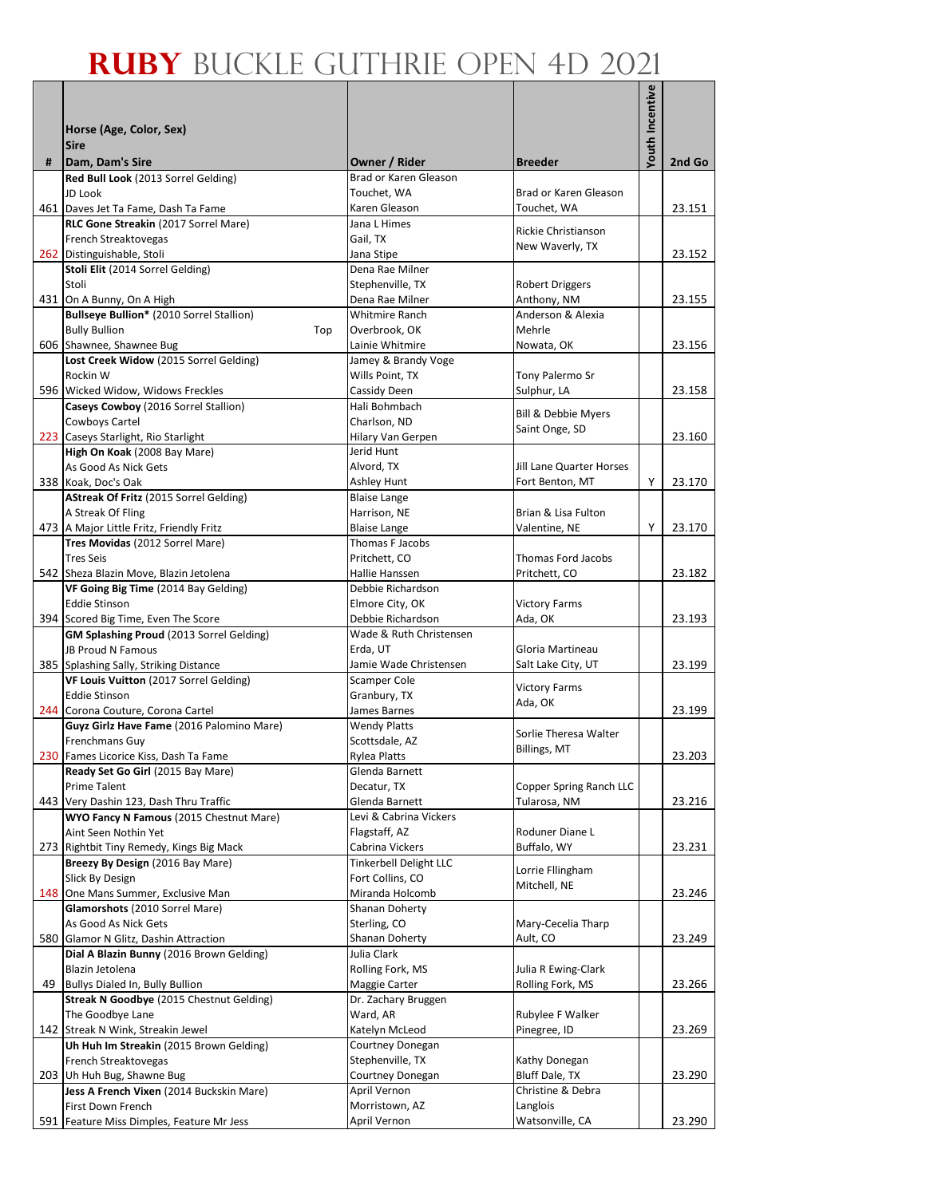|   |                                                                                          |                                          |                                         | Youth Incentive |        |
|---|------------------------------------------------------------------------------------------|------------------------------------------|-----------------------------------------|-----------------|--------|
|   | Horse (Age, Color, Sex)                                                                  |                                          |                                         |                 |        |
|   | <b>Sire</b>                                                                              |                                          |                                         |                 |        |
| # | Dam, Dam's Sire                                                                          | Owner / Rider                            | <b>Breeder</b>                          |                 | 2nd Go |
|   | Red Bull Look (2013 Sorrel Gelding)                                                      | Brad or Karen Gleason                    |                                         |                 |        |
|   | JD Look                                                                                  | Touchet, WA                              | Brad or Karen Gleason                   |                 |        |
|   | 461 Daves Jet Ta Fame, Dash Ta Fame<br>RLC Gone Streakin (2017 Sorrel Mare)              | Karen Gleason<br>Jana L Himes            | Touchet, WA                             |                 | 23.151 |
|   | French Streaktovegas                                                                     | Gail, TX                                 | Rickie Christianson                     |                 |        |
|   | 262 Distinguishable, Stoli                                                               | Jana Stipe                               | New Waverly, TX                         |                 | 23.152 |
|   | Stoli Elit (2014 Sorrel Gelding)                                                         | Dena Rae Milner                          |                                         |                 |        |
|   | Stoli<br>431 On A Bunny, On A High                                                       | Stephenville, TX<br>Dena Rae Milner      | <b>Robert Driggers</b><br>Anthony, NM   |                 | 23.155 |
|   | Bullseye Bullion* (2010 Sorrel Stallion)                                                 | <b>Whitmire Ranch</b>                    | Anderson & Alexia                       |                 |        |
|   | <b>Bully Bullion</b><br>Top                                                              | Overbrook, OK                            | Mehrle                                  |                 |        |
|   | 606 Shawnee, Shawnee Bug                                                                 | Lainie Whitmire                          | Nowata, OK                              |                 | 23.156 |
|   | Lost Creek Widow (2015 Sorrel Gelding)                                                   | Jamey & Brandy Voge                      |                                         |                 |        |
|   | Rockin W<br>596 Wicked Widow, Widows Freckles                                            | Wills Point, TX<br>Cassidy Deen          | Tony Palermo Sr<br>Sulphur, LA          |                 | 23.158 |
|   | Caseys Cowboy (2016 Sorrel Stallion)                                                     | Hali Bohmbach                            |                                         |                 |        |
|   | Cowboys Cartel                                                                           | Charlson, ND                             | Bill & Debbie Myers<br>Saint Onge, SD   |                 |        |
|   | 223 Caseys Starlight, Rio Starlight                                                      | Hilary Van Gerpen                        |                                         |                 | 23.160 |
|   | High On Koak (2008 Bay Mare)<br>As Good As Nick Gets                                     | Jerid Hunt<br>Alvord, TX                 | Jill Lane Quarter Horses                |                 |        |
|   | 338 Koak, Doc's Oak                                                                      | Ashley Hunt                              | Fort Benton, MT                         | Y               | 23.170 |
|   | AStreak Of Fritz (2015 Sorrel Gelding)                                                   | <b>Blaise Lange</b>                      |                                         |                 |        |
|   | A Streak Of Fling                                                                        | Harrison, NE                             | Brian & Lisa Fulton                     |                 |        |
|   | 473 A Major Little Fritz, Friendly Fritz                                                 | <b>Blaise Lange</b>                      | Valentine, NE                           | Y               | 23.170 |
|   | Tres Movidas (2012 Sorrel Mare)<br><b>Tres Seis</b>                                      | Thomas F Jacobs<br>Pritchett, CO         | Thomas Ford Jacobs                      |                 |        |
|   | 542 Sheza Blazin Move, Blazin Jetolena                                                   | Hallie Hanssen                           | Pritchett, CO                           |                 | 23.182 |
|   | VF Going Big Time (2014 Bay Gelding)                                                     | Debbie Richardson                        |                                         |                 |        |
|   | <b>Eddie Stinson</b>                                                                     | Elmore City, OK                          | <b>Victory Farms</b>                    |                 |        |
|   | 394 Scored Big Time, Even The Score                                                      | Debbie Richardson                        | Ada, OK                                 |                 | 23.193 |
|   | GM Splashing Proud (2013 Sorrel Gelding)<br>JB Proud N Famous                            | Wade & Ruth Christensen<br>Erda, UT      | Gloria Martineau                        |                 |        |
|   | 385 Splashing Sally, Striking Distance                                                   | Jamie Wade Christensen                   | Salt Lake City, UT                      |                 | 23.199 |
|   | VF Louis Vuitton (2017 Sorrel Gelding)                                                   | Scamper Cole                             | <b>Victory Farms</b>                    |                 |        |
|   | <b>Eddie Stinson</b>                                                                     | Granbury, TX                             | Ada, OK                                 |                 |        |
|   | 244 Corona Couture, Corona Cartel                                                        | James Barnes                             |                                         |                 | 23.199 |
|   | Guyz Girlz Have Fame (2016 Palomino Mare)<br>Frenchmans Guy                              | <b>Wendy Platts</b><br>Scottsdale, AZ    | Sorlie Theresa Walter                   |                 |        |
|   | 230 Fames Licorice Kiss, Dash Ta Fame                                                    | Rylea Platts                             | Billings, MT                            |                 | 23.203 |
|   | Ready Set Go Girl (2015 Bay Mare)                                                        | Glenda Barnett                           |                                         |                 |        |
|   | Prime Talent                                                                             | Decatur, TX                              | Copper Spring Ranch LLC                 |                 |        |
|   | 443 Very Dashin 123, Dash Thru Traffic<br><b>WYO Fancy N Famous (2015 Chestnut Mare)</b> | Glenda Barnett<br>Levi & Cabrina Vickers | Tularosa, NM                            |                 | 23.216 |
|   | Aint Seen Nothin Yet                                                                     | Flagstaff, AZ                            | Roduner Diane L                         |                 |        |
|   | 273 Rightbit Tiny Remedy, Kings Big Mack                                                 | Cabrina Vickers                          | Buffalo, WY                             |                 | 23.231 |
|   | Breezy By Design (2016 Bay Mare)                                                         | <b>Tinkerbell Delight LLC</b>            | Lorrie Fllingham                        |                 |        |
|   | Slick By Design<br>148 One Mans Summer, Exclusive Man                                    | Fort Collins, CO<br>Miranda Holcomb      | Mitchell, NE                            |                 | 23.246 |
|   | Glamorshots (2010 Sorrel Mare)                                                           | Shanan Doherty                           |                                         |                 |        |
|   | As Good As Nick Gets                                                                     | Sterling, CO                             | Mary-Cecelia Tharp                      |                 |        |
|   | 580 Glamor N Glitz, Dashin Attraction                                                    | Shanan Doherty                           | Ault, CO                                |                 | 23.249 |
|   | Dial A Blazin Bunny (2016 Brown Gelding)                                                 | Julia Clark                              |                                         |                 |        |
|   | Blazin Jetolena<br>49 Bullys Dialed In, Bully Bullion                                    | Rolling Fork, MS<br>Maggie Carter        | Julia R Ewing-Clark<br>Rolling Fork, MS |                 | 23.266 |
|   | <b>Streak N Goodbye (2015 Chestnut Gelding)</b>                                          | Dr. Zachary Bruggen                      |                                         |                 |        |
|   | The Goodbye Lane                                                                         | Ward, AR                                 | Rubylee F Walker                        |                 |        |
|   | 142 Streak N Wink, Streakin Jewel                                                        | Katelyn McLeod                           | Pinegree, ID                            |                 | 23.269 |
|   | Uh Huh Im Streakin (2015 Brown Gelding)                                                  | Courtney Donegan                         |                                         |                 |        |
|   | French Streaktovegas<br>203 Uh Huh Bug, Shawne Bug                                       | Stephenville, TX<br>Courtney Donegan     | Kathy Donegan<br>Bluff Dale, TX         |                 | 23.290 |
|   | Jess A French Vixen (2014 Buckskin Mare)                                                 | April Vernon                             | Christine & Debra                       |                 |        |
|   | First Down French                                                                        | Morristown, AZ                           | Langlois                                |                 |        |
|   | 591 Feature Miss Dimples, Feature Mr Jess                                                | April Vernon                             | Watsonville, CA                         |                 | 23.290 |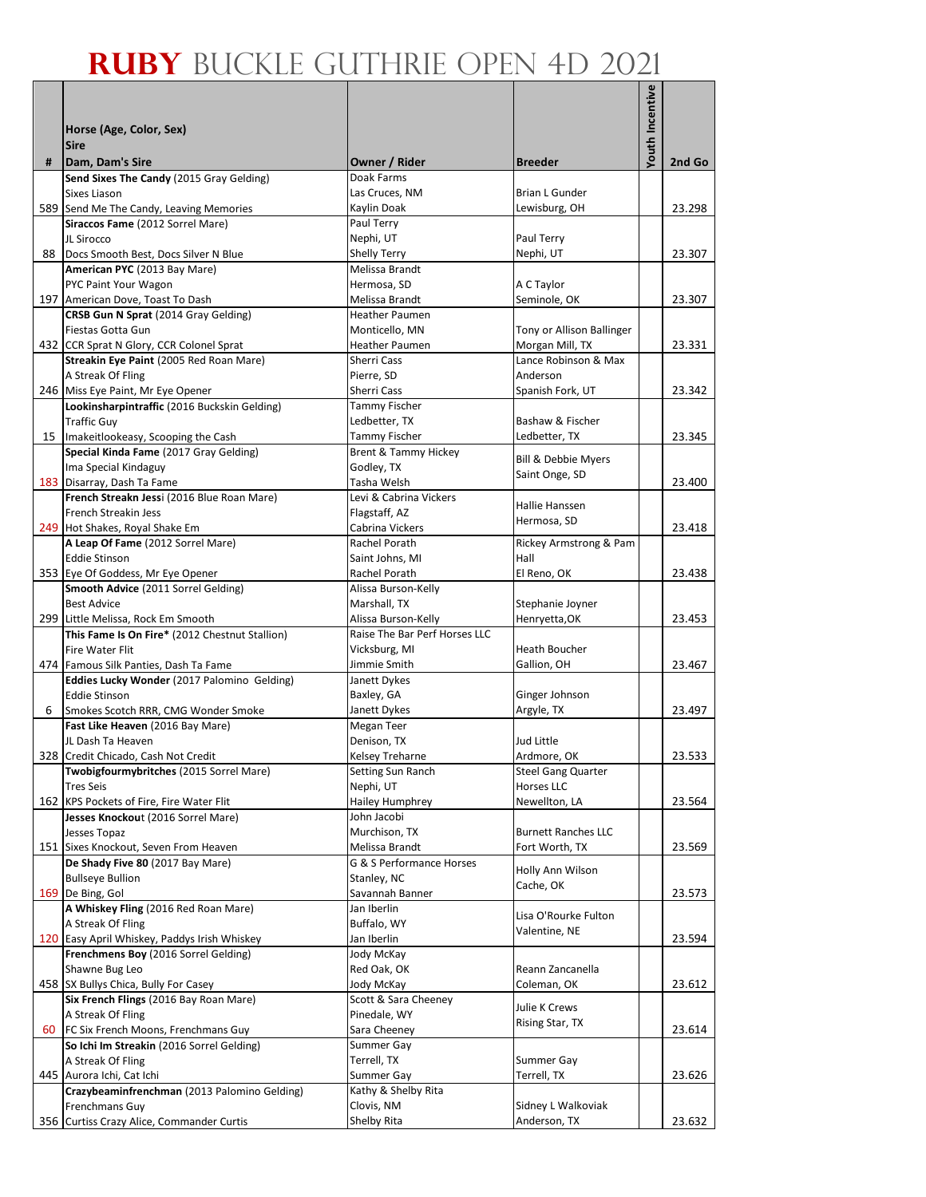|   |                                                                                     |                                                  |                                         | Youth Incentive |        |
|---|-------------------------------------------------------------------------------------|--------------------------------------------------|-----------------------------------------|-----------------|--------|
|   |                                                                                     |                                                  |                                         |                 |        |
|   | Horse (Age, Color, Sex)                                                             |                                                  |                                         |                 |        |
| # | <b>Sire</b><br>Dam, Dam's Sire                                                      | Owner / Rider                                    | <b>Breeder</b>                          |                 | 2nd Go |
|   | Send Sixes The Candy (2015 Gray Gelding)                                            | Doak Farms                                       |                                         |                 |        |
|   | Sixes Liason                                                                        | Las Cruces, NM                                   | <b>Brian L Gunder</b>                   |                 |        |
|   | 589 Send Me The Candy, Leaving Memories                                             | Kaylin Doak                                      | Lewisburg, OH                           |                 | 23.298 |
|   | Siraccos Fame (2012 Sorrel Mare)<br>JL Sirocco                                      | Paul Terry                                       |                                         |                 |        |
|   | 88 Docs Smooth Best, Docs Silver N Blue                                             | Nephi, UT<br><b>Shelly Terry</b>                 | Paul Terry<br>Nephi, UT                 |                 | 23.307 |
|   | American PYC (2013 Bay Mare)                                                        | Melissa Brandt                                   |                                         |                 |        |
|   | PYC Paint Your Wagon                                                                | Hermosa, SD                                      | A C Taylor                              |                 |        |
|   | 197 American Dove, Toast To Dash                                                    | Melissa Brandt                                   | Seminole, OK                            |                 | 23.307 |
|   | CRSB Gun N Sprat (2014 Gray Gelding)                                                | <b>Heather Paumen</b>                            |                                         |                 |        |
|   | Fiestas Gotta Gun                                                                   | Monticello, MN                                   | Tony or Allison Ballinger               |                 |        |
|   | 432 CCR Sprat N Glory, CCR Colonel Sprat<br>Streakin Eye Paint (2005 Red Roan Mare) | Heather Paumen<br>Sherri Cass                    | Morgan Mill, TX<br>Lance Robinson & Max |                 | 23.331 |
|   | A Streak Of Fling                                                                   | Pierre, SD                                       | Anderson                                |                 |        |
|   | 246 Miss Eye Paint, Mr Eye Opener                                                   | Sherri Cass                                      | Spanish Fork, UT                        |                 | 23.342 |
|   | Lookinsharpintraffic (2016 Buckskin Gelding)                                        | Tammy Fischer                                    |                                         |                 |        |
|   | <b>Traffic Guy</b>                                                                  | Ledbetter, TX                                    | Bashaw & Fischer                        |                 |        |
|   | 15 Imakeitlookeasy, Scooping the Cash<br>Special Kinda Fame (2017 Gray Gelding)     | Tammy Fischer<br><b>Brent &amp; Tammy Hickey</b> | Ledbetter, TX                           |                 | 23.345 |
|   | Ima Special Kindaguy                                                                | Godley, TX                                       | Bill & Debbie Myers                     |                 |        |
|   | 183 Disarray, Dash Ta Fame                                                          | Tasha Welsh                                      | Saint Onge, SD                          |                 | 23.400 |
|   | French Streakn Jessi (2016 Blue Roan Mare)                                          | Levi & Cabrina Vickers                           |                                         |                 |        |
|   | French Streakin Jess                                                                | Flagstaff, AZ                                    | Hallie Hanssen<br>Hermosa, SD           |                 |        |
|   | 249 Hot Shakes, Royal Shake Em                                                      | Cabrina Vickers                                  |                                         |                 | 23.418 |
|   | A Leap Of Fame (2012 Sorrel Mare)                                                   | Rachel Porath                                    | Rickey Armstrong & Pam                  |                 |        |
|   | <b>Eddie Stinson</b>                                                                | Saint Johns, MI                                  | Hall<br>El Reno, OK                     |                 |        |
|   | 353 Eye Of Goddess, Mr Eye Opener<br>Smooth Advice (2011 Sorrel Gelding)            | Rachel Porath<br>Alissa Burson-Kelly             |                                         |                 | 23.438 |
|   | <b>Best Advice</b>                                                                  | Marshall, TX                                     | Stephanie Joyner                        |                 |        |
|   | 299 Little Melissa, Rock Em Smooth                                                  | Alissa Burson-Kelly                              | Henryetta, OK                           |                 | 23.453 |
|   | This Fame Is On Fire* (2012 Chestnut Stallion)                                      | Raise The Bar Perf Horses LLC                    |                                         |                 |        |
|   | Fire Water Flit                                                                     | Vicksburg, MI                                    | Heath Boucher                           |                 |        |
|   | 474 Famous Silk Panties, Dash Ta Fame                                               | Jimmie Smith                                     | Gallion, OH                             |                 | 23.467 |
|   | Eddies Lucky Wonder (2017 Palomino Gelding)<br><b>Eddie Stinson</b>                 | Janett Dykes<br>Baxley, GA                       | Ginger Johnson                          |                 |        |
| 6 | Smokes Scotch RRR, CMG Wonder Smoke                                                 | Janett Dykes                                     | Argyle, TX                              |                 | 23.497 |
|   | Fast Like Heaven (2016 Bay Mare)                                                    | Megan Teer                                       |                                         |                 |        |
|   | JL Dash Ta Heaven                                                                   | Denison, TX                                      | Jud Little                              |                 |        |
|   | 328 Credit Chicado, Cash Not Credit                                                 | Kelsey Treharne                                  | Ardmore, OK                             |                 | 23.533 |
|   | Twobigfourmybritches (2015 Sorrel Mare)                                             | Setting Sun Ranch                                | <b>Steel Gang Quarter</b>               |                 |        |
|   | <b>Tres Seis</b>                                                                    | Nephi, UT                                        | Horses LLC                              |                 |        |
|   | 162 KPS Pockets of Fire, Fire Water Flit<br>Jesses Knockout (2016 Sorrel Mare)      | <b>Hailey Humphrey</b><br>John Jacobi            | Newellton, LA                           |                 | 23.564 |
|   | Jesses Topaz                                                                        | Murchison, TX                                    | <b>Burnett Ranches LLC</b>              |                 |        |
|   | 151 Sixes Knockout, Seven From Heaven                                               | Melissa Brandt                                   | Fort Worth, TX                          |                 | 23.569 |
|   | De Shady Five 80 (2017 Bay Mare)                                                    | G & S Performance Horses                         | Holly Ann Wilson                        |                 |        |
|   | <b>Bullseye Bullion</b>                                                             | Stanley, NC                                      | Cache, OK                               |                 |        |
|   | 169 De Bing, Gol                                                                    | Savannah Banner                                  |                                         |                 | 23.573 |
|   | A Whiskey Fling (2016 Red Roan Mare)<br>A Streak Of Fling                           | Jan Iberlin<br>Buffalo, WY                       | Lisa O'Rourke Fulton                    |                 |        |
|   | 120 Easy April Whiskey, Paddys Irish Whiskey                                        | Jan Iberlin                                      | Valentine, NE                           |                 | 23.594 |
|   | Frenchmens Boy (2016 Sorrel Gelding)                                                | Jody McKay                                       |                                         |                 |        |
|   | Shawne Bug Leo                                                                      | Red Oak, OK                                      | Reann Zancanella                        |                 |        |
|   | 458 SX Bullys Chica, Bully For Casey                                                | Jody McKay                                       | Coleman, OK                             |                 | 23.612 |
|   | Six French Flings (2016 Bay Roan Mare)                                              | Scott & Sara Cheeney                             | Julie K Crews                           |                 |        |
|   | A Streak Of Fling<br>60 FC Six French Moons, Frenchmans Guy                         | Pinedale, WY<br>Sara Cheeney                     | Rising Star, TX                         |                 | 23.614 |
|   | So Ichi Im Streakin (2016 Sorrel Gelding)                                           | Summer Gay                                       |                                         |                 |        |
|   | A Streak Of Fling                                                                   | Terrell, TX                                      | Summer Gay                              |                 |        |
|   | 445 Aurora Ichi, Cat Ichi                                                           | Summer Gay                                       | Terrell, TX                             |                 | 23.626 |
|   | Crazybeaminfrenchman (2013 Palomino Gelding)                                        | Kathy & Shelby Rita                              |                                         |                 |        |
|   | Frenchmans Guy                                                                      | Clovis, NM                                       | Sidney L Walkoviak                      |                 |        |
|   | 356 Curtiss Crazy Alice, Commander Curtis                                           | Shelby Rita                                      | Anderson, TX                            |                 | 23.632 |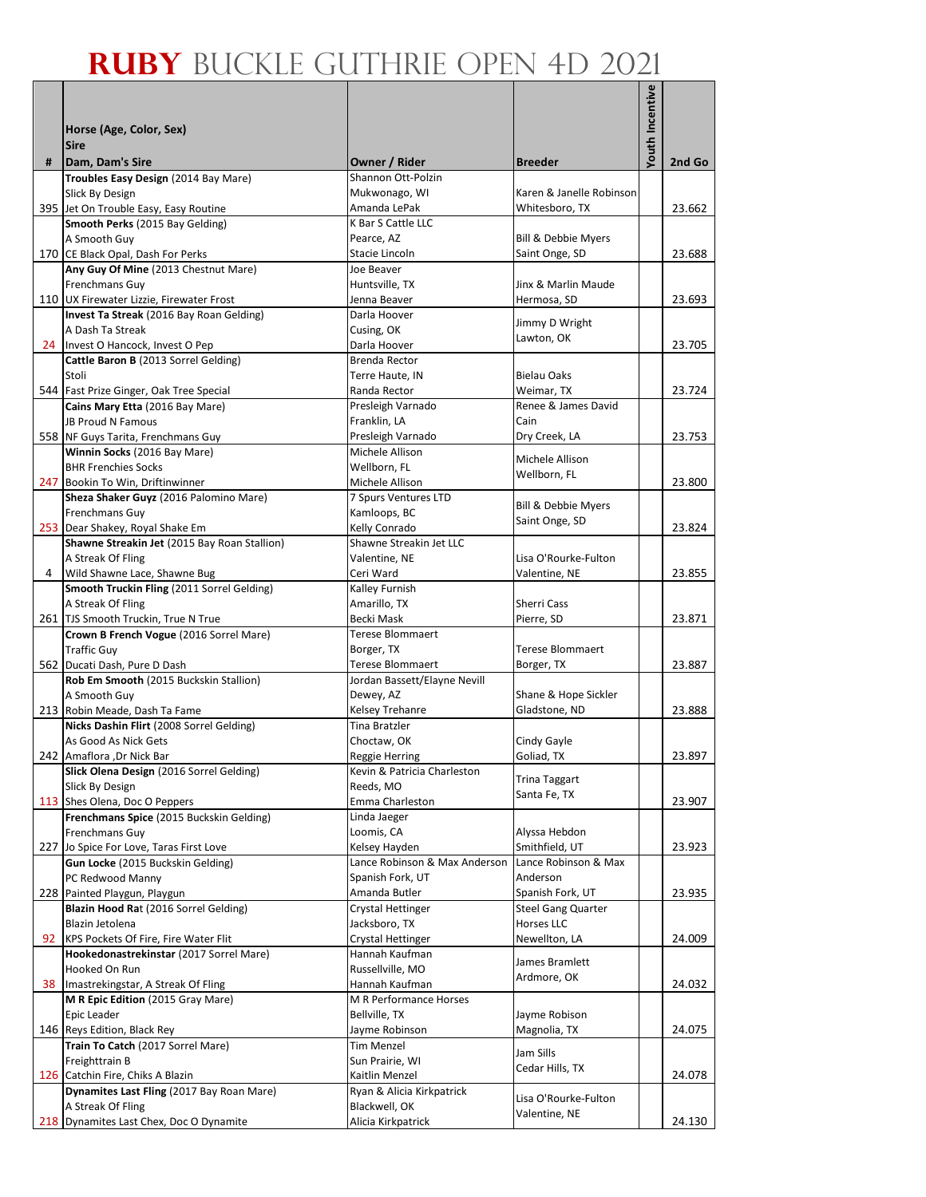|   |                                                                              |                                                      |                                        | Youth Incentive |        |
|---|------------------------------------------------------------------------------|------------------------------------------------------|----------------------------------------|-----------------|--------|
|   |                                                                              |                                                      |                                        |                 |        |
|   | Horse (Age, Color, Sex)<br><b>Sire</b>                                       |                                                      |                                        |                 |        |
| # | Dam, Dam's Sire                                                              | Owner / Rider                                        | <b>Breeder</b>                         |                 | 2nd Go |
|   | Troubles Easy Design (2014 Bay Mare)                                         | Shannon Ott-Polzin                                   |                                        |                 |        |
|   | Slick By Design                                                              | Mukwonago, WI                                        | Karen & Janelle Robinson               |                 |        |
|   | 395 Jet On Trouble Easy, Easy Routine                                        | Amanda LePak                                         | Whitesboro, TX                         |                 | 23.662 |
|   | Smooth Perks (2015 Bay Gelding)<br>A Smooth Guy                              | K Bar S Cattle LLC<br>Pearce, AZ                     | Bill & Debbie Myers                    |                 |        |
|   | 170 CE Black Opal, Dash For Perks                                            | Stacie Lincoln                                       | Saint Onge, SD                         |                 | 23.688 |
|   | Any Guy Of Mine (2013 Chestnut Mare)                                         | Joe Beaver                                           |                                        |                 |        |
|   | <b>Frenchmans Guy</b>                                                        | Huntsville, TX                                       | Jinx & Marlin Maude                    |                 |        |
|   | 110 UX Firewater Lizzie, Firewater Frost                                     | Jenna Beaver                                         | Hermosa, SD                            |                 | 23.693 |
|   | Invest Ta Streak (2016 Bay Roan Gelding)<br>A Dash Ta Streak                 | Darla Hoover                                         | Jimmy D Wright                         |                 |        |
|   | 24 Invest O Hancock, Invest O Pep                                            | Cusing, OK<br>Darla Hoover                           | Lawton, OK                             |                 | 23.705 |
|   | Cattle Baron B (2013 Sorrel Gelding)                                         | Brenda Rector                                        |                                        |                 |        |
|   | Stoli                                                                        | Terre Haute, IN                                      | <b>Bielau Oaks</b>                     |                 |        |
|   | 544 Fast Prize Ginger, Oak Tree Special                                      | Randa Rector                                         | Weimar, TX                             |                 | 23.724 |
|   | Cains Mary Etta (2016 Bay Mare)                                              | Presleigh Varnado                                    | Renee & James David                    |                 |        |
|   | <b>JB Proud N Famous</b><br>558 NF Guys Tarita, Frenchmans Guy               | Franklin, LA                                         | Cain                                   |                 |        |
|   | Winnin Socks (2016 Bay Mare)                                                 | Presleigh Varnado<br>Michele Allison                 | Dry Creek, LA                          |                 | 23.753 |
|   | <b>BHR Frenchies Socks</b>                                                   | Wellborn, FL                                         | Michele Allison                        |                 |        |
|   | 247 Bookin To Win, Driftinwinner                                             | Michele Allison                                      | Wellborn, FL                           |                 | 23.800 |
|   | Sheza Shaker Guyz (2016 Palomino Mare)                                       | 7 Spurs Ventures LTD                                 | Bill & Debbie Myers                    |                 |        |
|   | <b>Frenchmans Guy</b>                                                        | Kamloops, BC                                         | Saint Onge, SD                         |                 |        |
|   | 253 Dear Shakey, Royal Shake Em                                              | Kelly Conrado<br>Shawne Streakin Jet LLC             |                                        |                 | 23.824 |
|   | Shawne Streakin Jet (2015 Bay Roan Stallion)<br>A Streak Of Fling            | Valentine, NE                                        | Lisa O'Rourke-Fulton                   |                 |        |
| 4 | Wild Shawne Lace, Shawne Bug                                                 | Ceri Ward                                            | Valentine, NE                          |                 | 23.855 |
|   | Smooth Truckin Fling (2011 Sorrel Gelding)                                   | Kalley Furnish                                       |                                        |                 |        |
|   | A Streak Of Fling                                                            | Amarillo, TX                                         | Sherri Cass                            |                 |        |
|   | 261 TJS Smooth Truckin, True N True                                          | Becki Mask                                           | Pierre, SD                             |                 | 23.871 |
|   | Crown B French Vogue (2016 Sorrel Mare)<br><b>Traffic Guy</b>                | Terese Blommaert                                     |                                        |                 |        |
|   | 562 Ducati Dash, Pure D Dash                                                 | Borger, TX<br>Terese Blommaert                       | Terese Blommaert<br>Borger, TX         |                 | 23.887 |
|   | Rob Em Smooth (2015 Buckskin Stallion)                                       | Jordan Bassett/Elayne Nevill                         |                                        |                 |        |
|   | A Smooth Guy                                                                 | Dewey, AZ                                            | Shane & Hope Sickler                   |                 |        |
|   | 213 Robin Meade, Dash Ta Fame                                                | Kelsey Trehanre                                      | Gladstone, ND                          |                 | 23.888 |
|   | Nicks Dashin Flirt (2008 Sorrel Gelding)                                     | Tina Bratzler                                        |                                        |                 |        |
|   | As Good As Nick Gets<br>242 Amaflora , Dr Nick Bar                           | Choctaw, OK                                          | Cindy Gayle                            |                 | 23.897 |
|   | Slick Olena Design (2016 Sorrel Gelding)                                     | <b>Reggie Herring</b><br>Kevin & Patricia Charleston | Goliad, TX                             |                 |        |
|   | Slick By Design                                                              | Reeds, MO                                            | <b>Trina Taggart</b>                   |                 |        |
|   | 113 Shes Olena, Doc O Peppers                                                | Emma Charleston                                      | Santa Fe, TX                           |                 | 23.907 |
|   | Frenchmans Spice (2015 Buckskin Gelding)                                     | Linda Jaeger                                         |                                        |                 |        |
|   | Frenchmans Guy                                                               | Loomis, CA                                           | Alyssa Hebdon                          |                 |        |
|   | 227 Jo Spice For Love, Taras First Love<br>Gun Locke (2015 Buckskin Gelding) | Kelsey Hayden<br>Lance Robinson & Max Anderson       | Smithfield, UT<br>Lance Robinson & Max |                 | 23.923 |
|   | PC Redwood Manny                                                             | Spanish Fork, UT                                     | Anderson                               |                 |        |
|   | 228 Painted Playgun, Playgun                                                 | Amanda Butler                                        | Spanish Fork, UT                       |                 | 23.935 |
|   | Blazin Hood Rat (2016 Sorrel Gelding)                                        | Crystal Hettinger                                    | <b>Steel Gang Quarter</b>              |                 |        |
|   | Blazin Jetolena                                                              | Jacksboro, TX                                        | Horses LLC                             |                 |        |
|   | 92 KPS Pockets Of Fire, Fire Water Flit                                      | Crystal Hettinger                                    | Newellton, LA                          |                 | 24.009 |
|   | Hookedonastrekinstar (2017 Sorrel Mare)                                      | Hannah Kaufman                                       | James Bramlett                         |                 |        |
|   | Hooked On Run<br>38 Imastrekingstar, A Streak Of Fling                       | Russellville, MO<br>Hannah Kaufman                   | Ardmore, OK                            |                 | 24.032 |
|   | M R Epic Edition (2015 Gray Mare)                                            | M R Performance Horses                               |                                        |                 |        |
|   | Epic Leader                                                                  | Bellville, TX                                        | Jayme Robison                          |                 |        |
|   | 146 Reys Edition, Black Rey                                                  | Jayme Robinson                                       | Magnolia, TX                           |                 | 24.075 |
|   | Train To Catch (2017 Sorrel Mare)                                            | Tim Menzel                                           | Jam Sills                              |                 |        |
|   | Freighttrain B<br>126 Catchin Fire, Chiks A Blazin                           | Sun Prairie, WI<br>Kaitlin Menzel                    | Cedar Hills, TX                        |                 | 24.078 |
|   | Dynamites Last Fling (2017 Bay Roan Mare)                                    | Ryan & Alicia Kirkpatrick                            |                                        |                 |        |
|   | A Streak Of Fling                                                            | Blackwell, OK                                        | Lisa O'Rourke-Fulton                   |                 |        |
|   | 218 Dynamites Last Chex, Doc O Dynamite                                      | Alicia Kirkpatrick                                   | Valentine, NE                          |                 | 24.130 |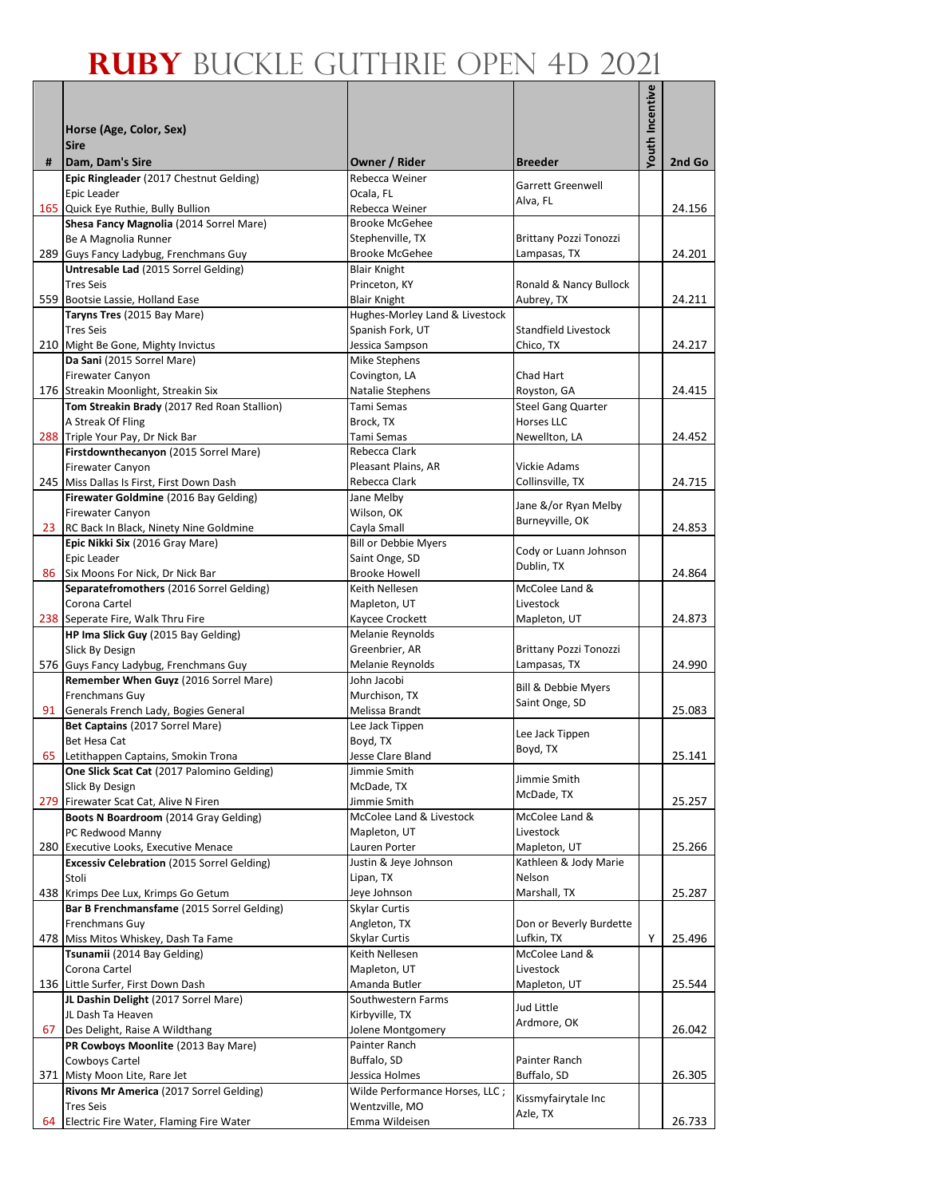|      |                                                                                     |                                                       |                                         | <b>Youth Incentive</b> |        |
|------|-------------------------------------------------------------------------------------|-------------------------------------------------------|-----------------------------------------|------------------------|--------|
|      | Horse (Age, Color, Sex)                                                             |                                                       |                                         |                        |        |
|      | <b>Sire</b>                                                                         |                                                       |                                         |                        |        |
| #    | Dam, Dam's Sire                                                                     | Owner / Rider                                         | <b>Breeder</b>                          |                        | 2nd Go |
|      | Epic Ringleader (2017 Chestnut Gelding)                                             | Rebecca Weiner                                        | <b>Garrett Greenwell</b>                |                        |        |
| 165  | Epic Leader<br>Quick Eye Ruthie, Bully Bullion                                      | Ocala, FL<br>Rebecca Weiner                           | Alva, FL                                |                        | 24.156 |
|      | Shesa Fancy Magnolia (2014 Sorrel Mare)                                             | <b>Brooke McGehee</b>                                 |                                         |                        |        |
|      | Be A Magnolia Runner                                                                | Stephenville, TX                                      | <b>Brittany Pozzi Tonozzi</b>           |                        |        |
|      | 289 Guys Fancy Ladybug, Frenchmans Guy                                              | <b>Brooke McGehee</b>                                 | Lampasas, TX                            |                        | 24.201 |
|      | Untresable Lad (2015 Sorrel Gelding)                                                | <b>Blair Knight</b>                                   |                                         |                        |        |
|      | <b>Tres Seis</b>                                                                    | Princeton, KY                                         | Ronald & Nancy Bullock                  |                        |        |
|      | 559 Bootsie Lassie, Holland Ease<br>Taryns Tres (2015 Bay Mare)                     | <b>Blair Knight</b><br>Hughes-Morley Land & Livestock | Aubrey, TX                              |                        | 24.211 |
|      | <b>Tres Seis</b>                                                                    | Spanish Fork, UT                                      | Standfield Livestock                    |                        |        |
|      | 210 Might Be Gone, Mighty Invictus                                                  | Jessica Sampson                                       | Chico, TX                               |                        | 24.217 |
|      | Da Sani (2015 Sorrel Mare)                                                          | Mike Stephens                                         |                                         |                        |        |
|      | Firewater Canyon                                                                    | Covington, LA                                         | Chad Hart                               |                        |        |
|      | 176 Streakin Moonlight, Streakin Six<br>Tom Streakin Brady (2017 Red Roan Stallion) | Natalie Stephens<br>Tami Semas                        | Royston, GA                             |                        | 24.415 |
|      | A Streak Of Fling                                                                   | Brock, TX                                             | <b>Steel Gang Quarter</b><br>Horses LLC |                        |        |
|      | 288 Triple Your Pay, Dr Nick Bar                                                    | Tami Semas                                            | Newellton, LA                           |                        | 24.452 |
|      | Firstdownthecanyon (2015 Sorrel Mare)                                               | Rebecca Clark                                         |                                         |                        |        |
|      | <b>Firewater Canyon</b>                                                             | Pleasant Plains, AR                                   | Vickie Adams                            |                        |        |
|      | 245 Miss Dallas Is First, First Down Dash                                           | Rebecca Clark                                         | Collinsville, TX                        |                        | 24.715 |
|      | Firewater Goldmine (2016 Bay Gelding)                                               | Jane Melby                                            | Jane &/or Ryan Melby                    |                        |        |
| 23   | <b>Firewater Canyon</b><br>RC Back In Black, Ninety Nine Goldmine                   | Wilson, OK<br>Cayla Small                             | Burneyville, OK                         |                        | 24.853 |
|      | Epic Nikki Six (2016 Gray Mare)                                                     | <b>Bill or Debbie Myers</b>                           |                                         |                        |        |
|      | Epic Leader                                                                         | Saint Onge, SD                                        | Cody or Luann Johnson                   |                        |        |
| 86 l | Six Moons For Nick, Dr Nick Bar                                                     | <b>Brooke Howell</b>                                  | Dublin, TX                              |                        | 24.864 |
|      | Separatefromothers (2016 Sorrel Gelding)                                            | Keith Nellesen                                        | McColee Land &                          |                        |        |
|      | Corona Cartel                                                                       | Mapleton, UT                                          | Livestock                               |                        |        |
|      | 238 Seperate Fire, Walk Thru Fire<br>HP Ima Slick Guy (2015 Bay Gelding)            | Kaycee Crockett<br>Melanie Reynolds                   | Mapleton, UT                            |                        | 24.873 |
|      | Slick By Design                                                                     | Greenbrier, AR                                        | Brittany Pozzi Tonozzi                  |                        |        |
|      | 576 Guys Fancy Ladybug, Frenchmans Guy                                              | Melanie Reynolds                                      | Lampasas, TX                            |                        | 24.990 |
|      | Remember When Guyz (2016 Sorrel Mare)                                               | John Jacobi                                           | Bill & Debbie Myers                     |                        |        |
|      | Frenchmans Guy                                                                      | Murchison, TX                                         | Saint Onge, SD                          |                        |        |
| 91   | Generals French Lady, Bogies General                                                | Melissa Brandt                                        |                                         |                        | 25.083 |
|      | Bet Captains (2017 Sorrel Mare)<br>Bet Hesa Cat                                     | Lee Jack Tippen<br>Boyd, TX                           | Lee Jack Tippen                         |                        |        |
|      | 65 Letithappen Captains, Smokin Trona                                               | Jesse Clare Bland                                     | Boyd, TX                                |                        | 25.141 |
|      | One Slick Scat Cat (2017 Palomino Gelding)                                          | Jimmie Smith                                          |                                         |                        |        |
|      | Slick By Design                                                                     | McDade, TX                                            | Jimmie Smith<br>McDade, TX              |                        |        |
|      | 279 Firewater Scat Cat, Alive N Firen                                               | Jimmie Smith                                          |                                         |                        | 25.257 |
|      | Boots N Boardroom (2014 Gray Gelding)<br>PC Redwood Manny                           | McColee Land & Livestock<br>Mapleton, UT              | McColee Land &<br>Livestock             |                        |        |
|      | 280 Executive Looks, Executive Menace                                               | Lauren Porter                                         | Mapleton, UT                            |                        | 25.266 |
|      | <b>Excessiv Celebration</b> (2015 Sorrel Gelding)                                   | Justin & Jeye Johnson                                 | Kathleen & Jody Marie                   |                        |        |
|      | Stoli                                                                               | Lipan, TX                                             | Nelson                                  |                        |        |
|      | 438 Krimps Dee Lux, Krimps Go Getum                                                 | Jeye Johnson                                          | Marshall, TX                            |                        | 25.287 |
|      | Bar B Frenchmansfame (2015 Sorrel Gelding)                                          | Skylar Curtis                                         |                                         |                        |        |
|      | Frenchmans Guy                                                                      | Angleton, TX                                          | Don or Beverly Burdette                 |                        |        |
|      | 478 Miss Mitos Whiskey, Dash Ta Fame<br>Tsunamii (2014 Bay Gelding)                 | Skylar Curtis<br>Keith Nellesen                       | Lufkin, TX<br>McColee Land &            | Y                      | 25.496 |
|      | Corona Cartel                                                                       | Mapleton, UT                                          | Livestock                               |                        |        |
|      | 136 Little Surfer, First Down Dash                                                  | Amanda Butler                                         | Mapleton, UT                            |                        | 25.544 |
|      | JL Dashin Delight (2017 Sorrel Mare)                                                | Southwestern Farms                                    | Jud Little                              |                        |        |
|      | JL Dash Ta Heaven                                                                   | Kirbyville, TX                                        | Ardmore, OK                             |                        |        |
| 67   | Des Delight, Raise A Wildthang                                                      | Jolene Montgomery<br>Painter Ranch                    |                                         |                        | 26.042 |
|      | PR Cowboys Moonlite (2013 Bay Mare)<br>Cowboys Cartel                               | Buffalo, SD                                           | Painter Ranch                           |                        |        |
|      | 371 Misty Moon Lite, Rare Jet                                                       | Jessica Holmes                                        | Buffalo, SD                             |                        | 26.305 |
|      | Rivons Mr America (2017 Sorrel Gelding)                                             | Wilde Performance Horses, LLC;                        |                                         |                        |        |
|      | <b>Tres Seis</b>                                                                    | Wentzville, MO                                        | Kissmyfairytale Inc<br>Azle, TX         |                        |        |
| 64   | Electric Fire Water, Flaming Fire Water                                             | Emma Wildeisen                                        |                                         |                        | 26.733 |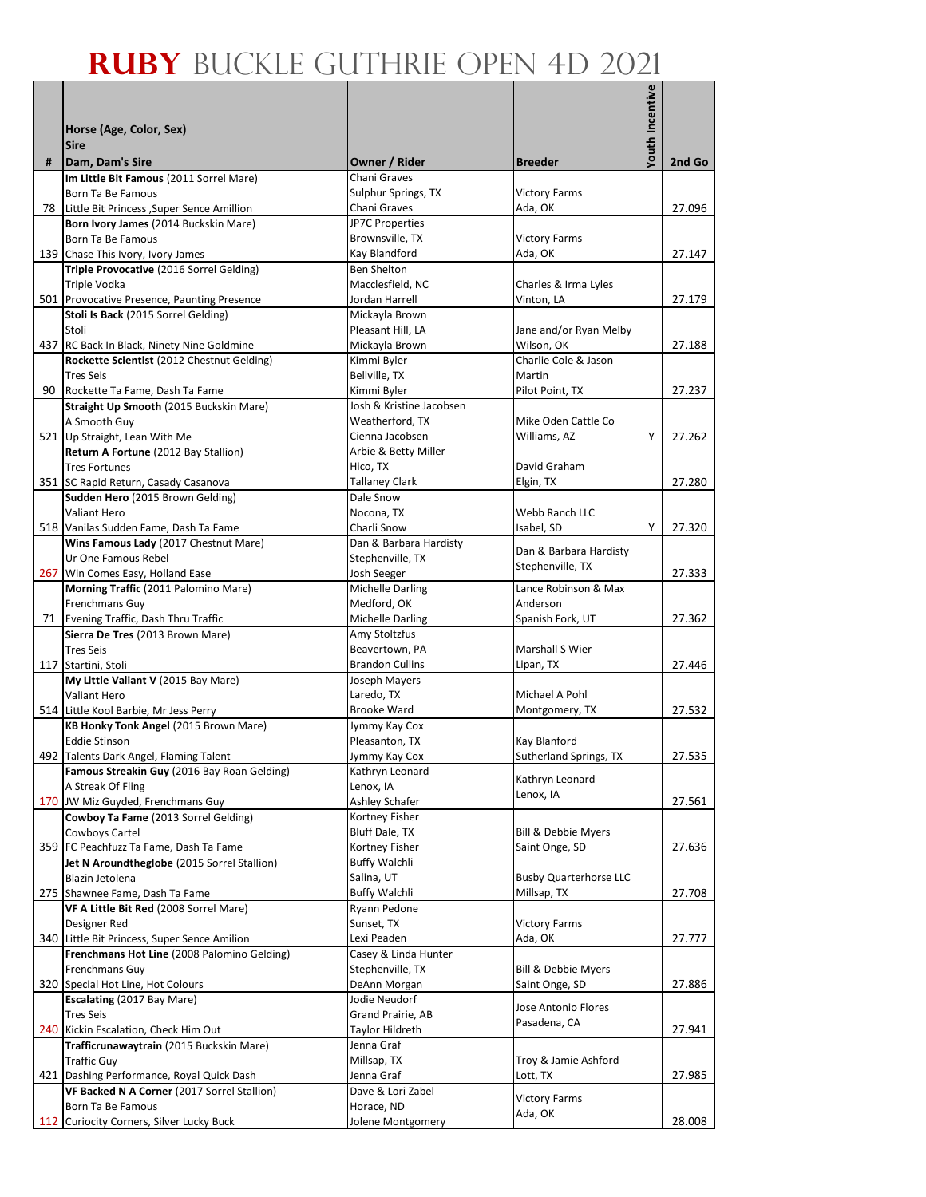|   |                                                                               |                                             |                                       | Youth Incentive |        |
|---|-------------------------------------------------------------------------------|---------------------------------------------|---------------------------------------|-----------------|--------|
|   |                                                                               |                                             |                                       |                 |        |
|   | Horse (Age, Color, Sex)                                                       |                                             |                                       |                 |        |
| # | <b>Sire</b><br>Dam, Dam's Sire                                                | Owner / Rider                               | <b>Breeder</b>                        |                 | 2nd Go |
|   | Im Little Bit Famous (2011 Sorrel Mare)                                       | Chani Graves                                |                                       |                 |        |
|   | Born Ta Be Famous                                                             | Sulphur Springs, TX                         | <b>Victory Farms</b>                  |                 |        |
|   | 78 Little Bit Princess , Super Sence Amillion                                 | Chani Graves                                | Ada, OK                               |                 | 27.096 |
|   | Born Ivory James (2014 Buckskin Mare)                                         | JP7C Properties                             |                                       |                 |        |
|   | Born Ta Be Famous                                                             | Brownsville, TX                             | <b>Victory Farms</b>                  |                 |        |
|   | 139 Chase This Ivory, Ivory James<br>Triple Provocative (2016 Sorrel Gelding) | Kay Blandford<br><b>Ben Shelton</b>         | Ada, OK                               |                 | 27.147 |
|   | Triple Vodka                                                                  | Macclesfield, NC                            | Charles & Irma Lyles                  |                 |        |
|   | 501 Provocative Presence, Paunting Presence                                   | Jordan Harrell                              | Vinton, LA                            |                 | 27.179 |
|   | Stoli Is Back (2015 Sorrel Gelding)                                           | Mickayla Brown                              |                                       |                 |        |
|   | Stoli                                                                         | Pleasant Hill, LA                           | Jane and/or Ryan Melby                |                 |        |
|   | 437 RC Back In Black, Ninety Nine Goldmine                                    | Mickayla Brown                              | Wilson, OK                            |                 | 27.188 |
|   | Rockette Scientist (2012 Chestnut Gelding)                                    | Kimmi Byler                                 | Charlie Cole & Jason                  |                 |        |
|   | <b>Tres Seis</b>                                                              | Bellville, TX                               | Martin                                |                 |        |
|   | 90 Rockette Ta Fame, Dash Ta Fame                                             | Kimmi Byler                                 | Pilot Point, TX                       |                 | 27.237 |
|   | Straight Up Smooth (2015 Buckskin Mare)<br>A Smooth Guy                       | Josh & Kristine Jacobsen<br>Weatherford, TX | Mike Oden Cattle Co                   |                 |        |
|   | 521 Up Straight, Lean With Me                                                 | Cienna Jacobsen                             | Williams, AZ                          | Υ               | 27.262 |
|   | Return A Fortune (2012 Bay Stallion)                                          | Arbie & Betty Miller                        |                                       |                 |        |
|   | <b>Tres Fortunes</b>                                                          | Hico, TX                                    | David Graham                          |                 |        |
|   | 351 SC Rapid Return, Casady Casanova                                          | <b>Tallaney Clark</b>                       | Elgin, TX                             |                 | 27.280 |
|   | Sudden Hero (2015 Brown Gelding)                                              | Dale Snow                                   |                                       |                 |        |
|   | Valiant Hero                                                                  | Nocona, TX                                  | Webb Ranch LLC                        |                 |        |
|   | 518 Vanilas Sudden Fame, Dash Ta Fame                                         | Charli Snow                                 | Isabel, SD                            | Y               | 27.320 |
|   | Wins Famous Lady (2017 Chestnut Mare)                                         | Dan & Barbara Hardisty                      | Dan & Barbara Hardisty                |                 |        |
|   | Ur One Famous Rebel<br>267 Win Comes Easy, Holland Ease                       | Stephenville, TX<br>Josh Seeger             | Stephenville, TX                      |                 | 27.333 |
|   | Morning Traffic (2011 Palomino Mare)                                          | <b>Michelle Darling</b>                     | Lance Robinson & Max                  |                 |        |
|   | Frenchmans Guy                                                                | Medford, OK                                 | Anderson                              |                 |        |
|   | 71 Evening Traffic, Dash Thru Traffic                                         | <b>Michelle Darling</b>                     | Spanish Fork, UT                      |                 | 27.362 |
|   | Sierra De Tres (2013 Brown Mare)                                              | Amy Stoltzfus                               |                                       |                 |        |
|   | <b>Tres Seis</b>                                                              | Beavertown, PA                              | Marshall S Wier                       |                 |        |
|   | 117 Startini, Stoli                                                           | <b>Brandon Cullins</b>                      | Lipan, TX                             |                 | 27.446 |
|   | My Little Valiant V (2015 Bay Mare)<br><b>Valiant Hero</b>                    | Joseph Mayers<br>Laredo, TX                 | Michael A Pohl                        |                 |        |
|   | 514 Little Kool Barbie, Mr Jess Perry                                         | Brooke Ward                                 | Montgomery, TX                        |                 | 27.532 |
|   | KB Honky Tonk Angel (2015 Brown Mare)                                         | Jymmy Kay Cox                               |                                       |                 |        |
|   | <b>Eddie Stinson</b>                                                          | Pleasanton, TX                              | Kay Blanford                          |                 |        |
|   | 492 Talents Dark Angel, Flaming Talent                                        | Jymmy Kay Cox                               | Sutherland Springs, TX                |                 | 27.535 |
|   | Famous Streakin Guy (2016 Bay Roan Gelding)                                   | Kathryn Leonard                             | Kathryn Leonard                       |                 |        |
|   | A Streak Of Fling                                                             | Lenox, IA                                   | Lenox, IA                             |                 |        |
|   | 170 JW Miz Guyded, Frenchmans Guy                                             | Ashley Schafer                              |                                       |                 | 27.561 |
|   | Cowboy Ta Fame (2013 Sorrel Gelding)                                          | Kortney Fisher                              |                                       |                 |        |
|   | Cowboys Cartel<br>359 FC Peachfuzz Ta Fame, Dash Ta Fame                      | Bluff Dale, TX<br>Kortney Fisher            | Bill & Debbie Myers<br>Saint Onge, SD |                 | 27.636 |
|   | Jet N Aroundtheglobe (2015 Sorrel Stallion)                                   | <b>Buffy Walchli</b>                        |                                       |                 |        |
|   | Blazin Jetolena                                                               | Salina, UT                                  | <b>Busby Quarterhorse LLC</b>         |                 |        |
|   | 275 Shawnee Fame, Dash Ta Fame                                                | <b>Buffy Walchli</b>                        | Millsap, TX                           |                 | 27.708 |
|   | VF A Little Bit Red (2008 Sorrel Mare)                                        | Ryann Pedone                                |                                       |                 |        |
|   | Designer Red                                                                  | Sunset, TX                                  | <b>Victory Farms</b>                  |                 |        |
|   | 340 Little Bit Princess, Super Sence Amilion                                  | Lexi Peaden                                 | Ada, OK                               |                 | 27.777 |
|   | Frenchmans Hot Line (2008 Palomino Gelding)                                   | Casey & Linda Hunter                        |                                       |                 |        |
|   | Frenchmans Guy<br>320 Special Hot Line, Hot Colours                           | Stephenville, TX<br>DeAnn Morgan            | Bill & Debbie Myers<br>Saint Onge, SD |                 | 27.886 |
|   | Escalating (2017 Bay Mare)                                                    | Jodie Neudorf                               |                                       |                 |        |
|   | <b>Tres Seis</b>                                                              | Grand Prairie, AB                           | Jose Antonio Flores                   |                 |        |
|   | 240 Kickin Escalation, Check Him Out                                          | Taylor Hildreth                             | Pasadena, CA                          |                 | 27.941 |
|   | Trafficrunawaytrain (2015 Buckskin Mare)                                      | Jenna Graf                                  |                                       |                 |        |
|   | <b>Traffic Guy</b>                                                            | Millsap, TX                                 | Troy & Jamie Ashford                  |                 |        |
|   | 421 Dashing Performance, Royal Quick Dash                                     | Jenna Graf                                  | Lott, TX                              |                 | 27.985 |
|   | VF Backed N A Corner (2017 Sorrel Stallion)                                   | Dave & Lori Zabel                           | <b>Victory Farms</b>                  |                 |        |
|   | Born Ta Be Famous<br>112 Curiocity Corners, Silver Lucky Buck                 | Horace, ND<br>Jolene Montgomery             | Ada, OK                               |                 | 28.008 |
|   |                                                                               |                                             |                                       |                 |        |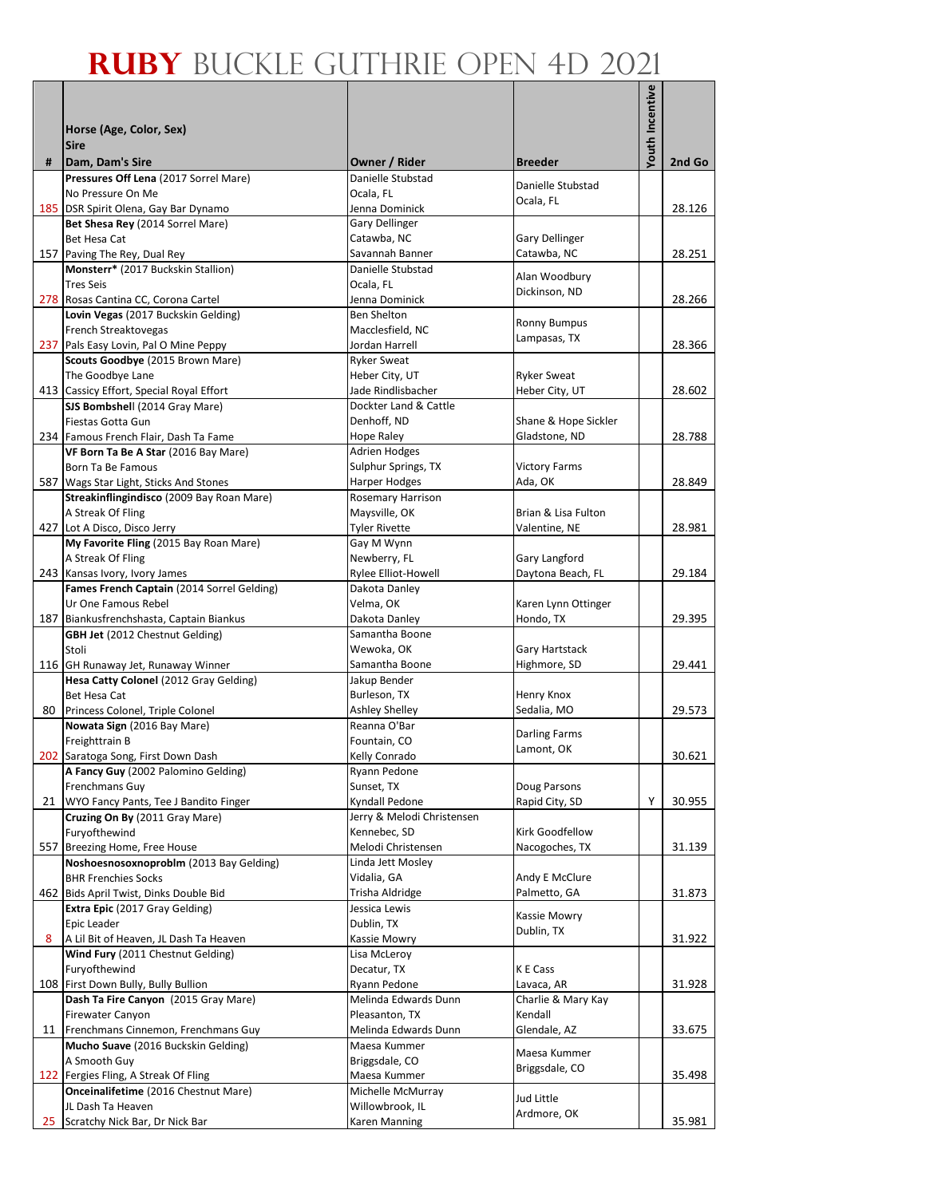|    |                                                                                     |                                                  |                                | Youth Incentive |        |
|----|-------------------------------------------------------------------------------------|--------------------------------------------------|--------------------------------|-----------------|--------|
|    | Horse (Age, Color, Sex)                                                             |                                                  |                                |                 |        |
|    | <b>Sire</b>                                                                         |                                                  |                                |                 |        |
| #  | Dam, Dam's Sire                                                                     | Owner / Rider                                    | <b>Breeder</b>                 |                 | 2nd Go |
|    | Pressures Off Lena (2017 Sorrel Mare)                                               | Danielle Stubstad                                | Danielle Stubstad              |                 |        |
|    | No Pressure On Me                                                                   | Ocala, FL                                        | Ocala, FL                      |                 |        |
|    | 185 DSR Spirit Olena, Gay Bar Dynamo                                                | Jenna Dominick                                   |                                |                 | 28.126 |
|    | Bet Shesa Rey (2014 Sorrel Mare)<br>Bet Hesa Cat                                    | Gary Dellinger<br>Catawba, NC                    | <b>Gary Dellinger</b>          |                 |        |
|    | 157 Paving The Rey, Dual Rey                                                        | Savannah Banner                                  | Catawba, NC                    |                 | 28.251 |
|    | Monsterr* (2017 Buckskin Stallion)                                                  | Danielle Stubstad                                |                                |                 |        |
|    | <b>Tres Seis</b>                                                                    | Ocala, FL                                        | Alan Woodbury<br>Dickinson, ND |                 |        |
|    | 278 Rosas Cantina CC, Corona Cartel                                                 | Jenna Dominick                                   |                                |                 | 28.266 |
|    | Lovin Vegas (2017 Buckskin Gelding)                                                 | Ben Shelton                                      | <b>Ronny Bumpus</b>            |                 |        |
|    | French Streaktovegas<br>237 Pals Easy Lovin, Pal O Mine Peppy                       | Macclesfield, NC<br>Jordan Harrell               | Lampasas, TX                   |                 | 28.366 |
|    | Scouts Goodbye (2015 Brown Mare)                                                    | <b>Ryker Sweat</b>                               |                                |                 |        |
|    | The Goodbye Lane                                                                    | Heber City, UT                                   | <b>Ryker Sweat</b>             |                 |        |
|    | 413 Cassicy Effort, Special Royal Effort                                            | Jade Rindlisbacher                               | Heber City, UT                 |                 | 28.602 |
|    | SJS Bombshell (2014 Gray Mare)                                                      | Dockter Land & Cattle                            |                                |                 |        |
|    | Fiestas Gotta Gun                                                                   | Denhoff, ND                                      | Shane & Hope Sickler           |                 |        |
|    | 234 Famous French Flair, Dash Ta Fame                                               | Hope Raley                                       | Gladstone, ND                  |                 | 28.788 |
|    | VF Born Ta Be A Star (2016 Bay Mare)                                                | <b>Adrien Hodges</b>                             |                                |                 |        |
|    | Born Ta Be Famous                                                                   | Sulphur Springs, TX                              | <b>Victory Farms</b>           |                 | 28.849 |
|    | 587 Wags Star Light, Sticks And Stones<br>Streakinflingindisco (2009 Bay Roan Mare) | <b>Harper Hodges</b><br><b>Rosemary Harrison</b> | Ada, OK                        |                 |        |
|    | A Streak Of Fling                                                                   | Maysville, OK                                    | Brian & Lisa Fulton            |                 |        |
|    | 427 Lot A Disco, Disco Jerry                                                        | <b>Tyler Rivette</b>                             | Valentine, NE                  |                 | 28.981 |
|    | My Favorite Fling (2015 Bay Roan Mare)                                              | Gay M Wynn                                       |                                |                 |        |
|    | A Streak Of Fling                                                                   | Newberry, FL                                     | Gary Langford                  |                 |        |
|    | 243 Kansas Ivory, Ivory James                                                       | Rylee Elliot-Howell                              | Daytona Beach, FL              |                 | 29.184 |
|    | Fames French Captain (2014 Sorrel Gelding)                                          | Dakota Danley                                    |                                |                 |        |
|    | Ur One Famous Rebel                                                                 | Velma, OK                                        | Karen Lynn Ottinger            |                 |        |
|    | 187 Biankusfrenchshasta, Captain Biankus<br><b>GBH Jet</b> (2012 Chestnut Gelding)  | Dakota Danley<br>Samantha Boone                  | Hondo, TX                      |                 | 29.395 |
|    | Stoli                                                                               | Wewoka, OK                                       | Gary Hartstack                 |                 |        |
|    | 116 GH Runaway Jet, Runaway Winner                                                  | Samantha Boone                                   | Highmore, SD                   |                 | 29.441 |
|    | Hesa Catty Colonel (2012 Gray Gelding)                                              | Jakup Bender                                     |                                |                 |        |
|    | Bet Hesa Cat                                                                        | Burleson, TX                                     | Henry Knox                     |                 |        |
| 80 | Princess Colonel, Triple Colonel                                                    | Ashley Shelley                                   | Sedalia, MO                    |                 | 29.573 |
|    | Nowata Sign (2016 Bay Mare)                                                         | Reanna O'Bar                                     | <b>Darling Farms</b>           |                 |        |
|    | Freighttrain B                                                                      | Fountain, CO                                     | Lamont, OK                     |                 |        |
|    | 202 Saratoga Song, First Down Dash                                                  | Kelly Conrado                                    |                                |                 | 30.621 |
|    | A Fancy Guy (2002 Palomino Gelding)<br>Frenchmans Guy                               | Ryann Pedone<br>Sunset, TX                       | Doug Parsons                   |                 |        |
| 21 | WYO Fancy Pants, Tee J Bandito Finger                                               | Kyndall Pedone                                   | Rapid City, SD                 | Υ               | 30.955 |
|    | Cruzing On By (2011 Gray Mare)                                                      | Jerry & Melodi Christensen                       |                                |                 |        |
|    | Furyofthewind                                                                       | Kennebec, SD                                     | Kirk Goodfellow                |                 |        |
|    | 557 Breezing Home, Free House                                                       | Melodi Christensen                               | Nacogoches, TX                 |                 | 31.139 |
|    | Noshoesnosoxnoproblm (2013 Bay Gelding)                                             | Linda Jett Mosley                                |                                |                 |        |
|    | <b>BHR Frenchies Socks</b>                                                          | Vidalia, GA                                      | Andy E McClure                 |                 |        |
|    | 462 Bids April Twist, Dinks Double Bid                                              | Trisha Aldridge                                  | Palmetto, GA                   |                 | 31.873 |
|    | Extra Epic (2017 Gray Gelding)<br>Epic Leader                                       | Jessica Lewis<br>Dublin, TX                      | Kassie Mowry                   |                 |        |
| 8  | A Lil Bit of Heaven, JL Dash Ta Heaven                                              | Kassie Mowry                                     | Dublin, TX                     |                 | 31.922 |
|    | Wind Fury (2011 Chestnut Gelding)                                                   | Lisa McLeroy                                     |                                |                 |        |
|    | Furyofthewind                                                                       | Decatur, TX                                      | K E Cass                       |                 |        |
|    | 108 First Down Bully, Bully Bullion                                                 | Ryann Pedone                                     | Lavaca, AR                     |                 | 31.928 |
|    | Dash Ta Fire Canyon (2015 Gray Mare)                                                | Melinda Edwards Dunn                             | Charlie & Mary Kay             |                 |        |
|    | Firewater Canyon                                                                    | Pleasanton, TX                                   | Kendall                        |                 |        |
|    | 11 Frenchmans Cinnemon, Frenchmans Guy                                              | Melinda Edwards Dunn                             | Glendale, AZ                   |                 | 33.675 |
|    | Mucho Suave (2016 Buckskin Gelding)<br>A Smooth Guy                                 | Maesa Kummer<br>Briggsdale, CO                   | Maesa Kummer                   |                 |        |
|    | 122 Fergies Fling, A Streak Of Fling                                                | Maesa Kummer                                     | Briggsdale, CO                 |                 | 35.498 |
|    | <b>Onceinalifetime</b> (2016 Chestnut Mare)                                         | Michelle McMurray                                |                                |                 |        |
|    | JL Dash Ta Heaven                                                                   | Willowbrook, IL                                  | Jud Little                     |                 |        |
| 25 | Scratchy Nick Bar, Dr Nick Bar                                                      | Karen Manning                                    | Ardmore, OK                    |                 | 35.981 |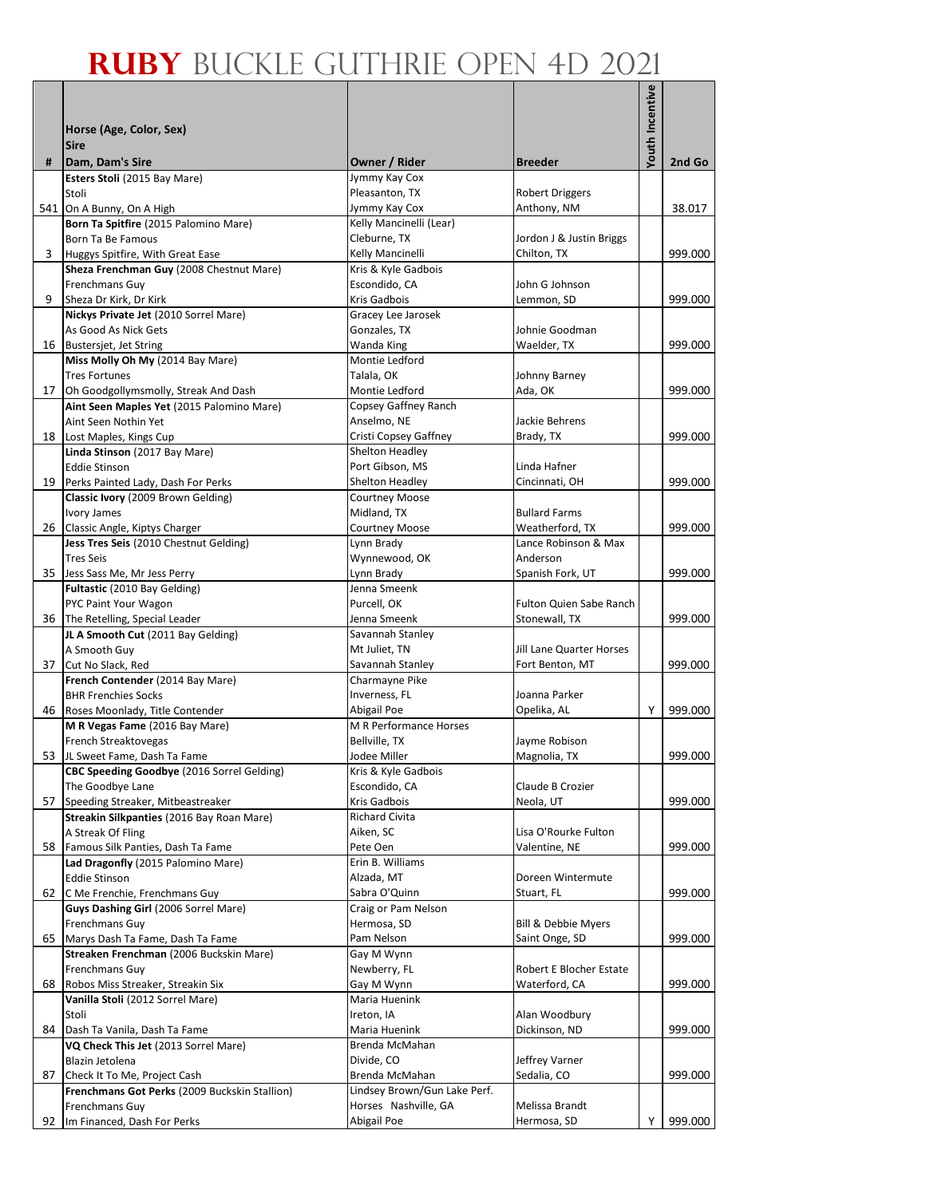|    |                                                                             |                                                |                                         | <b>Youth Incentive</b> |         |
|----|-----------------------------------------------------------------------------|------------------------------------------------|-----------------------------------------|------------------------|---------|
|    |                                                                             |                                                |                                         |                        |         |
|    | Horse (Age, Color, Sex)<br><b>Sire</b>                                      |                                                |                                         |                        |         |
| #  | Dam, Dam's Sire                                                             | Owner / Rider                                  | <b>Breeder</b>                          |                        | 2nd Go  |
|    | Esters Stoli (2015 Bay Mare)                                                | Jymmy Kay Cox                                  |                                         |                        |         |
|    | Stoli                                                                       | Pleasanton, TX                                 | <b>Robert Driggers</b>                  |                        |         |
|    | 541 On A Bunny, On A High<br>Born Ta Spitfire (2015 Palomino Mare)          | Jymmy Kay Cox<br>Kelly Mancinelli (Lear)       | Anthony, NM                             |                        | 38.017  |
|    | Born Ta Be Famous                                                           | Cleburne, TX                                   | Jordon J & Justin Briggs                |                        |         |
| 3  | Huggys Spitfire, With Great Ease                                            | Kelly Mancinelli                               | Chilton, TX                             |                        | 999.000 |
|    | Sheza Frenchman Guy (2008 Chestnut Mare)                                    | Kris & Kyle Gadbois                            |                                         |                        |         |
|    | Frenchmans Guy                                                              | Escondido, CA                                  | John G Johnson                          |                        |         |
| 9  | Sheza Dr Kirk, Dr Kirk                                                      | Kris Gadbois                                   | Lemmon, SD                              |                        | 999.000 |
|    | Nickys Private Jet (2010 Sorrel Mare)<br>As Good As Nick Gets               | Gracey Lee Jarosek<br>Gonzales, TX             | Johnie Goodman                          |                        |         |
| 16 | Bustersjet, Jet String                                                      | Wanda King                                     | Waelder, TX                             |                        | 999.000 |
|    | Miss Molly Oh My (2014 Bay Mare)                                            | Montie Ledford                                 |                                         |                        |         |
|    | <b>Tres Fortunes</b>                                                        | Talala, OK                                     | Johnny Barney                           |                        |         |
| 17 | Oh Goodgollymsmolly, Streak And Dash                                        | Montie Ledford                                 | Ada, OK                                 |                        | 999.000 |
|    | Aint Seen Maples Yet (2015 Palomino Mare)                                   | Copsey Gaffney Ranch                           |                                         |                        |         |
| 18 | Aint Seen Nothin Yet<br>Lost Maples, Kings Cup                              | Anselmo, NE<br>Cristi Copsey Gaffney           | Jackie Behrens<br>Brady, TX             |                        | 999.000 |
|    | Linda Stinson (2017 Bay Mare)                                               | Shelton Headley                                |                                         |                        |         |
|    | <b>Eddie Stinson</b>                                                        | Port Gibson, MS                                | Linda Hafner                            |                        |         |
| 19 | Perks Painted Lady, Dash For Perks                                          | Shelton Headley                                | Cincinnati, OH                          |                        | 999.000 |
|    | Classic Ivory (2009 Brown Gelding)                                          | <b>Courtney Moose</b>                          |                                         |                        |         |
|    | Ivory James                                                                 | Midland, TX                                    | <b>Bullard Farms</b>                    |                        |         |
| 26 | Classic Angle, Kiptys Charger<br>Jess Tres Seis (2010 Chestnut Gelding)     | <b>Courtney Moose</b><br>Lynn Brady            | Weatherford, TX<br>Lance Robinson & Max |                        | 999.000 |
|    | <b>Tres Seis</b>                                                            | Wynnewood, OK                                  | Anderson                                |                        |         |
|    | 35 Jess Sass Me, Mr Jess Perry                                              | Lynn Brady                                     | Spanish Fork, UT                        |                        | 999.000 |
|    | Fultastic (2010 Bay Gelding)                                                | Jenna Smeenk                                   |                                         |                        |         |
|    | PYC Paint Your Wagon                                                        | Purcell, OK                                    | <b>Fulton Quien Sabe Ranch</b>          |                        |         |
|    | 36 The Retelling, Special Leader                                            | Jenna Smeenk                                   | Stonewall, TX                           |                        | 999.000 |
|    | JL A Smooth Cut (2011 Bay Gelding)<br>A Smooth Guy                          | Savannah Stanley<br>Mt Juliet, TN              | Jill Lane Quarter Horses                |                        |         |
| 37 | Cut No Slack, Red                                                           | Savannah Stanley                               | Fort Benton, MT                         |                        | 999.000 |
|    | French Contender (2014 Bay Mare)                                            | Charmayne Pike                                 |                                         |                        |         |
|    | <b>BHR Frenchies Socks</b>                                                  | Inverness, FL                                  | Joanna Parker                           |                        |         |
| 46 | Roses Moonlady, Title Contender                                             | Abigail Poe                                    | Opelika, AL                             | Y                      | 999.000 |
|    | M R Vegas Fame (2016 Bay Mare)<br>French Streaktovegas                      | <b>M R Performance Horses</b><br>Bellville, TX | Jayme Robison                           |                        |         |
|    | 53 JL Sweet Fame, Dash Ta Fame                                              | Jodee Miller                                   | Magnolia, TX                            |                        | 999.000 |
|    | CBC Speeding Goodbye (2016 Sorrel Gelding)                                  | Kris & Kyle Gadbois                            |                                         |                        |         |
|    | The Goodbye Lane                                                            | Escondido, CA                                  | Claude B Crozier                        |                        |         |
|    | 57 Speeding Streaker, Mitbeastreaker                                        | Kris Gadbois                                   | Neola, UT                               |                        | 999.000 |
|    | Streakin Silkpanties (2016 Bay Roan Mare)                                   | Richard Civita                                 |                                         |                        |         |
|    | A Streak Of Fling<br>58 Famous Silk Panties, Dash Ta Fame                   | Aiken, SC<br>Pete Oen                          | Lisa O'Rourke Fulton<br>Valentine, NE   |                        | 999.000 |
|    | Lad Dragonfly (2015 Palomino Mare)                                          | Erin B. Williams                               |                                         |                        |         |
|    | <b>Eddie Stinson</b>                                                        | Alzada, MT                                     | Doreen Wintermute                       |                        |         |
|    | 62 C Me Frenchie, Frenchmans Guy                                            | Sabra O'Quinn                                  | Stuart, FL                              |                        | 999.000 |
|    | Guys Dashing Girl (2006 Sorrel Mare)                                        | Craig or Pam Nelson                            |                                         |                        |         |
|    | Frenchmans Guy                                                              | Hermosa, SD                                    | <b>Bill &amp; Debbie Myers</b>          |                        |         |
| 65 | Marys Dash Ta Fame, Dash Ta Fame<br>Streaken Frenchman (2006 Buckskin Mare) | Pam Nelson<br>Gay M Wynn                       | Saint Onge, SD                          |                        | 999.000 |
|    | Frenchmans Guy                                                              | Newberry, FL                                   | Robert E Blocher Estate                 |                        |         |
| 68 | Robos Miss Streaker, Streakin Six                                           | Gay M Wynn                                     | Waterford, CA                           |                        | 999.000 |
|    | Vanilla Stoli (2012 Sorrel Mare)                                            | Maria Huenink                                  |                                         |                        |         |
|    | Stoli                                                                       | Ireton, IA                                     | Alan Woodbury                           |                        |         |
| 84 | Dash Ta Vanila, Dash Ta Fame                                                | Maria Huenink                                  | Dickinson, ND                           |                        | 999.000 |
|    | VQ Check This Jet (2013 Sorrel Mare)<br>Blazin Jetolena                     | Brenda McMahan<br>Divide, CO                   | Jeffrey Varner                          |                        |         |
|    | 87 Check It To Me, Project Cash                                             | Brenda McMahan                                 | Sedalia, CO                             |                        | 999.000 |
|    | Frenchmans Got Perks (2009 Buckskin Stallion)                               | Lindsey Brown/Gun Lake Perf.                   |                                         |                        |         |
|    | Frenchmans Guy                                                              | Horses Nashville, GA                           | Melissa Brandt                          |                        |         |
|    | 92 Im Financed, Dash For Perks                                              | Abigail Poe                                    | Hermosa, SD                             | Υ                      | 999.000 |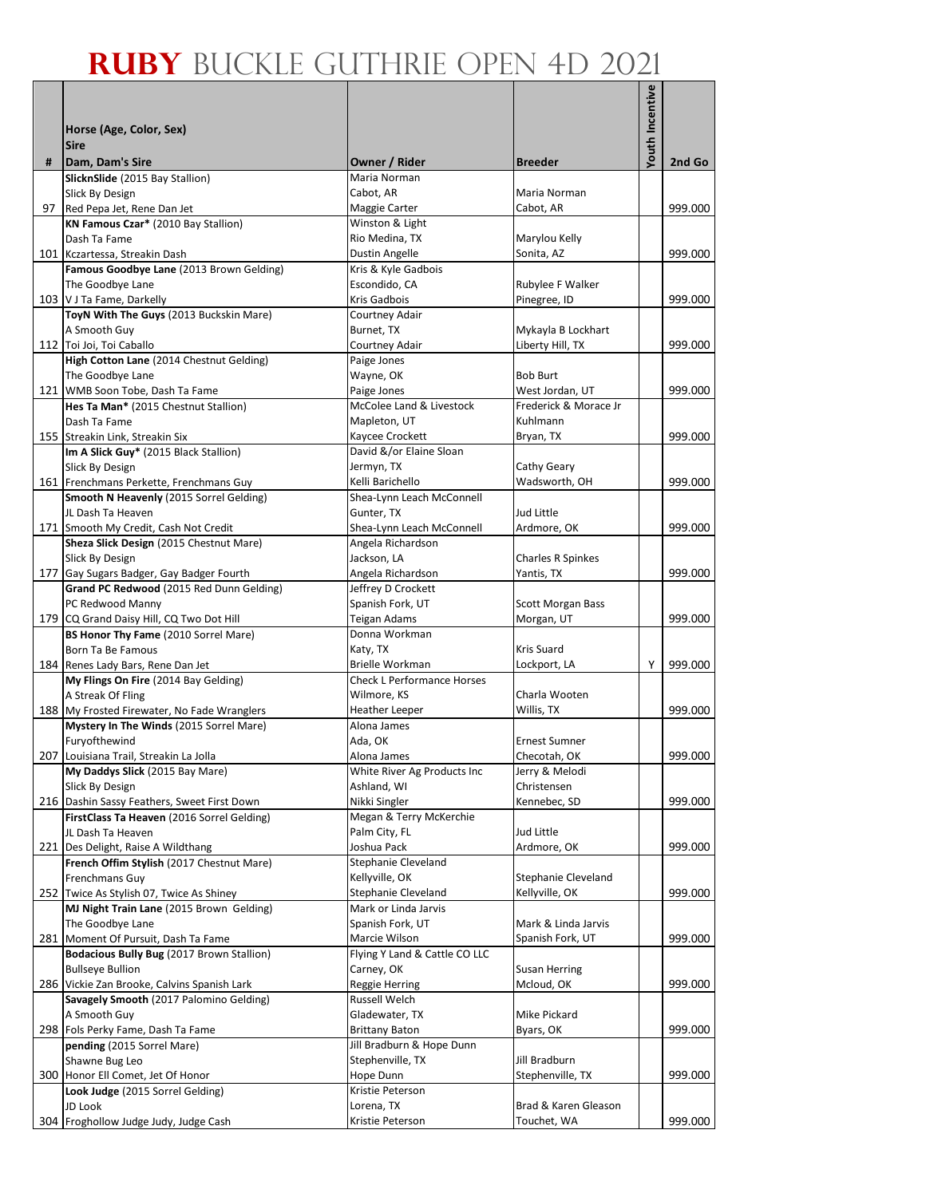|     |                                                                                        |                                         |                                   | Youth Incentive |         |
|-----|----------------------------------------------------------------------------------------|-----------------------------------------|-----------------------------------|-----------------|---------|
|     |                                                                                        |                                         |                                   |                 |         |
|     | Horse (Age, Color, Sex)                                                                |                                         |                                   |                 |         |
| #   | <b>Sire</b><br>Dam, Dam's Sire                                                         | Owner / Rider                           | <b>Breeder</b>                    |                 | 2nd Go  |
|     | SlicknSlide (2015 Bay Stallion)                                                        | Maria Norman                            |                                   |                 |         |
|     | Slick By Design                                                                        | Cabot, AR                               | Maria Norman                      |                 |         |
| 97  | Red Pepa Jet, Rene Dan Jet                                                             | Maggie Carter                           | Cabot, AR                         |                 | 999.000 |
|     | KN Famous Czar* (2010 Bay Stallion)                                                    | Winston & Light                         |                                   |                 |         |
|     | Dash Ta Fame                                                                           | Rio Medina, TX                          | Marylou Kelly                     |                 |         |
| 101 | Kczartessa, Streakin Dash                                                              | Dustin Angelle                          | Sonita, AZ                        |                 | 999.000 |
|     | Famous Goodbye Lane (2013 Brown Gelding)<br>The Goodbye Lane                           | Kris & Kyle Gadbois<br>Escondido, CA    | Rubylee F Walker                  |                 |         |
|     | 103 V J Ta Fame, Darkelly                                                              | Kris Gadbois                            | Pinegree, ID                      |                 | 999.000 |
|     | ToyN With The Guys (2013 Buckskin Mare)                                                | Courtney Adair                          |                                   |                 |         |
|     | A Smooth Guy                                                                           | Burnet, TX                              | Mykayla B Lockhart                |                 |         |
|     | 112 Toi Joi, Toi Caballo                                                               | Courtney Adair                          | Liberty Hill, TX                  |                 | 999.000 |
|     | High Cotton Lane (2014 Chestnut Gelding)                                               | Paige Jones                             |                                   |                 |         |
|     | The Goodbye Lane                                                                       | Wayne, OK                               | <b>Bob Burt</b>                   |                 |         |
|     | 121 WMB Soon Tobe, Dash Ta Fame                                                        | Paige Jones                             | West Jordan, UT                   |                 | 999.000 |
|     | Hes Ta Man* (2015 Chestnut Stallion)                                                   | McColee Land & Livestock                | Frederick & Morace Jr<br>Kuhlmann |                 |         |
|     | Dash Ta Fame<br>155 Streakin Link, Streakin Six                                        | Mapleton, UT<br>Kaycee Crockett         | Bryan, TX                         |                 | 999.000 |
|     | Im A Slick Guy* (2015 Black Stallion)                                                  | David &/or Elaine Sloan                 |                                   |                 |         |
|     | Slick By Design                                                                        | Jermyn, TX                              | Cathy Geary                       |                 |         |
|     | 161 Frenchmans Perkette, Frenchmans Guy                                                | Kelli Barichello                        | Wadsworth, OH                     |                 | 999.000 |
|     | Smooth N Heavenly (2015 Sorrel Gelding)                                                | Shea-Lynn Leach McConnell               |                                   |                 |         |
|     | JL Dash Ta Heaven                                                                      | Gunter, TX                              | Jud Little                        |                 |         |
|     | 171 Smooth My Credit, Cash Not Credit                                                  | Shea-Lynn Leach McConnell               | Ardmore, OK                       |                 | 999.000 |
|     | Sheza Slick Design (2015 Chestnut Mare)                                                | Angela Richardson                       |                                   |                 |         |
|     | Slick By Design                                                                        | Jackson, LA                             | <b>Charles R Spinkes</b>          |                 |         |
|     | 177 Gay Sugars Badger, Gay Badger Fourth<br>Grand PC Redwood (2015 Red Dunn Gelding)   | Angela Richardson<br>Jeffrey D Crockett | Yantis, TX                        |                 | 999.000 |
|     | PC Redwood Manny                                                                       | Spanish Fork, UT                        | <b>Scott Morgan Bass</b>          |                 |         |
|     | 179 CQ Grand Daisy Hill, CQ Two Dot Hill                                               | Teigan Adams                            | Morgan, UT                        |                 | 999.000 |
|     | BS Honor Thy Fame (2010 Sorrel Mare)                                                   | Donna Workman                           |                                   |                 |         |
|     | Born Ta Be Famous                                                                      | Katy, TX                                | Kris Suard                        |                 |         |
|     | 184 Renes Lady Bars, Rene Dan Jet                                                      | Brielle Workman                         | Lockport, LA                      | Υ               | 999.000 |
|     | My Flings On Fire (2014 Bay Gelding)                                                   | <b>Check L Performance Horses</b>       |                                   |                 |         |
|     | A Streak Of Fling<br>188 My Frosted Firewater, No Fade Wranglers                       | Wilmore, KS<br><b>Heather Leeper</b>    | Charla Wooten<br>Willis, TX       |                 | 999.000 |
|     | Mystery In The Winds (2015 Sorrel Mare)                                                | Alona James                             |                                   |                 |         |
|     | Furyofthewind                                                                          | Ada, OK                                 | <b>Ernest Sumner</b>              |                 |         |
|     | 207 Louisiana Trail, Streakin La Jolla                                                 | Alona James                             | Checotah, OK                      |                 | 999.000 |
|     | My Daddys Slick (2015 Bay Mare)                                                        | White River Ag Products Inc             | Jerry & Melodi                    |                 |         |
|     | Slick By Design                                                                        | Ashland, WI                             | Christensen                       |                 |         |
|     | 216 Dashin Sassy Feathers, Sweet First Down                                            | Nikki Singler                           | Kennebec, SD                      |                 | 999.000 |
|     | FirstClass Ta Heaven (2016 Sorrel Gelding)                                             | Megan & Terry McKerchie                 |                                   |                 |         |
|     | JL Dash Ta Heaven                                                                      | Palm City, FL                           | Jud Little                        |                 |         |
|     | 221 Des Delight, Raise A Wildthang<br>French Offim Stylish (2017 Chestnut Mare)        | Joshua Pack<br>Stephanie Cleveland      | Ardmore, OK                       |                 | 999.000 |
|     | Frenchmans Guy                                                                         | Kellyville, OK                          | Stephanie Cleveland               |                 |         |
|     | 252 Twice As Stylish 07, Twice As Shiney                                               | Stephanie Cleveland                     | Kellyville, OK                    |                 | 999.000 |
|     | MJ Night Train Lane (2015 Brown Gelding)                                               | Mark or Linda Jarvis                    |                                   |                 |         |
|     | The Goodbye Lane                                                                       | Spanish Fork, UT                        | Mark & Linda Jarvis               |                 |         |
|     | 281 Moment Of Pursuit, Dash Ta Fame                                                    | Marcie Wilson                           | Spanish Fork, UT                  |                 | 999.000 |
|     | Bodacious Bully Bug (2017 Brown Stallion)                                              | Flying Y Land & Cattle CO LLC           |                                   |                 |         |
|     | <b>Bullseye Bullion</b>                                                                | Carney, OK                              | <b>Susan Herring</b>              |                 |         |
|     | 286 Vickie Zan Brooke, Calvins Spanish Lark<br>Savagely Smooth (2017 Palomino Gelding) | Reggie Herring<br>Russell Welch         | Mcloud, OK                        |                 | 999.000 |
|     | A Smooth Guy                                                                           | Gladewater, TX                          | Mike Pickard                      |                 |         |
|     | 298 Fols Perky Fame, Dash Ta Fame                                                      | <b>Brittany Baton</b>                   | Byars, OK                         |                 | 999.000 |
|     | pending (2015 Sorrel Mare)                                                             | Jill Bradburn & Hope Dunn               |                                   |                 |         |
|     | Shawne Bug Leo                                                                         | Stephenville, TX                        | Jill Bradburn                     |                 |         |
|     | 300 Honor Ell Comet, Jet Of Honor                                                      | Hope Dunn                               | Stephenville, TX                  |                 | 999.000 |
|     | Look Judge (2015 Sorrel Gelding)                                                       | Kristie Peterson                        |                                   |                 |         |
|     | JD Look                                                                                | Lorena, TX                              | Brad & Karen Gleason              |                 |         |
|     | 304 Froghollow Judge Judy, Judge Cash                                                  | Kristie Peterson                        | Touchet, WA                       |                 | 999.000 |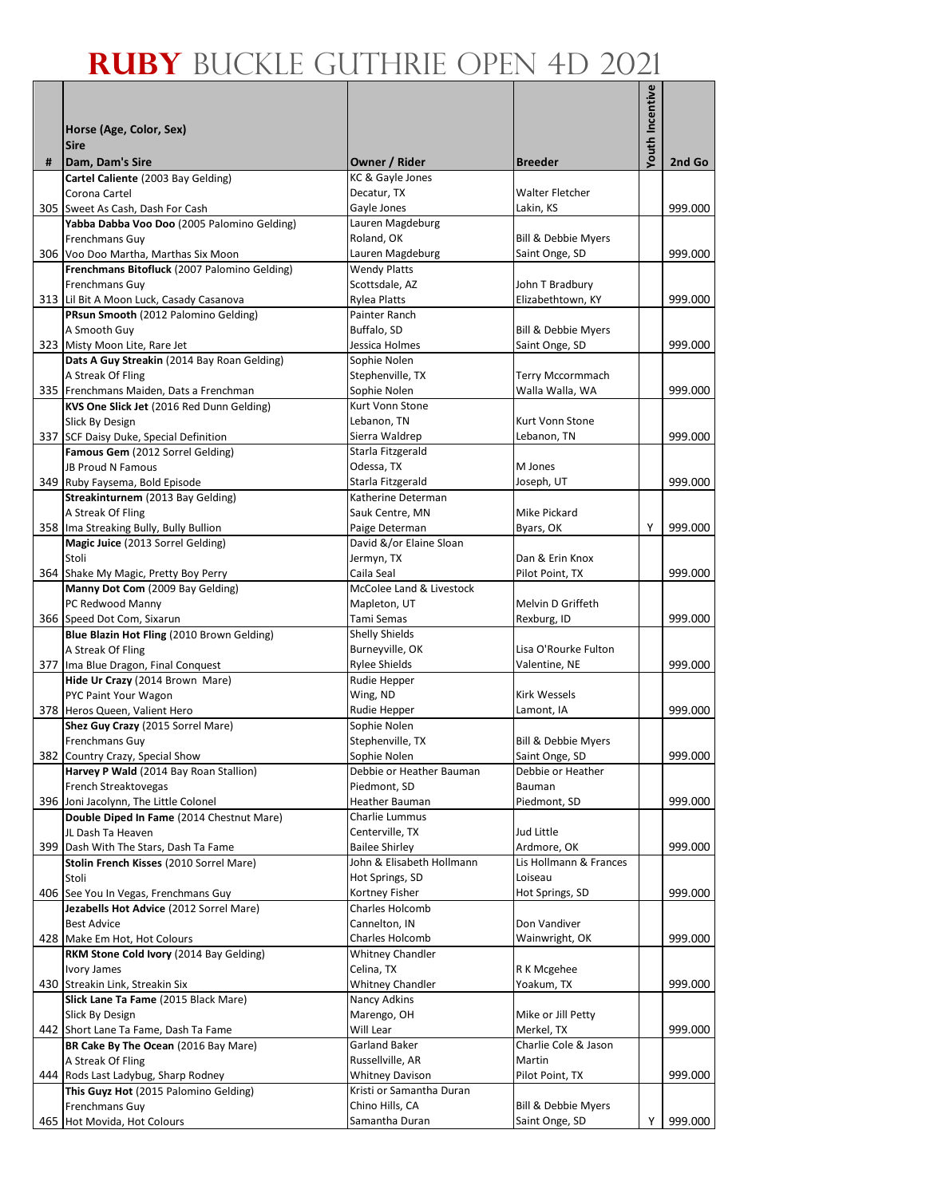|   |                                                                                 |                                     |                                       | Youth Incentive |         |
|---|---------------------------------------------------------------------------------|-------------------------------------|---------------------------------------|-----------------|---------|
|   |                                                                                 |                                     |                                       |                 |         |
|   | Horse (Age, Color, Sex)<br><b>Sire</b>                                          |                                     |                                       |                 |         |
| # | Dam, Dam's Sire                                                                 | Owner / Rider                       | <b>Breeder</b>                        |                 | 2nd Go  |
|   | Cartel Caliente (2003 Bay Gelding)                                              | KC & Gayle Jones                    |                                       |                 |         |
|   | Corona Cartel                                                                   | Decatur, TX                         | Walter Fletcher                       |                 |         |
|   | 305 Sweet As Cash, Dash For Cash                                                | Gayle Jones                         | Lakin, KS                             |                 | 999.000 |
|   | Yabba Dabba Voo Doo (2005 Palomino Gelding)<br>Frenchmans Guy                   | Lauren Magdeburg<br>Roland, OK      | Bill & Debbie Myers                   |                 |         |
|   | 306 Voo Doo Martha, Marthas Six Moon                                            | Lauren Magdeburg                    | Saint Onge, SD                        |                 | 999.000 |
|   | Frenchmans Bitofluck (2007 Palomino Gelding)                                    | <b>Wendy Platts</b>                 |                                       |                 |         |
|   | Frenchmans Guy                                                                  | Scottsdale, AZ                      | John T Bradbury                       |                 |         |
|   | 313 Lil Bit A Moon Luck, Casady Casanova                                        | Rylea Platts                        | Elizabethtown, KY                     |                 | 999.000 |
|   | PRsun Smooth (2012 Palomino Gelding)                                            | Painter Ranch                       |                                       |                 |         |
|   | A Smooth Guy<br>323 Misty Moon Lite, Rare Jet                                   | Buffalo, SD<br>Jessica Holmes       | Bill & Debbie Myers<br>Saint Onge, SD |                 | 999.000 |
|   | Dats A Guy Streakin (2014 Bay Roan Gelding)                                     | Sophie Nolen                        |                                       |                 |         |
|   | A Streak Of Fling                                                               | Stephenville, TX                    | Terry Mccormmach                      |                 |         |
|   | 335 Frenchmans Maiden, Dats a Frenchman                                         | Sophie Nolen                        | Walla Walla, WA                       |                 | 999.000 |
|   | KVS One Slick Jet (2016 Red Dunn Gelding)                                       | Kurt Vonn Stone                     |                                       |                 |         |
|   | Slick By Design                                                                 | Lebanon, TN                         | Kurt Vonn Stone                       |                 |         |
|   | 337 SCF Daisy Duke, Special Definition<br>Famous Gem (2012 Sorrel Gelding)      | Sierra Waldrep<br>Starla Fitzgerald | Lebanon, TN                           |                 | 999.000 |
|   | <b>JB Proud N Famous</b>                                                        | Odessa, TX                          | M Jones                               |                 |         |
|   | 349 Ruby Faysema, Bold Episode                                                  | Starla Fitzgerald                   | Joseph, UT                            |                 | 999.000 |
|   | Streakinturnem (2013 Bay Gelding)                                               | Katherine Determan                  |                                       |                 |         |
|   | A Streak Of Fling                                                               | Sauk Centre, MN                     | Mike Pickard                          |                 |         |
|   | 358 Ima Streaking Bully, Bully Bullion                                          | Paige Determan                      | Byars, OK                             | Υ               | 999.000 |
|   | Magic Juice (2013 Sorrel Gelding)                                               | David &/or Elaine Sloan             |                                       |                 |         |
|   | Stoli<br>364 Shake My Magic, Pretty Boy Perry                                   | Jermyn, TX<br>Caila Seal            | Dan & Erin Knox<br>Pilot Point, TX    |                 | 999.000 |
|   | Manny Dot Com (2009 Bay Gelding)                                                | McColee Land & Livestock            |                                       |                 |         |
|   | PC Redwood Manny                                                                | Mapleton, UT                        | Melvin D Griffeth                     |                 |         |
|   | 366 Speed Dot Com, Sixarun                                                      | Tami Semas                          | Rexburg, ID                           |                 | 999.000 |
|   | Blue Blazin Hot Fling (2010 Brown Gelding)                                      | <b>Shelly Shields</b>               |                                       |                 |         |
|   | A Streak Of Fling                                                               | Burneyville, OK                     | Lisa O'Rourke Fulton                  |                 |         |
|   | 377 Ima Blue Dragon, Final Conquest                                             | <b>Rylee Shields</b>                | Valentine, NE                         |                 | 999.000 |
|   | Hide Ur Crazy (2014 Brown Mare)<br>PYC Paint Your Wagon                         | Rudie Hepper<br>Wing, ND            | <b>Kirk Wessels</b>                   |                 |         |
|   | 378 Heros Queen, Valient Hero                                                   | Rudie Hepper                        | Lamont, IA                            |                 | 999.000 |
|   | Shez Guy Crazy (2015 Sorrel Mare)                                               | Sophie Nolen                        |                                       |                 |         |
|   | Frenchmans Guy                                                                  | Stephenville, TX                    | Bill & Debbie Myers                   |                 |         |
|   | 382 Country Crazy, Special Show                                                 | Sophie Nolen                        | Saint Onge, SD                        |                 | 999.000 |
|   | Harvey P Wald (2014 Bay Roan Stallion)                                          | Debbie or Heather Bauman            | Debbie or Heather                     |                 |         |
|   | French Streaktovegas<br>396 Joni Jacolynn, The Little Colonel                   | Piedmont, SD<br>Heather Bauman      | Bauman<br>Piedmont, SD                |                 | 999.000 |
|   | Double Diped In Fame (2014 Chestnut Mare)                                       | Charlie Lummus                      |                                       |                 |         |
|   | JL Dash Ta Heaven                                                               | Centerville, TX                     | Jud Little                            |                 |         |
|   | 399 Dash With The Stars, Dash Ta Fame                                           | <b>Bailee Shirley</b>               | Ardmore, OK                           |                 | 999.000 |
|   | Stolin French Kisses (2010 Sorrel Mare)                                         | John & Elisabeth Hollmann           | Lis Hollmann & Frances                |                 |         |
|   | Stoli                                                                           | Hot Springs, SD                     | Loiseau                               |                 |         |
|   | 406 See You In Vegas, Frenchmans Guy<br>Jezabells Hot Advice (2012 Sorrel Mare) | Kortney Fisher<br>Charles Holcomb   | Hot Springs, SD                       |                 | 999.000 |
|   | <b>Best Advice</b>                                                              | Cannelton, IN                       | Don Vandiver                          |                 |         |
|   | 428 Make Em Hot, Hot Colours                                                    | Charles Holcomb                     | Wainwright, OK                        |                 | 999.000 |
|   | RKM Stone Cold Ivory (2014 Bay Gelding)                                         | <b>Whitney Chandler</b>             |                                       |                 |         |
|   | Ivory James                                                                     | Celina, TX                          | R K Mcgehee                           |                 |         |
|   | 430 Streakin Link, Streakin Six                                                 | <b>Whitney Chandler</b>             | Yoakum, TX                            |                 | 999.000 |
|   | Slick Lane Ta Fame (2015 Black Mare)                                            | Nancy Adkins<br>Marengo, OH         |                                       |                 |         |
|   | Slick By Design<br>442 Short Lane Ta Fame, Dash Ta Fame                         | Will Lear                           | Mike or Jill Petty<br>Merkel, TX      |                 | 999.000 |
|   | BR Cake By The Ocean (2016 Bay Mare)                                            | <b>Garland Baker</b>                | Charlie Cole & Jason                  |                 |         |
|   | A Streak Of Fling                                                               | Russellville, AR                    | Martin                                |                 |         |
|   | 444 Rods Last Ladybug, Sharp Rodney                                             | <b>Whitney Davison</b>              | Pilot Point, TX                       |                 | 999.000 |
|   | This Guyz Hot (2015 Palomino Gelding)                                           | Kristi or Samantha Duran            |                                       |                 |         |
|   | Frenchmans Guy                                                                  | Chino Hills, CA                     | Bill & Debbie Myers                   |                 |         |
|   | 465 Hot Movida, Hot Colours                                                     | Samantha Duran                      | Saint Onge, SD                        | Υ               | 999.000 |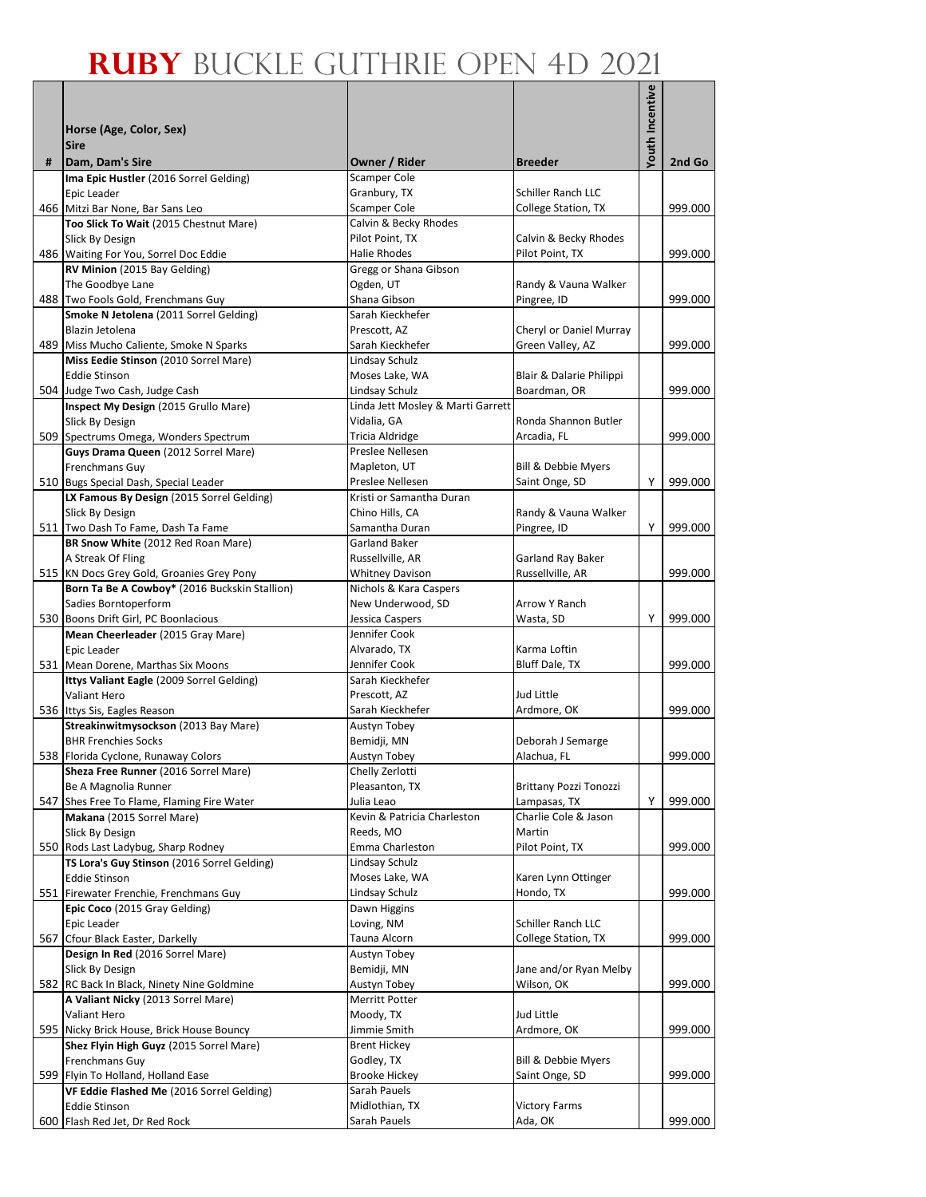|     |                                                                                            |                                                  |                                           | <b>/outh Incentive</b> |         |
|-----|--------------------------------------------------------------------------------------------|--------------------------------------------------|-------------------------------------------|------------------------|---------|
|     |                                                                                            |                                                  |                                           |                        |         |
|     | Horse (Age, Color, Sex)<br><b>Sire</b>                                                     |                                                  |                                           |                        |         |
| #   | Dam, Dam's Sire                                                                            | Owner / Rider                                    | <b>Breeder</b>                            |                        | 2nd Go  |
|     | Ima Epic Hustler (2016 Sorrel Gelding)                                                     | <b>Scamper Cole</b>                              |                                           |                        |         |
|     | Epic Leader                                                                                | Granbury, TX                                     | Schiller Ranch LLC                        |                        |         |
|     | 466 Mitzi Bar None, Bar Sans Leo                                                           | Scamper Cole                                     | College Station, TX                       |                        | 999.000 |
|     | Too Slick To Wait (2015 Chestnut Mare)                                                     | Calvin & Becky Rhodes<br>Pilot Point. TX         |                                           |                        |         |
|     | Slick By Design<br>486 Waiting For You, Sorrel Doc Eddie                                   | <b>Halie Rhodes</b>                              | Calvin & Becky Rhodes<br>Pilot Point, TX  |                        | 999.000 |
|     | RV Minion (2015 Bay Gelding)                                                               | Gregg or Shana Gibson                            |                                           |                        |         |
|     | The Goodbye Lane                                                                           | Ogden, UT                                        | Randy & Vauna Walker                      |                        |         |
|     | 488 Two Fools Gold, Frenchmans Guy                                                         | Shana Gibson                                     | Pingree, ID                               |                        | 999.000 |
|     | Smoke N Jetolena (2011 Sorrel Gelding)                                                     | Sarah Kieckhefer                                 |                                           |                        |         |
|     | Blazin Jetolena<br>489 Miss Mucho Caliente, Smoke N Sparks                                 | Prescott, AZ                                     | Cheryl or Daniel Murray                   |                        | 999.000 |
|     | Miss Eedie Stinson (2010 Sorrel Mare)                                                      | Sarah Kieckhefer<br>Lindsay Schulz               | Green Valley, AZ                          |                        |         |
|     | <b>Eddie Stinson</b>                                                                       | Moses Lake, WA                                   | Blair & Dalarie Philippi                  |                        |         |
|     | 504 Judge Two Cash, Judge Cash                                                             | Lindsay Schulz                                   | Boardman, OR                              |                        | 999.000 |
|     | Inspect My Design (2015 Grullo Mare)                                                       | Linda Jett Mosley & Marti Garrett                |                                           |                        |         |
|     | Slick By Design                                                                            | Vidalia, GA                                      | Ronda Shannon Butler                      |                        |         |
|     | 509 Spectrums Omega, Wonders Spectrum                                                      | Tricia Aldridge                                  | Arcadia, FL                               |                        | 999.000 |
|     | Guys Drama Queen (2012 Sorrel Mare)<br>Frenchmans Guy                                      | Preslee Nellesen<br>Mapleton, UT                 | Bill & Debbie Myers                       |                        |         |
|     | 510 Bugs Special Dash, Special Leader                                                      | Preslee Nellesen                                 | Saint Onge, SD                            | Υ                      | 999.000 |
|     | LX Famous By Design (2015 Sorrel Gelding)                                                  | Kristi or Samantha Duran                         |                                           |                        |         |
|     | Slick By Design                                                                            | Chino Hills, CA                                  | Randy & Vauna Walker                      |                        |         |
|     | 511 Two Dash To Fame, Dash Ta Fame                                                         | Samantha Duran                                   | Pingree, ID                               | Υ                      | 999.000 |
|     | BR Snow White (2012 Red Roan Mare)                                                         | <b>Garland Baker</b>                             |                                           |                        |         |
|     | A Streak Of Fling                                                                          | Russellville, AR                                 | Garland Ray Baker                         |                        |         |
|     | 515 KN Docs Grey Gold, Groanies Grey Pony<br>Born Ta Be A Cowboy* (2016 Buckskin Stallion) | <b>Whitney Davison</b><br>Nichols & Kara Caspers | Russellville, AR                          |                        | 999.000 |
|     | Sadies Borntoperform                                                                       | New Underwood, SD                                | Arrow Y Ranch                             |                        |         |
|     | 530 Boons Drift Girl, PC Boonlacious                                                       | Jessica Caspers                                  | Wasta, SD                                 | Υ                      | 999.000 |
|     | Mean Cheerleader (2015 Gray Mare)                                                          | Jennifer Cook                                    |                                           |                        |         |
|     | Epic Leader                                                                                | Alvarado, TX                                     | Karma Loftin                              |                        |         |
|     | 531 Mean Dorene, Marthas Six Moons                                                         | Jennifer Cook                                    | Bluff Dale, TX                            |                        | 999.000 |
|     | Ittys Valiant Eagle (2009 Sorrel Gelding)<br>Valiant Hero                                  | Sarah Kieckhefer<br>Prescott, AZ                 | Jud Little                                |                        |         |
|     | 536 Ittys Sis, Eagles Reason                                                               | Sarah Kieckhefer                                 | Ardmore, OK                               |                        | 999.000 |
|     | Streakinwitmysockson (2013 Bay Mare)                                                       | Austyn Tobey                                     |                                           |                        |         |
|     | <b>BHR Frenchies Socks</b>                                                                 | Bemidji, MN                                      | Deborah J Semarge                         |                        |         |
|     | 538 Florida Cyclone, Runaway Colors                                                        | Austyn Tobey                                     | Alachua, FL                               |                        | 999.000 |
|     | Sheza Free Runner (2016 Sorrel Mare)                                                       | Chelly Zerlotti                                  |                                           |                        |         |
|     | Be A Magnolia Runner                                                                       | Pleasanton, TX                                   | <b>Brittany Pozzi Tonozzi</b>             |                        |         |
|     | 547 Shes Free To Flame, Flaming Fire Water                                                 | Julia Leao<br>Kevin & Patricia Charleston        | Lampasas, TX<br>Charlie Cole & Jason      | Y                      | 999.000 |
|     | Makana (2015 Sorrel Mare)<br>Slick By Design                                               | Reeds, MO                                        | Martin                                    |                        |         |
|     | 550 Rods Last Ladybug, Sharp Rodney                                                        | Emma Charleston                                  | Pilot Point, TX                           |                        | 999.000 |
|     | TS Lora's Guy Stinson (2016 Sorrel Gelding)                                                | Lindsay Schulz                                   |                                           |                        |         |
|     | <b>Eddie Stinson</b>                                                                       | Moses Lake, WA                                   | Karen Lynn Ottinger                       |                        |         |
|     | 551 Firewater Frenchie, Frenchmans Guy                                                     | Lindsay Schulz                                   | Hondo, TX                                 |                        | 999.000 |
|     | Epic Coco (2015 Gray Gelding)                                                              | Dawn Higgins                                     |                                           |                        |         |
| 567 | Epic Leader<br>Cfour Black Easter, Darkelly                                                | Loving, NM<br>Tauna Alcorn                       | Schiller Ranch LLC<br>College Station, TX |                        | 999.000 |
|     | Design In Red (2016 Sorrel Mare)                                                           | Austyn Tobey                                     |                                           |                        |         |
|     | Slick By Design                                                                            | Bemidji, MN                                      | Jane and/or Ryan Melby                    |                        |         |
|     | 582 RC Back In Black, Ninety Nine Goldmine                                                 | Austyn Tobey                                     | Wilson, OK                                |                        | 999.000 |
|     | A Valiant Nicky (2013 Sorrel Mare)                                                         | Merritt Potter                                   |                                           |                        |         |
|     | Valiant Hero                                                                               | Moody, TX                                        | Jud Little                                |                        |         |
|     | 595 Nicky Brick House, Brick House Bouncy                                                  | Jimmie Smith                                     | Ardmore, OK                               |                        | 999.000 |
|     | Shez Flyin High Guyz (2015 Sorrel Mare)<br>Frenchmans Guy                                  | <b>Brent Hickey</b><br>Godley, TX                | Bill & Debbie Myers                       |                        |         |
|     | 599 Flyin To Holland, Holland Ease                                                         | <b>Brooke Hickey</b>                             | Saint Onge, SD                            |                        | 999.000 |
|     | VF Eddie Flashed Me (2016 Sorrel Gelding)                                                  | Sarah Pauels                                     |                                           |                        |         |
|     | <b>Eddie Stinson</b>                                                                       | Midlothian, TX                                   | <b>Victory Farms</b>                      |                        |         |
|     | 600 Flash Red Jet, Dr Red Rock                                                             | Sarah Pauels                                     | Ada, OK                                   |                        | 999.000 |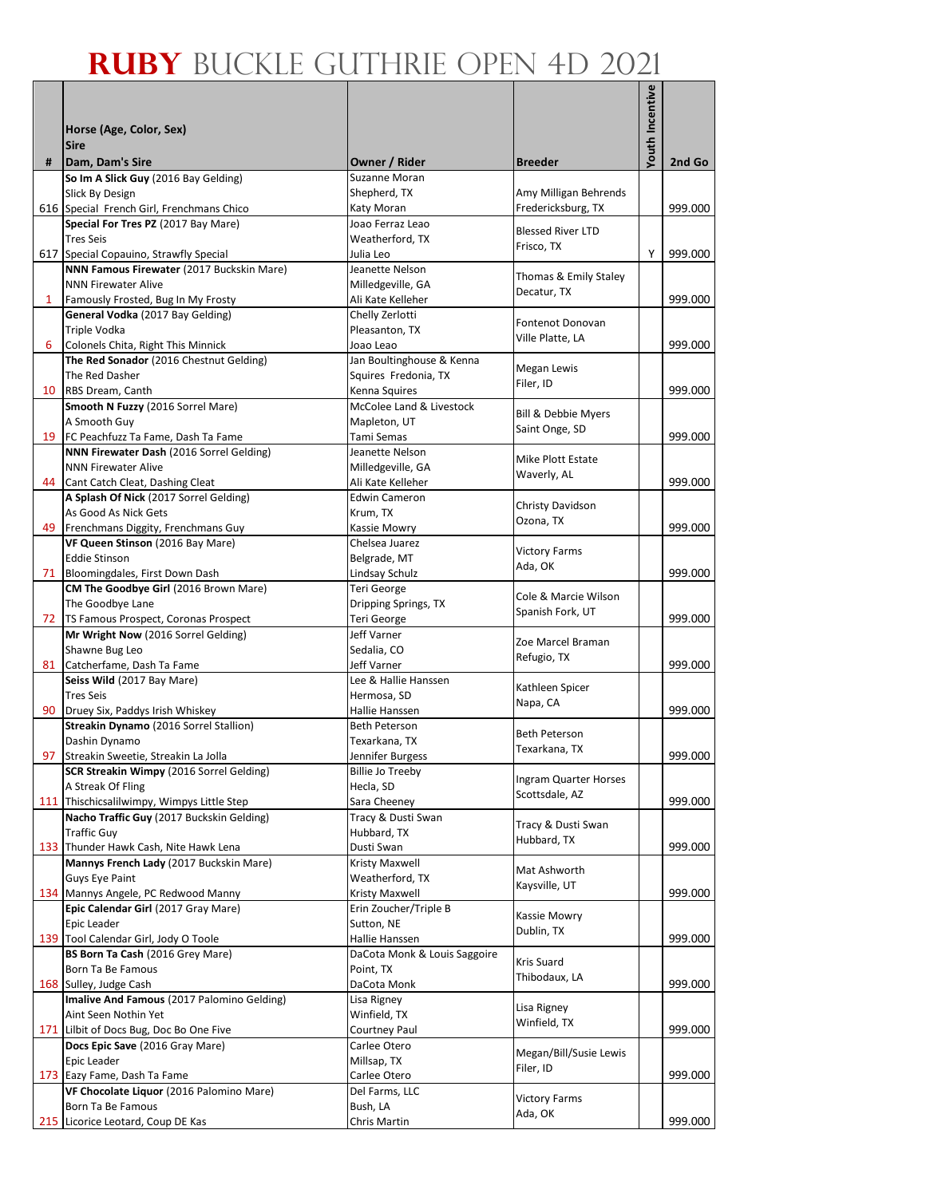|        |                                                                            |                                |                                         | Youth Incentive |         |
|--------|----------------------------------------------------------------------------|--------------------------------|-----------------------------------------|-----------------|---------|
|        | Horse (Age, Color, Sex)                                                    |                                |                                         |                 |         |
|        | <b>Sire</b>                                                                |                                |                                         |                 |         |
| #      | Dam, Dam's Sire                                                            | Owner / Rider                  | <b>Breeder</b>                          |                 | 2nd Go  |
|        | So Im A Slick Guy (2016 Bay Gelding)                                       | Suzanne Moran                  |                                         |                 |         |
|        | Slick By Design                                                            | Shepherd, TX                   | Amy Milligan Behrends                   |                 |         |
|        | 616 Special French Girl, Frenchmans Chico                                  | Katy Moran<br>Joao Ferraz Leao | Fredericksburg, TX                      |                 | 999.000 |
|        | Special For Tres PZ (2017 Bay Mare)<br><b>Tres Seis</b>                    | Weatherford. TX                | <b>Blessed River LTD</b>                |                 |         |
|        | 617 Special Copauino, Strawfly Special                                     | Julia Leo                      | Frisco, TX                              | Y               | 999.000 |
|        | NNN Famous Firewater (2017 Buckskin Mare)                                  | Jeanette Nelson                |                                         |                 |         |
|        | <b>NNN Firewater Alive</b>                                                 | Milledgeville, GA              | Thomas & Emily Staley<br>Decatur, TX    |                 |         |
| 1      | Famously Frosted, Bug In My Frosty                                         | Ali Kate Kelleher              |                                         |                 | 999.000 |
|        | General Vodka (2017 Bay Gelding)                                           | Chelly Zerlotti                | Fontenot Donovan                        |                 |         |
| 6      | Triple Vodka<br>Colonels Chita, Right This Minnick                         | Pleasanton, TX<br>Joao Leao    | Ville Platte, LA                        |                 | 999.000 |
|        | The Red Sonador (2016 Chestnut Gelding)                                    | Jan Boultinghouse & Kenna      |                                         |                 |         |
|        | The Red Dasher                                                             | Squires Fredonia, TX           | Megan Lewis                             |                 |         |
|        | 10 RBS Dream, Canth                                                        | Kenna Squires                  | Filer, ID                               |                 | 999.000 |
|        | Smooth N Fuzzy (2016 Sorrel Mare)                                          | McColee Land & Livestock       |                                         |                 |         |
|        | A Smooth Guy                                                               | Mapleton, UT                   | Bill & Debbie Myers                     |                 |         |
|        | 19 FC Peachfuzz Ta Fame, Dash Ta Fame                                      | Tami Semas                     | Saint Onge, SD                          |                 | 999.000 |
|        | NNN Firewater Dash (2016 Sorrel Gelding)                                   | Jeanette Nelson                | Mike Plott Estate                       |                 |         |
|        | <b>NNN Firewater Alive</b>                                                 | Milledgeville, GA              | Waverly, AL                             |                 |         |
| 44     | Cant Catch Cleat, Dashing Cleat                                            | Ali Kate Kelleher              |                                         |                 | 999.000 |
|        | A Splash Of Nick (2017 Sorrel Gelding)                                     | <b>Edwin Cameron</b>           | Christy Davidson                        |                 |         |
| 49     | As Good As Nick Gets                                                       | Krum, TX                       | Ozona, TX                               |                 | 999.000 |
|        | Frenchmans Diggity, Frenchmans Guy<br>VF Queen Stinson (2016 Bay Mare)     | Kassie Mowry<br>Chelsea Juarez |                                         |                 |         |
|        | <b>Eddie Stinson</b>                                                       | Belgrade, MT                   | <b>Victory Farms</b>                    |                 |         |
|        | 71 Bloomingdales, First Down Dash                                          | Lindsay Schulz                 | Ada, OK                                 |                 | 999.000 |
|        | CM The Goodbye Girl (2016 Brown Mare)                                      | Teri George                    |                                         |                 |         |
|        | The Goodbye Lane                                                           | Dripping Springs, TX           | Cole & Marcie Wilson                    |                 |         |
|        | 72 TS Famous Prospect, Coronas Prospect                                    | Teri George                    | Spanish Fork, UT                        |                 | 999.000 |
|        | Mr Wright Now (2016 Sorrel Gelding)                                        | Jeff Varner                    | Zoe Marcel Braman                       |                 |         |
|        | Shawne Bug Leo                                                             | Sedalia, CO                    | Refugio, TX                             |                 |         |
|        | 81 Catcherfame, Dash Ta Fame                                               | Jeff Varner                    |                                         |                 | 999.000 |
|        | Seiss Wild (2017 Bay Mare)                                                 | Lee & Hallie Hanssen           | Kathleen Spicer                         |                 |         |
| $90-1$ | <b>Tres Seis</b><br>Druey Six, Paddys Irish Whiskey                        | Hermosa, SD<br>Hallie Hanssen  | Napa, CA                                |                 | 999.000 |
|        | Streakin Dynamo (2016 Sorrel Stallion)                                     | <b>Beth Peterson</b>           |                                         |                 |         |
|        | Dashin Dynamo                                                              | Texarkana, TX                  | <b>Beth Peterson</b>                    |                 |         |
|        | 97 Streakin Sweetie, Streakin La Jolla                                     | Jennifer Burgess               | Texarkana, TX                           |                 | 999.000 |
|        | <b>SCR Streakin Wimpy (2016 Sorrel Gelding)</b>                            | <b>Billie Jo Treeby</b>        |                                         |                 |         |
|        | A Streak Of Fling                                                          | Hecla, SD                      | Ingram Quarter Horses<br>Scottsdale, AZ |                 |         |
|        | 111 Thischicsalilwimpy, Wimpys Little Step                                 | Sara Cheeney                   |                                         |                 | 999.000 |
|        | Nacho Traffic Guy (2017 Buckskin Gelding)                                  | Tracy & Dusti Swan             | Tracy & Dusti Swan                      |                 |         |
|        | <b>Traffic Guy</b>                                                         | Hubbard, TX                    | Hubbard, TX                             |                 |         |
|        | 133 Thunder Hawk Cash, Nite Hawk Lena                                      | Dusti Swan<br>Kristy Maxwell   |                                         |                 | 999.000 |
|        | Mannys French Lady (2017 Buckskin Mare)<br><b>Guys Eye Paint</b>           | Weatherford, TX                | Mat Ashworth                            |                 |         |
|        | 134 Mannys Angele, PC Redwood Manny                                        | Kristy Maxwell                 | Kaysville, UT                           |                 | 999.000 |
|        | Epic Calendar Girl (2017 Gray Mare)                                        | Erin Zoucher/Triple B          |                                         |                 |         |
|        | Epic Leader                                                                | Sutton, NE                     | Kassie Mowry                            |                 |         |
|        | 139 Tool Calendar Girl, Jody O Toole                                       | Hallie Hanssen                 | Dublin, TX                              |                 | 999.000 |
|        | BS Born Ta Cash (2016 Grey Mare)                                           | DaCota Monk & Louis Saggoire   | Kris Suard                              |                 |         |
|        | Born Ta Be Famous                                                          | Point, TX                      | Thibodaux, LA                           |                 |         |
|        | 168 Sulley, Judge Cash                                                     | DaCota Monk                    |                                         |                 | 999.000 |
|        | Imalive And Famous (2017 Palomino Gelding)                                 | Lisa Rigney                    | Lisa Rigney                             |                 |         |
|        | Aint Seen Nothin Yet                                                       | Winfield, TX                   | Winfield, TX                            |                 | 999.000 |
|        | 171 Lilbit of Docs Bug, Doc Bo One Five<br>Docs Epic Save (2016 Gray Mare) | Courtney Paul<br>Carlee Otero  |                                         |                 |         |
|        | Epic Leader                                                                | Millsap, TX                    | Megan/Bill/Susie Lewis                  |                 |         |
|        | 173 Eazy Fame, Dash Ta Fame                                                | Carlee Otero                   | Filer, ID                               |                 | 999.000 |
|        | VF Chocolate Liquor (2016 Palomino Mare)                                   | Del Farms, LLC                 |                                         |                 |         |
|        | Born Ta Be Famous                                                          | Bush, LA                       | <b>Victory Farms</b><br>Ada, OK         |                 |         |
|        | 215 Licorice Leotard, Coup DE Kas                                          | Chris Martin                   |                                         |                 | 999.000 |